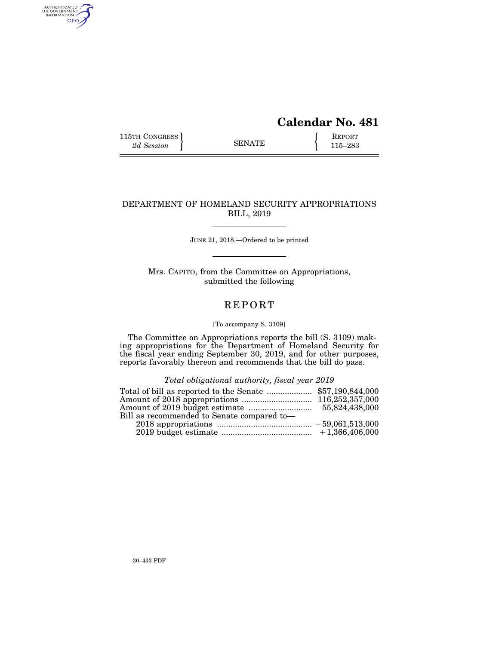# **Calendar No. 481**

115TH CONGRESS **REPORT** 2d Session **REPORT** SENATE **115–283** 

AUTHENTICATED<br>U.S. GOVERNMENT<br>INFORMATION

GPO

# DEPARTMENT OF HOMELAND SECURITY APPROPRIATIONS BILL, 2019

JUNE 21, 2018.—Ordered to be printed

Mrs. CAPITO, from the Committee on Appropriations, submitted the following

# **REPORT**

# [To accompany S. 3109]

The Committee on Appropriations reports the bill (S. 3109) making appropriations for the Department of Homeland Security for the fiscal year ending September 30, 2019, and for other purposes, reports favorably thereon and recommends that the bill do pass.

*Total obligational authority, fiscal year 2019* 

| Bill as recommended to Senate compared to- |  |
|--------------------------------------------|--|
|                                            |  |
|                                            |  |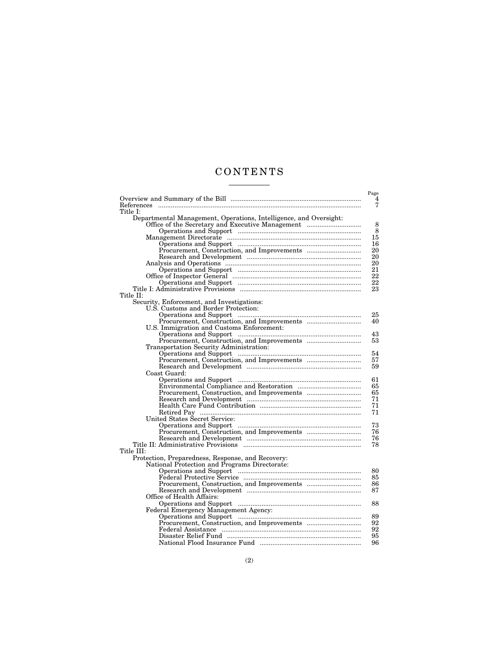# C O N T E N T S <u>and the state of the state</u>

|                                                                   | Page     |
|-------------------------------------------------------------------|----------|
|                                                                   | 4        |
| References                                                        | 7        |
| Title I:                                                          |          |
| Departmental Management, Operations, Intelligence, and Oversight: |          |
|                                                                   | 8        |
|                                                                   | 8        |
|                                                                   | 15       |
|                                                                   | 16       |
|                                                                   | 20       |
|                                                                   | 20       |
|                                                                   | 20       |
|                                                                   | 21       |
|                                                                   | 22       |
|                                                                   | 22       |
|                                                                   | 23       |
| Title II:                                                         |          |
| Security, Enforcement, and Investigations:                        |          |
| U.S. Customs and Border Protection:                               |          |
|                                                                   | 25       |
|                                                                   | 40       |
| U.S. Immigration and Customs Enforcement:                         |          |
|                                                                   | 43       |
|                                                                   | 53       |
| Transportation Security Administration:                           |          |
|                                                                   | 54       |
|                                                                   | 57       |
|                                                                   | 59       |
| Coast Guard:                                                      |          |
|                                                                   | 61       |
|                                                                   | 65       |
|                                                                   | 65       |
|                                                                   | 71       |
|                                                                   | 71       |
|                                                                   | 71       |
| United States Secret Service:                                     |          |
|                                                                   | 73<br>76 |
|                                                                   | 76       |
|                                                                   | 78       |
| Title III:                                                        |          |
| Protection, Preparedness, Response, and Recovery:                 |          |
| National Protection and Programs Directorate:                     |          |
|                                                                   | 80       |
|                                                                   | 85       |
|                                                                   | 86       |
|                                                                   | 87       |
| Office of Health Affairs:                                         |          |
|                                                                   | 88       |
| Federal Emergency Management Agency:                              |          |
|                                                                   | 89       |
|                                                                   | 92       |
|                                                                   | 92       |
|                                                                   | 95       |
|                                                                   | 96       |
|                                                                   |          |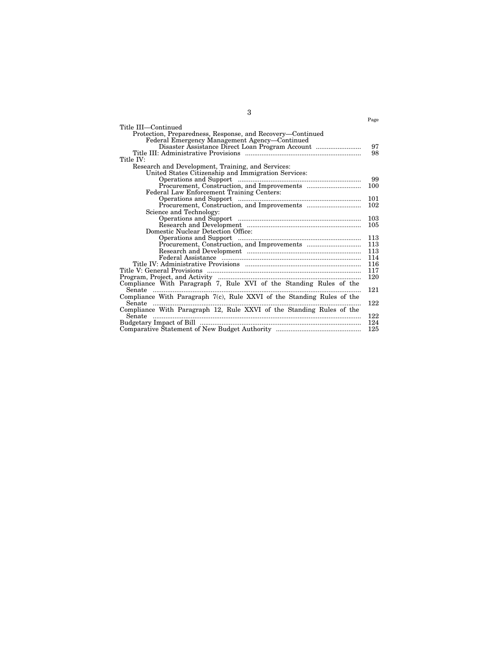|                                                                        | Page |
|------------------------------------------------------------------------|------|
|                                                                        |      |
| Title III—Continued                                                    |      |
| Protection, Preparedness, Response, and Recovery-Continued             |      |
| Federal Emergency Management Agency—Continued                          |      |
| Disaster Assistance Direct Loan Program Account                        | 97   |
|                                                                        | 98   |
| Title IV:                                                              |      |
| Research and Development, Training, and Services:                      |      |
| United States Citizenship and Immigration Services:                    |      |
|                                                                        | 99   |
|                                                                        | 100  |
| Federal Law Enforcement Training Centers:                              |      |
|                                                                        | 101  |
|                                                                        | 102  |
| Science and Technology:                                                |      |
|                                                                        | 103  |
|                                                                        | 105  |
| Domestic Nuclear Detection Office:                                     |      |
|                                                                        | 113  |
|                                                                        | 113  |
|                                                                        | 113  |
|                                                                        | 114  |
|                                                                        | 116  |
|                                                                        | 117  |
|                                                                        | 120  |
| Compliance With Paragraph 7, Rule XVI of the Standing Rules of the     |      |
| Senate                                                                 | 121  |
| Compliance With Paragraph 7(c), Rule XXVI of the Standing Rules of the |      |
| Senate                                                                 | 122  |
| Compliance With Paragraph 12, Rule XXVI of the Standing Rules of the   |      |
| Senate                                                                 | 122  |
|                                                                        | 124  |
|                                                                        | 125  |
|                                                                        |      |

3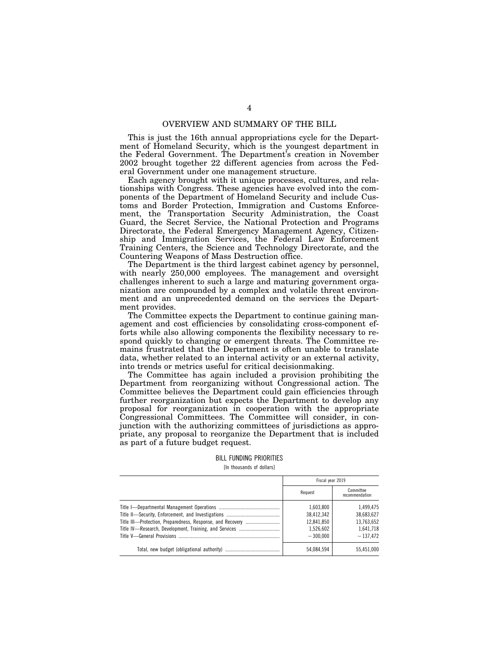# OVERVIEW AND SUMMARY OF THE BILL

This is just the 16th annual appropriations cycle for the Department of Homeland Security, which is the youngest department in the Federal Government. The Department's creation in November 2002 brought together 22 different agencies from across the Federal Government under one management structure.

Each agency brought with it unique processes, cultures, and relationships with Congress. These agencies have evolved into the components of the Department of Homeland Security and include Customs and Border Protection, Immigration and Customs Enforcement, the Transportation Security Administration, the Coast Guard, the Secret Service, the National Protection and Programs Directorate, the Federal Emergency Management Agency, Citizenship and Immigration Services, the Federal Law Enforcement Training Centers, the Science and Technology Directorate, and the Countering Weapons of Mass Destruction office.

The Department is the third largest cabinet agency by personnel, with nearly 250,000 employees. The management and oversight challenges inherent to such a large and maturing government organization are compounded by a complex and volatile threat environment and an unprecedented demand on the services the Department provides.

The Committee expects the Department to continue gaining management and cost efficiencies by consolidating cross-component efforts while also allowing components the flexibility necessary to respond quickly to changing or emergent threats. The Committee remains frustrated that the Department is often unable to translate data, whether related to an internal activity or an external activity, into trends or metrics useful for critical decisionmaking.

The Committee has again included a provision prohibiting the Department from reorganizing without Congressional action. The Committee believes the Department could gain efficiencies through further reorganization but expects the Department to develop any proposal for reorganization in cooperation with the appropriate Congressional Committees. The Committee will consider, in conjunction with the authorizing committees of jurisdictions as appropriate, any proposal to reorganize the Department that is included as part of a future budget request.

# BILL FUNDING PRIORITIES

[In thousands of dollars]

| Fiscal year 2019 |                             |
|------------------|-----------------------------|
| Request          | Committee<br>recommendation |
| 1,603,800        | 1.499.475                   |
| 38.412.342       | 38.683.627                  |
| 12,841,850       | 13,763,652                  |
| 1.526.602        | 1,641,718                   |
| $-300.000$       | $-137.472$                  |
| 54,084,594       | 55.451.000                  |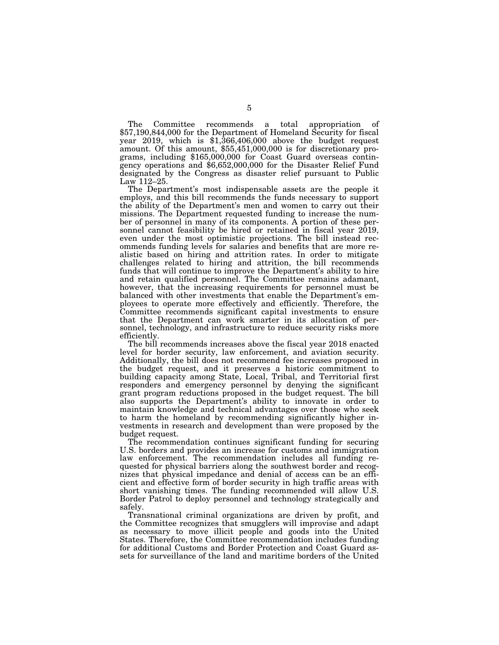The Committee recommends a total appropriation of \$57,190,844,000 for the Department of Homeland Security for fiscal year 2019, which is \$1,366,406,000 above the budget request amount. Of this amount, \$55,451,000,000 is for discretionary programs, including \$165,000,000 for Coast Guard overseas contingency operations and \$6,652,000,000 for the Disaster Relief Fund designated by the Congress as disaster relief pursuant to Public Law 112–25.

The Department's most indispensable assets are the people it employs, and this bill recommends the funds necessary to support the ability of the Department's men and women to carry out their missions. The Department requested funding to increase the number of personnel in many of its components. A portion of these personnel cannot feasibility be hired or retained in fiscal year 2019, even under the most optimistic projections. The bill instead recommends funding levels for salaries and benefits that are more realistic based on hiring and attrition rates. In order to mitigate challenges related to hiring and attrition, the bill recommends funds that will continue to improve the Department's ability to hire and retain qualified personnel. The Committee remains adamant, however, that the increasing requirements for personnel must be balanced with other investments that enable the Department's employees to operate more effectively and efficiently. Therefore, the Committee recommends significant capital investments to ensure that the Department can work smarter in its allocation of personnel, technology, and infrastructure to reduce security risks more efficiently.

The bill recommends increases above the fiscal year 2018 enacted level for border security, law enforcement, and aviation security. Additionally, the bill does not recommend fee increases proposed in the budget request, and it preserves a historic commitment to building capacity among State, Local, Tribal, and Territorial first responders and emergency personnel by denying the significant grant program reductions proposed in the budget request. The bill also supports the Department's ability to innovate in order to maintain knowledge and technical advantages over those who seek to harm the homeland by recommending significantly higher investments in research and development than were proposed by the budget request.

The recommendation continues significant funding for securing U.S. borders and provides an increase for customs and immigration law enforcement. The recommendation includes all funding requested for physical barriers along the southwest border and recognizes that physical impedance and denial of access can be an efficient and effective form of border security in high traffic areas with short vanishing times. The funding recommended will allow U.S. Border Patrol to deploy personnel and technology strategically and safely.

Transnational criminal organizations are driven by profit, and the Committee recognizes that smugglers will improvise and adapt as necessary to move illicit people and goods into the United States. Therefore, the Committee recommendation includes funding for additional Customs and Border Protection and Coast Guard assets for surveillance of the land and maritime borders of the United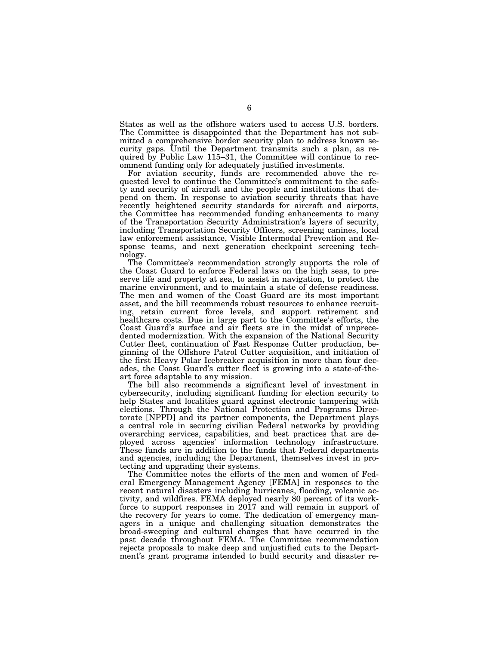States as well as the offshore waters used to access U.S. borders. The Committee is disappointed that the Department has not submitted a comprehensive border security plan to address known security gaps. Until the Department transmits such a plan, as required by Public Law 115–31, the Committee will continue to recommend funding only for adequately justified investments.

For aviation security, funds are recommended above the requested level to continue the Committee's commitment to the safety and security of aircraft and the people and institutions that depend on them. In response to aviation security threats that have recently heightened security standards for aircraft and airports, the Committee has recommended funding enhancements to many of the Transportation Security Administration's layers of security, including Transportation Security Officers, screening canines, local law enforcement assistance, Visible Intermodal Prevention and Response teams, and next generation checkpoint screening technology.

The Committee's recommendation strongly supports the role of the Coast Guard to enforce Federal laws on the high seas, to preserve life and property at sea, to assist in navigation, to protect the marine environment, and to maintain a state of defense readiness. The men and women of the Coast Guard are its most important asset, and the bill recommends robust resources to enhance recruiting, retain current force levels, and support retirement and healthcare costs. Due in large part to the Committee's efforts, the Coast Guard's surface and air fleets are in the midst of unprecedented modernization. With the expansion of the National Security Cutter fleet, continuation of Fast Response Cutter production, beginning of the Offshore Patrol Cutter acquisition, and initiation of the first Heavy Polar Icebreaker acquisition in more than four decades, the Coast Guard's cutter fleet is growing into a state-of-theart force adaptable to any mission.

The bill also recommends a significant level of investment in cybersecurity, including significant funding for election security to help States and localities guard against electronic tampering with elections. Through the National Protection and Programs Directorate [NPPD] and its partner components, the Department plays a central role in securing civilian Federal networks by providing overarching services, capabilities, and best practices that are deployed across agencies' information technology infrastructure. These funds are in addition to the funds that Federal departments and agencies, including the Department, themselves invest in protecting and upgrading their systems.

The Committee notes the efforts of the men and women of Federal Emergency Management Agency [FEMA] in responses to the recent natural disasters including hurricanes, flooding, volcanic activity, and wildfires. FEMA deployed nearly 80 percent of its workforce to support responses in 2017 and will remain in support of the recovery for years to come. The dedication of emergency managers in a unique and challenging situation demonstrates the broad-sweeping and cultural changes that have occurred in the past decade throughout FEMA. The Committee recommendation rejects proposals to make deep and unjustified cuts to the Department's grant programs intended to build security and disaster re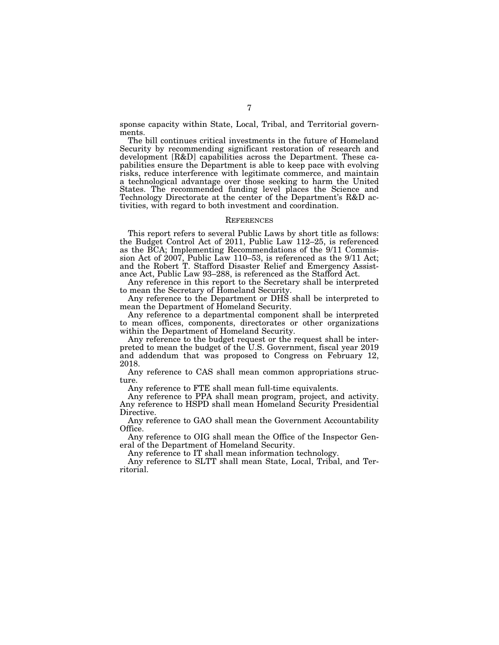sponse capacity within State, Local, Tribal, and Territorial governments.

The bill continues critical investments in the future of Homeland Security by recommending significant restoration of research and development [R&D] capabilities across the Department. These capabilities ensure the Department is able to keep pace with evolving risks, reduce interference with legitimate commerce, and maintain a technological advantage over those seeking to harm the United States. The recommended funding level places the Science and Technology Directorate at the center of the Department's R&D activities, with regard to both investment and coordination.

# **REFERENCES**

This report refers to several Public Laws by short title as follows: the Budget Control Act of 2011, Public Law 112–25, is referenced as the BCA; Implementing Recommendations of the 9/11 Commission Act of 2007, Public Law 110–53, is referenced as the 9/11 Act; and the Robert T. Stafford Disaster Relief and Emergency Assistance Act, Public Law 93–288, is referenced as the Stafford Act.

Any reference in this report to the Secretary shall be interpreted to mean the Secretary of Homeland Security.

Any reference to the Department or DHS shall be interpreted to mean the Department of Homeland Security.

Any reference to a departmental component shall be interpreted to mean offices, components, directorates or other organizations within the Department of Homeland Security.

Any reference to the budget request or the request shall be interpreted to mean the budget of the U.S. Government, fiscal year 2019 and addendum that was proposed to Congress on February 12, 2018.

Any reference to CAS shall mean common appropriations structure.

Any reference to FTE shall mean full-time equivalents.

Any reference to PPA shall mean program, project, and activity. Any reference to HSPD shall mean Homeland Security Presidential Directive.

Any reference to GAO shall mean the Government Accountability Office.

Any reference to OIG shall mean the Office of the Inspector General of the Department of Homeland Security.

Any reference to IT shall mean information technology.

Any reference to SLTT shall mean State, Local, Tribal, and Territorial.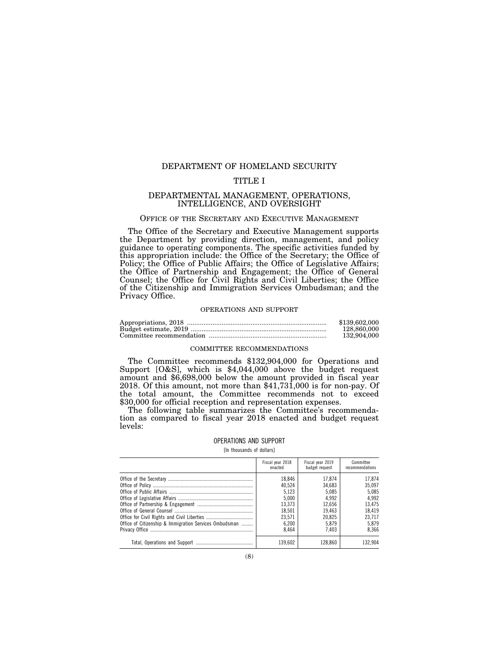# DEPARTMENT OF HOMELAND SECURITY

# TITLE I

# DEPARTMENTAL MANAGEMENT, OPERATIONS, INTELLIGENCE, AND OVERSIGHT

# OFFICE OF THE SECRETARY AND EXECUTIVE MANAGEMENT

The Office of the Secretary and Executive Management supports the Department by providing direction, management, and policy guidance to operating components. The specific activities funded by this appropriation include: the Office of the Secretary; the Office of Policy; the Office of Public Affairs; the Office of Legislative Affairs; the Office of Partnership and Engagement; the Office of General Counsel; the Office for Civil Rights and Civil Liberties; the Office of the Citizenship and Immigration Services Ombudsman; and the Privacy Office.

# OPERATIONS AND SUPPORT

| \$139,602,000 |
|---------------|
| 128,860,000   |
| 132,904,000   |

# COMMITTEE RECOMMENDATIONS

The Committee recommends \$132,904,000 for Operations and Support [O&S], which is \$4,044,000 above the budget request amount and \$6,698,000 below the amount provided in fiscal year 2018. Of this amount, not more than \$41,731,000 is for non-pay. Of the total amount, the Committee recommends not to exceed \$30,000 for official reception and representation expenses.

The following table summarizes the Committee's recommendation as compared to fiscal year 2018 enacted and budget request levels:

#### OPERATIONS AND SUPPORT

[In thousands of dollars]

|                                                        | Fiscal year 2018<br>enacted | Fiscal year 2019<br>budget request | Committee<br>recommendations |
|--------------------------------------------------------|-----------------------------|------------------------------------|------------------------------|
|                                                        | 18.846<br>40.524            | 17.874<br>34.683                   | 17.874<br>35.097             |
|                                                        | 5.123                       | 5.085                              | 5.085                        |
|                                                        | 5.000                       | 4.992                              | 4.992                        |
|                                                        | 13,373                      | 12.656                             | 13.475                       |
|                                                        | 18.501                      | 19.463                             | 18.419                       |
|                                                        | 23.571                      | 20.825                             | 23.717                       |
| Office of Citizenship & Immigration Services Ombudsman | 6.200                       | 5.879                              | 5.879                        |
|                                                        | 8.464                       | 7.403                              | 8.366                        |
|                                                        | 139.602                     | 128.860                            | 132.904                      |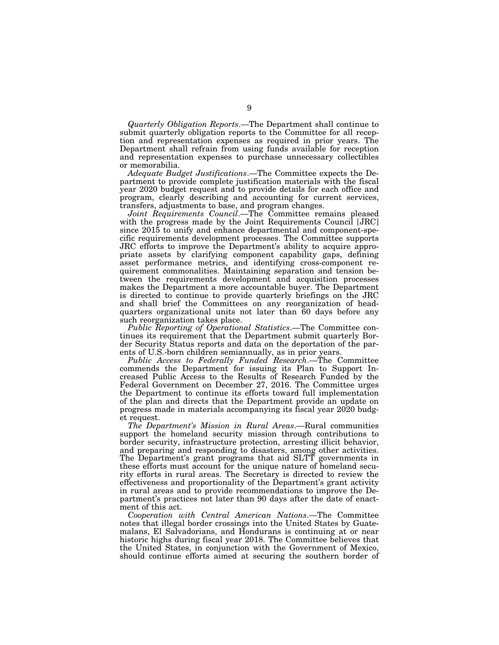*Quarterly Obligation Reports*.—The Department shall continue to submit quarterly obligation reports to the Committee for all reception and representation expenses as required in prior years. The Department shall refrain from using funds available for reception and representation expenses to purchase unnecessary collectibles or memorabilia.

*Adequate Budget Justifications*.—The Committee expects the Department to provide complete justification materials with the fiscal year 2020 budget request and to provide details for each office and program, clearly describing and accounting for current services, transfers, adjustments to base, and program changes.

*Joint Requirements Council*.—The Committee remains pleased with the progress made by the Joint Requirements Council [JRC] since 2015 to unify and enhance departmental and component-specific requirements development processes. The Committee supports JRC efforts to improve the Department's ability to acquire appropriate assets by clarifying component capability gaps, defining asset performance metrics, and identifying cross-component requirement commonalities. Maintaining separation and tension between the requirements development and acquisition processes makes the Department a more accountable buyer. The Department is directed to continue to provide quarterly briefings on the JRC and shall brief the Committees on any reorganization of headquarters organizational units not later than 60 days before any such reorganization takes place.

*Public Reporting of Operational Statistics*.—The Committee continues its requirement that the Department submit quarterly Border Security Status reports and data on the deportation of the parents of U.S.-born children semiannually, as in prior years.

*Public Access to Federally Funded Research*.—The Committee commends the Department for issuing its Plan to Support Increased Public Access to the Results of Research Funded by the Federal Government on December 27, 2016. The Committee urges the Department to continue its efforts toward full implementation of the plan and directs that the Department provide an update on progress made in materials accompanying its fiscal year 2020 budget request.

*The Department's Mission in Rural Areas*.—Rural communities support the homeland security mission through contributions to border security, infrastructure protection, arresting illicit behavior, and preparing and responding to disasters, among other activities. The Department's grant programs that aid SLTT governments in these efforts must account for the unique nature of homeland security efforts in rural areas. The Secretary is directed to review the effectiveness and proportionality of the Department's grant activity in rural areas and to provide recommendations to improve the Department's practices not later than 90 days after the date of enactment of this act.

*Cooperation with Central American Nations*.—The Committee notes that illegal border crossings into the United States by Guatemalans, El Salvadorians, and Hondurans is continuing at or near historic highs during fiscal year 2018. The Committee believes that the United States, in conjunction with the Government of Mexico, should continue efforts aimed at securing the southern border of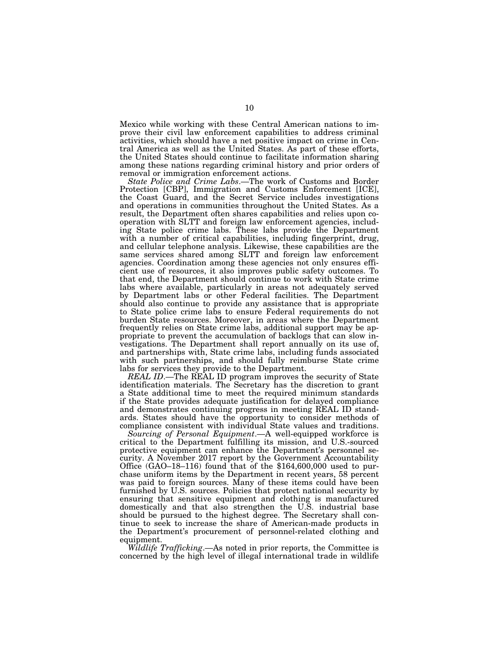Mexico while working with these Central American nations to improve their civil law enforcement capabilities to address criminal activities, which should have a net positive impact on crime in Central America as well as the United States. As part of these efforts, the United States should continue to facilitate information sharing among these nations regarding criminal history and prior orders of removal or immigration enforcement actions.

*State Police and Crime Labs*.—The work of Customs and Border Protection [CBP], Immigration and Customs Enforcement [ICE], the Coast Guard, and the Secret Service includes investigations and operations in communities throughout the United States. As a result, the Department often shares capabilities and relies upon cooperation with SLTT and foreign law enforcement agencies, including State police crime labs. These labs provide the Department with a number of critical capabilities, including fingerprint, drug, and cellular telephone analysis. Likewise, these capabilities are the same services shared among SLTT and foreign law enforcement agencies. Coordination among these agencies not only ensures efficient use of resources, it also improves public safety outcomes. To that end, the Department should continue to work with State crime labs where available, particularly in areas not adequately served by Department labs or other Federal facilities. The Department should also continue to provide any assistance that is appropriate to State police crime labs to ensure Federal requirements do not burden State resources. Moreover, in areas where the Department frequently relies on State crime labs, additional support may be appropriate to prevent the accumulation of backlogs that can slow investigations. The Department shall report annually on its use of, and partnerships with, State crime labs, including funds associated with such partnerships, and should fully reimburse State crime labs for services they provide to the Department.

*REAL ID*.—The REAL ID program improves the security of State identification materials. The Secretary has the discretion to grant a State additional time to meet the required minimum standards if the State provides adequate justification for delayed compliance and demonstrates continuing progress in meeting REAL ID standards. States should have the opportunity to consider methods of compliance consistent with individual State values and traditions.

*Sourcing of Personal Equipment*.—A well-equipped workforce is critical to the Department fulfilling its mission, and U.S.-sourced protective equipment can enhance the Department's personnel security. A November 2017 report by the Government Accountability Office (GAO–18–116) found that of the \$164,600,000 used to purchase uniform items by the Department in recent years, 58 percent was paid to foreign sources. Many of these items could have been furnished by U.S. sources. Policies that protect national security by ensuring that sensitive equipment and clothing is manufactured domestically and that also strengthen the U.S. industrial base should be pursued to the highest degree. The Secretary shall continue to seek to increase the share of American-made products in the Department's procurement of personnel-related clothing and equipment.

*Wildlife Trafficking*.—As noted in prior reports, the Committee is concerned by the high level of illegal international trade in wildlife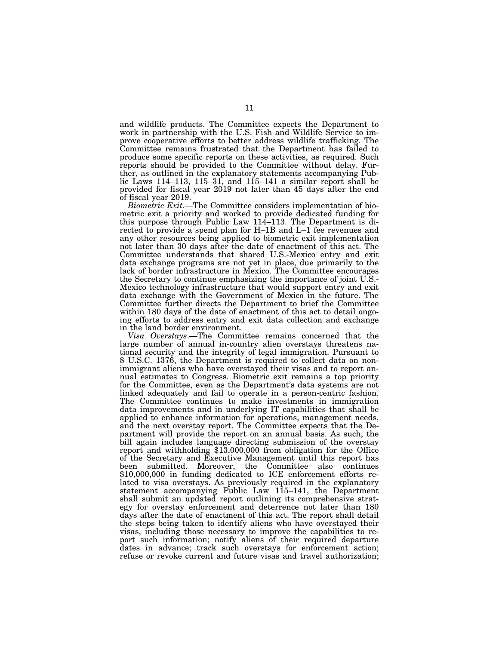and wildlife products. The Committee expects the Department to work in partnership with the U.S. Fish and Wildlife Service to improve cooperative efforts to better address wildlife trafficking. The Committee remains frustrated that the Department has failed to produce some specific reports on these activities, as required. Such reports should be provided to the Committee without delay. Further, as outlined in the explanatory statements accompanying Public Laws 114–113, 115–31, and 115–141 a similar report shall be provided for fiscal year 2019 not later than 45 days after the end of fiscal year 2019.

*Biometric Exit*.—The Committee considers implementation of biometric exit a priority and worked to provide dedicated funding for this purpose through Public Law  $114-113$ . The Department is directed to provide a spend plan for H–1B and L–1 fee revenues and any other resources being applied to biometric exit implementation not later than 30 days after the date of enactment of this act. The Committee understands that shared U.S.-Mexico entry and exit data exchange programs are not yet in place, due primarily to the lack of border infrastructure in Mexico. The Committee encourages the Secretary to continue emphasizing the importance of joint U.S.- Mexico technology infrastructure that would support entry and exit data exchange with the Government of Mexico in the future. The Committee further directs the Department to brief the Committee within 180 days of the date of enactment of this act to detail ongoing efforts to address entry and exit data collection and exchange in the land border environment.

*Visa Overstays*.—The Committee remains concerned that the large number of annual in-country alien overstays threatens national security and the integrity of legal immigration. Pursuant to 8 U.S.C. 1376, the Department is required to collect data on nonimmigrant aliens who have overstayed their visas and to report annual estimates to Congress. Biometric exit remains a top priority for the Committee, even as the Department's data systems are not linked adequately and fail to operate in a person-centric fashion. The Committee continues to make investments in immigration data improvements and in underlying IT capabilities that shall be applied to enhance information for operations, management needs, and the next overstay report. The Committee expects that the Department will provide the report on an annual basis. As such, the bill again includes language directing submission of the overstay report and withholding \$13,000,000 from obligation for the Office of the Secretary and Executive Management until this report has been submitted. Moreover, the Committee also continues \$10,000,000 in funding dedicated to ICE enforcement efforts related to visa overstays. As previously required in the explanatory statement accompanying Public Law 115–141, the Department shall submit an updated report outlining its comprehensive strategy for overstay enforcement and deterrence not later than 180 days after the date of enactment of this act. The report shall detail the steps being taken to identify aliens who have overstayed their visas, including those necessary to improve the capabilities to report such information; notify aliens of their required departure dates in advance; track such overstays for enforcement action; refuse or revoke current and future visas and travel authorization;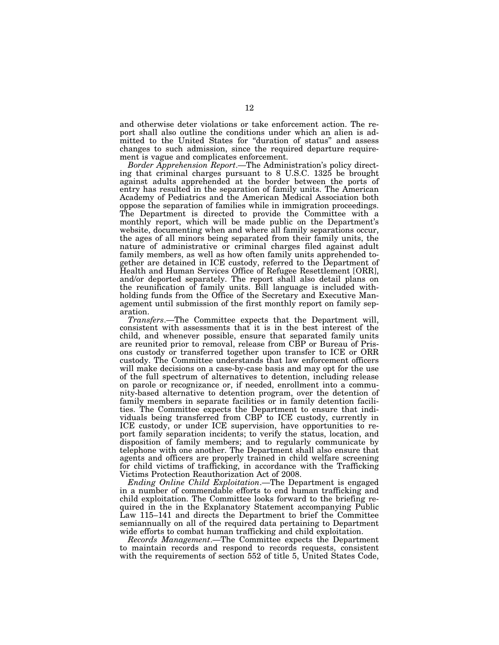and otherwise deter violations or take enforcement action. The report shall also outline the conditions under which an alien is admitted to the United States for ''duration of status'' and assess changes to such admission, since the required departure requirement is vague and complicates enforcement.

*Border Apprehension Report*.—The Administration's policy directing that criminal charges pursuant to 8 U.S.C. 1325 be brought against adults apprehended at the border between the ports of entry has resulted in the separation of family units. The American Academy of Pediatrics and the American Medical Association both oppose the separation of families while in immigration proceedings. The Department is directed to provide the Committee with a monthly report, which will be made public on the Department's website, documenting when and where all family separations occur, the ages of all minors being separated from their family units, the nature of administrative or criminal charges filed against adult family members, as well as how often family units apprehended together are detained in ICE custody, referred to the Department of Health and Human Services Office of Refugee Resettlement [ORR], and/or deported separately. The report shall also detail plans on the reunification of family units. Bill language is included withholding funds from the Office of the Secretary and Executive Management until submission of the first monthly report on family separation.

*Transfers*.—The Committee expects that the Department will, consistent with assessments that it is in the best interest of the child, and whenever possible, ensure that separated family units are reunited prior to removal, release from CBP or Bureau of Prisons custody or transferred together upon transfer to ICE or ORR custody. The Committee understands that law enforcement officers will make decisions on a case-by-case basis and may opt for the use of the full spectrum of alternatives to detention, including release on parole or recognizance or, if needed, enrollment into a community-based alternative to detention program, over the detention of family members in separate facilities or in family detention facilities. The Committee expects the Department to ensure that individuals being transferred from CBP to ICE custody, currently in ICE custody, or under ICE supervision, have opportunities to report family separation incidents; to verify the status, location, and disposition of family members; and to regularly communicate by telephone with one another. The Department shall also ensure that agents and officers are properly trained in child welfare screening for child victims of trafficking, in accordance with the Trafficking Victims Protection Reauthorization Act of 2008.

*Ending Online Child Exploitation*.—The Department is engaged in a number of commendable efforts to end human trafficking and child exploitation. The Committee looks forward to the briefing required in the in the Explanatory Statement accompanying Public Law 115–141 and directs the Department to brief the Committee semiannually on all of the required data pertaining to Department wide efforts to combat human trafficking and child exploitation.

*Records Management*.—The Committee expects the Department to maintain records and respond to records requests, consistent with the requirements of section 552 of title 5, United States Code,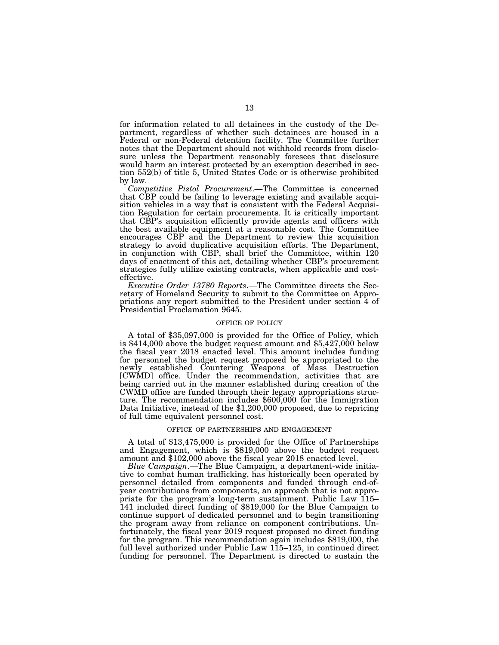for information related to all detainees in the custody of the Department, regardless of whether such detainees are housed in a Federal or non-Federal detention facility. The Committee further notes that the Department should not withhold records from disclosure unless the Department reasonably foresees that disclosure would harm an interest protected by an exemption described in section 552(b) of title 5, United States Code or is otherwise prohibited by law.

*Competitive Pistol Procurement*.—The Committee is concerned that CBP could be failing to leverage existing and available acquisition vehicles in a way that is consistent with the Federal Acquisition Regulation for certain procurements. It is critically important that CBP's acquisition efficiently provide agents and officers with the best available equipment at a reasonable cost. The Committee encourages CBP and the Department to review this acquisition strategy to avoid duplicative acquisition efforts. The Department, in conjunction with CBP, shall brief the Committee, within 120 days of enactment of this act, detailing whether CBP's procurement strategies fully utilize existing contracts, when applicable and costeffective.

*Executive Order 13780 Reports*.—The Committee directs the Secretary of Homeland Security to submit to the Committee on Appropriations any report submitted to the President under section 4 of Presidential Proclamation 9645.

# OFFICE OF POLICY

A total of \$35,097,000 is provided for the Office of Policy, which is \$414,000 above the budget request amount and \$5,427,000 below the fiscal year 2018 enacted level. This amount includes funding for personnel the budget request proposed be appropriated to the newly established Countering Weapons of Mass Destruction [CWMD] office. Under the recommendation, activities that are being carried out in the manner established during creation of the CWMD office are funded through their legacy appropriations structure. The recommendation includes \$600,000 for the Immigration Data Initiative, instead of the \$1,200,000 proposed, due to repricing of full time equivalent personnel cost.

#### OFFICE OF PARTNERSHIPS AND ENGAGEMENT

A total of \$13,475,000 is provided for the Office of Partnerships and Engagement, which is \$819,000 above the budget request amount and \$102,000 above the fiscal year 2018 enacted level.

*Blue Campaign*.—The Blue Campaign, a department-wide initiative to combat human trafficking, has historically been operated by personnel detailed from components and funded through end-ofyear contributions from components, an approach that is not appropriate for the program's long-term sustainment. Public Law 115– 141 included direct funding of \$819,000 for the Blue Campaign to continue support of dedicated personnel and to begin transitioning the program away from reliance on component contributions. Unfortunately, the fiscal year 2019 request proposed no direct funding for the program. This recommendation again includes \$819,000, the full level authorized under Public Law 115–125, in continued direct funding for personnel. The Department is directed to sustain the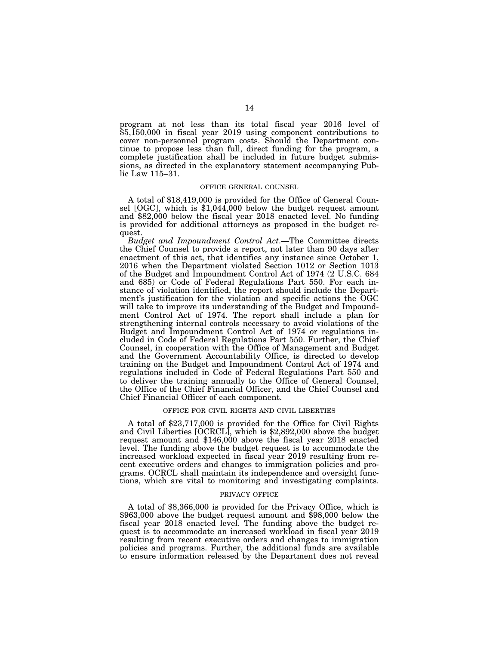program at not less than its total fiscal year 2016 level of \$5,150,000 in fiscal year 2019 using component contributions to cover non-personnel program costs. Should the Department continue to propose less than full, direct funding for the program, a complete justification shall be included in future budget submissions, as directed in the explanatory statement accompanying Public Law 115–31.

# OFFICE GENERAL COUNSEL

A total of \$18,419,000 is provided for the Office of General Counsel [OGC], which is \$1,044,000 below the budget request amount and \$82,000 below the fiscal year 2018 enacted level. No funding is provided for additional attorneys as proposed in the budget request.

*Budget and Impoundment Control Act*.—The Committee directs the Chief Counsel to provide a report, not later than 90 days after enactment of this act, that identifies any instance since October 1, 2016 when the Department violated Section 1012 or Section 1013 of the Budget and Impoundment Control Act of 1974 (2 U.S.C. 684 and 685) or Code of Federal Regulations Part 550. For each instance of violation identified, the report should include the Department's justification for the violation and specific actions the OGC will take to improve its understanding of the Budget and Impoundment Control Act of 1974. The report shall include a plan for strengthening internal controls necessary to avoid violations of the Budget and Impoundment Control Act of 1974 or regulations included in Code of Federal Regulations Part 550. Further, the Chief Counsel, in cooperation with the Office of Management and Budget and the Government Accountability Office, is directed to develop training on the Budget and Impoundment Control Act of 1974 and regulations included in Code of Federal Regulations Part 550 and to deliver the training annually to the Office of General Counsel, the Office of the Chief Financial Officer, and the Chief Counsel and Chief Financial Officer of each component.

#### OFFICE FOR CIVIL RIGHTS AND CIVIL LIBERTIES

A total of \$23,717,000 is provided for the Office for Civil Rights and Civil Liberties [OCRCL], which is \$2,892,000 above the budget request amount and \$146,000 above the fiscal year 2018 enacted level. The funding above the budget request is to accommodate the increased workload expected in fiscal year 2019 resulting from recent executive orders and changes to immigration policies and programs. OCRCL shall maintain its independence and oversight functions, which are vital to monitoring and investigating complaints.

#### PRIVACY OFFICE

A total of \$8,366,000 is provided for the Privacy Office, which is \$963,000 above the budget request amount and \$98,000 below the fiscal year 2018 enacted level. The funding above the budget request is to accommodate an increased workload in fiscal year 2019 resulting from recent executive orders and changes to immigration policies and programs. Further, the additional funds are available to ensure information released by the Department does not reveal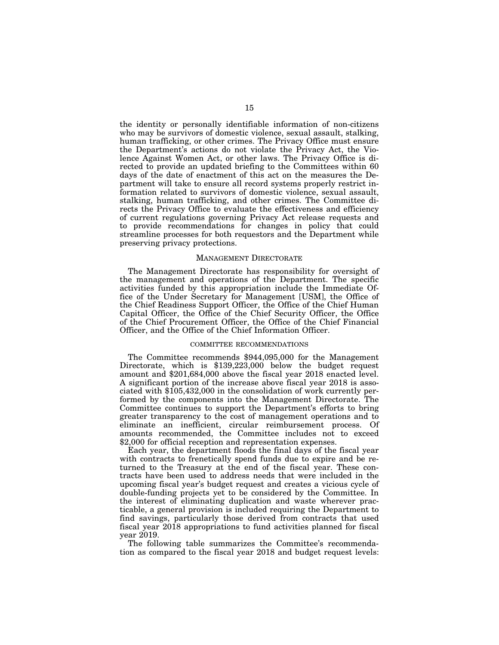the identity or personally identifiable information of non-citizens who may be survivors of domestic violence, sexual assault, stalking, human trafficking, or other crimes. The Privacy Office must ensure the Department's actions do not violate the Privacy Act, the Violence Against Women Act, or other laws. The Privacy Office is directed to provide an updated briefing to the Committees within 60 days of the date of enactment of this act on the measures the Department will take to ensure all record systems properly restrict information related to survivors of domestic violence, sexual assault, stalking, human trafficking, and other crimes. The Committee directs the Privacy Office to evaluate the effectiveness and efficiency of current regulations governing Privacy Act release requests and to provide recommendations for changes in policy that could streamline processes for both requestors and the Department while preserving privacy protections.

# MANAGEMENT DIRECTORATE

The Management Directorate has responsibility for oversight of the management and operations of the Department. The specific activities funded by this appropriation include the Immediate Office of the Under Secretary for Management [USM], the Office of the Chief Readiness Support Officer, the Office of the Chief Human Capital Officer, the Office of the Chief Security Officer, the Office of the Chief Procurement Officer, the Office of the Chief Financial Officer, and the Office of the Chief Information Officer.

# COMMITTEE RECOMMENDATIONS

The Committee recommends \$944,095,000 for the Management Directorate, which is \$139,223,000 below the budget request amount and \$201,684,000 above the fiscal year 2018 enacted level. A significant portion of the increase above fiscal year 2018 is associated with \$105,432,000 in the consolidation of work currently performed by the components into the Management Directorate. The Committee continues to support the Department's efforts to bring greater transparency to the cost of management operations and to eliminate an inefficient, circular reimbursement process. Of amounts recommended, the Committee includes not to exceed \$2,000 for official reception and representation expenses.

Each year, the department floods the final days of the fiscal year with contracts to frenetically spend funds due to expire and be returned to the Treasury at the end of the fiscal year. These contracts have been used to address needs that were included in the upcoming fiscal year's budget request and creates a vicious cycle of double-funding projects yet to be considered by the Committee. In the interest of eliminating duplication and waste wherever practicable, a general provision is included requiring the Department to find savings, particularly those derived from contracts that used fiscal year 2018 appropriations to fund activities planned for fiscal year 2019.

The following table summarizes the Committee's recommendation as compared to the fiscal year 2018 and budget request levels: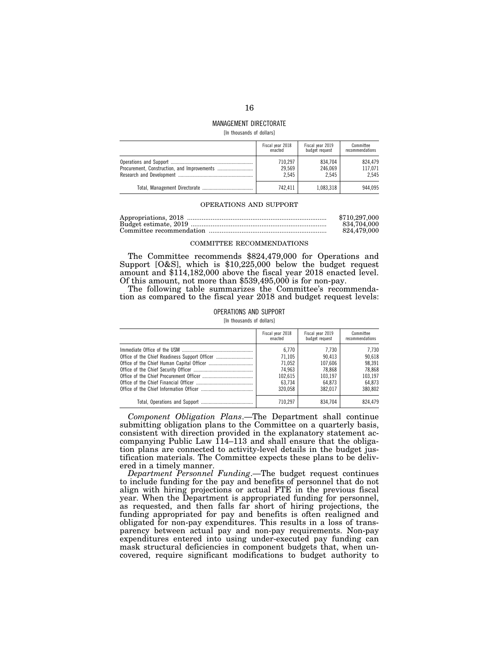# MANAGEMENT DIRECTORATE

[In thousands of dollars]

| Fiscal year 2018 | Fiscal year 2019 | Committee       |
|------------------|------------------|-----------------|
| enacted          | budget request   | recommendations |
| 710.297          | 834.704          | 824.479         |
| 29.569           | 246.069          | 117.071         |
| 2.545            | 2.545            | 2.545           |
| 742.411          | 1,083,318        |                 |

# OPERATIONS AND SUPPORT

| \$710,297,000 |
|---------------|
| 834.704.000   |
| 824.479.000   |

### COMMITTEE RECOMMENDATIONS

The Committee recommends \$824,479,000 for Operations and Support [O&S], which is \$10,225,000 below the budget request amount and \$114,182,000 above the fiscal year 2018 enacted level. Of this amount, not more than \$539,495,000 is for non-pay.

The following table summarizes the Committee's recommendation as compared to the fiscal year 2018 and budget request levels:

# OPERATIONS AND SUPPORT

[In thousands of dollars]

| Fiscal year 2018 | Fiscal year 2019 | Committee       |
|------------------|------------------|-----------------|
| enacted          | budget request   | recommendations |
| 6.770            | 7.730            | 7.730           |
| 71.105           | 90.413           | 90.618          |
| 71.052           | 107.606          | 98.391          |
| 74.963           | 78.868           | 78.868          |
| 102.615          | 103.197          | 103.197         |
| 63.734           | 64.873           | 64.873          |
| 320.058          | 382.017          | 380.802         |
| 710.297          | 834.704          |                 |

*Component Obligation Plans*.—The Department shall continue submitting obligation plans to the Committee on a quarterly basis, consistent with direction provided in the explanatory statement accompanying Public Law 114–113 and shall ensure that the obligation plans are connected to activity-level details in the budget justification materials. The Committee expects these plans to be delivered in a timely manner.

*Department Personnel Funding*.—The budget request continues to include funding for the pay and benefits of personnel that do not align with hiring projections or actual FTE in the previous fiscal year. When the Department is appropriated funding for personnel, as requested, and then falls far short of hiring projections, the funding appropriated for pay and benefits is often realigned and obligated for non-pay expenditures. This results in a loss of transparency between actual pay and non-pay requirements. Non-pay expenditures entered into using under-executed pay funding can mask structural deficiencies in component budgets that, when uncovered, require significant modifications to budget authority to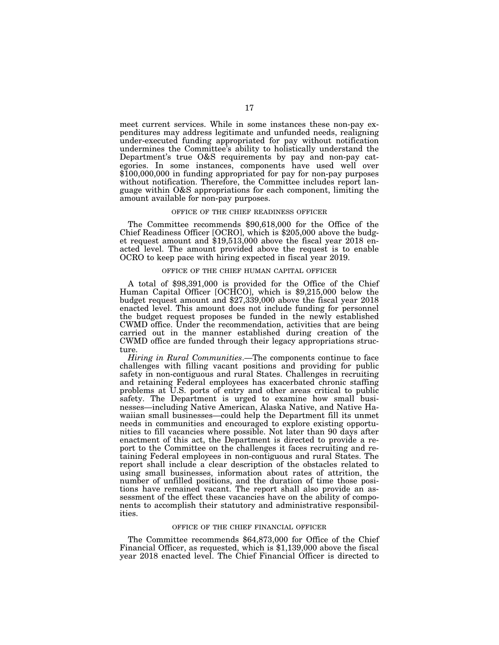meet current services. While in some instances these non-pay expenditures may address legitimate and unfunded needs, realigning under-executed funding appropriated for pay without notification undermines the Committee's ability to holistically understand the Department's true O&S requirements by pay and non-pay categories. In some instances, components have used well over \$100,000,000 in funding appropriated for pay for non-pay purposes without notification. Therefore, the Committee includes report language within O&S appropriations for each component, limiting the amount available for non-pay purposes.

#### OFFICE OF THE CHIEF READINESS OFFICER

The Committee recommends \$90,618,000 for the Office of the Chief Readiness Officer [OCRO], which is \$205,000 above the budget request amount and \$19,513,000 above the fiscal year 2018 enacted level. The amount provided above the request is to enable OCRO to keep pace with hiring expected in fiscal year 2019.

#### OFFICE OF THE CHIEF HUMAN CAPITAL OFFICER

A total of \$98,391,000 is provided for the Office of the Chief Human Capital Officer [OCHCO], which is \$9,215,000 below the budget request amount and \$27,339,000 above the fiscal year 2018 enacted level. This amount does not include funding for personnel the budget request proposes be funded in the newly established CWMD office. Under the recommendation, activities that are being carried out in the manner established during creation of the CWMD office are funded through their legacy appropriations structure.

*Hiring in Rural Communities*.—The components continue to face challenges with filling vacant positions and providing for public safety in non-contiguous and rural States. Challenges in recruiting and retaining Federal employees has exacerbated chronic staffing problems at U.S. ports of entry and other areas critical to public safety. The Department is urged to examine how small businesses—including Native American, Alaska Native, and Native Hawaiian small businesses—could help the Department fill its unmet needs in communities and encouraged to explore existing opportunities to fill vacancies where possible. Not later than 90 days after enactment of this act, the Department is directed to provide a report to the Committee on the challenges it faces recruiting and retaining Federal employees in non-contiguous and rural States. The report shall include a clear description of the obstacles related to using small businesses, information about rates of attrition, the number of unfilled positions, and the duration of time those positions have remained vacant. The report shall also provide an assessment of the effect these vacancies have on the ability of components to accomplish their statutory and administrative responsibilities.

# OFFICE OF THE CHIEF FINANCIAL OFFICER

The Committee recommends \$64,873,000 for Office of the Chief Financial Officer, as requested, which is \$1,139,000 above the fiscal year 2018 enacted level. The Chief Financial Officer is directed to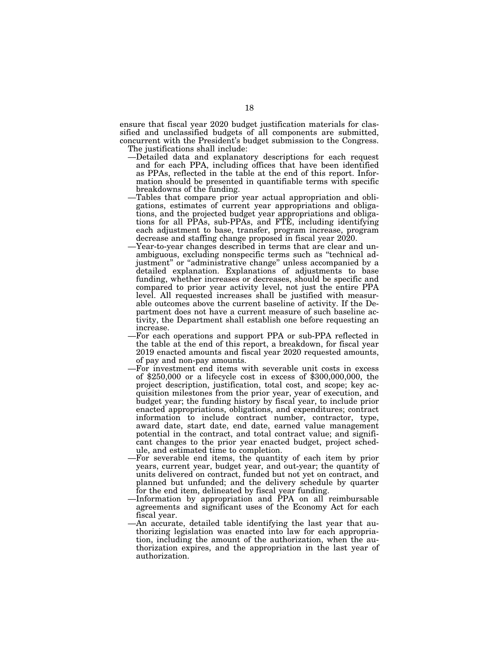ensure that fiscal year 2020 budget justification materials for classified and unclassified budgets of all components are submitted, concurrent with the President's budget submission to the Congress. The justifications shall include:

- —Detailed data and explanatory descriptions for each request and for each PPA, including offices that have been identified as PPAs, reflected in the table at the end of this report. Information should be presented in quantifiable terms with specific breakdowns of the funding.
- —Tables that compare prior year actual appropriation and obligations, estimates of current year appropriations and obligations, and the projected budget year appropriations and obligations for all PPAs, sub-PPAs, and FTE, including identifying each adjustment to base, transfer, program increase, program decrease and staffing change proposed in fiscal year 2020.
- —Year-to-year changes described in terms that are clear and unambiguous, excluding nonspecific terms such as ''technical adjustment" or "administrative change" unless accompanied by a detailed explanation. Explanations of adjustments to base funding, whether increases or decreases, should be specific and compared to prior year activity level, not just the entire PPA level. All requested increases shall be justified with measurable outcomes above the current baseline of activity. If the Department does not have a current measure of such baseline activity, the Department shall establish one before requesting an increase.
- —For each operations and support PPA or sub-PPA reflected in the table at the end of this report, a breakdown, for fiscal year 2019 enacted amounts and fiscal year 2020 requested amounts, of pay and non-pay amounts.
- —For investment end items with severable unit costs in excess of \$250,000 or a lifecycle cost in excess of \$300,000,000, the project description, justification, total cost, and scope; key acquisition milestones from the prior year, year of execution, and budget year; the funding history by fiscal year, to include prior enacted appropriations, obligations, and expenditures; contract information to include contract number, contractor, type, award date, start date, end date, earned value management potential in the contract, and total contract value; and significant changes to the prior year enacted budget, project schedule, and estimated time to completion.
- —For severable end items, the quantity of each item by prior years, current year, budget year, and out-year; the quantity of units delivered on contract, funded but not yet on contract, and planned but unfunded; and the delivery schedule by quarter for the end item, delineated by fiscal year funding.
- —Information by appropriation and PPA on all reimbursable agreements and significant uses of the Economy Act for each fiscal year.
- —An accurate, detailed table identifying the last year that authorizing legislation was enacted into law for each appropriation, including the amount of the authorization, when the authorization expires, and the appropriation in the last year of authorization.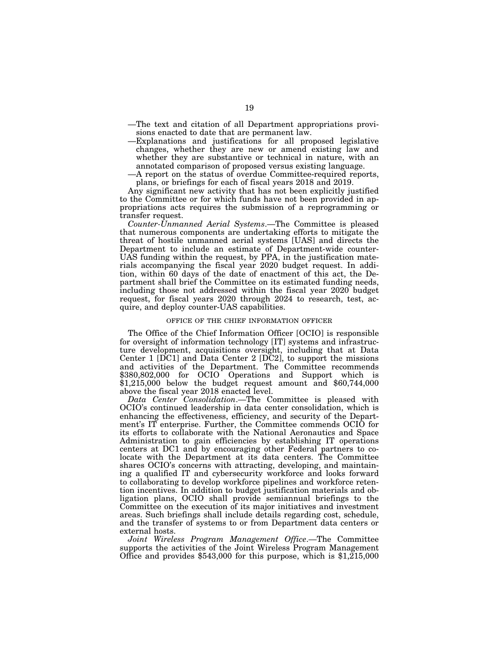- —The text and citation of all Department appropriations provisions enacted to date that are permanent law.
- —Explanations and justifications for all proposed legislative changes, whether they are new or amend existing law and whether they are substantive or technical in nature, with an annotated comparison of proposed versus existing language.
- —A report on the status of overdue Committee-required reports, plans, or briefings for each of fiscal years 2018 and 2019.

Any significant new activity that has not been explicitly justified to the Committee or for which funds have not been provided in appropriations acts requires the submission of a reprogramming or transfer request.

*Counter-Unmanned Aerial Systems*.—The Committee is pleased that numerous components are undertaking efforts to mitigate the threat of hostile unmanned aerial systems [UAS] and directs the Department to include an estimate of Department-wide counter-UAS funding within the request, by PPA, in the justification materials accompanying the fiscal year 2020 budget request. In addition, within 60 days of the date of enactment of this act, the Department shall brief the Committee on its estimated funding needs, including those not addressed within the fiscal year 2020 budget request, for fiscal years 2020 through 2024 to research, test, acquire, and deploy counter-UAS capabilities.

### OFFICE OF THE CHIEF INFORMATION OFFICER

The Office of the Chief Information Officer [OCIO] is responsible for oversight of information technology [IT] systems and infrastructure development, acquisitions oversight, including that at Data Center 1 [DC1] and Data Center 2 [DC2], to support the missions and activities of the Department. The Committee recommends \$380,802,000 for OCIO Operations and Support which is  $\text{\$1,215,000}$  below the budget request amount and  $\$60,744,000$ above the fiscal year 2018 enacted level.

*Data Center Consolidation*.—The Committee is pleased with OCIO's continued leadership in data center consolidation, which is enhancing the effectiveness, efficiency, and security of the Department's IT enterprise. Further, the Committee commends OCIO for its efforts to collaborate with the National Aeronautics and Space Administration to gain efficiencies by establishing IT operations centers at DC1 and by encouraging other Federal partners to colocate with the Department at its data centers. The Committee shares OCIO's concerns with attracting, developing, and maintaining a qualified IT and cybersecurity workforce and looks forward to collaborating to develop workforce pipelines and workforce retention incentives. In addition to budget justification materials and obligation plans, OCIO shall provide semiannual briefings to the Committee on the execution of its major initiatives and investment areas. Such briefings shall include details regarding cost, schedule, and the transfer of systems to or from Department data centers or external hosts.

*Joint Wireless Program Management Office*.—The Committee supports the activities of the Joint Wireless Program Management Office and provides \$543,000 for this purpose, which is \$1,215,000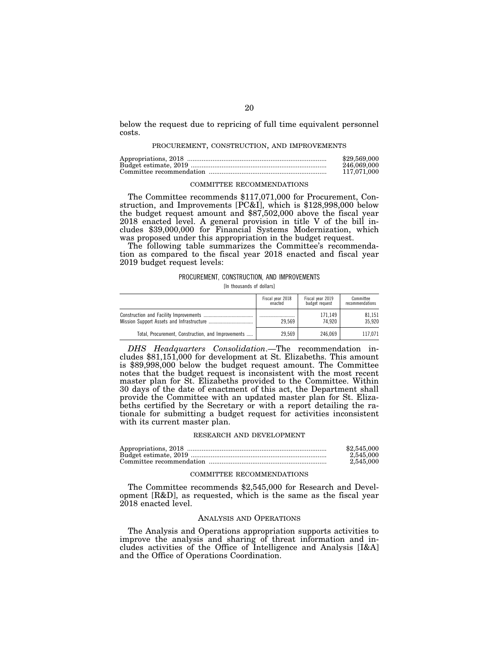below the request due to repricing of full time equivalent personnel costs.

#### PROCUREMENT, CONSTRUCTION, AND IMPROVEMENTS

| \$29,569,000 |
|--------------|
| 246,069,000  |
| 117.071.000  |

# COMMITTEE RECOMMENDATIONS

The Committee recommends \$117,071,000 for Procurement, Construction, and Improvements [PC&I], which is \$128,998,000 below the budget request amount and \$87,502,000 above the fiscal year 2018 enacted level. A general provision in title V of the bill includes \$39,000,000 for Financial Systems Modernization, which was proposed under this appropriation in the budget request.

The following table summarizes the Committee's recommendation as compared to the fiscal year 2018 enacted and fiscal year 2019 budget request levels:

### PROCUREMENT, CONSTRUCTION, AND IMPROVEMENTS

[In thousands of dollars]

|                                                    | Fiscal year 2018 | Fiscal year 2019 | Committee       |
|----------------------------------------------------|------------------|------------------|-----------------|
|                                                    | enacted          | budget request   | recommendations |
|                                                    | 29.569           | 171.149          | 81.151          |
|                                                    |                  | 74.920           | 35.920          |
| Total, Procurement, Construction, and Improvements | 29.569           | 246.069          | 117.071         |

*DHS Headquarters Consolidation*.—The recommendation includes \$81,151,000 for development at St. Elizabeths. This amount is \$89,998,000 below the budget request amount. The Committee notes that the budget request is inconsistent with the most recent master plan for St. Elizabeths provided to the Committee. Within 30 days of the date of enactment of this act, the Department shall provide the Committee with an updated master plan for St. Elizabeths certified by the Secretary or with a report detailing the rationale for submitting a budget request for activities inconsistent with its current master plan.

### RESEARCH AND DEVELOPMENT

| \$2,545,000 |
|-------------|
| 2,545,000   |
| 2.545.000   |

#### COMMITTEE RECOMMENDATIONS

The Committee recommends \$2,545,000 for Research and Development [R&D], as requested, which is the same as the fiscal year 2018 enacted level.

# ANALYSIS AND OPERATIONS

The Analysis and Operations appropriation supports activities to improve the analysis and sharing of threat information and includes activities of the Office of Intelligence and Analysis [I&A] and the Office of Operations Coordination.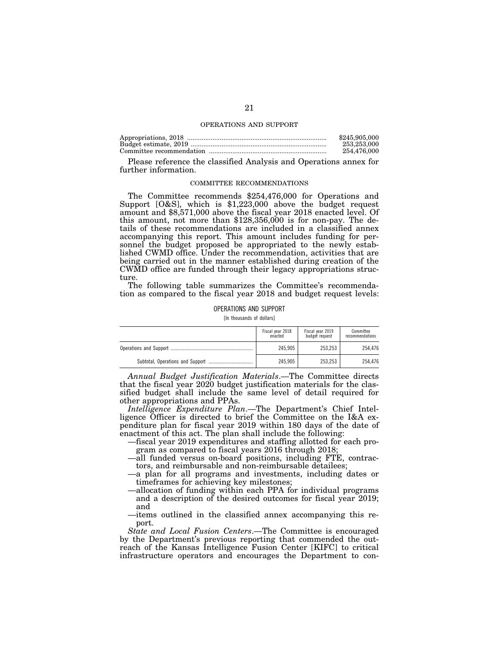### OPERATIONS AND SUPPORT

| \$245,905,000 |
|---------------|
| 253,253,000   |
| 254.476.000   |

Please reference the classified Analysis and Operations annex for further information.

# COMMITTEE RECOMMENDATIONS

The Committee recommends \$254,476,000 for Operations and Support [O&S], which is \$1,223,000 above the budget request amount and \$8,571,000 above the fiscal year 2018 enacted level. Of this amount, not more than \$128,356,000 is for non-pay. The details of these recommendations are included in a classified annex accompanying this report. This amount includes funding for personnel the budget proposed be appropriated to the newly established CWMD office. Under the recommendation, activities that are being carried out in the manner established during creation of the CWMD office are funded through their legacy appropriations structure.

The following table summarizes the Committee's recommendation as compared to the fiscal year 2018 and budget request levels:

OPERATIONS AND SUPPORT

[In thousands of dollars]

| Fiscal year 2018<br>enacted | Fiscal year 2019<br>budget request | Committee<br>recommendations |
|-----------------------------|------------------------------------|------------------------------|
| 245.905                     | 253.253                            | 254.476                      |
| 245.905                     | 253.253                            | 254.476                      |

*Annual Budget Justification Materials*.—The Committee directs that the fiscal year 2020 budget justification materials for the classified budget shall include the same level of detail required for other appropriations and PPAs.

*Intelligence Expenditure Plan*.—The Department's Chief Intelligence Officer is directed to brief the Committee on the I&A expenditure plan for fiscal year 2019 within 180 days of the date of enactment of this act. The plan shall include the following:

—fiscal year 2019 expenditures and staffing allotted for each program as compared to fiscal years 2016 through 2018;

- —all funded versus on-board positions, including FTE, contractors, and reimbursable and non-reimbursable detailees;
- —a plan for all programs and investments, including dates or timeframes for achieving key milestones;
- —allocation of funding within each PPA for individual programs and a description of the desired outcomes for fiscal year 2019; and
- —items outlined in the classified annex accompanying this report.

*State and Local Fusion Centers*.—The Committee is encouraged by the Department's previous reporting that commended the outreach of the Kansas Intelligence Fusion Center [KIFC] to critical infrastructure operators and encourages the Department to con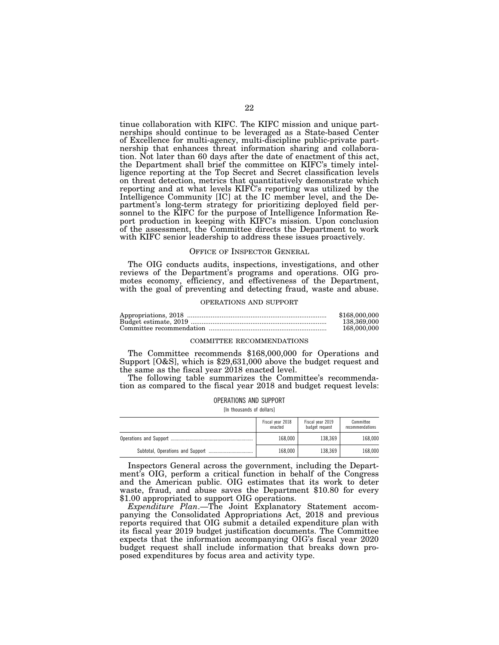tinue collaboration with KIFC. The KIFC mission and unique partnerships should continue to be leveraged as a State-based Center of Excellence for multi-agency, multi-discipline public-private partnership that enhances threat information sharing and collaboration. Not later than 60 days after the date of enactment of this act, the Department shall brief the committee on KIFC's timely intelligence reporting at the Top Secret and Secret classification levels on threat detection, metrics that quantitatively demonstrate which reporting and at what levels KIFC's reporting was utilized by the Intelligence Community [IC] at the IC member level, and the Department's long-term strategy for prioritizing deployed field personnel to the KIFC for the purpose of Intelligence Information Report production in keeping with KIFC's mission. Upon conclusion of the assessment, the Committee directs the Department to work with KIFC senior leadership to address these issues proactively.

### OFFICE OF INSPECTOR GENERAL

The OIG conducts audits, inspections, investigations, and other reviews of the Department's programs and operations. OIG promotes economy, efficiency, and effectiveness of the Department, with the goal of preventing and detecting fraud, waste and abuse.

#### OPERATIONS AND SUPPORT

| \$168,000,000 |
|---------------|
| 138,369,000   |
| 168,000,000   |

### COMMITTEE RECOMMENDATIONS

The Committee recommends \$168,000,000 for Operations and Support [O&S], which is \$29,631,000 above the budget request and the same as the fiscal year 2018 enacted level.

The following table summarizes the Committee's recommendation as compared to the fiscal year 2018 and budget request levels:

# OPERATIONS AND SUPPORT

[In thousands of dollars]

| Fiscal year 2018<br>enacted | Fiscal year 2019<br>budget request | Committee<br>recommendations |
|-----------------------------|------------------------------------|------------------------------|
| 168,000                     | 138.369                            | 168,000                      |
| 168.000                     | 138.369                            | 168,000                      |

Inspectors General across the government, including the Department's OIG, perform a critical function in behalf of the Congress and the American public. OIG estimates that its work to deter waste, fraud, and abuse saves the Department \$10.80 for every \$1.00 appropriated to support OIG operations.

*Expenditure Plan*.—The Joint Explanatory Statement accompanying the Consolidated Appropriations Act, 2018 and previous reports required that OIG submit a detailed expenditure plan with its fiscal year 2019 budget justification documents. The Committee expects that the information accompanying OIG's fiscal year 2020 budget request shall include information that breaks down proposed expenditures by focus area and activity type.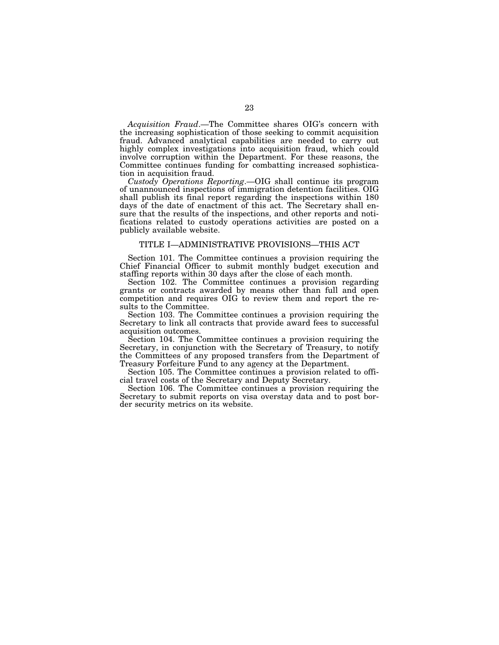*Acquisition Fraud*.—The Committee shares OIG's concern with the increasing sophistication of those seeking to commit acquisition fraud. Advanced analytical capabilities are needed to carry out highly complex investigations into acquisition fraud, which could involve corruption within the Department. For these reasons, the Committee continues funding for combatting increased sophistication in acquisition fraud.

*Custody Operations Reporting*.—OIG shall continue its program of unannounced inspections of immigration detention facilities. OIG shall publish its final report regarding the inspections within 180 days of the date of enactment of this act. The Secretary shall ensure that the results of the inspections, and other reports and notifications related to custody operations activities are posted on a publicly available website.

# TITLE I—ADMINISTRATIVE PROVISIONS—THIS ACT

Section 101. The Committee continues a provision requiring the Chief Financial Officer to submit monthly budget execution and staffing reports within 30 days after the close of each month.

Section 102. The Committee continues a provision regarding grants or contracts awarded by means other than full and open competition and requires OIG to review them and report the results to the Committee.

Section 103. The Committee continues a provision requiring the Secretary to link all contracts that provide award fees to successful acquisition outcomes.

Section 104. The Committee continues a provision requiring the Secretary, in conjunction with the Secretary of Treasury, to notify the Committees of any proposed transfers from the Department of Treasury Forfeiture Fund to any agency at the Department.

Section 105. The Committee continues a provision related to official travel costs of the Secretary and Deputy Secretary.

Section 106. The Committee continues a provision requiring the Secretary to submit reports on visa overstay data and to post border security metrics on its website.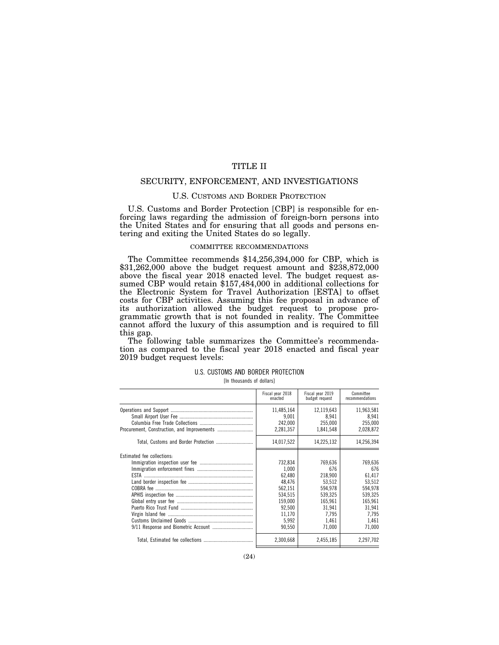# TITLE II

# SECURITY, ENFORCEMENT, AND INVESTIGATIONS

# U.S. CUSTOMS AND BORDER PROTECTION

U.S. Customs and Border Protection [CBP] is responsible for enforcing laws regarding the admission of foreign-born persons into the United States and for ensuring that all goods and persons entering and exiting the United States do so legally.

# COMMITTEE RECOMMENDATIONS

The Committee recommends \$14,256,394,000 for CBP, which is \$31,262,000 above the budget request amount and \$238,872,000 above the fiscal year 2018 enacted level. The budget request assumed CBP would retain \$157,484,000 in additional collections for the Electronic System for Travel Authorization [ESTA] to offset costs for CBP activities. Assuming this fee proposal in advance of its authorization allowed the budget request to propose programmatic growth that is not founded in reality. The Committee cannot afford the luxury of this assumption and is required to fill this gap.

The following table summarizes the Committee's recommendation as compared to the fiscal year 2018 enacted and fiscal year 2019 budget request levels:

### U.S. CUSTOMS AND BORDER PROTECTION

[In thousands of dollars]

|                            | Fiscal year 2018<br>enacted                                                                                  | Fiscal year 2019<br>budget request                                                                         | Committee<br>recommendations                                                                              |
|----------------------------|--------------------------------------------------------------------------------------------------------------|------------------------------------------------------------------------------------------------------------|-----------------------------------------------------------------------------------------------------------|
|                            | 11,485,164<br>9.001<br>242.000<br>2,281,357                                                                  | 12,119,643<br>8.941<br>255.000<br>1.841.548                                                                | 11,963,581<br>8.941<br>255,000<br>2,028,872                                                               |
|                            | 14,017,522                                                                                                   | 14,225,132                                                                                                 | 14,256,394                                                                                                |
| Estimated fee collections: | 732,834<br>1.000<br>62,480<br>48,476<br>562,151<br>534,515<br>159.000<br>92.500<br>11,170<br>5,992<br>90,550 | 769,636<br>676<br>218.900<br>53.512<br>594.978<br>539,325<br>165.961<br>31.941<br>7.795<br>1.461<br>71,000 | 769,636<br>676<br>61,417<br>53,512<br>594,978<br>539,325<br>165.961<br>31,941<br>7.795<br>1.461<br>71,000 |
|                            | 2.300.668                                                                                                    | 2,455,185                                                                                                  | 2.297.702                                                                                                 |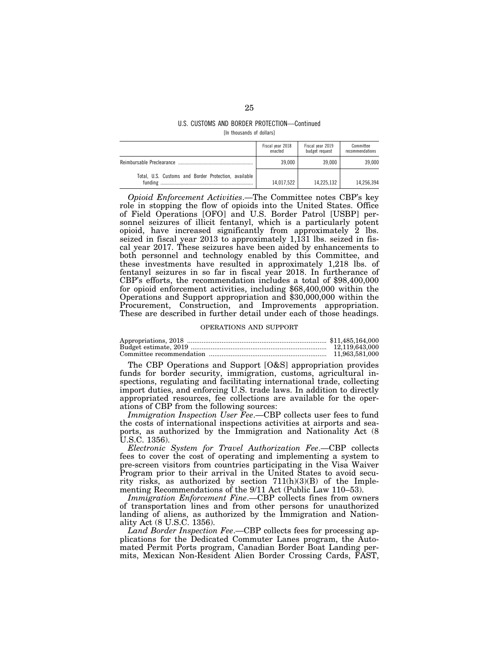# U.S. CUSTOMS AND BORDER PROTECTION—Continued [In thousands of dollars]

|                                                      | Fiscal year 2018<br>enacted | Fiscal year 2019<br>budget request | Committee<br>recommendations |
|------------------------------------------------------|-----------------------------|------------------------------------|------------------------------|
|                                                      | 39.000                      | 39.000                             | 39.000                       |
| Total, U.S. Customs and Border Protection, available | 14.017.522                  | 14.225.132                         | 14,256,394                   |

*Opioid Enforcement Activities*.—The Committee notes CBP's key role in stopping the flow of opioids into the United States. Office of Field Operations [OFO] and U.S. Border Patrol [USBP] personnel seizures of illicit fentanyl, which is a particularly potent opioid, have increased significantly from approximately 2 lbs. seized in fiscal year 2013 to approximately 1,131 lbs. seized in fiscal year 2017. These seizures have been aided by enhancements to both personnel and technology enabled by this Committee, and these investments have resulted in approximately 1,218 lbs. of fentanyl seizures in so far in fiscal year 2018. In furtherance of CBP's efforts, the recommendation includes a total of \$98,400,000 for opioid enforcement activities, including \$68,400,000 within the Operations and Support appropriation and \$30,000,000 within the Procurement, Construction, and Improvements appropriation. These are described in further detail under each of those headings.

### OPERATIONS AND SUPPORT

The CBP Operations and Support [O&S] appropriation provides funds for border security, immigration, customs, agricultural inspections, regulating and facilitating international trade, collecting import duties, and enforcing U.S. trade laws. In addition to directly appropriated resources, fee collections are available for the operations of CBP from the following sources:

*Immigration Inspection User Fee*.—CBP collects user fees to fund the costs of international inspections activities at airports and seaports, as authorized by the Immigration and Nationality Act (8 U.S.C. 1356).

*Electronic System for Travel Authorization Fee*.—CBP collects fees to cover the cost of operating and implementing a system to pre-screen visitors from countries participating in the Visa Waiver Program prior to their arrival in the United States to avoid security risks, as authorized by section 711(h)(3)(B) of the Implementing Recommendations of the 9/11 Act (Public Law 110–53).

*Immigration Enforcement Fine*.—CBP collects fines from owners of transportation lines and from other persons for unauthorized landing of aliens, as authorized by the Immigration and Nationality Act (8 U.S.C. 1356).

*Land Border Inspection Fee*.—CBP collects fees for processing applications for the Dedicated Commuter Lanes program, the Automated Permit Ports program, Canadian Border Boat Landing permits, Mexican Non-Resident Alien Border Crossing Cards, FAST,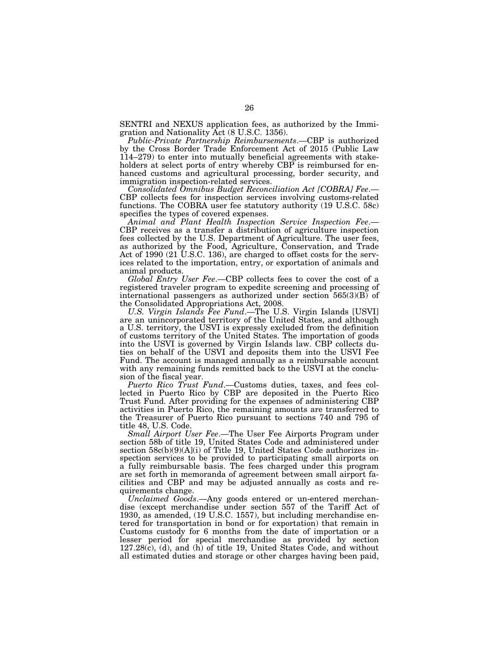SENTRI and NEXUS application fees, as authorized by the Immigration and Nationality Act (8 U.S.C. 1356).

*Public-Private Partnership Reimbursements*.—CBP is authorized by the Cross Border Trade Enforcement Act of 2015 (Public Law 114–279) to enter into mutually beneficial agreements with stakeholders at select ports of entry whereby CBP is reimbursed for enhanced customs and agricultural processing, border security, and

immigration inspection-related services.<br>Consolidated Omnibus Budget Reconciliation Act [COBRA] Fee.— CBP collects fees for inspection services involving customs-related functions. The COBRA user fee statutory authority (19 U.S.C. 58c) specifies the types of covered expenses.

*Animal and Plant Health Inspection Service Inspection Fee*.— CBP receives as a transfer a distribution of agriculture inspection fees collected by the U.S. Department of Agriculture. The user fees, as authorized by the Food, Agriculture, Conservation, and Trade Act of 1990 (21 U.S.C. 136), are charged to offset costs for the services related to the importation, entry, or exportation of animals and animal products.

*Global Entry User Fee*.—CBP collects fees to cover the cost of a registered traveler program to expedite screening and processing of international passengers as authorized under section 565(3)(B) of the Consolidated Appropriations Act, 2008.

*U.S. Virgin Islands Fee Fund*.—The U.S. Virgin Islands [USVI] are an unincorporated territory of the United States, and although a U.S. territory, the USVI is expressly excluded from the definition of customs territory of the United States. The importation of goods into the USVI is governed by Virgin Islands law. CBP collects duties on behalf of the USVI and deposits them into the USVI Fee Fund. The account is managed annually as a reimbursable account with any remaining funds remitted back to the USVI at the conclusion of the fiscal year.

*Puerto Rico Trust Fund*.—Customs duties, taxes, and fees collected in Puerto Rico by CBP are deposited in the Puerto Rico Trust Fund. After providing for the expenses of administering CBP activities in Puerto Rico, the remaining amounts are transferred to the Treasurer of Puerto Rico pursuant to sections 740 and 795 of title 48, U.S. Code.

*Small Airport User Fee*.—The User Fee Airports Program under section 58b of title 19, United States Code and administered under section  $58c(b)(9)(A)(i)$  of Title 19, United States Code authorizes inspection services to be provided to participating small airports on a fully reimbursable basis. The fees charged under this program are set forth in memoranda of agreement between small airport facilities and CBP and may be adjusted annually as costs and requirements change.

*Unclaimed Goods*.—Any goods entered or un-entered merchandise (except merchandise under section 557 of the Tariff Act of 1930, as amended, (19 U.S.C. 1557), but including merchandise entered for transportation in bond or for exportation) that remain in Customs custody for 6 months from the date of importation or a lesser period for special merchandise as provided by section  $127.28(c)$ , (d), and (h) of title 19, United States Code, and without all estimated duties and storage or other charges having been paid,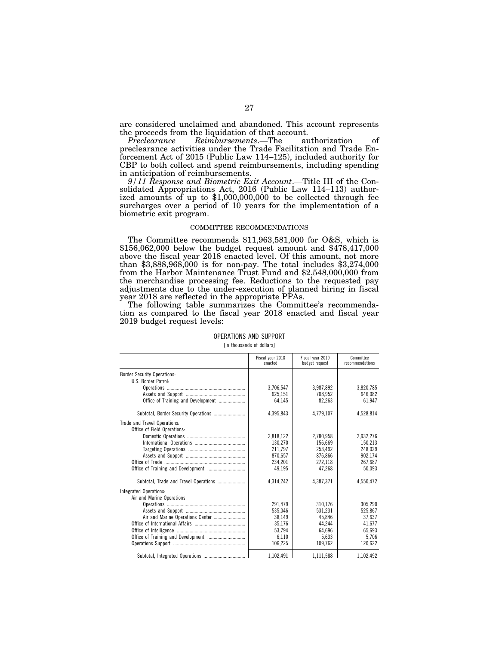are considered unclaimed and abandoned. This account represents the proceeds from the liquidation of that account.

*Preclearance Reimbursements*.—The authorization of preclearance activities under the Trade Facilitation and Trade Enforcement Act of 2015 (Public Law 114–125), included authority for CBP to both collect and spend reimbursements, including spending in anticipation of reimbursements.

*9/11 Response and Biometric Exit Account*.—Title III of the Consolidated Appropriations Act, 2016 (Public Law 114–113) authorized amounts of up to \$1,000,000,000 to be collected through fee surcharges over a period of 10 years for the implementation of a biometric exit program.

# COMMITTEE RECOMMENDATIONS

The Committee recommends \$11,963,581,000 for O&S, which is \$156,062,000 below the budget request amount and \$478,417,000 above the fiscal year 2018 enacted level. Of this amount, not more than \$3,888,968,000 is for non-pay. The total includes \$3,274,000 from the Harbor Maintenance Trust Fund and \$2,548,000,000 from the merchandise processing fee. Reductions to the requested pay adjustments due to the under-execution of planned hiring in fiscal year 2018 are reflected in the appropriate PPAs.

The following table summarizes the Committee's recommendation as compared to the fiscal year 2018 enacted and fiscal year 2019 budget request levels:

|                                       | Fiscal year 2018<br>enacted | Fiscal vear 2019<br>budget request | Committee<br>recommendations |
|---------------------------------------|-----------------------------|------------------------------------|------------------------------|
| <b>Border Security Operations:</b>    |                             |                                    |                              |
| U.S. Border Patrol:                   |                             |                                    |                              |
|                                       | 3.706.547                   | 3,987,892                          | 3.820.785                    |
|                                       | 625,151                     | 708.952                            | 646.082                      |
| Office of Training and Development    | 64.145                      | 82.263                             | 61.947                       |
|                                       | 4,395,843                   | 4,779,107                          | 4,528,814                    |
| Trade and Travel Operations:          |                             |                                    |                              |
| Office of Field Operations:           |                             |                                    |                              |
|                                       | 2,818,122                   | 2.780.958                          | 2,932,276                    |
|                                       | 130.270                     | 156,669                            | 150.213                      |
|                                       | 211.797                     | 253,492                            | 248.029                      |
|                                       | 870.657                     | 876.866                            | 902.174                      |
|                                       | 234.201                     | 272.118                            | 267,687                      |
|                                       | 49.195                      | 47.268                             | 50,093                       |
| Subtotal, Trade and Travel Operations | 4.314.242                   | 4,387,371                          | 4,550,472                    |
| Integrated Operations:                |                             |                                    |                              |
| Air and Marine Operations:            |                             |                                    |                              |
|                                       | 291.479                     | 310.176                            | 305.290                      |
|                                       | 535,046                     | 531,231                            | 525,867                      |
| Air and Marine Operations Center      | 38,149                      | 45.846                             | 37,637                       |
|                                       | 35.176                      | 44.244                             | 41.677                       |
|                                       | 53,794                      | 64.696                             | 65,693                       |
|                                       | 6,110                       | 5.633                              | 5,706                        |
|                                       | 106.225                     | 109.762                            | 120.622                      |
|                                       | 1,102,491                   | 1,111,588                          | 1.102.492                    |

# OPERATIONS AND SUPPORT

[In thousands of dollars]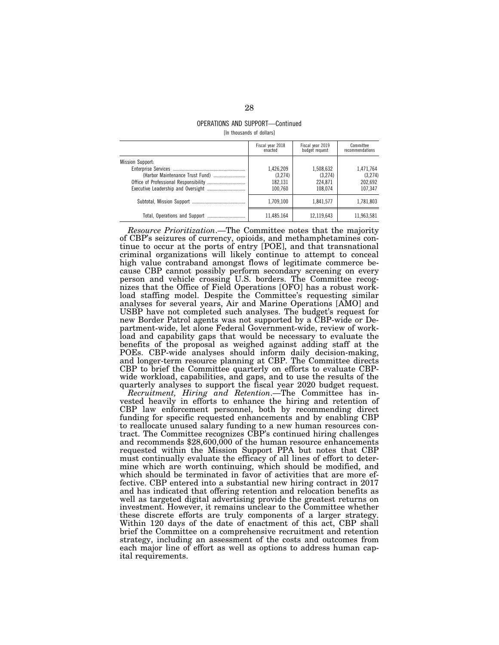# OPERATIONS AND SUPPORT—Continued [In thousands of dollars]

|                                                     | Fiscal year 2018<br>enacted                | Fiscal year 2019<br>budget request         | Committee<br>recommendations               |
|-----------------------------------------------------|--------------------------------------------|--------------------------------------------|--------------------------------------------|
| Mission Support:<br>(Harbor Maintenance Trust Fund) | 1.426.209<br>(3.274)<br>182.131<br>100.760 | 1,508,632<br>(3.274)<br>224.871<br>108.074 | 1.471.764<br>(3,274)<br>202,692<br>107.347 |
|                                                     | 1.709.100                                  | 1.841.577                                  | 1,781,803                                  |
|                                                     | 11.485.164                                 | 12.119.643                                 | 11.963.581                                 |

*Resource Prioritization*.—The Committee notes that the majority of CBP's seizures of currency, opioids, and methamphetamines continue to occur at the ports of entry [POE], and that transnational criminal organizations will likely continue to attempt to conceal high value contraband amongst flows of legitimate commerce because CBP cannot possibly perform secondary screening on every person and vehicle crossing U.S. borders. The Committee recognizes that the Office of Field Operations [OFO] has a robust workload staffing model. Despite the Committee's requesting similar analyses for several years, Air and Marine Operations [AMO] and USBP have not completed such analyses. The budget's request for new Border Patrol agents was not supported by a CBP-wide or Department-wide, let alone Federal Government-wide, review of workload and capability gaps that would be necessary to evaluate the benefits of the proposal as weighed against adding staff at the POEs. CBP-wide analyses should inform daily decision-making, and longer-term resource planning at CBP. The Committee directs CBP to brief the Committee quarterly on efforts to evaluate CBPwide workload, capabilities, and gaps, and to use the results of the quarterly analyses to support the fiscal year 2020 budget request.

*Recruitment, Hiring and Retention*.—The Committee has invested heavily in efforts to enhance the hiring and retention of CBP law enforcement personnel, both by recommending direct funding for specific requested enhancements and by enabling CBP to reallocate unused salary funding to a new human resources contract. The Committee recognizes CBP's continued hiring challenges and recommends \$28,600,000 of the human resource enhancements requested within the Mission Support PPA but notes that CBP must continually evaluate the efficacy of all lines of effort to determine which are worth continuing, which should be modified, and which should be terminated in favor of activities that are more effective. CBP entered into a substantial new hiring contract in 2017 and has indicated that offering retention and relocation benefits as well as targeted digital advertising provide the greatest returns on investment. However, it remains unclear to the Committee whether these discrete efforts are truly components of a larger strategy. Within 120 days of the date of enactment of this act, CBP shall brief the Committee on a comprehensive recruitment and retention strategy, including an assessment of the costs and outcomes from each major line of effort as well as options to address human capital requirements.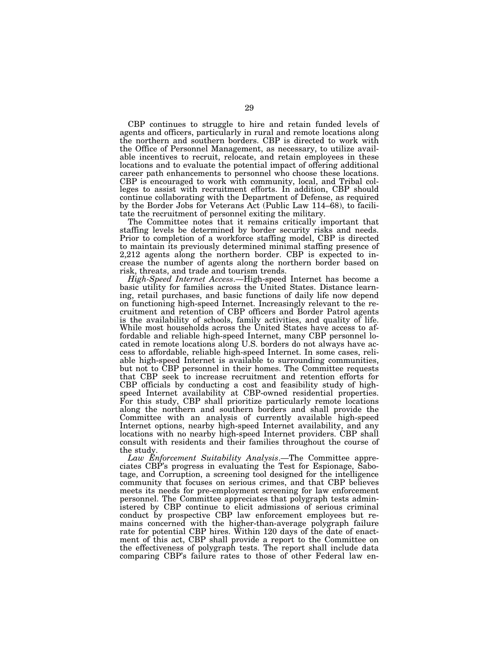CBP continues to struggle to hire and retain funded levels of agents and officers, particularly in rural and remote locations along the northern and southern borders. CBP is directed to work with the Office of Personnel Management, as necessary, to utilize available incentives to recruit, relocate, and retain employees in these locations and to evaluate the potential impact of offering additional career path enhancements to personnel who choose these locations. CBP is encouraged to work with community, local, and Tribal colleges to assist with recruitment efforts. In addition, CBP should continue collaborating with the Department of Defense, as required by the Border Jobs for Veterans Act (Public Law 114–68), to facilitate the recruitment of personnel exiting the military.

The Committee notes that it remains critically important that staffing levels be determined by border security risks and needs. Prior to completion of a workforce staffing model, CBP is directed to maintain its previously determined minimal staffing presence of 2,212 agents along the northern border. CBP is expected to increase the number of agents along the northern border based on risk, threats, and trade and tourism trends.

*High-Speed Internet Access*.—High-speed Internet has become a basic utility for families across the United States. Distance learning, retail purchases, and basic functions of daily life now depend on functioning high-speed Internet. Increasingly relevant to the recruitment and retention of CBP officers and Border Patrol agents is the availability of schools, family activities, and quality of life. While most households across the United States have access to affordable and reliable high-speed Internet, many CBP personnel located in remote locations along U.S. borders do not always have access to affordable, reliable high-speed Internet. In some cases, reliable high-speed Internet is available to surrounding communities, but not to CBP personnel in their homes. The Committee requests that CBP seek to increase recruitment and retention efforts for CBP officials by conducting a cost and feasibility study of highspeed Internet availability at CBP-owned residential properties. For this study, CBP shall prioritize particularly remote locations along the northern and southern borders and shall provide the Committee with an analysis of currently available high-speed Internet options, nearby high-speed Internet availability, and any locations with no nearby high-speed Internet providers. CBP shall consult with residents and their families throughout the course of the study.

*Law Enforcement Suitability Analysis*.—The Committee appreciates CBP's progress in evaluating the Test for Espionage, Sabotage, and Corruption, a screening tool designed for the intelligence community that focuses on serious crimes, and that CBP believes meets its needs for pre-employment screening for law enforcement personnel. The Committee appreciates that polygraph tests administered by CBP continue to elicit admissions of serious criminal conduct by prospective CBP law enforcement employees but remains concerned with the higher-than-average polygraph failure rate for potential CBP hires. Within 120 days of the date of enactment of this act, CBP shall provide a report to the Committee on the effectiveness of polygraph tests. The report shall include data comparing CBP's failure rates to those of other Federal law en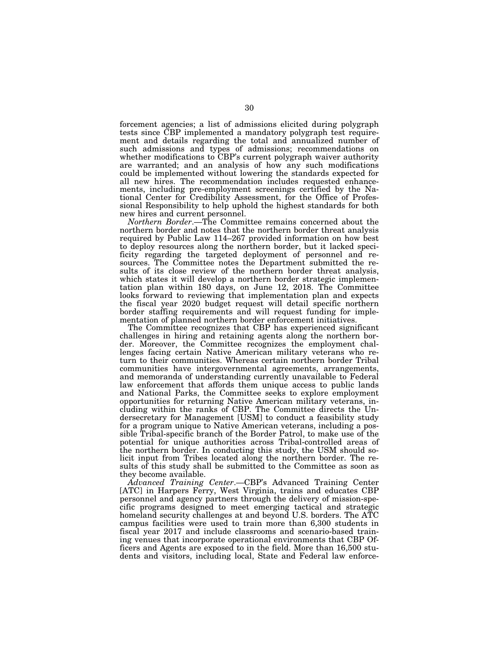forcement agencies; a list of admissions elicited during polygraph tests since CBP implemented a mandatory polygraph test requirement and details regarding the total and annualized number of such admissions and types of admissions; recommendations on whether modifications to CBP's current polygraph waiver authority are warranted; and an analysis of how any such modifications could be implemented without lowering the standards expected for all new hires. The recommendation includes requested enhancements, including pre-employment screenings certified by the National Center for Credibility Assessment, for the Office of Professional Responsibility to help uphold the highest standards for both new hires and current personnel.

*Northern Border*.—The Committee remains concerned about the northern border and notes that the northern border threat analysis required by Public Law 114–267 provided information on how best to deploy resources along the northern border, but it lacked specificity regarding the targeted deployment of personnel and resources. The Committee notes the Department submitted the results of its close review of the northern border threat analysis, which states it will develop a northern border strategic implementation plan within 180 days, on June 12, 2018. The Committee looks forward to reviewing that implementation plan and expects the fiscal year 2020 budget request will detail specific northern border staffing requirements and will request funding for implementation of planned northern border enforcement initiatives.

The Committee recognizes that CBP has experienced significant challenges in hiring and retaining agents along the northern border. Moreover, the Committee recognizes the employment challenges facing certain Native American military veterans who return to their communities. Whereas certain northern border Tribal communities have intergovernmental agreements, arrangements, and memoranda of understanding currently unavailable to Federal law enforcement that affords them unique access to public lands and National Parks, the Committee seeks to explore employment opportunities for returning Native American military veterans, including within the ranks of CBP. The Committee directs the Undersecretary for Management [USM] to conduct a feasibility study for a program unique to Native American veterans, including a possible Tribal-specific branch of the Border Patrol, to make use of the potential for unique authorities across Tribal-controlled areas of the northern border. In conducting this study, the USM should solicit input from Tribes located along the northern border. The results of this study shall be submitted to the Committee as soon as they become available.

*Advanced Training Center*.—CBP's Advanced Training Center [ATC] in Harpers Ferry, West Virginia, trains and educates CBP personnel and agency partners through the delivery of mission-specific programs designed to meet emerging tactical and strategic homeland security challenges at and beyond U.S. borders. The ATC campus facilities were used to train more than 6,300 students in fiscal year 2017 and include classrooms and scenario-based training venues that incorporate operational environments that CBP Officers and Agents are exposed to in the field. More than 16,500 students and visitors, including local, State and Federal law enforce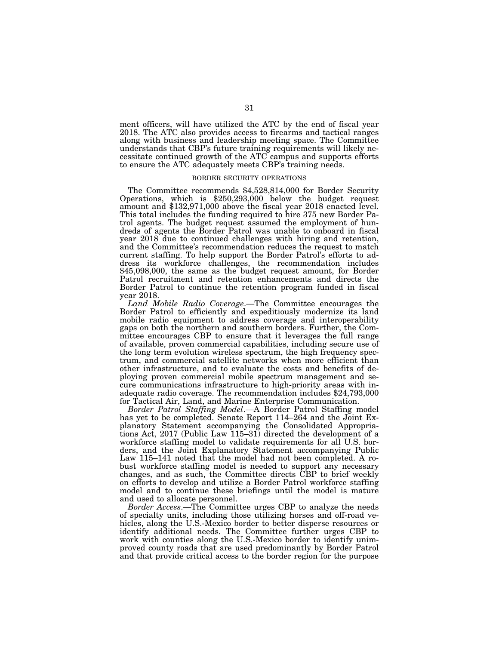ment officers, will have utilized the ATC by the end of fiscal year 2018. The ATC also provides access to firearms and tactical ranges along with business and leadership meeting space. The Committee understands that CBP's future training requirements will likely necessitate continued growth of the ATC campus and supports efforts to ensure the ATC adequately meets CBP's training needs.

### BORDER SECURITY OPERATIONS

The Committee recommends \$4,528,814,000 for Border Security Operations, which is \$250,293,000 below the budget request amount and \$132,971,000 above the fiscal year 2018 enacted level. This total includes the funding required to hire 375 new Border Patrol agents. The budget request assumed the employment of hundreds of agents the Border Patrol was unable to onboard in fiscal year 2018 due to continued challenges with hiring and retention, and the Committee's recommendation reduces the request to match current staffing. To help support the Border Patrol's efforts to address its workforce challenges, the recommendation includes \$45,098,000, the same as the budget request amount, for Border Patrol recruitment and retention enhancements and directs the Border Patrol to continue the retention program funded in fiscal year 2018.

*Land Mobile Radio Coverage*.—The Committee encourages the Border Patrol to efficiently and expeditiously modernize its land mobile radio equipment to address coverage and interoperability gaps on both the northern and southern borders. Further, the Committee encourages CBP to ensure that it leverages the full range of available, proven commercial capabilities, including secure use of the long term evolution wireless spectrum, the high frequency spectrum, and commercial satellite networks when more efficient than other infrastructure, and to evaluate the costs and benefits of deploying proven commercial mobile spectrum management and secure communications infrastructure to high-priority areas with inadequate radio coverage. The recommendation includes \$24,793,000 for Tactical Air, Land, and Marine Enterprise Communication.

*Border Patrol Staffing Model*.—A Border Patrol Staffing model has yet to be completed. Senate Report 114–264 and the Joint Explanatory Statement accompanying the Consolidated Appropriations Act, 2017 (Public Law 115–31) directed the development of a workforce staffing model to validate requirements for all U.S. borders, and the Joint Explanatory Statement accompanying Public Law 115–141 noted that the model had not been completed. A robust workforce staffing model is needed to support any necessary changes, and as such, the Committee directs CBP to brief weekly on efforts to develop and utilize a Border Patrol workforce staffing model and to continue these briefings until the model is mature and used to allocate personnel.

*Border Access*.—The Committee urges CBP to analyze the needs of specialty units, including those utilizing horses and off-road vehicles, along the U.S.-Mexico border to better disperse resources or identify additional needs. The Committee further urges CBP to work with counties along the U.S.-Mexico border to identify unimproved county roads that are used predominantly by Border Patrol and that provide critical access to the border region for the purpose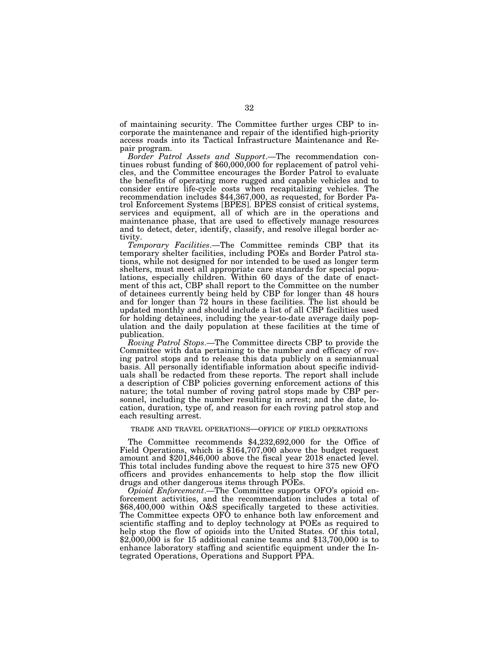of maintaining security. The Committee further urges CBP to incorporate the maintenance and repair of the identified high-priority access roads into its Tactical Infrastructure Maintenance and Repair program.

*Border Patrol Assets and Support*.—The recommendation continues robust funding of \$60,000,000 for replacement of patrol vehicles, and the Committee encourages the Border Patrol to evaluate the benefits of operating more rugged and capable vehicles and to consider entire life-cycle costs when recapitalizing vehicles. The recommendation includes \$44,367,000, as requested, for Border Patrol Enforcement Systems [BPES]. BPES consist of critical systems, services and equipment, all of which are in the operations and maintenance phase, that are used to effectively manage resources and to detect, deter, identify, classify, and resolve illegal border activity.

*Temporary Facilities*.—The Committee reminds CBP that its temporary shelter facilities, including POEs and Border Patrol stations, while not designed for nor intended to be used as longer term shelters, must meet all appropriate care standards for special populations, especially children. Within 60 days of the date of enactment of this act, CBP shall report to the Committee on the number of detainees currently being held by CBP for longer than 48 hours and for longer than 72 hours in these facilities. The list should be updated monthly and should include a list of all CBP facilities used for holding detainees, including the year-to-date average daily population and the daily population at these facilities at the time of publication.

*Roving Patrol Stops*.—The Committee directs CBP to provide the Committee with data pertaining to the number and efficacy of roving patrol stops and to release this data publicly on a semiannual basis. All personally identifiable information about specific individuals shall be redacted from these reports. The report shall include a description of CBP policies governing enforcement actions of this nature; the total number of roving patrol stops made by CBP personnel, including the number resulting in arrest; and the date, location, duration, type of, and reason for each roving patrol stop and each resulting arrest.

# TRADE AND TRAVEL OPERATIONS—OFFICE OF FIELD OPERATIONS

The Committee recommends \$4,232,692,000 for the Office of Field Operations, which is \$164,707,000 above the budget request amount and \$201,846,000 above the fiscal year 2018 enacted level. This total includes funding above the request to hire 375 new OFO officers and provides enhancements to help stop the flow illicit drugs and other dangerous items through POEs.

*Opioid Enforcement*.—The Committee supports OFO's opioid enforcement activities, and the recommendation includes a total of \$68,400,000 within O&S specifically targeted to these activities. The Committee expects OFO to enhance both law enforcement and scientific staffing and to deploy technology at POEs as required to help stop the flow of opioids into the United States. Of this total,  $$2,000,000$  is for 15 additional canine teams and  $$13,700,000$  is to enhance laboratory staffing and scientific equipment under the Integrated Operations, Operations and Support PPA.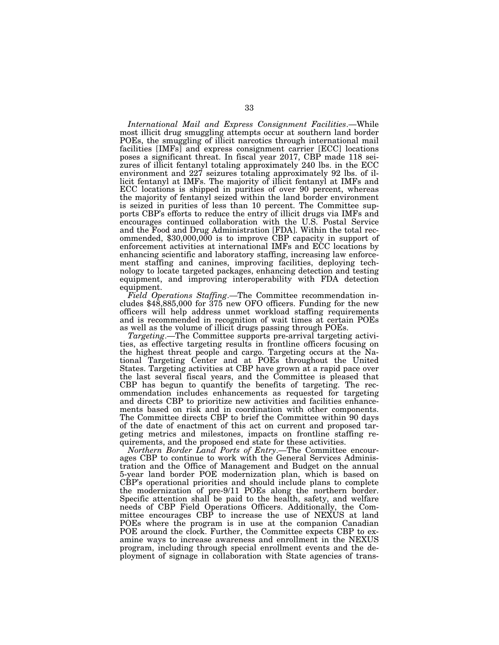*International Mail and Express Consignment Facilities*.—While most illicit drug smuggling attempts occur at southern land border POEs, the smuggling of illicit narcotics through international mail facilities [IMFs] and express consignment carrier [ECC] locations poses a significant threat. In fiscal year 2017, CBP made 118 seizures of illicit fentanyl totaling approximately 240 lbs. in the ECC environment and 227 seizures totaling approximately 92 lbs. of illicit fentanyl at IMFs. The majority of illicit fentanyl at IMFs and ECC locations is shipped in purities of over 90 percent, whereas the majority of fentanyl seized within the land border environment is seized in purities of less than 10 percent. The Committee supports CBP's efforts to reduce the entry of illicit drugs via IMFs and encourages continued collaboration with the U.S. Postal Service and the Food and Drug Administration [FDA]. Within the total recommended, \$30,000,000 is to improve CBP capacity in support of enforcement activities at international IMFs and ECC locations by enhancing scientific and laboratory staffing, increasing law enforcement staffing and canines, improving facilities, deploying technology to locate targeted packages, enhancing detection and testing equipment, and improving interoperability with FDA detection equipment.

*Field Operations Staffing*.—The Committee recommendation includes \$48,885,000 for 375 new OFO officers. Funding for the new officers will help address unmet workload staffing requirements and is recommended in recognition of wait times at certain POEs as well as the volume of illicit drugs passing through POEs.

*Targeting*.—The Committee supports pre-arrival targeting activities, as effective targeting results in frontline officers focusing on the highest threat people and cargo. Targeting occurs at the National Targeting Center and at POEs throughout the United States. Targeting activities at CBP have grown at a rapid pace over the last several fiscal years, and the Committee is pleased that CBP has begun to quantify the benefits of targeting. The recommendation includes enhancements as requested for targeting and directs CBP to prioritize new activities and facilities enhancements based on risk and in coordination with other components. The Committee directs CBP to brief the Committee within 90 days of the date of enactment of this act on current and proposed targeting metrics and milestones, impacts on frontline staffing requirements, and the proposed end state for these activities.

*Northern Border Land Ports of Entry*.—The Committee encourages CBP to continue to work with the General Services Administration and the Office of Management and Budget on the annual 5-year land border POE modernization plan, which is based on CBP's operational priorities and should include plans to complete the modernization of pre-9/11 POEs along the northern border. Specific attention shall be paid to the health, safety, and welfare needs of CBP Field Operations Officers. Additionally, the Committee encourages CBP to increase the use of NEXUS at land POEs where the program is in use at the companion Canadian POE around the clock. Further, the Committee expects CBP to examine ways to increase awareness and enrollment in the NEXUS program, including through special enrollment events and the deployment of signage in collaboration with State agencies of trans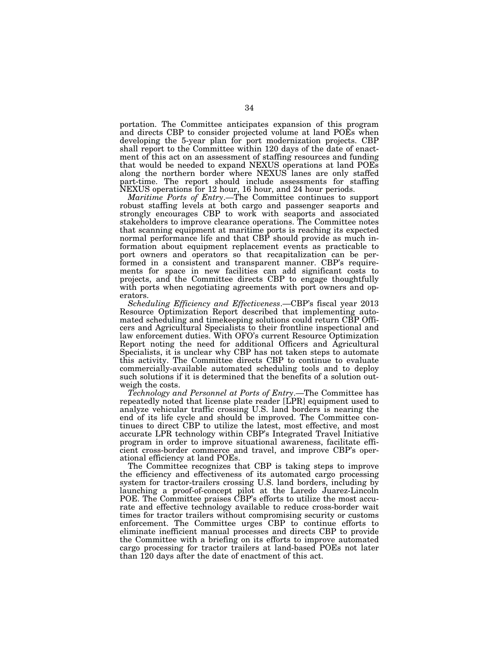portation. The Committee anticipates expansion of this program and directs CBP to consider projected volume at land POEs when developing the 5-year plan for port modernization projects. CBP shall report to the Committee within 120 days of the date of enactment of this act on an assessment of staffing resources and funding that would be needed to expand NEXUS operations at land POEs along the northern border where NEXUS lanes are only staffed part-time. The report should include assessments for staffing NEXUS operations for 12 hour, 16 hour, and 24 hour periods.

*Maritime Ports of Entry*.—The Committee continues to support robust staffing levels at both cargo and passenger seaports and strongly encourages CBP to work with seaports and associated stakeholders to improve clearance operations. The Committee notes that scanning equipment at maritime ports is reaching its expected normal performance life and that CBP should provide as much information about equipment replacement events as practicable to port owners and operators so that recapitalization can be performed in a consistent and transparent manner. CBP's requirements for space in new facilities can add significant costs to projects, and the Committee directs CBP to engage thoughtfully with ports when negotiating agreements with port owners and operators.

*Scheduling Efficiency and Effectiveness*.—CBP's fiscal year 2013 Resource Optimization Report described that implementing automated scheduling and timekeeping solutions could return CBP Officers and Agricultural Specialists to their frontline inspectional and law enforcement duties. With OFO's current Resource Optimization Report noting the need for additional Officers and Agricultural Specialists, it is unclear why CBP has not taken steps to automate this activity. The Committee directs CBP to continue to evaluate commercially-available automated scheduling tools and to deploy such solutions if it is determined that the benefits of a solution outweigh the costs.

*Technology and Personnel at Ports of Entry*.—The Committee has repeatedly noted that license plate reader [LPR] equipment used to analyze vehicular traffic crossing U.S. land borders is nearing the end of its life cycle and should be improved. The Committee continues to direct CBP to utilize the latest, most effective, and most accurate LPR technology within CBP's Integrated Travel Initiative program in order to improve situational awareness, facilitate efficient cross-border commerce and travel, and improve CBP's operational efficiency at land POEs.

The Committee recognizes that CBP is taking steps to improve the efficiency and effectiveness of its automated cargo processing system for tractor-trailers crossing U.S. land borders, including by launching a proof-of-concept pilot at the Laredo Juarez-Lincoln POE. The Committee praises CBP's efforts to utilize the most accurate and effective technology available to reduce cross-border wait times for tractor trailers without compromising security or customs enforcement. The Committee urges CBP to continue efforts to eliminate inefficient manual processes and directs CBP to provide the Committee with a briefing on its efforts to improve automated cargo processing for tractor trailers at land-based POEs not later than 120 days after the date of enactment of this act.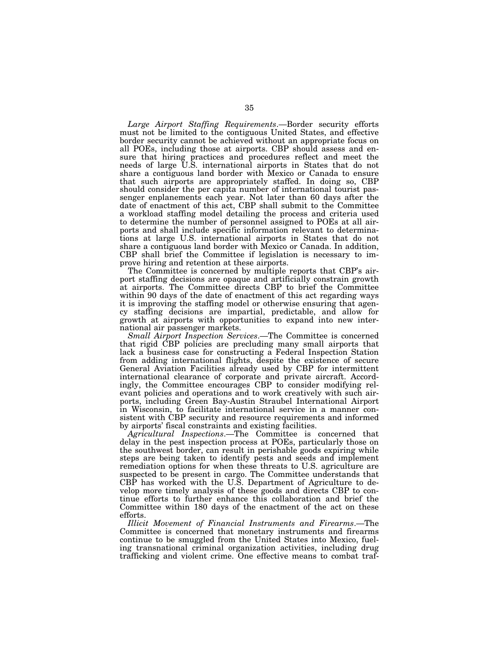*Large Airport Staffing Requirements*.—Border security efforts must not be limited to the contiguous United States, and effective border security cannot be achieved without an appropriate focus on all POEs, including those at airports. CBP should assess and ensure that hiring practices and procedures reflect and meet the needs of large U.S. international airports in States that do not share a contiguous land border with Mexico or Canada to ensure that such airports are appropriately staffed. In doing so, CBP should consider the per capita number of international tourist passenger enplanements each year. Not later than 60 days after the date of enactment of this act, CBP shall submit to the Committee a workload staffing model detailing the process and criteria used to determine the number of personnel assigned to POEs at all airports and shall include specific information relevant to determinations at large U.S. international airports in States that do not share a contiguous land border with Mexico or Canada. In addition, CBP shall brief the Committee if legislation is necessary to improve hiring and retention at these airports.

The Committee is concerned by multiple reports that CBP's airport staffing decisions are opaque and artificially constrain growth at airports. The Committee directs CBP to brief the Committee within 90 days of the date of enactment of this act regarding ways it is improving the staffing model or otherwise ensuring that agency staffing decisions are impartial, predictable, and allow for growth at airports with opportunities to expand into new international air passenger markets.

*Small Airport Inspection Services*.—The Committee is concerned that rigid CBP policies are precluding many small airports that lack a business case for constructing a Federal Inspection Station from adding international flights, despite the existence of secure General Aviation Facilities already used by CBP for intermittent international clearance of corporate and private aircraft. Accordingly, the Committee encourages CBP to consider modifying relevant policies and operations and to work creatively with such airports, including Green Bay-Austin Straubel International Airport in Wisconsin, to facilitate international service in a manner consistent with CBP security and resource requirements and informed by airports' fiscal constraints and existing facilities.

*Agricultural Inspections*.—The Committee is concerned that delay in the pest inspection process at POEs, particularly those on the southwest border, can result in perishable goods expiring while steps are being taken to identify pests and seeds and implement remediation options for when these threats to U.S. agriculture are suspected to be present in cargo. The Committee understands that CBP has worked with the U.S. Department of Agriculture to develop more timely analysis of these goods and directs CBP to continue efforts to further enhance this collaboration and brief the Committee within 180 days of the enactment of the act on these efforts.

*Illicit Movement of Financial Instruments and Firearms*.—The Committee is concerned that monetary instruments and firearms continue to be smuggled from the United States into Mexico, fueling transnational criminal organization activities, including drug trafficking and violent crime. One effective means to combat traf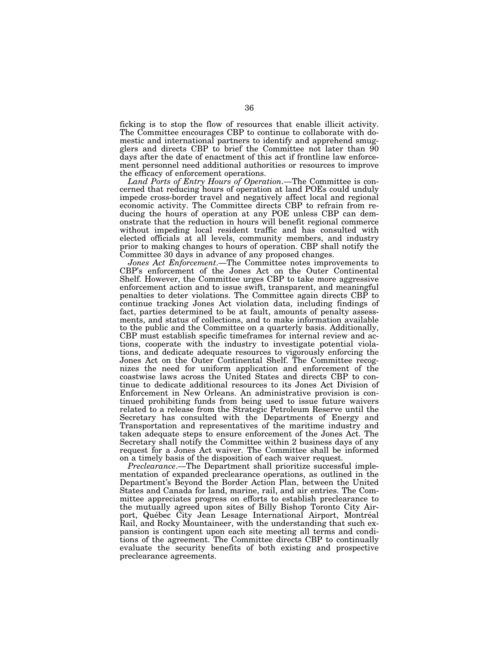ficking is to stop the flow of resources that enable illicit activity. The Committee encourages CBP to continue to collaborate with domestic and international partners to identify and apprehend smugglers and directs CBP to brief the Committee not later than 90 days after the date of enactment of this act if frontline law enforcement personnel need additional authorities or resources to improve the efficacy of enforcement operations.

*Land Ports of Entry Hours of Operation*.—The Committee is concerned that reducing hours of operation at land POEs could unduly impede cross-border travel and negatively affect local and regional economic activity. The Committee directs CBP to refrain from reducing the hours of operation at any POE unless CBP can demonstrate that the reduction in hours will benefit regional commerce without impeding local resident traffic and has consulted with elected officials at all levels, community members, and industry prior to making changes to hours of operation. CBP shall notify the Committee 30 days in advance of any proposed changes.

*Jones Act Enforcement*.—The Committee notes improvements to CBP's enforcement of the Jones Act on the Outer Continental Shelf. However, the Committee urges CBP to take more aggressive enforcement action and to issue swift, transparent, and meaningful penalties to deter violations. The Committee again directs CBP to continue tracking Jones Act violation data, including findings of fact, parties determined to be at fault, amounts of penalty assessments, and status of collections, and to make information available to the public and the Committee on a quarterly basis. Additionally, CBP must establish specific timeframes for internal review and actions, cooperate with the industry to investigate potential violations, and dedicate adequate resources to vigorously enforcing the Jones Act on the Outer Continental Shelf. The Committee recognizes the need for uniform application and enforcement of the coastwise laws across the United States and directs CBP to continue to dedicate additional resources to its Jones Act Division of Enforcement in New Orleans. An administrative provision is continued prohibiting funds from being used to issue future waivers related to a release from the Strategic Petroleum Reserve until the Secretary has consulted with the Departments of Energy and Transportation and representatives of the maritime industry and taken adequate steps to ensure enforcement of the Jones Act. The Secretary shall notify the Committee within 2 business days of any request for a Jones Act waiver. The Committee shall be informed on a timely basis of the disposition of each waiver request.

*Preclearance*.—The Department shall prioritize successful implementation of expanded preclearance operations, as outlined in the Department's Beyond the Border Action Plan, between the United States and Canada for land, marine, rail, and air entries. The Committee appreciates progress on efforts to establish preclearance to the mutually agreed upon sites of Billy Bishop Toronto City Airport, Québec City Jean Lesage International Airport, Montréal Rail, and Rocky Mountaineer, with the understanding that such expansion is contingent upon each site meeting all terms and conditions of the agreement. The Committee directs CBP to continually evaluate the security benefits of both existing and prospective preclearance agreements.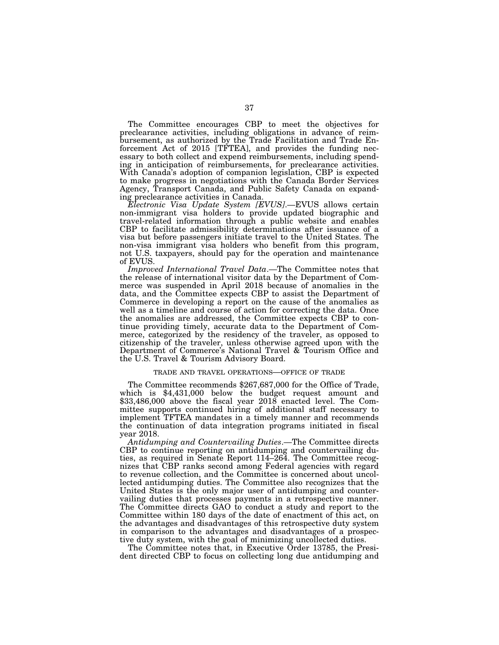The Committee encourages CBP to meet the objectives for preclearance activities, including obligations in advance of reimbursement, as authorized by the Trade Facilitation and Trade Enforcement Act of 2015 [TFTEA], and provides the funding necessary to both collect and expend reimbursements, including spending in anticipation of reimbursements, for preclearance activities. With Canada's adoption of companion legislation, CBP is expected to make progress in negotiations with the Canada Border Services Agency, Transport Canada, and Public Safety Canada on expanding preclearance activities in Canada.

*Electronic Visa Update System [EVUS]*.—EVUS allows certain non-immigrant visa holders to provide updated biographic and travel-related information through a public website and enables CBP to facilitate admissibility determinations after issuance of a visa but before passengers initiate travel to the United States. The non-visa immigrant visa holders who benefit from this program, not U.S. taxpayers, should pay for the operation and maintenance of EVUS.

*Improved International Travel Data*.—The Committee notes that the release of international visitor data by the Department of Commerce was suspended in April 2018 because of anomalies in the data, and the Committee expects CBP to assist the Department of Commerce in developing a report on the cause of the anomalies as well as a timeline and course of action for correcting the data. Once the anomalies are addressed, the Committee expects CBP to continue providing timely, accurate data to the Department of Commerce, categorized by the residency of the traveler, as opposed to citizenship of the traveler, unless otherwise agreed upon with the Department of Commerce's National Travel & Tourism Office and the U.S. Travel & Tourism Advisory Board.

#### TRADE AND TRAVEL OPERATIONS—OFFICE OF TRADE

The Committee recommends \$267,687,000 for the Office of Trade, which is \$4,431,000 below the budget request amount and \$33,486,000 above the fiscal year 2018 enacted level. The Committee supports continued hiring of additional staff necessary to implement TFTEA mandates in a timely manner and recommends the continuation of data integration programs initiated in fiscal year 2018.

*Antidumping and Countervailing Duties*.—The Committee directs CBP to continue reporting on antidumping and countervailing duties, as required in Senate Report 114–264. The Committee recognizes that CBP ranks second among Federal agencies with regard to revenue collection, and the Committee is concerned about uncollected antidumping duties. The Committee also recognizes that the United States is the only major user of antidumping and countervailing duties that processes payments in a retrospective manner. The Committee directs GAO to conduct a study and report to the Committee within 180 days of the date of enactment of this act, on the advantages and disadvantages of this retrospective duty system in comparison to the advantages and disadvantages of a prospective duty system, with the goal of minimizing uncollected duties.

The Committee notes that, in Executive Order 13785, the President directed CBP to focus on collecting long due antidumping and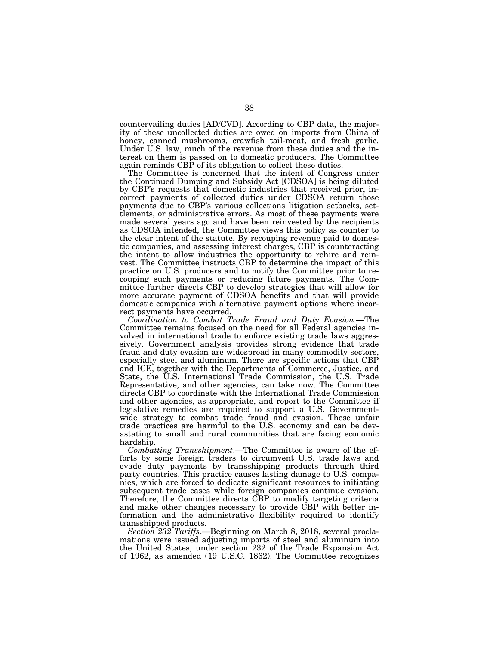countervailing duties [AD/CVD]. According to CBP data, the majority of these uncollected duties are owed on imports from China of honey, canned mushrooms, crawfish tail-meat, and fresh garlic. Under U.S. law, much of the revenue from these duties and the interest on them is passed on to domestic producers. The Committee again reminds CBP of its obligation to collect these duties.

The Committee is concerned that the intent of Congress under the Continued Dumping and Subsidy Act [CDSOA] is being diluted by CBP's requests that domestic industries that received prior, incorrect payments of collected duties under CDSOA return those payments due to CBP's various collections litigation setbacks, settlements, or administrative errors. As most of these payments were made several years ago and have been reinvested by the recipients as CDSOA intended, the Committee views this policy as counter to the clear intent of the statute. By recouping revenue paid to domestic companies, and assessing interest charges, CBP is counteracting the intent to allow industries the opportunity to rehire and reinvest. The Committee instructs CBP to determine the impact of this practice on U.S. producers and to notify the Committee prior to recouping such payments or reducing future payments. The Committee further directs CBP to develop strategies that will allow for more accurate payment of CDSOA benefits and that will provide domestic companies with alternative payment options where incorrect payments have occurred.

*Coordination to Combat Trade Fraud and Duty Evasion*.—The Committee remains focused on the need for all Federal agencies involved in international trade to enforce existing trade laws aggressively. Government analysis provides strong evidence that trade fraud and duty evasion are widespread in many commodity sectors, especially steel and aluminum. There are specific actions that CBP and ICE, together with the Departments of Commerce, Justice, and State, the U.S. International Trade Commission, the U.S. Trade Representative, and other agencies, can take now. The Committee directs CBP to coordinate with the International Trade Commission and other agencies, as appropriate, and report to the Committee if legislative remedies are required to support a U.S. Governmentwide strategy to combat trade fraud and evasion. These unfair trade practices are harmful to the U.S. economy and can be devastating to small and rural communities that are facing economic hardship.

*Combatting Transshipment*.—The Committee is aware of the efforts by some foreign traders to circumvent U.S. trade laws and evade duty payments by transshipping products through third party countries. This practice causes lasting damage to U.S. companies, which are forced to dedicate significant resources to initiating subsequent trade cases while foreign companies continue evasion. Therefore, the Committee directs CBP to modify targeting criteria and make other changes necessary to provide CBP with better information and the administrative flexibility required to identify transshipped products.

*Section 232 Tariffs*.—Beginning on March 8, 2018, several proclamations were issued adjusting imports of steel and aluminum into the United States, under section 232 of the Trade Expansion Act of 1962, as amended (19 U.S.C. 1862). The Committee recognizes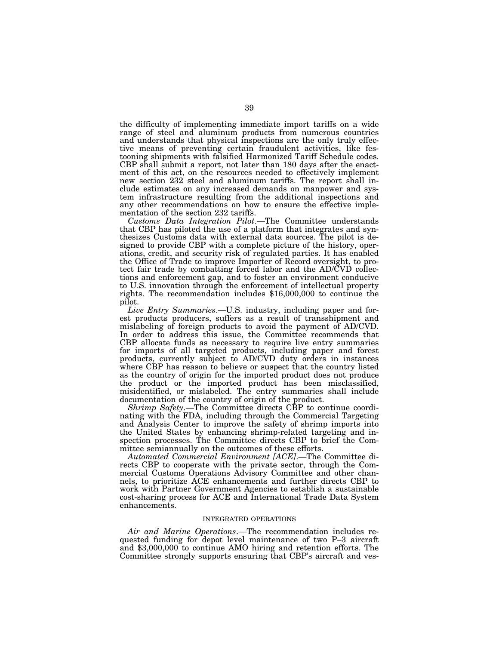the difficulty of implementing immediate import tariffs on a wide range of steel and aluminum products from numerous countries and understands that physical inspections are the only truly effective means of preventing certain fraudulent activities, like festooning shipments with falsified Harmonized Tariff Schedule codes. CBP shall submit a report, not later than 180 days after the enactment of this act, on the resources needed to effectively implement new section 232 steel and aluminum tariffs. The report shall include estimates on any increased demands on manpower and system infrastructure resulting from the additional inspections and any other recommendations on how to ensure the effective implementation of the section 232 tariffs.

*Customs Data Integration Pilot*.—The Committee understands that CBP has piloted the use of a platform that integrates and synthesizes Customs data with external data sources. The pilot is designed to provide CBP with a complete picture of the history, operations, credit, and security risk of regulated parties. It has enabled the Office of Trade to improve Importer of Record oversight, to protect fair trade by combatting forced labor and the AD/CVD collections and enforcement gap, and to foster an environment conducive to U.S. innovation through the enforcement of intellectual property rights. The recommendation includes \$16,000,000 to continue the pilot.

*Live Entry Summaries*.—U.S. industry, including paper and forest products producers, suffers as a result of transshipment and mislabeling of foreign products to avoid the payment of AD/CVD. In order to address this issue, the Committee recommends that CBP allocate funds as necessary to require live entry summaries for imports of all targeted products, including paper and forest products, currently subject to AD/CVD duty orders in instances where CBP has reason to believe or suspect that the country listed as the country of origin for the imported product does not produce the product or the imported product has been misclassified, misidentified, or mislabeled. The entry summaries shall include documentation of the country of origin of the product.

*Shrimp Safety*.—The Committee directs CBP to continue coordinating with the FDA, including through the Commercial Targeting and Analysis Center to improve the safety of shrimp imports into the United States by enhancing shrimp-related targeting and inspection processes. The Committee directs CBP to brief the Committee semiannually on the outcomes of these efforts.

*Automated Commercial Environment [ACE]*.—The Committee directs CBP to cooperate with the private sector, through the Commercial Customs Operations Advisory Committee and other channels, to prioritize ACE enhancements and further directs CBP to work with Partner Government Agencies to establish a sustainable cost-sharing process for ACE and International Trade Data System enhancements.

#### INTEGRATED OPERATIONS

*Air and Marine Operations*.—The recommendation includes requested funding for depot level maintenance of two P–3 aircraft and \$3,000,000 to continue AMO hiring and retention efforts. The Committee strongly supports ensuring that CBP's aircraft and ves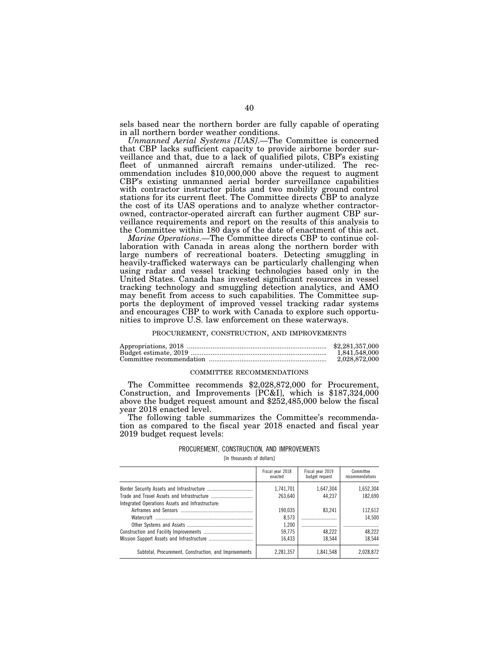sels based near the northern border are fully capable of operating in all northern border weather conditions.

*Unmanned Aerial Systems [UAS]*.—The Committee is concerned that CBP lacks sufficient capacity to provide airborne border surveillance and that, due to a lack of qualified pilots, CBP's existing fleet of unmanned aircraft remains under-utilized. The recommendation includes \$10,000,000 above the request to augment CBP's existing unmanned aerial border surveillance capabilities with contractor instructor pilots and two mobility ground control stations for its current fleet. The Committee directs CBP to analyze the cost of its UAS operations and to analyze whether contractorowned, contractor-operated aircraft can further augment CBP surveillance requirements and report on the results of this analysis to the Committee within 180 days of the date of enactment of this act.

*Marine Operations*.—The Committee directs CBP to continue collaboration with Canada in areas along the northern border with large numbers of recreational boaters. Detecting smuggling in heavily-trafficked waterways can be particularly challenging when using radar and vessel tracking technologies based only in the United States. Canada has invested significant resources in vessel tracking technology and smuggling detection analytics, and AMO may benefit from access to such capabilities. The Committee supports the deployment of improved vessel tracking radar systems and encourages CBP to work with Canada to explore such opportunities to improve U.S. law enforcement on these waterways.

#### PROCUREMENT, CONSTRUCTION, AND IMPROVEMENTS

| \$2,281,357,000 |
|-----------------|
| 1.841.548.000   |
| 2.028.872.000   |

## COMMITTEE RECOMMENDATIONS

The Committee recommends \$2,028,872,000 for Procurement, Construction, and Improvements [PC&I], which is \$187,324,000 above the budget request amount and \$252,485,000 below the fiscal year 2018 enacted level.

The following table summarizes the Committee's recommendation as compared to the fiscal year 2018 enacted and fiscal year 2019 budget request levels:

## PROCUREMENT, CONSTRUCTION, AND IMPROVEMENTS

[In thousands of dollars]

|                                                       | Fiscal year 2018<br>enacted | Fiscal year 2019<br>budget request | Committee<br>recommendations |
|-------------------------------------------------------|-----------------------------|------------------------------------|------------------------------|
|                                                       | 1,741,701                   | 1.647.304                          | 1.652.304                    |
|                                                       | 263.640                     | 44.237                             | 182.690                      |
| Integrated Operations Assets and Infrastructure.      |                             |                                    |                              |
|                                                       | 190.035                     | 83.241                             | 112.612                      |
|                                                       | 8.573                       |                                    | 14.500                       |
|                                                       | 1.200                       |                                    |                              |
|                                                       | 59,775                      | 48.222                             | 48,222                       |
|                                                       | 16.433                      | 18.544                             | 18.544                       |
| Subtotal, Procurement, Construction, and Improvements | 2.281.357                   | 1.841.548                          | 2.028.872                    |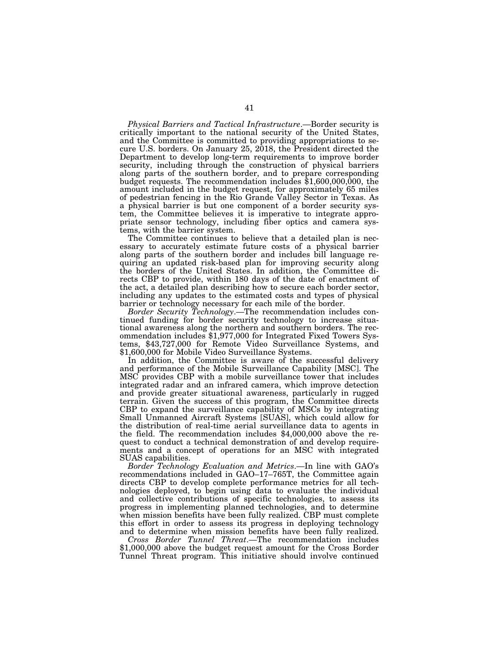*Physical Barriers and Tactical Infrastructure*.—Border security is critically important to the national security of the United States, and the Committee is committed to providing appropriations to secure U.S. borders. On January 25, 2018, the President directed the Department to develop long-term requirements to improve border security, including through the construction of physical barriers along parts of the southern border, and to prepare corresponding budget requests. The recommendation includes  $$1,600,000,000$ , the amount included in the budget request, for approximately 65 miles of pedestrian fencing in the Rio Grande Valley Sector in Texas. As a physical barrier is but one component of a border security system, the Committee believes it is imperative to integrate appropriate sensor technology, including fiber optics and camera systems, with the barrier system.

The Committee continues to believe that a detailed plan is necessary to accurately estimate future costs of a physical barrier along parts of the southern border and includes bill language requiring an updated risk-based plan for improving security along the borders of the United States. In addition, the Committee directs CBP to provide, within 180 days of the date of enactment of the act, a detailed plan describing how to secure each border sector, including any updates to the estimated costs and types of physical barrier or technology necessary for each mile of the border.

*Border Security Technology*.—The recommendation includes continued funding for border security technology to increase situational awareness along the northern and southern borders. The recommendation includes \$1,977,000 for Integrated Fixed Towers Systems, \$43,727,000 for Remote Video Surveillance Systems, and \$1,600,000 for Mobile Video Surveillance Systems.

In addition, the Committee is aware of the successful delivery and performance of the Mobile Surveillance Capability [MSC]. The MSC provides CBP with a mobile surveillance tower that includes integrated radar and an infrared camera, which improve detection and provide greater situational awareness, particularly in rugged terrain. Given the success of this program, the Committee directs CBP to expand the surveillance capability of MSCs by integrating Small Unmanned Aircraft Systems [SUAS], which could allow for the distribution of real-time aerial surveillance data to agents in the field. The recommendation includes \$4,000,000 above the request to conduct a technical demonstration of and develop requirements and a concept of operations for an MSC with integrated SUAS capabilities.

*Border Technology Evaluation and Metrics*.—In line with GAO's recommendations included in GAO–17–765T, the Committee again directs CBP to develop complete performance metrics for all technologies deployed, to begin using data to evaluate the individual and collective contributions of specific technologies, to assess its progress in implementing planned technologies, and to determine when mission benefits have been fully realized. CBP must complete this effort in order to assess its progress in deploying technology and to determine when mission benefits have been fully realized.

*Cross Border Tunnel Threat*.—The recommendation includes \$1,000,000 above the budget request amount for the Cross Border Tunnel Threat program. This initiative should involve continued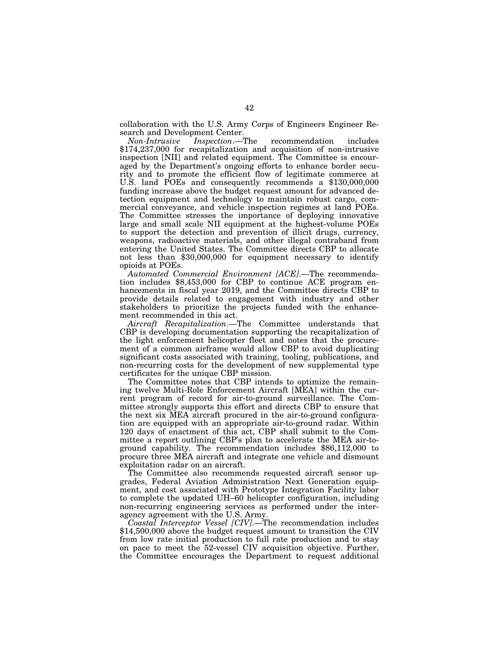collaboration with the U.S. Army Corps of Engineers Engineer Research and Development Center.

*Non-Intrusive Inspection*.—The recommendation includes \$174,237,000 for recapitalization and acquisition of non-intrusive inspection [NII] and related equipment. The Committee is encouraged by the Department's ongoing efforts to enhance border security and to promote the efficient flow of legitimate commerce at U.S. land POEs and consequently recommends a \$130,000,000 funding increase above the budget request amount for advanced detection equipment and technology to maintain robust cargo, commercial conveyance, and vehicle inspection regimes at land POEs. The Committee stresses the importance of deploying innovative large and small scale NII equipment at the highest-volume POEs to support the detection and prevention of illicit drugs, currency, weapons, radioactive materials, and other illegal contraband from entering the United States. The Committee directs CBP to allocate not less than \$30,000,000 for equipment necessary to identify opioids at POEs.

*Automated Commercial Environment [ACE]*.—The recommendation includes \$8,453,000 for CBP to continue ACE program enhancements in fiscal year 2019, and the Committee directs CBP to provide details related to engagement with industry and other stakeholders to prioritize the projects funded with the enhancement recommended in this act.

*Aircraft Recapitalization*.—The Committee understands that CBP is developing documentation supporting the recapitalization of the light enforcement helicopter fleet and notes that the procurement of a common airframe would allow CBP to avoid duplicating significant costs associated with training, tooling, publications, and non-recurring costs for the development of new supplemental type certificates for the unique CBP mission.

The Committee notes that CBP intends to optimize the remaining twelve Multi-Role Enforcement Aircraft [MEA] within the current program of record for air-to-ground surveillance. The Committee strongly supports this effort and directs CBP to ensure that the next six MEA aircraft procured in the air-to-ground configuration are equipped with an appropriate air-to-ground radar. Within 120 days of enactment of this act, CBP shall submit to the Committee a report outlining CBP's plan to accelerate the MEA air-toground capability. The recommendation includes \$86,112,000 to procure three MEA aircraft and integrate one vehicle and dismount exploitation radar on an aircraft.

The Committee also recommends requested aircraft sensor upgrades, Federal Aviation Administration Next Generation equipment, and cost associated with Prototype Integration Facility labor to complete the updated UH–60 helicopter configuration, including non-recurring engineering services as performed under the interagency agreement with the U.S. Army.

*Coastal Interceptor Vessel [CIV]*.—The recommendation includes \$14,500,000 above the budget request amount to transition the CIV from low rate initial production to full rate production and to stay on pace to meet the 52-vessel CIV acquisition objective. Further, the Committee encourages the Department to request additional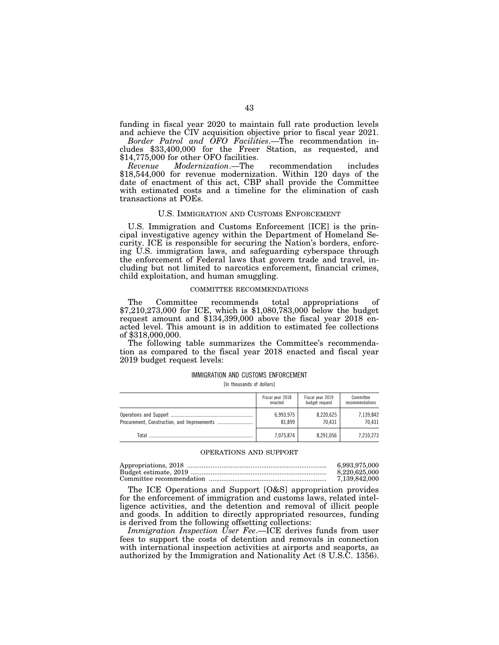funding in fiscal year 2020 to maintain full rate production levels and achieve the CIV acquisition objective prior to fiscal year 2021.

*Border Patrol and OFO Facilities*.—The recommendation includes \$33,400,000 for the Freer Station, as requested, and \$14,775,000 for other OFO facilities.<br>Revenue Modernization.—The

*Modernization*.—The recommendation includes \$18,544,000 for revenue modernization. Within 120 days of the date of enactment of this act, CBP shall provide the Committee with estimated costs and a timeline for the elimination of cash transactions at POEs.

#### U.S. IMMIGRATION AND CUSTOMS ENFORCEMENT

U.S. Immigration and Customs Enforcement [ICE] is the principal investigative agency within the Department of Homeland Security. ICE is responsible for securing the Nation's borders, enforcing U.S. immigration laws, and safeguarding cyberspace through the enforcement of Federal laws that govern trade and travel, including but not limited to narcotics enforcement, financial crimes, child exploitation, and human smuggling.

#### COMMITTEE RECOMMENDATIONS

The Committee recommends total appropriations of \$7,210,273,000 for ICE, which is \$1,080,783,000 below the budget request amount and \$134,399,000 above the fiscal year 2018 enacted level. This amount is in addition to estimated fee collections of \$318,000,000.

The following table summarizes the Committee's recommendation as compared to the fiscal year 2018 enacted and fiscal year 2019 budget request levels:

## IMMIGRATION AND CUSTOMS ENFORCEMENT

[In thousands of dollars]

|       | Fiscal year 2018 | Fiscal year 2019 | Committee       |
|-------|------------------|------------------|-----------------|
|       | enacted          | budget request   | recommendations |
|       | 6,993,975        | 8,220,625        | 7,139,842       |
|       | 81.899           | 70.431           | 70.431          |
| Total | 7,075,874        | 8,291,056        | 7.210.273       |

#### OPERATIONS AND SUPPORT

| 6.993.975.000 |
|---------------|
| 8.220.625.000 |
| 7.139.842.000 |

The ICE Operations and Support [O&S] appropriation provides for the enforcement of immigration and customs laws, related intelligence activities, and the detention and removal of illicit people and goods. In addition to directly appropriated resources, funding is derived from the following offsetting collections:

*Immigration Inspection User Fee*.—ICE derives funds from user fees to support the costs of detention and removals in connection with international inspection activities at airports and seaports, as authorized by the Immigration and Nationality Act (8 U.S.C. 1356).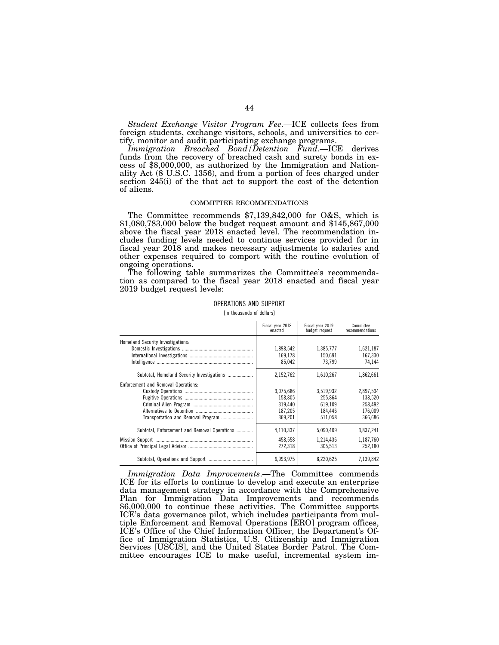*Student Exchange Visitor Program Fee*.—ICE collects fees from foreign students, exchange visitors, schools, and universities to certify, monitor and audit participating exchange programs.

*Immigration Breached Bond/Detention Fund*.—ICE derives funds from the recovery of breached cash and surety bonds in excess of \$8,000,000, as authorized by the Immigration and Nationality Act (8 U.S.C. 1356), and from a portion of fees charged under section 245(i) of the that act to support the cost of the detention of aliens.

#### COMMITTEE RECOMMENDATIONS

The Committee recommends \$7,139,842,000 for O&S, which is \$1,080,783,000 below the budget request amount and \$145,867,000 above the fiscal year 2018 enacted level. The recommendation includes funding levels needed to continue services provided for in fiscal year 2018 and makes necessary adjustments to salaries and other expenses required to comport with the routine evolution of ongoing operations.

The following table summarizes the Committee's recommendation as compared to the fiscal year 2018 enacted and fiscal year 2019 budget request levels:

OPERATIONS AND SUPPORT

[In thousands of dollars]

|                                              | Fiscal year 2018<br>enacted | Fiscal vear 2019<br>budget request | Committee<br>recommendations |
|----------------------------------------------|-----------------------------|------------------------------------|------------------------------|
| Homeland Security Investigations:            |                             |                                    |                              |
|                                              | 1,898,542                   | 1,385,777                          | 1,621,187                    |
|                                              | 169,178                     | 150,691                            | 167,330                      |
|                                              | 85.042                      | 73.799                             | 74,144                       |
| Subtotal. Homeland Security Investigations   | 2,152,762                   | 1,610,267                          | 1,862,661                    |
| Enforcement and Removal Operations:          |                             |                                    |                              |
|                                              | 3.075.686                   | 3.519.932                          | 2,897,534                    |
|                                              | 158,805                     | 255,864                            | 138,520                      |
|                                              | 319.440                     | 619,109                            | 258.492                      |
|                                              | 187.205                     | 184.446                            | 176,009                      |
|                                              | 369,201                     | 511,058                            | 366,686                      |
| Subtotal, Enforcement and Removal Operations | 4,110,337                   | 5,090,409                          | 3,837,241                    |
|                                              | 458,558                     | 1,214,436                          | 1,187,760                    |
|                                              | 272,318                     | 305.513                            | 252,180                      |
|                                              | 6,993,975                   | 8,220,625                          | 7.139.842                    |

*Immigration Data Improvements*.—The Committee commends ICE for its efforts to continue to develop and execute an enterprise data management strategy in accordance with the Comprehensive Plan for Immigration Data Improvements and recommends \$6,000,000 to continue these activities. The Committee supports ICE's data governance pilot, which includes participants from multiple Enforcement and Removal Operations [ERO] program offices, ICE's Office of the Chief Information Officer, the Department's Office of Immigration Statistics, U.S. Citizenship and Immigration Services [USCIS], and the United States Border Patrol. The Committee encourages ICE to make useful, incremental system im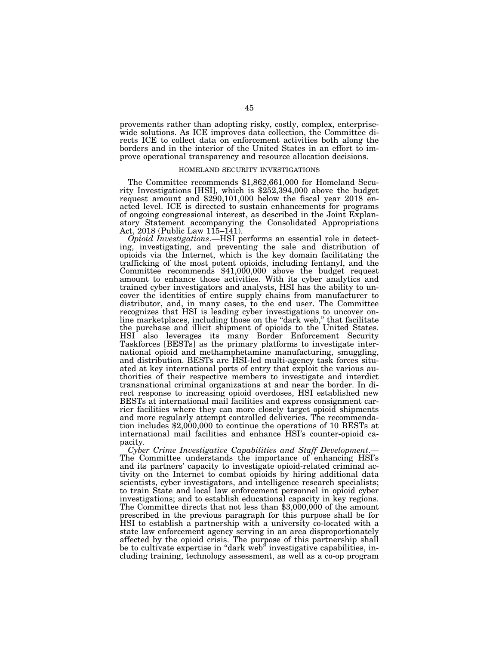provements rather than adopting risky, costly, complex, enterprisewide solutions. As ICE improves data collection, the Committee directs ICE to collect data on enforcement activities both along the borders and in the interior of the United States in an effort to improve operational transparency and resource allocation decisions.

## HOMELAND SECURITY INVESTIGATIONS

The Committee recommends \$1,862,661,000 for Homeland Security Investigations [HSI], which is \$252,394,000 above the budget request amount and \$290,101,000 below the fiscal year 2018 enacted level. ICE is directed to sustain enhancements for programs of ongoing congressional interest, as described in the Joint Explanatory Statement accompanying the Consolidated Appropriations Act, 2018 (Public Law  $115-141$ ).

*Opioid Investigations*.—HSI performs an essential role in detecting, investigating, and preventing the sale and distribution of opioids via the Internet, which is the key domain facilitating the trafficking of the most potent opioids, including fentanyl, and the Committee recommends \$41,000,000 above the budget request amount to enhance those activities. With its cyber analytics and trained cyber investigators and analysts, HSI has the ability to uncover the identities of entire supply chains from manufacturer to distributor, and, in many cases, to the end user. The Committee recognizes that HSI is leading cyber investigations to uncover online marketplaces, including those on the "dark web," that facilitate the purchase and illicit shipment of opioids to the United States. HSI also leverages its many Border Enforcement Security Taskforces [BESTs] as the primary platforms to investigate international opioid and methamphetamine manufacturing, smuggling, and distribution. BESTs are HSI-led multi-agency task forces situated at key international ports of entry that exploit the various authorities of their respective members to investigate and interdict transnational criminal organizations at and near the border. In direct response to increasing opioid overdoses, HSI established new BESTs at international mail facilities and express consignment carrier facilities where they can more closely target opioid shipments and more regularly attempt controlled deliveries. The recommendation includes \$2,000,000 to continue the operations of 10 BESTs at international mail facilities and enhance HSI's counter-opioid capacity.

*Cyber Crime Investigative Capabilities and Staff Development*.— The Committee understands the importance of enhancing HSI's and its partners' capacity to investigate opioid-related criminal activity on the Internet to combat opioids by hiring additional data scientists, cyber investigators, and intelligence research specialists; to train State and local law enforcement personnel in opioid cyber investigations; and to establish educational capacity in key regions. The Committee directs that not less than \$3,000,000 of the amount prescribed in the previous paragraph for this purpose shall be for HSI to establish a partnership with a university co-located with a state law enforcement agency serving in an area disproportionately affected by the opioid crisis. The purpose of this partnership shall be to cultivate expertise in "dark web" investigative capabilities, including training, technology assessment, as well as a co-op program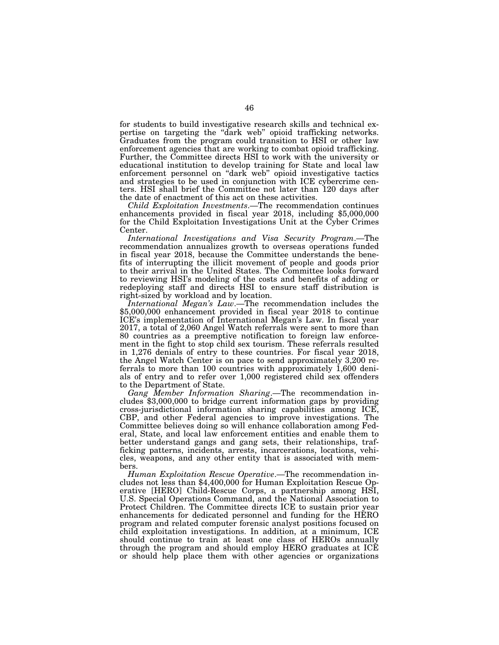for students to build investigative research skills and technical expertise on targeting the ''dark web'' opioid trafficking networks. Graduates from the program could transition to HSI or other law enforcement agencies that are working to combat opioid trafficking. Further, the Committee directs HSI to work with the university or educational institution to develop training for State and local law enforcement personnel on ''dark web'' opioid investigative tactics and strategies to be used in conjunction with ICE cybercrime centers. HSI shall brief the Committee not later than 120 days after the date of enactment of this act on these activities.

*Child Exploitation Investments*.—The recommendation continues enhancements provided in fiscal year 2018, including \$5,000,000 for the Child Exploitation Investigations Unit at the Cyber Crimes Center.

*International Investigations and Visa Security Program*.—The recommendation annualizes growth to overseas operations funded in fiscal year 2018, because the Committee understands the benefits of interrupting the illicit movement of people and goods prior to their arrival in the United States. The Committee looks forward to reviewing HSI's modeling of the costs and benefits of adding or redeploying staff and directs HSI to ensure staff distribution is right-sized by workload and by location.

*International Megan's Law*.—The recommendation includes the \$5,000,000 enhancement provided in fiscal year 2018 to continue ICE's implementation of International Megan's Law. In fiscal year 2017, a total of 2,060 Angel Watch referrals were sent to more than 80 countries as a preemptive notification to foreign law enforcement in the fight to stop child sex tourism. These referrals resulted in 1,276 denials of entry to these countries. For fiscal year 2018, the Angel Watch Center is on pace to send approximately 3,200 referrals to more than 100 countries with approximately 1,600 denials of entry and to refer over 1,000 registered child sex offenders to the Department of State.

*Gang Member Information Sharing*.—The recommendation includes \$3,000,000 to bridge current information gaps by providing cross-jurisdictional information sharing capabilities among ICE, CBP, and other Federal agencies to improve investigations. The Committee believes doing so will enhance collaboration among Federal, State, and local law enforcement entities and enable them to better understand gangs and gang sets, their relationships, trafficking patterns, incidents, arrests, incarcerations, locations, vehicles, weapons, and any other entity that is associated with members.

*Human Exploitation Rescue Operative*.—The recommendation includes not less than \$4,400,000 for Human Exploitation Rescue Operative [HERO] Child-Rescue Corps, a partnership among HSI, U.S. Special Operations Command, and the National Association to Protect Children. The Committee directs ICE to sustain prior year enhancements for dedicated personnel and funding for the HERO program and related computer forensic analyst positions focused on child exploitation investigations. In addition, at a minimum, ICE should continue to train at least one class of HEROs annually through the program and should employ HERO graduates at ICE or should help place them with other agencies or organizations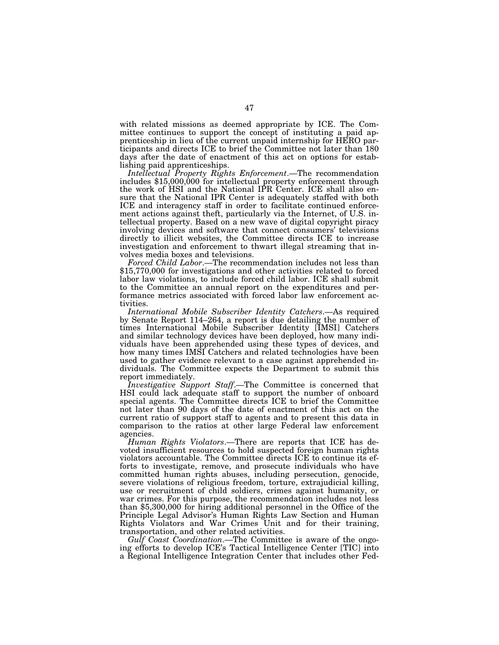with related missions as deemed appropriate by ICE. The Committee continues to support the concept of instituting a paid apprenticeship in lieu of the current unpaid internship for HERO participants and directs ICE to brief the Committee not later than 180 days after the date of enactment of this act on options for establishing paid apprenticeships.

*Intellectual Property Rights Enforcement*.—The recommendation includes \$15,000,000 for intellectual property enforcement through the work of HSI and the National IPR Center. ICE shall also ensure that the National IPR Center is adequately staffed with both ICE and interagency staff in order to facilitate continued enforcement actions against theft, particularly via the Internet, of U.S. intellectual property. Based on a new wave of digital copyright piracy involving devices and software that connect consumers' televisions directly to illicit websites, the Committee directs ICE to increase investigation and enforcement to thwart illegal streaming that involves media boxes and televisions.

*Forced Child Labor*.—The recommendation includes not less than \$15,770,000 for investigations and other activities related to forced labor law violations, to include forced child labor. ICE shall submit to the Committee an annual report on the expenditures and performance metrics associated with forced labor law enforcement activities.

*International Mobile Subscriber Identity Catchers*.—As required by Senate Report 114–264, a report is due detailing the number of times International Mobile Subscriber Identity [IMSI] Catchers and similar technology devices have been deployed, how many individuals have been apprehended using these types of devices, and how many times IMSI Catchers and related technologies have been used to gather evidence relevant to a case against apprehended individuals. The Committee expects the Department to submit this report immediately.

*Investigative Support Staff*.—The Committee is concerned that HSI could lack adequate staff to support the number of onboard special agents. The Committee directs ICE to brief the Committee not later than 90 days of the date of enactment of this act on the current ratio of support staff to agents and to present this data in comparison to the ratios at other large Federal law enforcement agencies.

*Human Rights Violators*.—There are reports that ICE has devoted insufficient resources to hold suspected foreign human rights violators accountable. The Committee directs ICE to continue its efforts to investigate, remove, and prosecute individuals who have committed human rights abuses, including persecution, genocide, severe violations of religious freedom, torture, extrajudicial killing, use or recruitment of child soldiers, crimes against humanity, or war crimes. For this purpose, the recommendation includes not less than \$5,300,000 for hiring additional personnel in the Office of the Principle Legal Advisor's Human Rights Law Section and Human Rights Violators and War Crimes Unit and for their training, transportation, and other related activities.

*Gulf Coast Coordination*.—The Committee is aware of the ongoing efforts to develop ICE's Tactical Intelligence Center [TIC] into a Regional Intelligence Integration Center that includes other Fed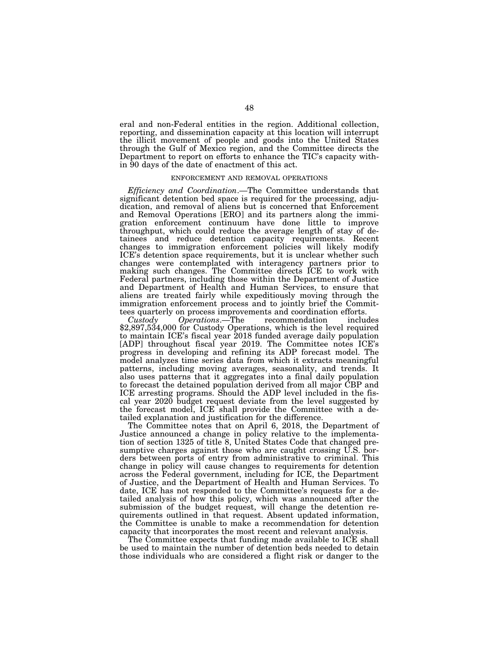eral and non-Federal entities in the region. Additional collection, reporting, and dissemination capacity at this location will interrupt the illicit movement of people and goods into the United States through the Gulf of Mexico region, and the Committee directs the Department to report on efforts to enhance the TIC's capacity within 90 days of the date of enactment of this act.

#### ENFORCEMENT AND REMOVAL OPERATIONS

*Efficiency and Coordination*.—The Committee understands that significant detention bed space is required for the processing, adjudication, and removal of aliens but is concerned that Enforcement and Removal Operations [ERO] and its partners along the immigration enforcement continuum have done little to improve throughput, which could reduce the average length of stay of detainees and reduce detention capacity requirements. Recent changes to immigration enforcement policies will likely modify ICE's detention space requirements, but it is unclear whether such changes were contemplated with interagency partners prior to making such changes. The Committee directs ICE to work with Federal partners, including those within the Department of Justice and Department of Health and Human Services, to ensure that aliens are treated fairly while expeditiously moving through the immigration enforcement process and to jointly brief the Committees quarterly on process improvements and coordination efforts.

*Custody Operations*.—The recommendation includes \$2,897,534,000 for Custody Operations, which is the level required to maintain ICE's fiscal year 2018 funded average daily population [ADP] throughout fiscal year 2019. The Committee notes ICE's progress in developing and refining its ADP forecast model. The model analyzes time series data from which it extracts meaningful patterns, including moving averages, seasonality, and trends. It also uses patterns that it aggregates into a final daily population to forecast the detained population derived from all major CBP and ICE arresting programs. Should the ADP level included in the fiscal year 2020 budget request deviate from the level suggested by the forecast model, ICE shall provide the Committee with a detailed explanation and justification for the difference.

The Committee notes that on April 6, 2018, the Department of Justice announced a change in policy relative to the implementation of section 1325 of title 8, United States Code that changed presumptive charges against those who are caught crossing U.S. borders between ports of entry from administrative to criminal. This change in policy will cause changes to requirements for detention across the Federal government, including for ICE, the Department of Justice, and the Department of Health and Human Services. To date, ICE has not responded to the Committee's requests for a detailed analysis of how this policy, which was announced after the submission of the budget request, will change the detention requirements outlined in that request. Absent updated information, the Committee is unable to make a recommendation for detention capacity that incorporates the most recent and relevant analysis.

The Committee expects that funding made available to ICE shall be used to maintain the number of detention beds needed to detain those individuals who are considered a flight risk or danger to the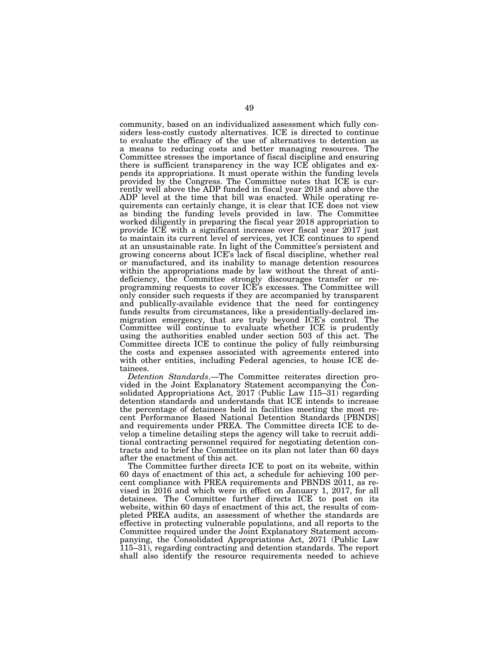community, based on an individualized assessment which fully considers less-costly custody alternatives. ICE is directed to continue to evaluate the efficacy of the use of alternatives to detention as a means to reducing costs and better managing resources. The Committee stresses the importance of fiscal discipline and ensuring there is sufficient transparency in the way ICE obligates and expends its appropriations. It must operate within the funding levels provided by the Congress. The Committee notes that ICE is currently well above the ADP funded in fiscal year 2018 and above the ADP level at the time that bill was enacted. While operating requirements can certainly change, it is clear that ICE does not view as binding the funding levels provided in law. The Committee worked diligently in preparing the fiscal year 2018 appropriation to provide ICE with a significant increase over fiscal year 2017 just to maintain its current level of services, yet ICE continues to spend at an unsustainable rate. In light of the Committee's persistent and growing concerns about ICE's lack of fiscal discipline, whether real or manufactured, and its inability to manage detention resources within the appropriations made by law without the threat of antideficiency, the Committee strongly discourages transfer or reprogramming requests to cover ICE's excesses. The Committee will only consider such requests if they are accompanied by transparent and publically-available evidence that the need for contingency funds results from circumstances, like a presidentially-declared immigration emergency, that are truly beyond ICE's control. The Committee will continue to evaluate whether ICE is prudently using the authorities enabled under section 503 of this act. The Committee directs ICE to continue the policy of fully reimbursing the costs and expenses associated with agreements entered into with other entities, including Federal agencies, to house ICE detainees.

*Detention Standards*.—The Committee reiterates direction provided in the Joint Explanatory Statement accompanying the Consolidated Appropriations Act, 2017 (Public Law  $\overline{115-31}$ ) regarding detention standards and understands that ICE intends to increase the percentage of detainees held in facilities meeting the most recent Performance Based National Detention Standards [PBNDS] and requirements under PREA. The Committee directs ICE to develop a timeline detailing steps the agency will take to recruit additional contracting personnel required for negotiating detention contracts and to brief the Committee on its plan not later than 60 days after the enactment of this act.

The Committee further directs ICE to post on its website, within 60 days of enactment of this act, a schedule for achieving 100 percent compliance with PREA requirements and PBNDS 2011, as revised in 2016 and which were in effect on January 1, 2017, for all detainees. The Committee further directs ICE to post on its website, within 60 days of enactment of this act, the results of completed PREA audits, an assessment of whether the standards are effective in protecting vulnerable populations, and all reports to the Committee required under the Joint Explanatory Statement accompanying, the Consolidated Appropriations Act, 2071 (Public Law 115–31), regarding contracting and detention standards. The report shall also identify the resource requirements needed to achieve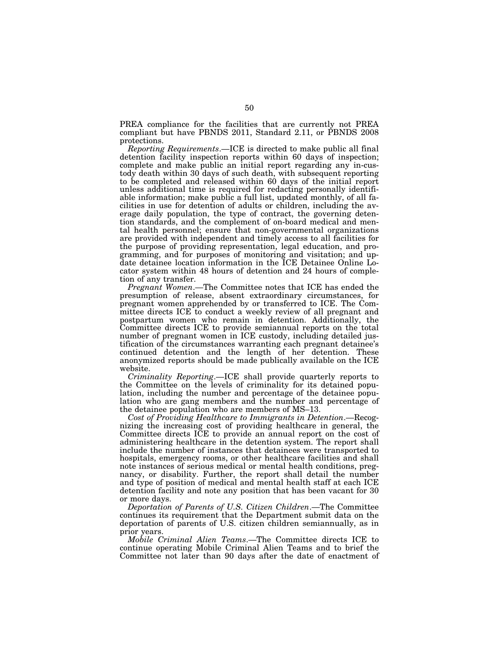PREA compliance for the facilities that are currently not PREA compliant but have PBNDS 2011, Standard 2.11, or PBNDS 2008 protections.

*Reporting Requirements*.—ICE is directed to make public all final detention facility inspection reports within 60 days of inspection; complete and make public an initial report regarding any in-custody death within 30 days of such death, with subsequent reporting to be completed and released within 60 days of the initial report unless additional time is required for redacting personally identifiable information; make public a full list, updated monthly, of all facilities in use for detention of adults or children, including the average daily population, the type of contract, the governing detention standards, and the complement of on-board medical and mental health personnel; ensure that non-governmental organizations are provided with independent and timely access to all facilities for the purpose of providing representation, legal education, and programming, and for purposes of monitoring and visitation; and update detainee location information in the ICE Detainee Online Locator system within 48 hours of detention and 24 hours of completion of any transfer.

*Pregnant Women*.—The Committee notes that ICE has ended the presumption of release, absent extraordinary circumstances, for pregnant women apprehended by or transferred to ICE. The Committee directs ICE to conduct a weekly review of all pregnant and postpartum women who remain in detention. Additionally, the Committee directs ICE to provide semiannual reports on the total number of pregnant women in ICE custody, including detailed justification of the circumstances warranting each pregnant detainee's continued detention and the length of her detention. These anonymized reports should be made publically available on the ICE website.

*Criminality Reporting*.—ICE shall provide quarterly reports to the Committee on the levels of criminality for its detained population, including the number and percentage of the detainee population who are gang members and the number and percentage of the detainee population who are members of MS–13.

*Cost of Providing Healthcare to Immigrants in Detention*.—Recognizing the increasing cost of providing healthcare in general, the Committee directs ICE to provide an annual report on the cost of administering healthcare in the detention system. The report shall include the number of instances that detainees were transported to hospitals, emergency rooms, or other healthcare facilities and shall note instances of serious medical or mental health conditions, pregnancy, or disability. Further, the report shall detail the number and type of position of medical and mental health staff at each ICE detention facility and note any position that has been vacant for 30 or more days.

*Deportation of Parents of U.S. Citizen Children*.—The Committee continues its requirement that the Department submit data on the deportation of parents of U.S. citizen children semiannually, as in prior years.

*Mobile Criminal Alien Teams*.—The Committee directs ICE to continue operating Mobile Criminal Alien Teams and to brief the Committee not later than 90 days after the date of enactment of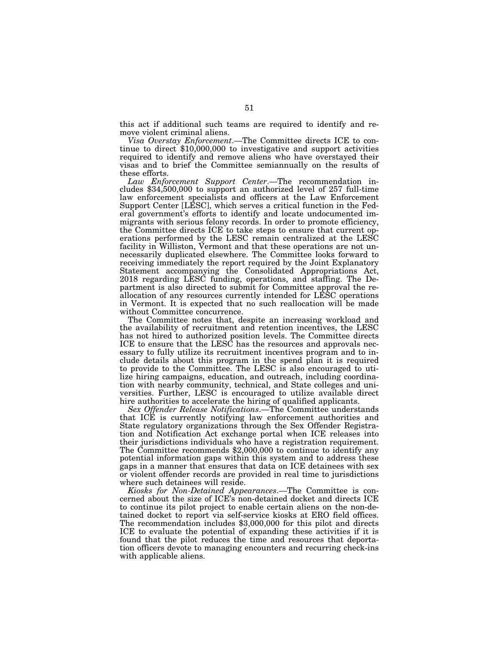this act if additional such teams are required to identify and remove violent criminal aliens.

*Visa Overstay Enforcement*.—The Committee directs ICE to continue to direct \$10,000,000 to investigative and support activities required to identify and remove aliens who have overstayed their visas and to brief the Committee semiannually on the results of these efforts.

*Law Enforcement Support Center*.—The recommendation includes \$34,500,000 to support an authorized level of 257 full-time law enforcement specialists and officers at the Law Enforcement Support Center [LESC], which serves a critical function in the Federal government's efforts to identify and locate undocumented immigrants with serious felony records. In order to promote efficiency, the Committee directs ICE to take steps to ensure that current operations performed by the LESC remain centralized at the LESC facility in Williston, Vermont and that these operations are not unnecessarily duplicated elsewhere. The Committee looks forward to receiving immediately the report required by the Joint Explanatory Statement accompanying the Consolidated Appropriations Act, 2018 regarding LESC funding, operations, and staffing. The Department is also directed to submit for Committee approval the reallocation of any resources currently intended for LESC operations in Vermont. It is expected that no such reallocation will be made without Committee concurrence.

The Committee notes that, despite an increasing workload and the availability of recruitment and retention incentives, the LESC has not hired to authorized position levels. The Committee directs ICE to ensure that the LESC has the resources and approvals necessary to fully utilize its recruitment incentives program and to include details about this program in the spend plan it is required to provide to the Committee. The LESC is also encouraged to utilize hiring campaigns, education, and outreach, including coordination with nearby community, technical, and State colleges and universities. Further, LESC is encouraged to utilize available direct hire authorities to accelerate the hiring of qualified applicants.

*Sex Offender Release Notifications*.—The Committee understands that ICE is currently notifying law enforcement authorities and State regulatory organizations through the Sex Offender Registration and Notification Act exchange portal when ICE releases into their jurisdictions individuals who have a registration requirement. The Committee recommends \$2,000,000 to continue to identify any potential information gaps within this system and to address these gaps in a manner that ensures that data on ICE detainees with sex or violent offender records are provided in real time to jurisdictions where such detainees will reside.

*Kiosks for Non-Detained Appearances*.—The Committee is concerned about the size of ICE's non-detained docket and directs ICE to continue its pilot project to enable certain aliens on the non-detained docket to report via self-service kiosks at ERO field offices. The recommendation includes \$3,000,000 for this pilot and directs ICE to evaluate the potential of expanding these activities if it is found that the pilot reduces the time and resources that deportation officers devote to managing encounters and recurring check-ins with applicable aliens.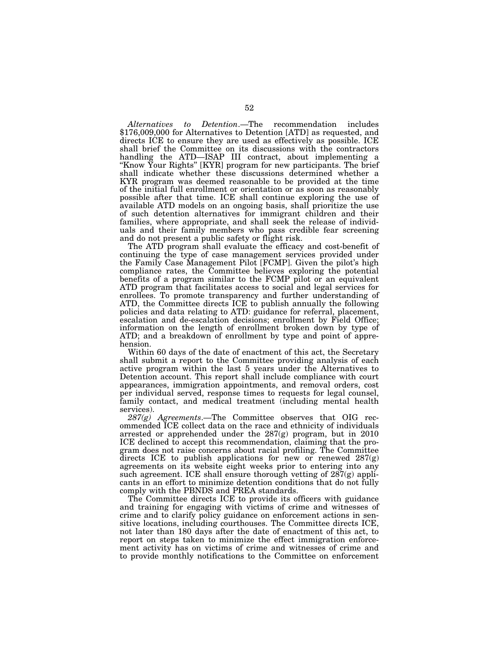*Alternatives to Detention*.—The recommendation includes \$176,009,000 for Alternatives to Detention [ATD] as requested, and directs ICE to ensure they are used as effectively as possible. ICE shall brief the Committee on its discussions with the contractors handling the ATD—ISAP III contract, about implementing a "Know Your Rights" [KYR] program for new participants. The brief shall indicate whether these discussions determined whether a KYR program was deemed reasonable to be provided at the time of the initial full enrollment or orientation or as soon as reasonably possible after that time. ICE shall continue exploring the use of available ATD models on an ongoing basis, shall prioritize the use of such detention alternatives for immigrant children and their families, where appropriate, and shall seek the release of individuals and their family members who pass credible fear screening and do not present a public safety or flight risk.

The ATD program shall evaluate the efficacy and cost-benefit of continuing the type of case management services provided under the Family Case Management Pilot [FCMP]. Given the pilot's high compliance rates, the Committee believes exploring the potential benefits of a program similar to the FCMP pilot or an equivalent ATD program that facilitates access to social and legal services for enrollees. To promote transparency and further understanding of ATD, the Committee directs ICE to publish annually the following policies and data relating to ATD: guidance for referral, placement, escalation and de-escalation decisions; enrollment by Field Office; information on the length of enrollment broken down by type of ATD; and a breakdown of enrollment by type and point of apprehension.

Within 60 days of the date of enactment of this act, the Secretary shall submit a report to the Committee providing analysis of each active program within the last 5 years under the Alternatives to Detention account. This report shall include compliance with court appearances, immigration appointments, and removal orders, cost per individual served, response times to requests for legal counsel, family contact, and medical treatment (including mental health services).

*287(g) Agreements*.—The Committee observes that OIG recommended ICE collect data on the race and ethnicity of individuals arrested or apprehended under the 287(g) program, but in 2010 ICE declined to accept this recommendation, claiming that the program does not raise concerns about racial profiling. The Committee directs ICE to publish applications for new or renewed  $287(g)$ agreements on its website eight weeks prior to entering into any such agreement. ICE shall ensure thorough vetting of  $287(g)$  applicants in an effort to minimize detention conditions that do not fully comply with the PBNDS and PREA standards.

The Committee directs ICE to provide its officers with guidance and training for engaging with victims of crime and witnesses of crime and to clarify policy guidance on enforcement actions in sensitive locations, including courthouses. The Committee directs ICE, not later than 180 days after the date of enactment of this act, to report on steps taken to minimize the effect immigration enforcement activity has on victims of crime and witnesses of crime and to provide monthly notifications to the Committee on enforcement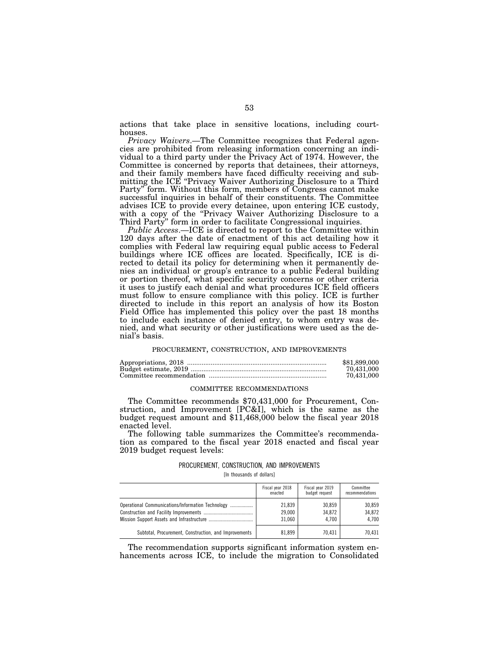actions that take place in sensitive locations, including courthouses.

*Privacy Waivers*.—The Committee recognizes that Federal agencies are prohibited from releasing information concerning an individual to a third party under the Privacy Act of 1974. However, the Committee is concerned by reports that detainees, their attorneys, and their family members have faced difficulty receiving and submitting the ICE ''Privacy Waiver Authorizing Disclosure to a Third Party'' form. Without this form, members of Congress cannot make successful inquiries in behalf of their constituents. The Committee advises ICE to provide every detainee, upon entering ICE custody, with a copy of the ''Privacy Waiver Authorizing Disclosure to a Third Party'' form in order to facilitate Congressional inquiries.

*Public Access*.—ICE is directed to report to the Committee within 120 days after the date of enactment of this act detailing how it complies with Federal law requiring equal public access to Federal buildings where ICE offices are located. Specifically, ICE is directed to detail its policy for determining when it permanently denies an individual or group's entrance to a public Federal building or portion thereof, what specific security concerns or other criteria it uses to justify each denial and what procedures ICE field officers must follow to ensure compliance with this policy. ICE is further directed to include in this report an analysis of how its Boston Field Office has implemented this policy over the past 18 months to include each instance of denied entry, to whom entry was denied, and what security or other justifications were used as the denial's basis.

#### PROCUREMENT, CONSTRUCTION, AND IMPROVEMENTS

| \$81.899,000 |
|--------------|
| 70.431.000   |
| 70.431.000   |

#### COMMITTEE RECOMMENDATIONS

The Committee recommends \$70,431,000 for Procurement, Construction, and Improvement [PC&I], which is the same as the budget request amount and \$11,468,000 below the fiscal year 2018 enacted level.

The following table summarizes the Committee's recommendation as compared to the fiscal year 2018 enacted and fiscal year 2019 budget request levels:

#### PROCUREMENT, CONSTRUCTION, AND IMPROVEMENTS

[In thousands of dollars]

|                                                        | Fiscal year 2018<br>enacted | Fiscal year 2019<br>budget request | Committee<br>recommendations |
|--------------------------------------------------------|-----------------------------|------------------------------------|------------------------------|
| Operational Communications/Information Technology<br>. | 21.839<br>29.000<br>31.060  | 30.859<br>34.872<br>4.700          | 30.859<br>34.872<br>4.700    |
| Subtotal, Procurement, Construction, and Improvements  | 81.899                      | 70.431                             | 70.431                       |

The recommendation supports significant information system enhancements across ICE, to include the migration to Consolidated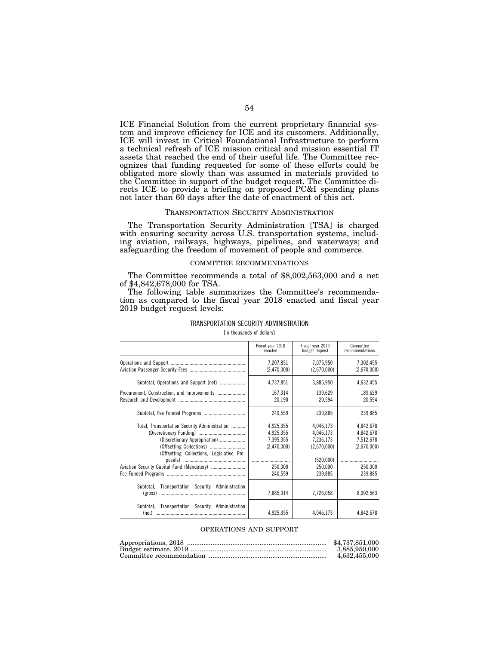ICE Financial Solution from the current proprietary financial system and improve efficiency for ICE and its customers. Additionally, ICE will invest in Critical Foundational Infrastructure to perform a technical refresh of ICE mission critical and mission essential IT assets that reached the end of their useful life. The Committee recognizes that funding requested for some of these efforts could be obligated more slowly than was assumed in materials provided to the Committee in support of the budget request. The Committee directs ICE to provide a briefing on proposed PC&I spending plans not later than 60 days after the date of enactment of this act.

#### TRANSPORTATION SECURITY ADMINISTRATION

The Transportation Security Administration [TSA] is charged with ensuring security across U.S. transportation systems, including aviation, railways, highways, pipelines, and waterways; and safeguarding the freedom of movement of people and commerce.

## COMMITTEE RECOMMENDATIONS

The Committee recommends a total of \$8,002,563,000 and a net of \$4,842,678,000 for TSA.

The following table summarizes the Committee's recommendation as compared to the fiscal year 2018 enacted and fiscal year 2019 budget request levels:

|                                                                                                                             | Fiscal year 2018<br>enacted                        | Fiscal vear 2019<br>budget request                              | Committee<br>recommendations                       |
|-----------------------------------------------------------------------------------------------------------------------------|----------------------------------------------------|-----------------------------------------------------------------|----------------------------------------------------|
|                                                                                                                             | 7,207,851<br>(2,470,000)                           | 7,075,950<br>(2,670,000)                                        | 7,302,455<br>(2,670,000)                           |
| Subtotal, Operations and Support (net)                                                                                      | 4,737,851                                          | 3,885,950                                                       | 4,632,455                                          |
|                                                                                                                             | 167,314<br>20,190                                  | 139,629<br>20,594                                               | 189,629<br>20,594                                  |
|                                                                                                                             | 240,559                                            | 239.885                                                         | 239,885                                            |
| Total, Transportation Security Administration<br>(Discretionary Appropriation)<br>(Offsetting Collections, Legislative Pro- | 4,925,355<br>4,925,355<br>7,395,355<br>(2,470,000) | 4,046,173<br>4,046,173<br>7,236,173<br>(2,670,000)<br>(520,000) | 4,842,678<br>4,842,678<br>7,512,678<br>(2,670,000) |
|                                                                                                                             | 250,000<br>240,559                                 | 250,000<br>239,885                                              | 250,000<br>239,885                                 |
| Subtotal,<br>Transportation Security Administration                                                                         | 7,885,914                                          | 7,726,058                                                       | 8,002,563                                          |
| <b>Transportation Security</b><br>Administration<br>Subtotal.<br>(net)                                                      | 4,925,355                                          | 4,046,173                                                       | 4,842,678                                          |

# TRANSPORTATION SECURITY ADMINISTRATION

[In thousands of dollars]

#### OPERATIONS AND SUPPORT

| \$4,737,851,000 |
|-----------------|
| 3.885.950.000   |
| 4.632.455.000   |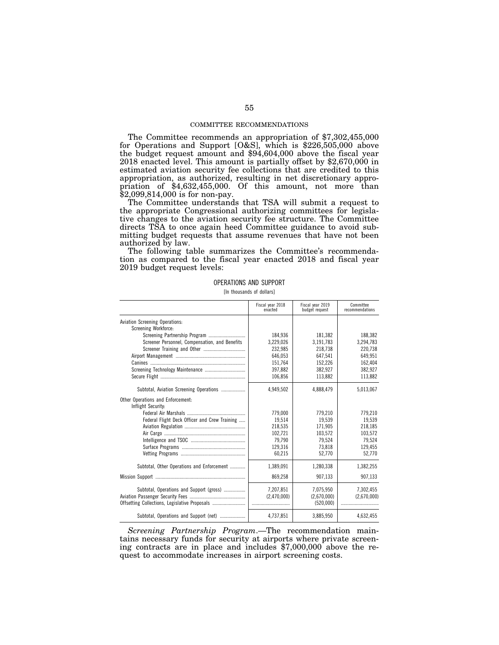#### COMMITTEE RECOMMENDATIONS

The Committee recommends an appropriation of \$7,302,455,000 for Operations and Support [O&S], which is \$226,505,000 above the budget request amount and \$94,604,000 above the fiscal year 2018 enacted level. This amount is partially offset by \$2,670,000 in estimated aviation security fee collections that are credited to this appropriation, as authorized, resulting in net discretionary appropriation of \$4,632,455,000. Of this amount, not more than \$2,099,814,000 is for non-pay.

The Committee understands that TSA will submit a request to the appropriate Congressional authorizing committees for legislative changes to the aviation security fee structure. The Committee directs TSA to once again heed Committee guidance to avoid submitting budget requests that assume revenues that have not been authorized by law.

The following table summarizes the Committee's recommendation as compared to the fiscal year enacted 2018 and fiscal year 2019 budget request levels:

OPERATIONS AND SUPPORT of dollars<sup>1</sup>

|                                                         | Fiscal year 2018<br>enacted | Fiscal year 2019<br>budget request | Committee<br>recommendations |
|---------------------------------------------------------|-----------------------------|------------------------------------|------------------------------|
| <b>Aviation Screening Operations:</b>                   |                             |                                    |                              |
| Screening Workforce:                                    |                             |                                    |                              |
| Screening Partnership Program                           | 184,936                     | 181,382                            | 188,382                      |
| Screener Personnel, Compensation, and Benefits          | 3,229,026                   | 3,191,783                          | 3,294,783                    |
|                                                         | 232,985                     | 218,738                            | 220,738                      |
|                                                         | 646,053                     | 647.541                            | 649,951                      |
|                                                         | 151,764                     | 152,226                            | 162,404                      |
|                                                         | 397,882                     | 382,927                            | 382,927                      |
|                                                         | 106,856                     | 113,882                            | 113,882                      |
| Subtotal, Aviation Screening Operations                 | 4,949,502                   | 4,888,479                          | 5,013,067                    |
| Other Operations and Enforcement:<br>Inflight Security: |                             |                                    |                              |
|                                                         | 779,000                     | 779.210                            | 779,210                      |
| Federal Flight Deck Officer and Crew Training           | 19.514                      | 19.539                             | 19.539                       |
|                                                         | 218,535                     | 171.905                            | 218.185                      |
|                                                         | 102,721                     | 103,572                            | 103,572                      |
|                                                         | 79.790                      | 79.524                             | 79,524                       |
|                                                         | 129.316                     | 73.818                             | 129,455                      |
|                                                         | 60,215                      | 52,770                             | 52,770                       |
| Subtotal, Other Operations and Enforcement              | 1,389,091                   | 1,280,338                          | 1,382,255                    |
|                                                         | 869,258                     | 907,133                            | 907,133                      |
| Subtotal, Operations and Support (gross)                | 7,207,851                   | 7,075,950                          | 7,302,455                    |
|                                                         | (2.470.000)                 | (2,670,000)                        | (2.670.000)                  |
|                                                         |                             | (520,000)                          |                              |
| Subtotal, Operations and Support (net)                  | 4,737,851                   | 3,885,950                          | 4,632,455                    |

*Screening Partnership Program*.—The recommendation maintains necessary funds for security at airports where private screening contracts are in place and includes \$7,000,000 above the request to accommodate increases in airport screening costs.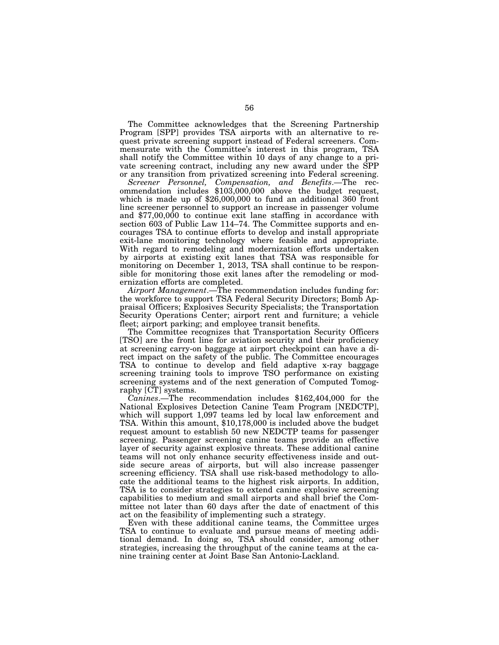The Committee acknowledges that the Screening Partnership Program [SPP] provides TSA airports with an alternative to request private screening support instead of Federal screeners. Commensurate with the Committee's interest in this program, TSA shall notify the Committee within 10 days of any change to a private screening contract, including any new award under the SPP or any transition from privatized screening into Federal screening.

*Screener Personnel, Compensation, and Benefits*.—The recommendation includes \$103,000,000 above the budget request, which is made up of \$26,000,000 to fund an additional 360 front line screener personnel to support an increase in passenger volume and \$77,00,000 to continue exit lane staffing in accordance with section 603 of Public Law 114–74. The Committee supports and encourages TSA to continue efforts to develop and install appropriate exit-lane monitoring technology where feasible and appropriate. With regard to remodeling and modernization efforts undertaken by airports at existing exit lanes that TSA was responsible for monitoring on December 1, 2013, TSA shall continue to be responsible for monitoring those exit lanes after the remodeling or modernization efforts are completed.

*Airport Management*.—The recommendation includes funding for: the workforce to support TSA Federal Security Directors; Bomb Appraisal Officers; Explosives Security Specialists; the Transportation Security Operations Center; airport rent and furniture; a vehicle fleet; airport parking; and employee transit benefits.

The Committee recognizes that Transportation Security Officers [TSO] are the front line for aviation security and their proficiency at screening carry-on baggage at airport checkpoint can have a direct impact on the safety of the public. The Committee encourages TSA to continue to develop and field adaptive x-ray baggage screening training tools to improve TSO performance on existing screening systems and of the next generation of Computed Tomography [CT] systems.

*Canines*.—The recommendation includes \$162,404,000 for the National Explosives Detection Canine Team Program [NEDCTP], which will support 1,097 teams led by local law enforcement and TSA. Within this amount, \$10,178,000 is included above the budget request amount to establish 50 new NEDCTP teams for passenger screening. Passenger screening canine teams provide an effective layer of security against explosive threats. These additional canine teams will not only enhance security effectiveness inside and outside secure areas of airports, but will also increase passenger screening efficiency. TSA shall use risk-based methodology to allocate the additional teams to the highest risk airports. In addition, TSA is to consider strategies to extend canine explosive screening capabilities to medium and small airports and shall brief the Committee not later than 60 days after the date of enactment of this act on the feasibility of implementing such a strategy.

Even with these additional canine teams, the Committee urges TSA to continue to evaluate and pursue means of meeting additional demand. In doing so, TSA should consider, among other strategies, increasing the throughput of the canine teams at the canine training center at Joint Base San Antonio-Lackland.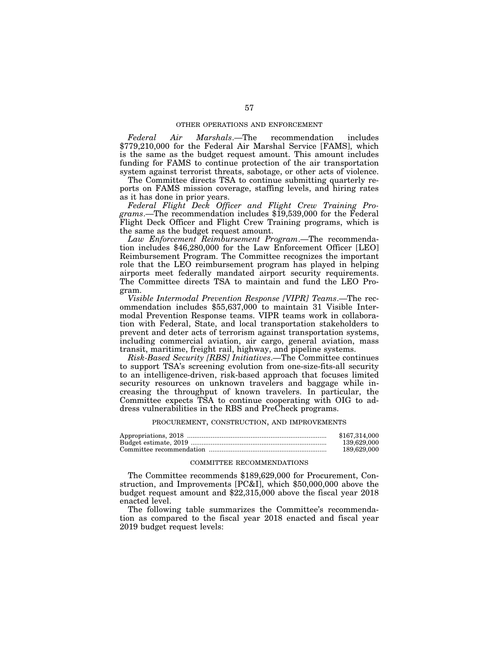#### OTHER OPERATIONS AND ENFORCEMENT

*Federal Air Marshals*.—The recommendation includes \$779,210,000 for the Federal Air Marshal Service [FAMS], which is the same as the budget request amount. This amount includes funding for FAMS to continue protection of the air transportation system against terrorist threats, sabotage, or other acts of violence.

The Committee directs TSA to continue submitting quarterly reports on FAMS mission coverage, staffing levels, and hiring rates as it has done in prior years.

*Federal Flight Deck Officer and Flight Crew Training Programs*.—The recommendation includes \$19,539,000 for the Federal Flight Deck Officer and Flight Crew Training programs, which is the same as the budget request amount.

*Law Enforcement Reimbursement Program*.—The recommendation includes \$46,280,000 for the Law Enforcement Officer [LEO] Reimbursement Program. The Committee recognizes the important role that the LEO reimbursement program has played in helping airports meet federally mandated airport security requirements. The Committee directs TSA to maintain and fund the LEO Program.

*Visible Intermodal Prevention Response [VIPR] Teams*.—The recommendation includes \$55,637,000 to maintain 31 Visible Intermodal Prevention Response teams. VIPR teams work in collaboration with Federal, State, and local transportation stakeholders to prevent and deter acts of terrorism against transportation systems, including commercial aviation, air cargo, general aviation, mass transit, maritime, freight rail, highway, and pipeline systems.

*Risk-Based Security [RBS] Initiatives*.—The Committee continues to support TSA's screening evolution from one-size-fits-all security to an intelligence-driven, risk-based approach that focuses limited security resources on unknown travelers and baggage while increasing the throughput of known travelers. In particular, the Committee expects TSA to continue cooperating with OIG to address vulnerabilities in the RBS and PreCheck programs.

#### PROCUREMENT, CONSTRUCTION, AND IMPROVEMENTS

| \$167.314.000 |
|---------------|
| 139.629.000   |
| 189.629.000   |

## COMMITTEE RECOMMENDATIONS

The Committee recommends \$189,629,000 for Procurement, Construction, and Improvements [PC&I], which \$50,000,000 above the budget request amount and \$22,315,000 above the fiscal year 2018 enacted level.

The following table summarizes the Committee's recommendation as compared to the fiscal year 2018 enacted and fiscal year 2019 budget request levels: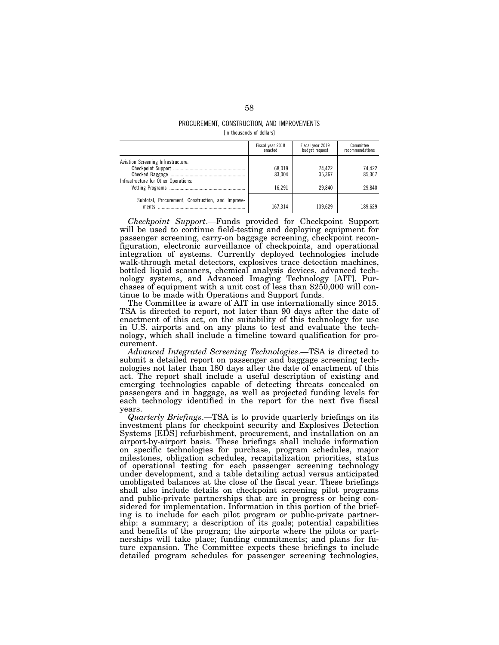#### PROCUREMENT, CONSTRUCTION, AND IMPROVEMENTS [In thousands of dollars]

|                                                                            | Fiscal year 2018<br>enacted | Fiscal year 2019<br>budget request | Committee<br>recommendations |
|----------------------------------------------------------------------------|-----------------------------|------------------------------------|------------------------------|
| Aviation Screening Infrastructure:<br>Infrastructure for Other Operations: | 68.019<br>83.004<br>16.291  | 74.422<br>35.367<br>29.840         | 74.422<br>85.367<br>29.840   |
| Subtotal, Procurement, Construction, and Improve-<br>ments                 | 167.314                     | 139.629                            | 189.629                      |

*Checkpoint Support*.—Funds provided for Checkpoint Support will be used to continue field-testing and deploying equipment for passenger screening, carry-on baggage screening, checkpoint reconfiguration, electronic surveillance of checkpoints, and operational integration of systems. Currently deployed technologies include walk-through metal detectors, explosives trace detection machines, bottled liquid scanners, chemical analysis devices, advanced technology systems, and Advanced Imaging Technology [AIT]. Purchases of equipment with a unit cost of less than \$250,000 will continue to be made with Operations and Support funds.

The Committee is aware of AIT in use internationally since 2015. TSA is directed to report, not later than 90 days after the date of enactment of this act, on the suitability of this technology for use in U.S. airports and on any plans to test and evaluate the technology, which shall include a timeline toward qualification for procurement.

*Advanced Integrated Screening Technologies*.—TSA is directed to submit a detailed report on passenger and baggage screening technologies not later than 180 days after the date of enactment of this act. The report shall include a useful description of existing and emerging technologies capable of detecting threats concealed on passengers and in baggage, as well as projected funding levels for each technology identified in the report for the next five fiscal years.

*Quarterly Briefings*.—TSA is to provide quarterly briefings on its investment plans for checkpoint security and Explosives Detection Systems [EDS] refurbishment, procurement, and installation on an airport-by-airport basis. These briefings shall include information on specific technologies for purchase, program schedules, major milestones, obligation schedules, recapitalization priorities, status of operational testing for each passenger screening technology under development, and a table detailing actual versus anticipated unobligated balances at the close of the fiscal year. These briefings shall also include details on checkpoint screening pilot programs and public-private partnerships that are in progress or being considered for implementation. Information in this portion of the briefing is to include for each pilot program or public-private partnership: a summary; a description of its goals; potential capabilities and benefits of the program; the airports where the pilots or partnerships will take place; funding commitments; and plans for future expansion. The Committee expects these briefings to include detailed program schedules for passenger screening technologies,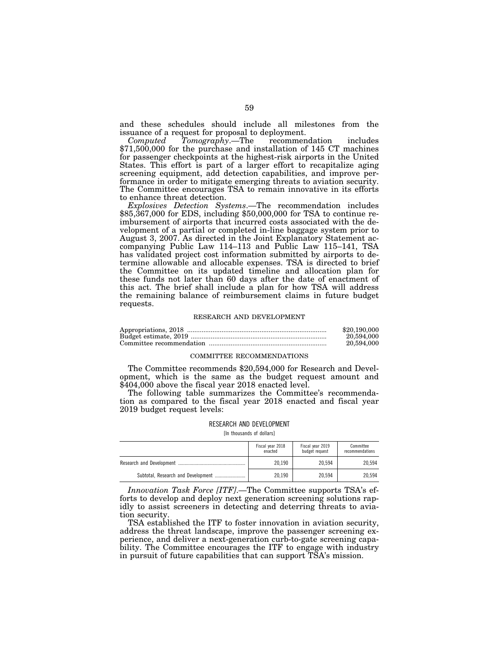and these schedules should include all milestones from the issuance of a request for proposal to deployment.

*Computed Tomography*.—The recommendation includes \$71,500,000 for the purchase and installation of 145 CT machines for passenger checkpoints at the highest-risk airports in the United States. This effort is part of a larger effort to recapitalize aging screening equipment, add detection capabilities, and improve performance in order to mitigate emerging threats to aviation security. The Committee encourages TSA to remain innovative in its efforts to enhance threat detection.

*Explosives Detection Systems*.—The recommendation includes \$85,367,000 for EDS, including \$50,000,000 for TSA to continue reimbursement of airports that incurred costs associated with the development of a partial or completed in-line baggage system prior to August 3, 2007. As directed in the Joint Explanatory Statement accompanying Public Law 114–113 and Public Law 115–141, TSA has validated project cost information submitted by airports to determine allowable and allocable expenses. TSA is directed to brief the Committee on its updated timeline and allocation plan for these funds not later than 60 days after the date of enactment of this act. The brief shall include a plan for how TSA will address the remaining balance of reimbursement claims in future budget requests.

#### RESEARCH AND DEVELOPMENT

| \$20,190,000 |
|--------------|
| 20,594,000   |
| 20,594,000   |

#### COMMITTEE RECOMMENDATIONS

The Committee recommends \$20,594,000 for Research and Development, which is the same as the budget request amount and \$404,000 above the fiscal year 2018 enacted level.

The following table summarizes the Committee's recommendation as compared to the fiscal year 2018 enacted and fiscal year 2019 budget request levels:

## RESEARCH AND DEVELOPMENT

[In thousands of dollars]

|                                    | Fiscal year 2018<br>enacted | Fiscal year 2019<br>budget request | Committee<br>recommendations |
|------------------------------------|-----------------------------|------------------------------------|------------------------------|
|                                    | 20.190                      | 20.594                             | 20.594                       |
| Subtotal, Research and Development | 20.190                      | 20.594                             | 20.594                       |

*Innovation Task Force [ITF]*.—The Committee supports TSA's efforts to develop and deploy next generation screening solutions rapidly to assist screeners in detecting and deterring threats to aviation security.

TSA established the ITF to foster innovation in aviation security, address the threat landscape, improve the passenger screening experience, and deliver a next-generation curb-to-gate screening capability. The Committee encourages the ITF to engage with industry in pursuit of future capabilities that can support TSA's mission.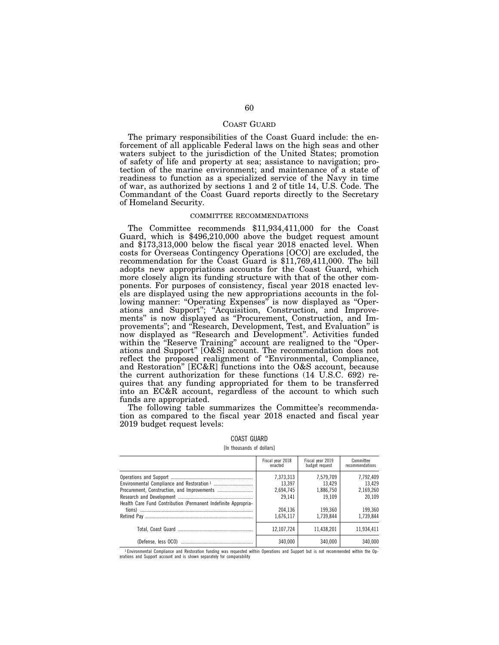## COAST GUARD

The primary responsibilities of the Coast Guard include: the enforcement of all applicable Federal laws on the high seas and other waters subject to the jurisdiction of the United States; promotion of safety of life and property at sea; assistance to navigation; protection of the marine environment; and maintenance of a state of readiness to function as a specialized service of the Navy in time of war, as authorized by sections 1 and 2 of title 14, U.S. Code. The Commandant of the Coast Guard reports directly to the Secretary of Homeland Security.

## COMMITTEE RECOMMENDATIONS

The Committee recommends \$11,934,411,000 for the Coast Guard, which is \$496,210,000 above the budget request amount and \$173,313,000 below the fiscal year 2018 enacted level. When costs for Overseas Contingency Operations [OCO] are excluded, the recommendation for the Coast Guard is  $$1,769,411,000$ . The bill adopts new appropriations accounts for the Coast Guard, which more closely align its funding structure with that of the other components. For purposes of consistency, fiscal year 2018 enacted levels are displayed using the new appropriations accounts in the following manner: "Operating Expenses" is now displayed as "Operations and Support''; ''Acquisition, Construction, and Improvements'' is now displayed as ''Procurement, Construction, and Improvements''; and ''Research, Development, Test, and Evaluation'' is now displayed as ''Research and Development''. Activities funded within the ''Reserve Training'' account are realigned to the ''Operations and Support'' [O&S] account. The recommendation does not reflect the proposed realignment of ''Environmental, Compliance, and Restoration'' [EC&R] functions into the O&S account, because the current authorization for these functions (14 U.S.C. 692) requires that any funding appropriated for them to be transferred into an EC&R account, regardless of the account to which such funds are appropriated.

The following table summarizes the Committee's recommendation as compared to the fiscal year 2018 enacted and fiscal year 2019 budget request levels:

|                                                                | Fiscal year 2018<br>enacted   | Fiscal year 2019<br>budget request | Committee<br>recommendations |
|----------------------------------------------------------------|-------------------------------|------------------------------------|------------------------------|
|                                                                | 7,373,313                     | 7,579,709<br>13.429                | 7,792,409<br>13.429          |
|                                                                | 13,397<br>2,694,745<br>29,141 | 1,886,750<br>19.109                | 2,169,260<br>20.109          |
| Health Care Fund Contribution (Permanent Indefinite Appropria- | 204.136                       | 199.360                            | 199.360                      |
|                                                                | 1,676,117                     | 1.739.844                          | 1,739,844                    |
|                                                                | 12.107.724                    | 11.438.201                         | 11.934.411                   |
|                                                                | 340.000                       | 340.000                            | 340.000                      |

#### COAST GUARD

#### [In thousands of dollars]

1 Environmental Compliance and Restoration funding was requested within Operations and Support but is not recommended within the Op-erations and Support account and is shown separately for comparability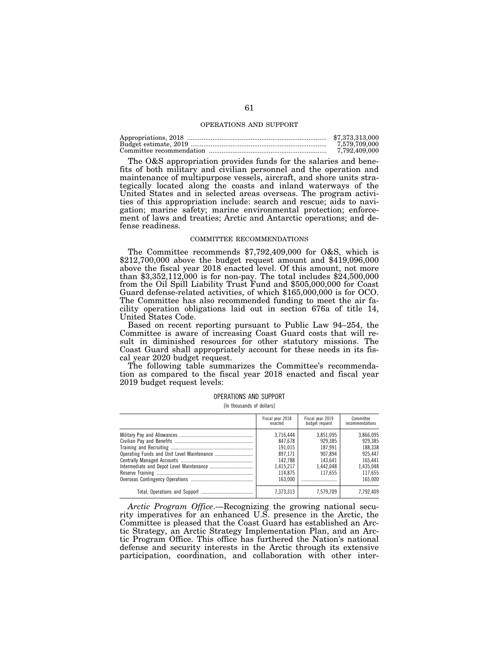#### OPERATIONS AND SUPPORT

| \$7.373.313.000 |
|-----------------|
| 7.579.709.000   |
| 7.792.409.000   |

The O&S appropriation provides funds for the salaries and benefits of both military and civilian personnel and the operation and maintenance of multipurpose vessels, aircraft, and shore units strategically located along the coasts and inland waterways of the United States and in selected areas overseas. The program activities of this appropriation include: search and rescue; aids to navigation; marine safety; marine environmental protection; enforcement of laws and treaties; Arctic and Antarctic operations; and defense readiness.

#### COMMITTEE RECOMMENDATIONS

The Committee recommends \$7,792,409,000 for O&S, which is \$212,700,000 above the budget request amount and \$419,096,000 above the fiscal year 2018 enacted level. Of this amount, not more than \$3,352,112,000 is for non-pay. The total includes \$24,500,000 from the Oil Spill Liability Trust Fund and \$505,000,000 for Coast Guard defense-related activities, of which \$165,000,000 is for OCO. The Committee has also recommended funding to meet the air facility operation obligations laid out in section 676a of title 14, United States Code.

Based on recent reporting pursuant to Public Law 94–254, the Committee is aware of increasing Coast Guard costs that will result in diminished resources for other statutory missions. The Coast Guard shall appropriately account for these needs in its fiscal year 2020 budget request.

The following table summarizes the Committee's recommendation as compared to the fiscal year 2018 enacted and fiscal year 2019 budget request levels:

[In thousands of dollars]

| Fiscal year 2018<br>enacted                                                              | Fiscal year 2019<br>budget request                                            | Committee<br>recommendations                                                             |
|------------------------------------------------------------------------------------------|-------------------------------------------------------------------------------|------------------------------------------------------------------------------------------|
| 3.716.444<br>847.678<br>191.015<br>897.171<br>142.788<br>1,415,217<br>114.875<br>163.000 | 3.851.095<br>929.385<br>187.991<br>907.894<br>143.641<br>1.442.048<br>117.655 | 3.866.095<br>929.385<br>188.338<br>925.447<br>165.441<br>1.435.048<br>117.655<br>165.000 |
| 7.373.313                                                                                | 7.579.709                                                                     | 7.792.409                                                                                |

*Arctic Program Office*.—Recognizing the growing national security imperatives for an enhanced U.S. presence in the Arctic, the Committee is pleased that the Coast Guard has established an Arctic Strategy, an Arctic Strategy Implementation Plan, and an Arctic Program Office. This office has furthered the Nation's national defense and security interests in the Arctic through its extensive participation, coordination, and collaboration with other inter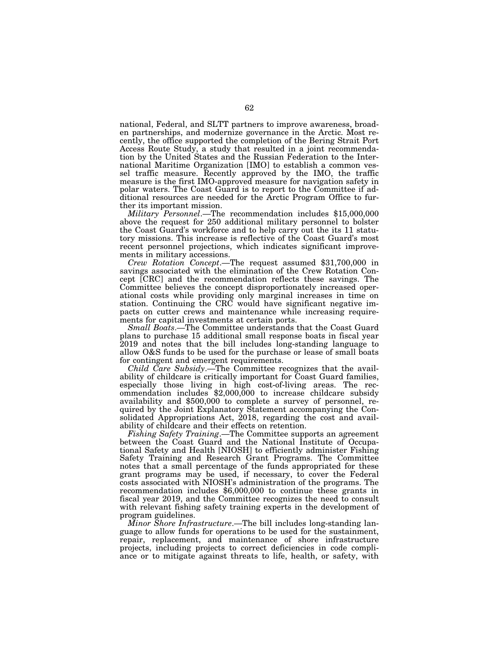national, Federal, and SLTT partners to improve awareness, broaden partnerships, and modernize governance in the Arctic. Most recently, the office supported the completion of the Bering Strait Port Access Route Study, a study that resulted in a joint recommendation by the United States and the Russian Federation to the International Maritime Organization [IMO] to establish a common vessel traffic measure. Recently approved by the IMO, the traffic measure is the first IMO-approved measure for navigation safety in polar waters. The Coast Guard is to report to the Committee if additional resources are needed for the Arctic Program Office to further its important mission.

*Military Personnel*.—The recommendation includes \$15,000,000 above the request for 250 additional military personnel to bolster the Coast Guard's workforce and to help carry out the its 11 statutory missions. This increase is reflective of the Coast Guard's most recent personnel projections, which indicates significant improvements in military accessions.

*Crew Rotation Concept*.—The request assumed \$31,700,000 in savings associated with the elimination of the Crew Rotation Concept [CRC] and the recommendation reflects these savings. The Committee believes the concept disproportionately increased operational costs while providing only marginal increases in time on station. Continuing the CRC would have significant negative impacts on cutter crews and maintenance while increasing requirements for capital investments at certain ports.

*Small Boats*.—The Committee understands that the Coast Guard plans to purchase 15 additional small response boats in fiscal year 2019 and notes that the bill includes long-standing language to allow O&S funds to be used for the purchase or lease of small boats for contingent and emergent requirements.

*Child Care Subsidy*.—The Committee recognizes that the availability of childcare is critically important for Coast Guard families, especially those living in high cost-of-living areas. The recommendation includes \$2,000,000 to increase childcare subsidy availability and \$500,000 to complete a survey of personnel, required by the Joint Explanatory Statement accompanying the Consolidated Appropriations Act, 2018, regarding the cost and availability of childcare and their effects on retention.

*Fishing Safety Training*.—The Committee supports an agreement between the Coast Guard and the National Institute of Occupational Safety and Health [NIOSH] to efficiently administer Fishing Safety Training and Research Grant Programs. The Committee notes that a small percentage of the funds appropriated for these grant programs may be used, if necessary, to cover the Federal costs associated with NIOSH's administration of the programs. The recommendation includes \$6,000,000 to continue these grants in fiscal year 2019, and the Committee recognizes the need to consult with relevant fishing safety training experts in the development of program guidelines.

*Minor Shore Infrastructure*.—The bill includes long-standing language to allow funds for operations to be used for the sustainment, repair, replacement, and maintenance of shore infrastructure projects, including projects to correct deficiencies in code compliance or to mitigate against threats to life, health, or safety, with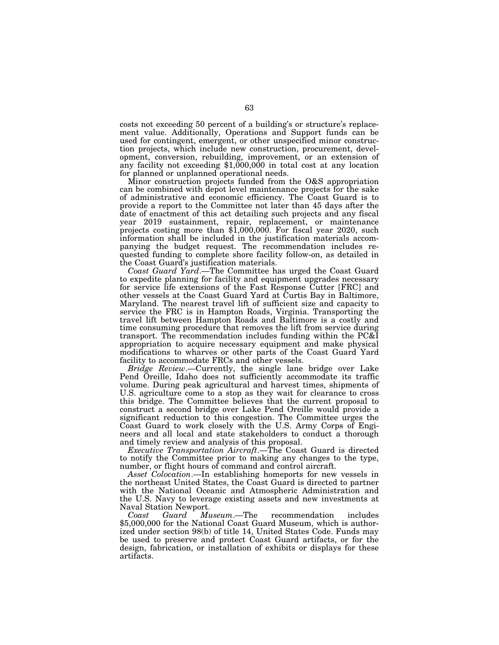costs not exceeding 50 percent of a building's or structure's replacement value. Additionally, Operations and Support funds can be used for contingent, emergent, or other unspecified minor construction projects, which include new construction, procurement, development, conversion, rebuilding, improvement, or an extension of any facility not exceeding \$1,000,000 in total cost at any location for planned or unplanned operational needs.

Minor construction projects funded from the O&S appropriation can be combined with depot level maintenance projects for the sake of administrative and economic efficiency. The Coast Guard is to provide a report to the Committee not later than 45 days after the date of enactment of this act detailing such projects and any fiscal year 2019 sustainment, repair, replacement, or maintenance projects costing more than \$1,000,000. For fiscal year 2020, such information shall be included in the justification materials accompanying the budget request. The recommendation includes requested funding to complete shore facility follow-on, as detailed in the Coast Guard's justification materials.

*Coast Guard Yard*.—The Committee has urged the Coast Guard to expedite planning for facility and equipment upgrades necessary for service life extensions of the Fast Response Cutter [FRC] and other vessels at the Coast Guard Yard at Curtis Bay in Baltimore, Maryland. The nearest travel lift of sufficient size and capacity to service the FRC is in Hampton Roads, Virginia. Transporting the travel lift between Hampton Roads and Baltimore is a costly and time consuming procedure that removes the lift from service during transport. The recommendation includes funding within the PC&I appropriation to acquire necessary equipment and make physical modifications to wharves or other parts of the Coast Guard Yard facility to accommodate FRCs and other vessels.

*Bridge Review*.—Currently, the single lane bridge over Lake Pend Oreille, Idaho does not sufficiently accommodate its traffic volume. During peak agricultural and harvest times, shipments of U.S. agriculture come to a stop as they wait for clearance to cross this bridge. The Committee believes that the current proposal to construct a second bridge over Lake Pend Oreille would provide a significant reduction to this congestion. The Committee urges the Coast Guard to work closely with the U.S. Army Corps of Engineers and all local and state stakeholders to conduct a thorough and timely review and analysis of this proposal.

*Executive Transportation Aircraft*.—The Coast Guard is directed to notify the Committee prior to making any changes to the type, number, or flight hours of command and control aircraft.

*Asset Colocation*.—In establishing homeports for new vessels in the northeast United States, the Coast Guard is directed to partner with the National Oceanic and Atmospheric Administration and the U.S. Navy to leverage existing assets and new investments at Naval Station Newport.<br>Coast Guard Museum.—The

*Coast Guard Museum*.—The recommendation includes \$5,000,000 for the National Coast Guard Museum, which is authorized under section 98(b) of title 14, United States Code. Funds may be used to preserve and protect Coast Guard artifacts, or for the design, fabrication, or installation of exhibits or displays for these artifacts.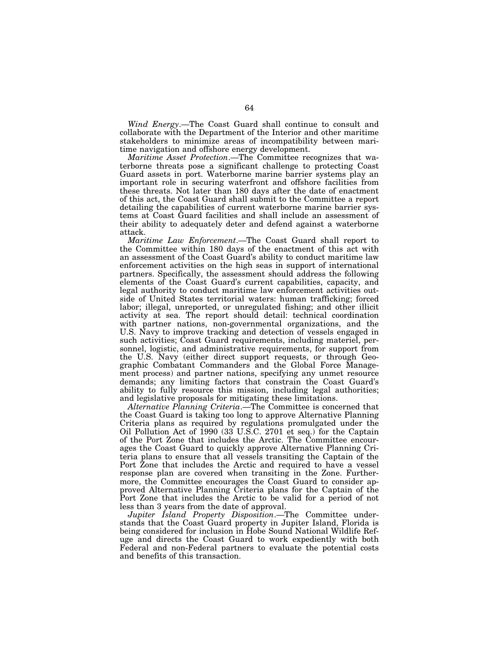*Wind Energy*.—The Coast Guard shall continue to consult and collaborate with the Department of the Interior and other maritime stakeholders to minimize areas of incompatibility between maritime navigation and offshore energy development.

*Maritime Asset Protection*.—The Committee recognizes that waterborne threats pose a significant challenge to protecting Coast Guard assets in port. Waterborne marine barrier systems play an important role in securing waterfront and offshore facilities from these threats. Not later than 180 days after the date of enactment of this act, the Coast Guard shall submit to the Committee a report detailing the capabilities of current waterborne marine barrier systems at Coast Guard facilities and shall include an assessment of their ability to adequately deter and defend against a waterborne attack.

*Maritime Law Enforcement*.—The Coast Guard shall report to the Committee within 180 days of the enactment of this act with an assessment of the Coast Guard's ability to conduct maritime law enforcement activities on the high seas in support of international partners. Specifically, the assessment should address the following elements of the Coast Guard's current capabilities, capacity, and legal authority to conduct maritime law enforcement activities outside of United States territorial waters: human trafficking; forced labor; illegal, unreported, or unregulated fishing; and other illicit activity at sea. The report should detail: technical coordination with partner nations, non-governmental organizations, and the U.S. Navy to improve tracking and detection of vessels engaged in such activities; Coast Guard requirements, including materiel, personnel, logistic, and administrative requirements, for support from the U.S. Navy (either direct support requests, or through Geographic Combatant Commanders and the Global Force Management process) and partner nations, specifying any unmet resource demands; any limiting factors that constrain the Coast Guard's ability to fully resource this mission, including legal authorities; and legislative proposals for mitigating these limitations.

*Alternative Planning Criteria*.—The Committee is concerned that the Coast Guard is taking too long to approve Alternative Planning Criteria plans as required by regulations promulgated under the Oil Pollution Act of 1990 (33 U.S.C. 2701 et seq.) for the Captain of the Port Zone that includes the Arctic. The Committee encourages the Coast Guard to quickly approve Alternative Planning Criteria plans to ensure that all vessels transiting the Captain of the Port Zone that includes the Arctic and required to have a vessel response plan are covered when transiting in the Zone. Furthermore, the Committee encourages the Coast Guard to consider approved Alternative Planning Criteria plans for the Captain of the Port Zone that includes the Arctic to be valid for a period of not less than 3 years from the date of approval.

*Jupiter Island Property Disposition*.—The Committee understands that the Coast Guard property in Jupiter Island, Florida is being considered for inclusion in Hobe Sound National Wildlife Refuge and directs the Coast Guard to work expediently with both Federal and non-Federal partners to evaluate the potential costs and benefits of this transaction.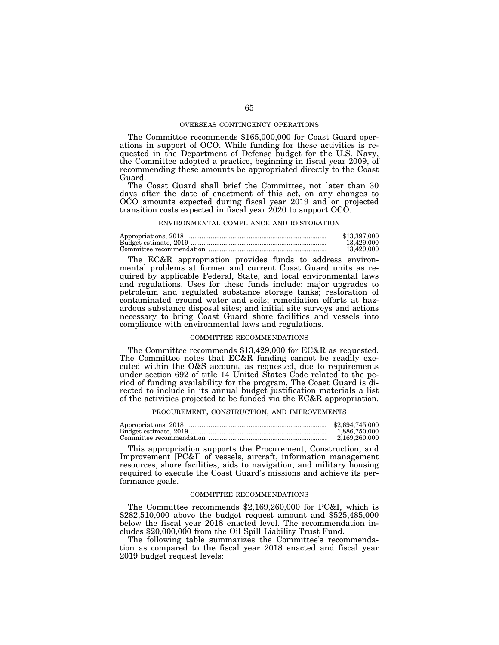#### OVERSEAS CONTINGENCY OPERATIONS

The Committee recommends \$165,000,000 for Coast Guard operations in support of OCO. While funding for these activities is requested in the Department of Defense budget for the U.S. Navy, the Committee adopted a practice, beginning in fiscal year 2009, of recommending these amounts be appropriated directly to the Coast Guard.

The Coast Guard shall brief the Committee, not later than 30 days after the date of enactment of this act, on any changes to OCO amounts expected during fiscal year 2019 and on projected transition costs expected in fiscal year 2020 to support OCO.

#### ENVIRONMENTAL COMPLIANCE AND RESTORATION

| \$13,397,000 |
|--------------|
| 13.429.000   |
| 13.429.000   |

The EC&R appropriation provides funds to address environmental problems at former and current Coast Guard units as required by applicable Federal, State, and local environmental laws and regulations. Uses for these funds include: major upgrades to petroleum and regulated substance storage tanks; restoration of contaminated ground water and soils; remediation efforts at hazardous substance disposal sites; and initial site surveys and actions necessary to bring Coast Guard shore facilities and vessels into compliance with environmental laws and regulations.

#### COMMITTEE RECOMMENDATIONS

The Committee recommends \$13,429,000 for EC&R as requested. The Committee notes that EC&R funding cannot be readily executed within the O&S account, as requested, due to requirements under section 692 of title 14 United States Code related to the period of funding availability for the program. The Coast Guard is directed to include in its annual budget justification materials a list of the activities projected to be funded via the EC&R appropriation.

## PROCUREMENT, CONSTRUCTION, AND IMPROVEMENTS

| \$2,694,745,000 |
|-----------------|
| 1.886.750.000   |
| 2.169.260.000   |

This appropriation supports the Procurement, Construction, and Improvement [PC&I] of vessels, aircraft, information management resources, shore facilities, aids to navigation, and military housing required to execute the Coast Guard's missions and achieve its performance goals.

#### COMMITTEE RECOMMENDATIONS

The Committee recommends \$2,169,260,000 for PC&I, which is \$282,510,000 above the budget request amount and \$525,485,000 below the fiscal year 2018 enacted level. The recommendation includes \$20,000,000 from the Oil Spill Liability Trust Fund.

The following table summarizes the Committee's recommendation as compared to the fiscal year 2018 enacted and fiscal year 2019 budget request levels: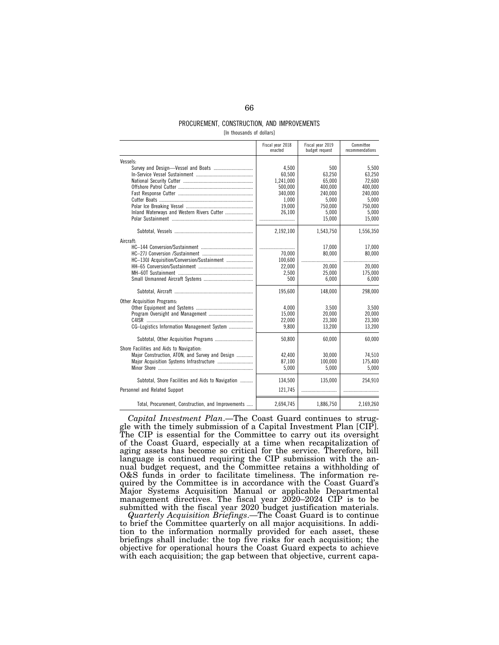## PROCUREMENT, CONSTRUCTION, AND IMPROVEMENTS

[In thousands of dollars]

|                                                         | Fiscal year 2018<br>enacted             | Fiscal year 2019<br>budget request | Committee<br>recommendations         |
|---------------------------------------------------------|-----------------------------------------|------------------------------------|--------------------------------------|
| Vessels:                                                |                                         |                                    |                                      |
|                                                         | 4,500<br>60.500<br>1,241,000<br>500,000 | 500<br>63.250<br>65.000<br>400,000 | 5.500<br>63.250<br>72.600<br>400.000 |
|                                                         | 340.000                                 | 240.000                            | 240.000                              |
|                                                         | 1,000                                   | 5.000                              | 5.000                                |
|                                                         | 19.000                                  | 750,000                            | 750.000                              |
| Inland Waterways and Western Rivers Cutter              | 26,100                                  | 5.000                              | 5.000                                |
|                                                         |                                         | 15,000                             | 15,000                               |
|                                                         | 2,192,100                               | 1.543.750                          | 1,556,350                            |
| Aircraft:<br>HC-130J Acquisition/Conversion/Sustainment | <br>70,000<br>100.600                   | 17,000<br>80,000                   | 17,000<br>80,000                     |
|                                                         | 22,000                                  | 20,000                             | 20,000                               |
|                                                         | 2,500                                   | 25,000                             | 175.000                              |
|                                                         | 500                                     | 6,000                              | 6,000                                |
|                                                         | 195,600                                 | 148,000                            | 298,000                              |
| <b>Other Acquisition Programs:</b>                      |                                         |                                    |                                      |
|                                                         | 4,000                                   | 3,500                              | 3,500                                |
|                                                         | 15.000                                  | 20.000                             | 20.000                               |
|                                                         | 22,000                                  | 23,300                             | 23,300                               |
| CG-Logistics Information Management System              | 9,800                                   | 13,200                             | 13.200                               |
|                                                         | 50.800                                  | 60.000                             | 60.000                               |
| Shore Facilities and Aids to Navigation:                |                                         |                                    |                                      |
| Major Construction, ATON, and Survey and Design         | 42,400                                  | 30.000                             | 74.510                               |
|                                                         | 87,100                                  | 100.000                            | 175,400                              |
|                                                         | 5,000                                   | 5.000                              | 5.000                                |
| Subtotal, Shore Facilities and Aids to Navigation       | 134,500                                 | 135.000                            | 254.910                              |
| Personnel and Related Support                           | 121,745                                 |                                    |                                      |
| Total, Procurement, Construction, and Improvements      | 2,694,745                               | 1,886,750                          | 2,169,260                            |

*Capital Investment Plan*.—The Coast Guard continues to struggle with the timely submission of a Capital Investment Plan [CIP]. The CIP is essential for the Committee to carry out its oversight of the Coast Guard, especially at a time when recapitalization of aging assets has become so critical for the service. Therefore, bill language is continued requiring the CIP submission with the annual budget request, and the Committee retains a withholding of O&S funds in order to facilitate timeliness. The information required by the Committee is in accordance with the Coast Guard's Major Systems Acquisition Manual or applicable Departmental management directives. The fiscal year 2020–2024 CIP is to be submitted with the fiscal year 2020 budget justification materials.

*Quarterly Acquisition Briefings*.—The Coast Guard is to continue to brief the Committee quarterly on all major acquisitions. In addition to the information normally provided for each asset, these briefings shall include: the top five risks for each acquisition; the objective for operational hours the Coast Guard expects to achieve with each acquisition; the gap between that objective, current capa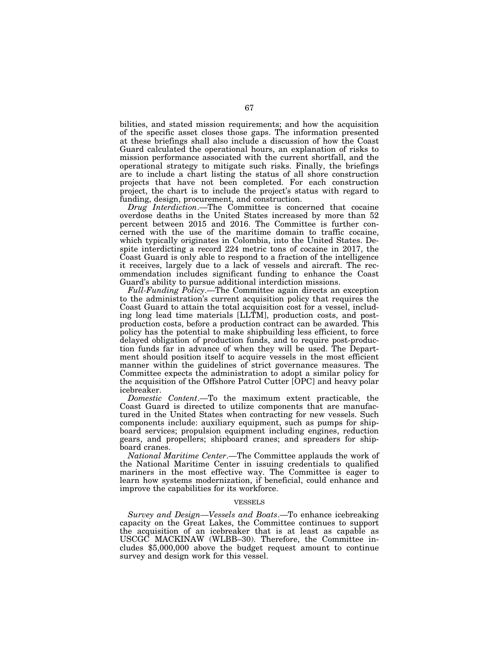bilities, and stated mission requirements; and how the acquisition of the specific asset closes those gaps. The information presented at these briefings shall also include a discussion of how the Coast Guard calculated the operational hours, an explanation of risks to mission performance associated with the current shortfall, and the operational strategy to mitigate such risks. Finally, the briefings are to include a chart listing the status of all shore construction projects that have not been completed. For each construction project, the chart is to include the project's status with regard to funding, design, procurement, and construction.

*Drug Interdiction*.—The Committee is concerned that cocaine overdose deaths in the United States increased by more than 52 percent between 2015 and 2016. The Committee is further concerned with the use of the maritime domain to traffic cocaine, which typically originates in Colombia, into the United States. Despite interdicting a record 224 metric tons of cocaine in 2017, the Coast Guard is only able to respond to a fraction of the intelligence it receives, largely due to a lack of vessels and aircraft. The recommendation includes significant funding to enhance the Coast Guard's ability to pursue additional interdiction missions.

*Full-Funding Policy*.—The Committee again directs an exception to the administration's current acquisition policy that requires the Coast Guard to attain the total acquisition cost for a vessel, including long lead time materials [LLTM], production costs, and postproduction costs, before a production contract can be awarded. This policy has the potential to make shipbuilding less efficient, to force delayed obligation of production funds, and to require post-production funds far in advance of when they will be used. The Department should position itself to acquire vessels in the most efficient manner within the guidelines of strict governance measures. The Committee expects the administration to adopt a similar policy for the acquisition of the Offshore Patrol Cutter [OPC] and heavy polar icebreaker.

*Domestic Content*.—To the maximum extent practicable, the Coast Guard is directed to utilize components that are manufactured in the United States when contracting for new vessels. Such components include: auxiliary equipment, such as pumps for shipboard services; propulsion equipment including engines, reduction gears, and propellers; shipboard cranes; and spreaders for shipboard cranes.

*National Maritime Center*.—The Committee applauds the work of the National Maritime Center in issuing credentials to qualified mariners in the most effective way. The Committee is eager to learn how systems modernization, if beneficial, could enhance and improve the capabilities for its workforce.

#### VESSELS

*Survey and Design—Vessels and Boats*.—To enhance icebreaking capacity on the Great Lakes, the Committee continues to support the acquisition of an icebreaker that is at least as capable as USCGC MACKINAW (WLBB–30). Therefore, the Committee includes \$5,000,000 above the budget request amount to continue survey and design work for this vessel.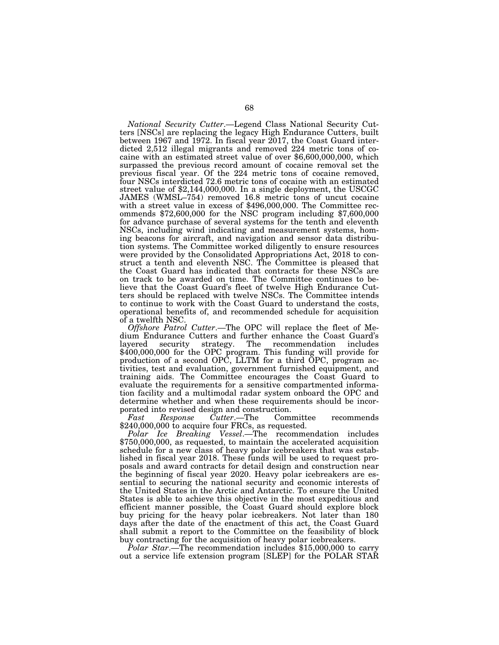*National Security Cutter*.—Legend Class National Security Cutters [NSCs] are replacing the legacy High Endurance Cutters, built between 1967 and 1972. In fiscal year 2017, the Coast Guard interdicted 2,512 illegal migrants and removed 224 metric tons of cocaine with an estimated street value of over \$6,600,000,000, which surpassed the previous record amount of cocaine removal set the previous fiscal year. Of the 224 metric tons of cocaine removed, four NSCs interdicted 72.6 metric tons of cocaine with an estimated street value of \$2,144,000,000. In a single deployment, the USCGC JAMES (WMSL–754) removed 16.8 metric tons of uncut cocaine with a street value in excess of \$496,000,000. The Committee recommends \$72,600,000 for the NSC program including \$7,600,000 for advance purchase of several systems for the tenth and eleventh NSCs, including wind indicating and measurement systems, homing beacons for aircraft, and navigation and sensor data distribution systems. The Committee worked diligently to ensure resources were provided by the Consolidated Appropriations Act, 2018 to construct a tenth and eleventh NSC. The Committee is pleased that the Coast Guard has indicated that contracts for these NSCs are on track to be awarded on time. The Committee continues to believe that the Coast Guard's fleet of twelve High Endurance Cutters should be replaced with twelve NSCs. The Committee intends to continue to work with the Coast Guard to understand the costs, operational benefits of, and recommended schedule for acquisition of a twelfth NSC.

*Offshore Patrol Cutter*.—The OPC will replace the fleet of Medium Endurance Cutters and further enhance the Coast Guard's<br>layered security strategy. The recommendation includes strategy. The recommendation includes \$400,000,000 for the OPC program. This funding will provide for production of a second OPC, LLTM for a third OPC, program activities, test and evaluation, government furnished equipment, and training aids. The Committee encourages the Coast Guard to evaluate the requirements for a sensitive compartmented information facility and a multimodal radar system onboard the OPC and determine whether and when these requirements should be incor-

porated into revised design and construction.<br>Fast Response Cutter.—The Committee *Fast Response Cutter*.—The Committee recommends \$240,000,000 to acquire four FRCs, as requested.

*Polar Ice Breaking Vessel*.—The recommendation includes \$750,000,000, as requested, to maintain the accelerated acquisition schedule for a new class of heavy polar icebreakers that was established in fiscal year 2018. These funds will be used to request proposals and award contracts for detail design and construction near the beginning of fiscal year 2020. Heavy polar icebreakers are essential to securing the national security and economic interests of the United States in the Arctic and Antarctic. To ensure the United States is able to achieve this objective in the most expeditious and efficient manner possible, the Coast Guard should explore block buy pricing for the heavy polar icebreakers. Not later than 180 days after the date of the enactment of this act, the Coast Guard shall submit a report to the Committee on the feasibility of block buy contracting for the acquisition of heavy polar icebreakers.

*Polar Star*.—The recommendation includes \$15,000,000 to carry out a service life extension program [SLEP] for the POLAR STAR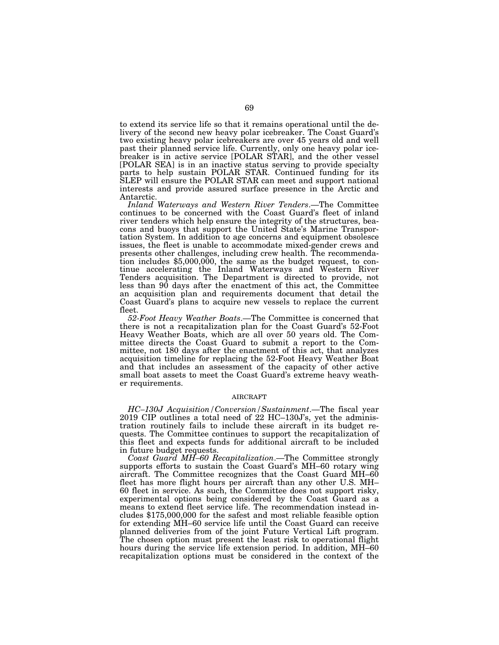to extend its service life so that it remains operational until the delivery of the second new heavy polar icebreaker. The Coast Guard's two existing heavy polar icebreakers are over 45 years old and well past their planned service life. Currently, only one heavy polar icebreaker is in active service [POLAR STAR], and the other vessel [POLAR SEA] is in an inactive status serving to provide specialty parts to help sustain POLAR STAR. Continued funding for its SLEP will ensure the POLAR STAR can meet and support national interests and provide assured surface presence in the Arctic and Antarctic.

*Inland Waterways and Western River Tenders*.—The Committee continues to be concerned with the Coast Guard's fleet of inland river tenders which help ensure the integrity of the structures, beacons and buoys that support the United State's Marine Transportation System. In addition to age concerns and equipment obsolesce issues, the fleet is unable to accommodate mixed-gender crews and presents other challenges, including crew health. The recommendation includes \$5,000,000, the same as the budget request, to continue accelerating the Inland Waterways and Western River Tenders acquisition. The Department is directed to provide, not less than 90 days after the enactment of this act, the Committee an acquisition plan and requirements document that detail the Coast Guard's plans to acquire new vessels to replace the current fleet.

*52-Foot Heavy Weather Boats*.—The Committee is concerned that there is not a recapitalization plan for the Coast Guard's 52-Foot Heavy Weather Boats, which are all over 50 years old. The Committee directs the Coast Guard to submit a report to the Committee, not 180 days after the enactment of this act, that analyzes acquisition timeline for replacing the 52-Foot Heavy Weather Boat and that includes an assessment of the capacity of other active small boat assets to meet the Coast Guard's extreme heavy weather requirements.

#### AIRCRAFT

*HC–130J Acquisition/Conversion/Sustainment*.—The fiscal year 2019 CIP outlines a total need of 22 HC–130J's, yet the administration routinely fails to include these aircraft in its budget requests. The Committee continues to support the recapitalization of this fleet and expects funds for additional aircraft to be included in future budget requests.

*Coast Guard MH–60 Recapitalization*.—The Committee strongly supports efforts to sustain the Coast Guard's MH–60 rotary wing aircraft. The Committee recognizes that the Coast Guard MH–60 fleet has more flight hours per aircraft than any other U.S. MH– 60 fleet in service. As such, the Committee does not support risky, experimental options being considered by the Coast Guard as a means to extend fleet service life. The recommendation instead includes \$175,000,000 for the safest and most reliable feasible option for extending MH–60 service life until the Coast Guard can receive planned deliveries from of the joint Future Vertical Lift program. The chosen option must present the least risk to operational flight hours during the service life extension period. In addition, MH–60 recapitalization options must be considered in the context of the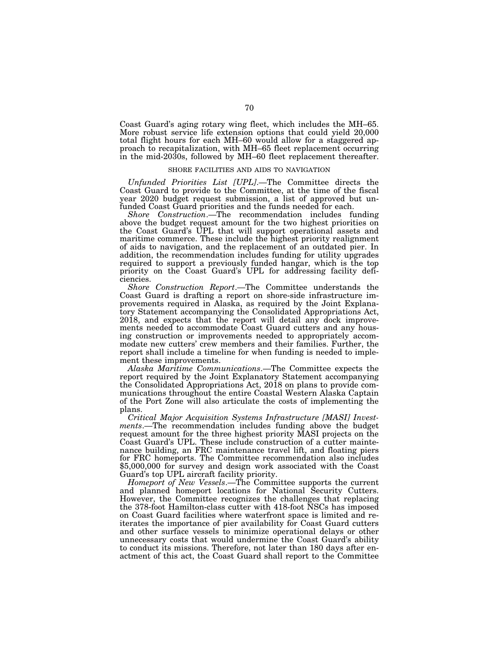Coast Guard's aging rotary wing fleet, which includes the MH–65. More robust service life extension options that could yield 20,000 total flight hours for each MH–60 would allow for a staggered approach to recapitalization, with MH–65 fleet replacement occurring in the mid-2030s, followed by MH–60 fleet replacement thereafter.

## SHORE FACILITIES AND AIDS TO NAVIGATION

*Unfunded Priorities List [UPL]*.—The Committee directs the Coast Guard to provide to the Committee, at the time of the fiscal year 2020 budget request submission, a list of approved but unfunded Coast Guard priorities and the funds needed for each.

*Shore Construction*.—The recommendation includes funding above the budget request amount for the two highest priorities on the Coast Guard's UPL that will support operational assets and maritime commerce. These include the highest priority realignment of aids to navigation, and the replacement of an outdated pier. In addition, the recommendation includes funding for utility upgrades required to support a previously funded hangar, which is the top priority on the Coast Guard's UPL for addressing facility deficiencies.

*Shore Construction Report*.—The Committee understands the Coast Guard is drafting a report on shore-side infrastructure improvements required in Alaska, as required by the Joint Explanatory Statement accompanying the Consolidated Appropriations Act, 2018, and expects that the report will detail any dock improvements needed to accommodate Coast Guard cutters and any housing construction or improvements needed to appropriately accommodate new cutters' crew members and their families. Further, the report shall include a timeline for when funding is needed to implement these improvements.

*Alaska Maritime Communications*.—The Committee expects the report required by the Joint Explanatory Statement accompanying the Consolidated Appropriations Act, 2018 on plans to provide communications throughout the entire Coastal Western Alaska Captain of the Port Zone will also articulate the costs of implementing the plans.

*Critical Major Acquisition Systems Infrastructure [MASI] Investments*.—The recommendation includes funding above the budget request amount for the three highest priority MASI projects on the Coast Guard's UPL. These include construction of a cutter maintenance building, an FRC maintenance travel lift, and floating piers for FRC homeports. The Committee recommendation also includes \$5,000,000 for survey and design work associated with the Coast Guard's top UPL aircraft facility priority.

*Homeport of New Vessels*.—The Committee supports the current and planned homeport locations for National Security Cutters. However, the Committee recognizes the challenges that replacing the 378-foot Hamilton-class cutter with 418-foot NSCs has imposed on Coast Guard facilities where waterfront space is limited and reiterates the importance of pier availability for Coast Guard cutters and other surface vessels to minimize operational delays or other unnecessary costs that would undermine the Coast Guard's ability to conduct its missions. Therefore, not later than 180 days after enactment of this act, the Coast Guard shall report to the Committee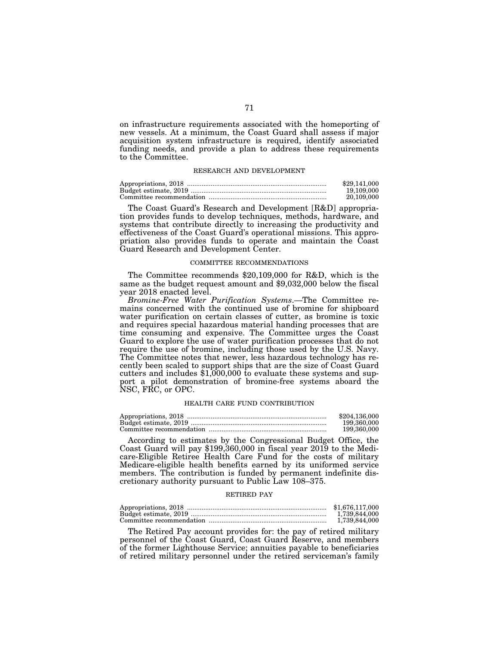on infrastructure requirements associated with the homeporting of new vessels. At a minimum, the Coast Guard shall assess if major acquisition system infrastructure is required, identify associated funding needs, and provide a plan to address these requirements to the Committee.

## RESEARCH AND DEVELOPMENT

| \$29,141,000 |
|--------------|
| 19.109.000   |
| 20.109.000   |

The Coast Guard's Research and Development [R&D] appropriation provides funds to develop techniques, methods, hardware, and systems that contribute directly to increasing the productivity and effectiveness of the Coast Guard's operational missions. This appropriation also provides funds to operate and maintain the Coast Guard Research and Development Center.

#### COMMITTEE RECOMMENDATIONS

The Committee recommends \$20,109,000 for R&D, which is the same as the budget request amount and \$9,032,000 below the fiscal year 2018 enacted level.

*Bromine-Free Water Purification Systems*.—The Committee remains concerned with the continued use of bromine for shipboard water purification on certain classes of cutter, as bromine is toxic and requires special hazardous material handing processes that are time consuming and expensive. The Committee urges the Coast Guard to explore the use of water purification processes that do not require the use of bromine, including those used by the U.S. Navy. The Committee notes that newer, less hazardous technology has recently been scaled to support ships that are the size of Coast Guard cutters and includes \$1,000,000 to evaluate these systems and support a pilot demonstration of bromine-free systems aboard the NSC, FRC, or OPC.

#### HEALTH CARE FUND CONTRIBUTION

| \$204,136,000 |
|---------------|
| 199.360.000   |
| 199.360.000   |

According to estimates by the Congressional Budget Office, the Coast Guard will pay \$199,360,000 in fiscal year 2019 to the Medicare-Eligible Retiree Health Care Fund for the costs of military Medicare-eligible health benefits earned by its uniformed service members. The contribution is funded by permanent indefinite discretionary authority pursuant to Public Law 108–375.

#### RETIRED PAY

| \$1,676,117,000 |
|-----------------|
| 1.739.844.000   |
| 1.739.844.000   |

The Retired Pay account provides for: the pay of retired military personnel of the Coast Guard, Coast Guard Reserve, and members of the former Lighthouse Service; annuities payable to beneficiaries of retired military personnel under the retired serviceman's family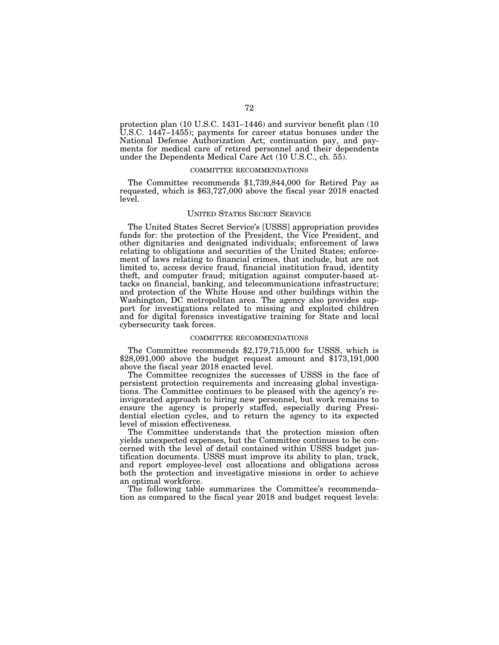protection plan (10 U.S.C. 1431–1446) and survivor benefit plan (10 U.S.C. 1447–1455); payments for career status bonuses under the National Defense Authorization Act; continuation pay, and payments for medical care of retired personnel and their dependents under the Dependents Medical Care Act (10 U.S.C., ch. 55).

## COMMITTEE RECOMMENDATIONS

The Committee recommends \$1,739,844,000 for Retired Pay as requested, which is \$63,727,000 above the fiscal year 2018 enacted level.

#### UNITED STATES SECRET SERVICE

The United States Secret Service's [USSS] appropriation provides funds for: the protection of the President, the Vice President, and other dignitaries and designated individuals; enforcement of laws relating to obligations and securities of the United States; enforcement of laws relating to financial crimes, that include, but are not limited to, access device fraud, financial institution fraud, identity theft, and computer fraud; mitigation against computer-based attacks on financial, banking, and telecommunications infrastructure; and protection of the White House and other buildings within the Washington, DC metropolitan area. The agency also provides support for investigations related to missing and exploited children and for digital forensics investigative training for State and local cybersecurity task forces.

#### COMMITTEE RECOMMENDATIONS

The Committee recommends \$2,179,715,000 for USSS, which is \$28,091,000 above the budget request amount and \$173,191,000 above the fiscal year 2018 enacted level.

The Committee recognizes the successes of USSS in the face of persistent protection requirements and increasing global investigations. The Committee continues to be pleased with the agency's reinvigorated approach to hiring new personnel, but work remains to ensure the agency is properly staffed, especially during Presidential election cycles, and to return the agency to its expected level of mission effectiveness.

The Committee understands that the protection mission often yields unexpected expenses, but the Committee continues to be concerned with the level of detail contained within USSS budget justification documents. USSS must improve its ability to plan, track, and report employee-level cost allocations and obligations across both the protection and investigative missions in order to achieve an optimal workforce.

The following table summarizes the Committee's recommendation as compared to the fiscal year 2018 and budget request levels: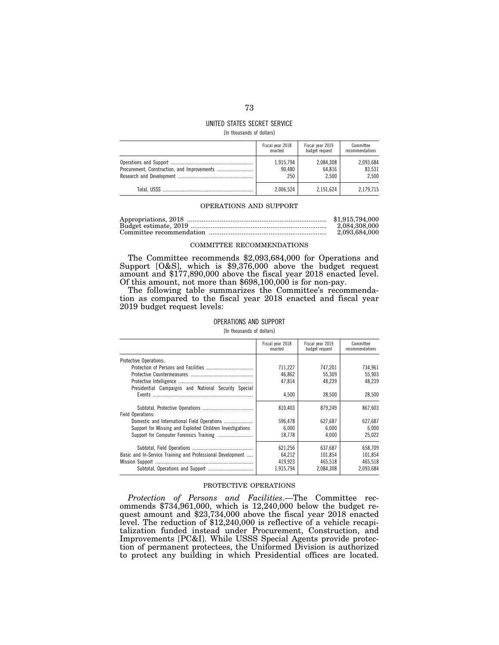# UNITED STATES SECRET SERVICE

[In thousands of dollars]

| Fiscal year 2018 | Fiscal year 2019 | Committee       |
|------------------|------------------|-----------------|
| enacted          | budget request   | recommendations |
| 1,915,794        | 2,084,308        | 2,093,684       |
| 90.480           | 64.816           | 83.531          |
| 250              | 2.500            | 2.500           |
| 2.006.524        | 2.151.624        |                 |

#### OPERATIONS AND SUPPORT

| \$1,915,794,000 |
|-----------------|
| 2.084.308.000   |
| 2.093.684.000   |

#### COMMITTEE RECOMMENDATIONS

The Committee recommends \$2,093,684,000 for Operations and Support [O&S], which is \$9,376,000 above the budget request amount and \$177,890,000 above the fiscal year 2018 enacted level. Of this amount, not more than \$698,100,000 is for non-pay.

The following table summarizes the Committee's recommendation as compared to the fiscal year 2018 enacted and fiscal year 2019 budget request levels:

## OPERATIONS AND SUPPORT

[In thousands of dollars]

|                                                            | Fiscal year 2018<br>enacted | Fiscal year 2019<br>budget request | Committee<br>recommendations |
|------------------------------------------------------------|-----------------------------|------------------------------------|------------------------------|
| Protective Operations                                      |                             |                                    |                              |
|                                                            | 711,227                     | 747,201                            | 734.961                      |
|                                                            | 46,862                      | 55,309                             | 55,903                       |
|                                                            | 47,814                      | 48,239                             | 48,239                       |
| Presidential Campaigns and National Security Special       |                             |                                    |                              |
|                                                            | 4.500                       | 28.500                             | 28.500                       |
| Field Operations:                                          | 810.403                     | 879.249                            | 867.603                      |
|                                                            | 596.478                     | 627.687                            | 627.687                      |
| Support for Missing and Exploited Children Investigations  | 6.000                       | 6.000                              | 6.000                        |
|                                                            | 18,778                      | 4.000                              | 25.022                       |
|                                                            | 621,256                     | 637,687                            | 658.709                      |
| Basic and In-Service Training and Professional Development | 64.212                      | 101.854                            | 101,854                      |
|                                                            | 419,923                     | 465.518                            | 465.518                      |
|                                                            | 1,915,794                   | 2,084,308                          | 2,093,684                    |

#### PROTECTIVE OPERATIONS

*Protection of Persons and Facilities*.—The Committee recommends \$734,961,000, which is 12,240,000 below the budget request amount and \$23,734,000 above the fiscal year 2018 enacted level. The reduction of \$12,240,000 is reflective of a vehicle recapitalization funded instead under Procurement, Construction, and Improvements [PC&I]. While USSS Special Agents provide protection of permanent protectees, the Uniformed Division is authorized to protect any building in which Presidential offices are located.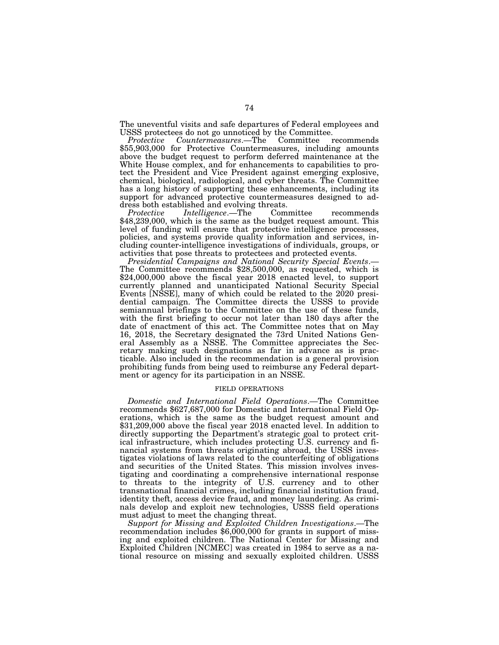The uneventful visits and safe departures of Federal employees and USSS protectees do not go unnoticed by the Committee.<br>Protective Countermeasures.—The Committee recommends

 $Countermeasures. -The$ \$55,903,000 for Protective Countermeasures, including amounts above the budget request to perform deferred maintenance at the White House complex, and for enhancements to capabilities to protect the President and Vice President against emerging explosive, chemical, biological, radiological, and cyber threats. The Committee has a long history of supporting these enhancements, including its support for advanced protective countermeasures designed to address both established and evolving threats.

*Protective Intelligence*.—The Committee recommends \$48,239,000, which is the same as the budget request amount. This level of funding will ensure that protective intelligence processes, policies, and systems provide quality information and services, including counter-intelligence investigations of individuals, groups, or activities that pose threats to protectees and protected events.

*Presidential Campaigns and National Security Special Events*.— The Committee recommends \$28,500,000, as requested, which is \$24,000,000 above the fiscal year 2018 enacted level, to support currently planned and unanticipated National Security Special Events [NSSE], many of which could be related to the 2020 presidential campaign. The Committee directs the USSS to provide semiannual briefings to the Committee on the use of these funds, with the first briefing to occur not later than 180 days after the date of enactment of this act. The Committee notes that on May 16, 2018, the Secretary designated the 73rd United Nations General Assembly as a NSSE. The Committee appreciates the Secretary making such designations as far in advance as is practicable. Also included in the recommendation is a general provision prohibiting funds from being used to reimburse any Federal department or agency for its participation in an NSSE.

#### FIELD OPERATIONS

*Domestic and International Field Operations*.—The Committee recommends \$627,687,000 for Domestic and International Field Operations, which is the same as the budget request amount and \$31,209,000 above the fiscal year 2018 enacted level. In addition to directly supporting the Department's strategic goal to protect critical infrastructure, which includes protecting U.S. currency and financial systems from threats originating abroad, the USSS investigates violations of laws related to the counterfeiting of obligations and securities of the United States. This mission involves investigating and coordinating a comprehensive international response to threats to the integrity of U.S. currency and to other transnational financial crimes, including financial institution fraud, identity theft, access device fraud, and money laundering. As criminals develop and exploit new technologies, USSS field operations must adjust to meet the changing threat.

*Support for Missing and Exploited Children Investigations*.—The recommendation includes \$6,000,000 for grants in support of missing and exploited children. The National Center for Missing and Exploited Children [NCMEC] was created in 1984 to serve as a national resource on missing and sexually exploited children. USSS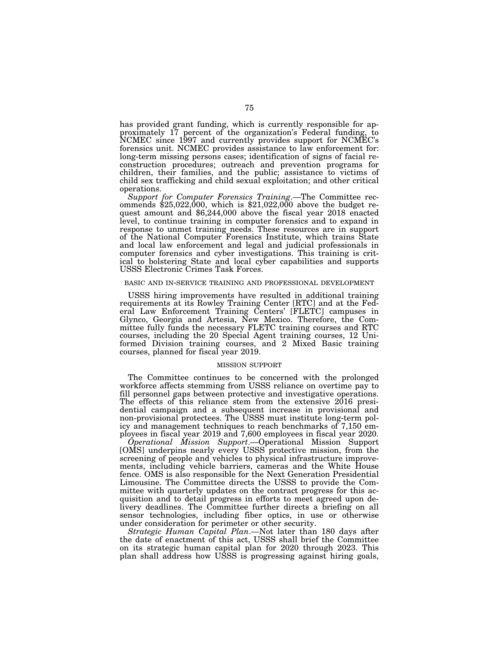has provided grant funding, which is currently responsible for approximately 17 percent of the organization's Federal funding, to NCMEC since 1997 and currently provides support for NCMEC's forensics unit. NCMEC provides assistance to law enforcement for: long-term missing persons cases; identification of signs of facial reconstruction procedures; outreach and prevention programs for children, their families, and the public; assistance to victims of child sex trafficking and child sexual exploitation; and other critical operations.

*Support for Computer Forensics Training*.—The Committee recommends \$25,022,000, which is \$21,022,000 above the budget request amount and \$6,244,000 above the fiscal year 2018 enacted level, to continue training in computer forensics and to expand in response to unmet training needs. These resources are in support of the National Computer Forensics Institute, which trains State and local law enforcement and legal and judicial professionals in computer forensics and cyber investigations. This training is critical to bolstering State and local cyber capabilities and supports USSS Electronic Crimes Task Forces.

#### BASIC AND IN-SERVICE TRAINING AND PROFESSIONAL DEVELOPMENT

USSS hiring improvements have resulted in additional training requirements at its Rowley Training Center [RTC] and at the Federal Law Enforcement Training Centers' [FLETC] campuses in Glynco, Georgia and Artesia, New Mexico. Therefore, the Committee fully funds the necessary FLETC training courses and RTC courses, including the 20 Special Agent training courses, 12 Uniformed Division training courses, and 2 Mixed Basic training courses, planned for fiscal year 2019.

#### MISSION SUPPORT

The Committee continues to be concerned with the prolonged workforce affects stemming from USSS reliance on overtime pay to fill personnel gaps between protective and investigative operations. The effects of this reliance stem from the extensive 2016 presidential campaign and a subsequent increase in provisional and non-provisional protectees. The USSS must institute long-term policy and management techniques to reach benchmarks of 7,150 employees in fiscal year 2019 and 7,600 employees in fiscal year 2020.

*Operational Mission Support*.—Operational Mission Support [OMS] underpins nearly every USSS protective mission, from the screening of people and vehicles to physical infrastructure improvements, including vehicle barriers, cameras and the White House fence. OMS is also responsible for the Next Generation Presidential Limousine. The Committee directs the USSS to provide the Committee with quarterly updates on the contract progress for this acquisition and to detail progress in efforts to meet agreed upon delivery deadlines. The Committee further directs a briefing on all sensor technologies, including fiber optics, in use or otherwise under consideration for perimeter or other security.

*Strategic Human Capital Plan*.—Not later than 180 days after the date of enactment of this act, USSS shall brief the Committee on its strategic human capital plan for 2020 through 2023. This plan shall address how USSS is progressing against hiring goals,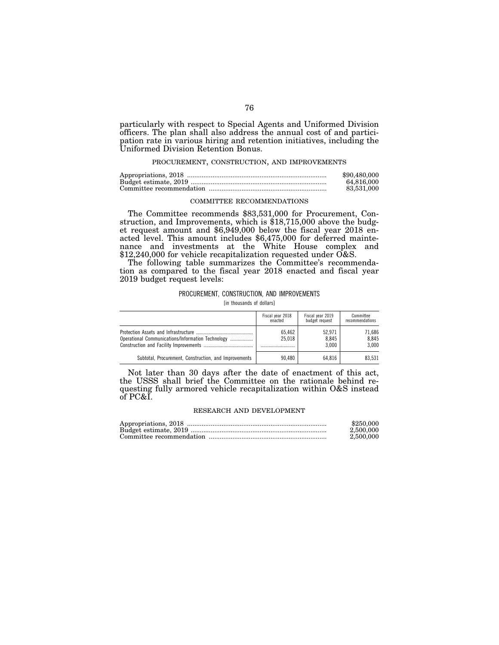particularly with respect to Special Agents and Uniformed Division officers. The plan shall also address the annual cost of and participation rate in various hiring and retention initiatives, including the Uniformed Division Retention Bonus.

## PROCUREMENT, CONSTRUCTION, AND IMPROVEMENTS

| \$90,480,000 |
|--------------|
| 64.816.000   |
| 83.531.000   |

# COMMITTEE RECOMMENDATIONS

The Committee recommends \$83,531,000 for Procurement, Construction, and Improvements, which is \$18,715,000 above the budget request amount and \$6,949,000 below the fiscal year 2018 enacted level. This amount includes \$6,475,000 for deferred maintenance and investments at the White House complex and \$12,240,000 for vehicle recapitalization requested under O&S.

The following table summarizes the Committee's recommendation as compared to the fiscal year 2018 enacted and fiscal year 2019 budget request levels:

#### PROCUREMENT, CONSTRUCTION, AND IMPROVEMENTS

[in thousands of dollars]

|                                                       | Fiscal year 2018<br>enacted | Fiscal year 2019<br>budget request | Committee<br>recommendations |
|-------------------------------------------------------|-----------------------------|------------------------------------|------------------------------|
| Operational Communications/Information Technology     | 65.462<br>25.018            | 52.971<br>8.845<br>3.000           | 71.686<br>8.845<br>3.000     |
| Subtotal, Procurement, Construction, and Improvements | 90.480                      | 64.816                             | 83.531                       |

Not later than 30 days after the date of enactment of this act, the USSS shall brief the Committee on the rationale behind requesting fully armored vehicle recapitalization within O&S instead of PC&I.

#### RESEARCH AND DEVELOPMENT

| \$250.000 |
|-----------|
| 2,500,000 |
| 2,500,000 |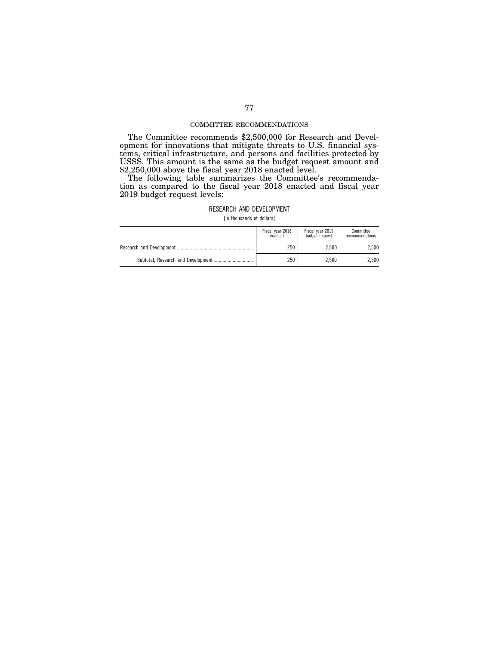#### COMMITTEE RECOMMENDATIONS

The Committee recommends \$2,500,000 for Research and Development for innovations that mitigate threats to U.S. financial systems, critical infrastructure, and persons and facilities protected by USSS. This amount is the same as the budget request amount and \$2,250,000 above the fiscal year 2018 enacted level.

The following table summarizes the Committee's recommendation as compared to the fiscal year 2018 enacted and fiscal year 2019 budget request levels:

# RESEARCH AND DEVELOPMENT

[in thousands of dollars]

| Fiscal year 2018<br>enacted | Fiscal year 2019<br>budget request | Committee<br>recommendations |
|-----------------------------|------------------------------------|------------------------------|
| 250                         | 2.500                              | 2.500                        |
| 250                         | 2.500                              | 2.500                        |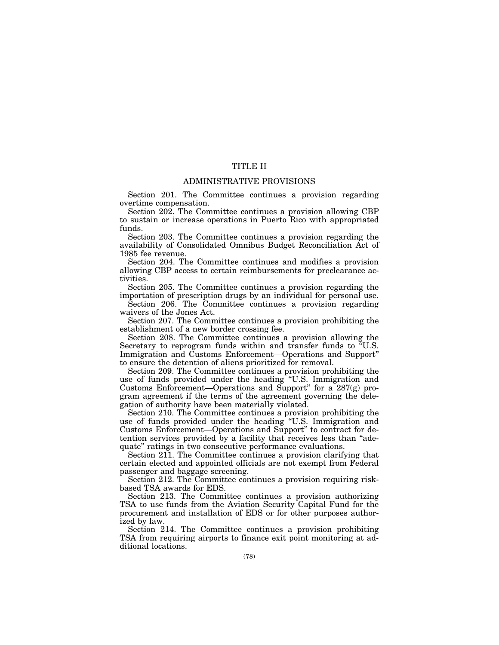# TITLE II

# ADMINISTRATIVE PROVISIONS

Section 201. The Committee continues a provision regarding overtime compensation.

Section 202. The Committee continues a provision allowing CBP to sustain or increase operations in Puerto Rico with appropriated funds.

Section 203. The Committee continues a provision regarding the availability of Consolidated Omnibus Budget Reconciliation Act of 1985 fee revenue.

Section 204. The Committee continues and modifies a provision allowing CBP access to certain reimbursements for preclearance activities.

Section 205. The Committee continues a provision regarding the importation of prescription drugs by an individual for personal use.

Section 206. The Committee continues a provision regarding waivers of the Jones Act.

Section 207. The Committee continues a provision prohibiting the establishment of a new border crossing fee.

Section 208. The Committee continues a provision allowing the Secretary to reprogram funds within and transfer funds to ''U.S. Immigration and Customs Enforcement—Operations and Support'' to ensure the detention of aliens prioritized for removal.

Section 209. The Committee continues a provision prohibiting the use of funds provided under the heading ''U.S. Immigration and Customs Enforcement—Operations and Support'' for a 287(g) program agreement if the terms of the agreement governing the delegation of authority have been materially violated.

Section 210. The Committee continues a provision prohibiting the use of funds provided under the heading ''U.S. Immigration and Customs Enforcement—Operations and Support'' to contract for detention services provided by a facility that receives less than ''adequate'' ratings in two consecutive performance evaluations.

Section 211. The Committee continues a provision clarifying that certain elected and appointed officials are not exempt from Federal passenger and baggage screening.

Section 212. The Committee continues a provision requiring riskbased TSA awards for EDS.

Section 213. The Committee continues a provision authorizing TSA to use funds from the Aviation Security Capital Fund for the procurement and installation of EDS or for other purposes authorized by law.

Section 214. The Committee continues a provision prohibiting TSA from requiring airports to finance exit point monitoring at additional locations.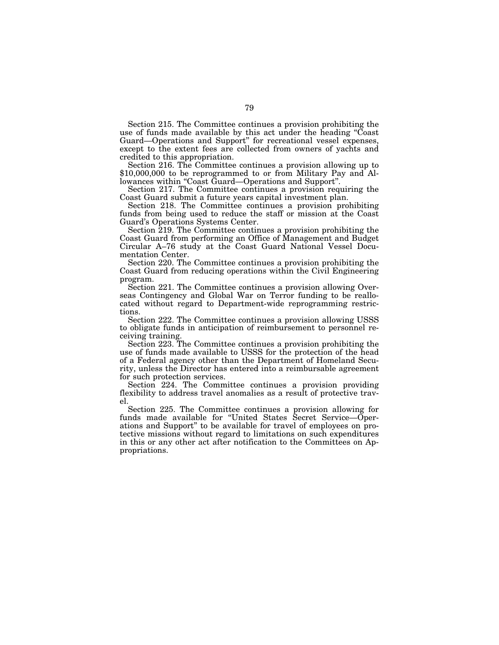Section 215. The Committee continues a provision prohibiting the use of funds made available by this act under the heading ''Coast Guard—Operations and Support'' for recreational vessel expenses, except to the extent fees are collected from owners of yachts and credited to this appropriation.<br>Section 216. The Committee continues a provision allowing up to

\$10,000,000 to be reprogrammed to or from Military Pay and Allowances within "Coast Guard—Operations and Support".

Section 217. The Committee continues a provision requiring the Coast Guard submit a future years capital investment plan.

Section 218. The Committee continues a provision prohibiting funds from being used to reduce the staff or mission at the Coast Guard's Operations Systems Center.

Section 219. The Committee continues a provision prohibiting the Coast Guard from performing an Office of Management and Budget Circular A–76 study at the Coast Guard National Vessel Documentation Center.

Section 220. The Committee continues a provision prohibiting the Coast Guard from reducing operations within the Civil Engineering program.

Section 221. The Committee continues a provision allowing Overseas Contingency and Global War on Terror funding to be reallocated without regard to Department-wide reprogramming restrictions.

Section 222. The Committee continues a provision allowing USSS to obligate funds in anticipation of reimbursement to personnel receiving training.

Section 223. The Committee continues a provision prohibiting the use of funds made available to USSS for the protection of the head of a Federal agency other than the Department of Homeland Security, unless the Director has entered into a reimbursable agreement for such protection services.

Section 224. The Committee continues a provision providing flexibility to address travel anomalies as a result of protective travel.

Section 225. The Committee continues a provision allowing for funds made available for ''United States Secret Service—Operations and Support'' to be available for travel of employees on protective missions without regard to limitations on such expenditures in this or any other act after notification to the Committees on Appropriations.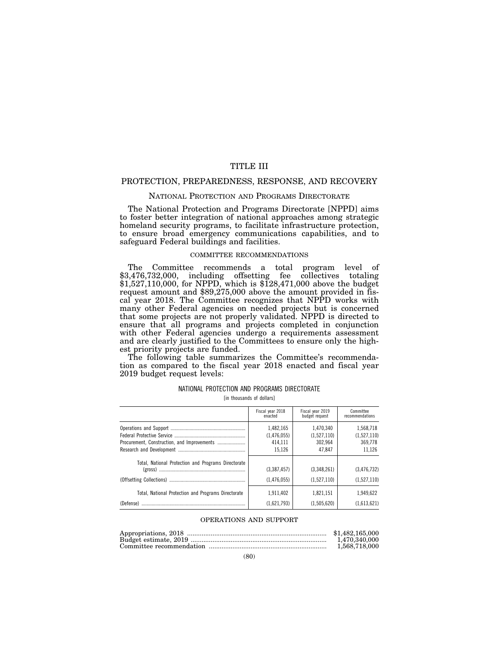# TITLE III

# PROTECTION, PREPAREDNESS, RESPONSE, AND RECOVERY

## NATIONAL PROTECTION AND PROGRAMS DIRECTORATE

The National Protection and Programs Directorate [NPPD] aims to foster better integration of national approaches among strategic homeland security programs, to facilitate infrastructure protection, to ensure broad emergency communications capabilities, and to safeguard Federal buildings and facilities.

# COMMITTEE RECOMMENDATIONS

The Committee recommends a total program level of \$3,476,732,000, including offsetting fee collectives totaling \$1,527,110,000, for NPPD, which is \$128,471,000 above the budget request amount and \$89,275,000 above the amount provided in fiscal year 2018. The Committee recognizes that NPPD works with many other Federal agencies on needed projects but is concerned that some projects are not properly validated. NPPD is directed to ensure that all programs and projects completed in conjunction with other Federal agencies undergo a requirements assessment and are clearly justified to the Committees to ensure only the highest priority projects are funded.

The following table summarizes the Committee's recommendation as compared to the fiscal year 2018 enacted and fiscal year 2019 budget request levels:

|  |  | NATIONAL PROTECTION AND PROGRAMS DIRECTORATE |
|--|--|----------------------------------------------|
|  |  |                                              |

[in thousands of dollars]

|                                                                  | Fiscal year 2018           | Fiscal year 2019           | Committee                    |
|------------------------------------------------------------------|----------------------------|----------------------------|------------------------------|
|                                                                  | enacted                    | budget request             | recommendations              |
|                                                                  | 1.482.165                  | 1,470,340                  | 1,568,718                    |
|                                                                  | (1,476,055)                | (1,527,110)                | (1,527,110)                  |
|                                                                  | 414.111                    | 302.964                    | 369,778                      |
|                                                                  | 15.126                     | 47.847                     | 11,126                       |
| Total, National Protection and Programs Directorate              | (3,387,457)<br>(1,476,055) | (3,348,261)<br>(1,527,110) | (3, 476, 732)<br>(1,527,110) |
| Total, National Protection and Programs Directorate<br>(Defense) | 1.911.402<br>(1,621,793)   | 1,821,151<br>(1,505,620)   | 1.949.622<br>(1.613.621)     |

## OPERATIONS AND SUPPORT

| \$1,482,165,000 |
|-----------------|
| 1.470.340.000   |
| 1.568.718.000   |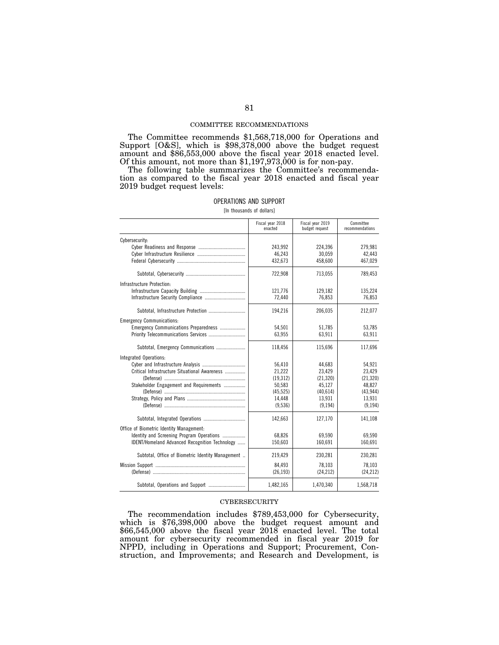#### COMMITTEE RECOMMENDATIONS

The Committee recommends \$1,568,718,000 for Operations and Support [O&S], which is \$98,378,000 above the budget request amount and \$86,553,000 above the fiscal year 2018 enacted level. Of this amount, not more than \$1,197,973,000 is for non-pay.

The following table summarizes the Committee's recommendation as compared to the fiscal year 2018 enacted and fiscal year 2019 budget request levels:

| OPERATIONS AND SUPPORT    |  |
|---------------------------|--|
| [In thousands of dollars] |  |

|                                                                                                                                         | Fiscal year 2018<br>enacted                                               | Fiscal year 2019<br>budget request                                        | Committee<br>recommendations                                              |
|-----------------------------------------------------------------------------------------------------------------------------------------|---------------------------------------------------------------------------|---------------------------------------------------------------------------|---------------------------------------------------------------------------|
| Cybersecurity:                                                                                                                          | 243,992<br>46,243<br>432.673                                              | 224,396<br>30,059<br>458.600                                              | 279,981<br>42,443<br>467,029                                              |
|                                                                                                                                         | 722,908                                                                   | 713,055                                                                   | 789,453                                                                   |
| Infrastructure Protection:<br>Infrastructure Security Compliance                                                                        | 121,776<br>72,440                                                         | 129,182<br>76,853                                                         | 135,224<br>76,853                                                         |
|                                                                                                                                         | 194,216                                                                   | 206.035                                                                   | 212,077                                                                   |
| <b>Emergency Communications:</b><br>Emergency Communications Preparedness                                                               | 54,501<br>63,955                                                          | 51,785<br>63.911                                                          | 53,785<br>63,911                                                          |
| Subtotal, Emergency Communications                                                                                                      | 118,456                                                                   | 115,696                                                                   | 117,696                                                                   |
| Integrated Operations:<br>Critical Infrastructure Situational Awareness<br>Stakeholder Engagement and Requirements                      | 56,410<br>21,222<br>(19, 312)<br>50,583<br>(45, 525)<br>14,448<br>(9,536) | 44,683<br>23,429<br>(21, 320)<br>45,127<br>(40,614)<br>13,931<br>(9, 194) | 54,921<br>23,429<br>(21, 320)<br>48,827<br>(43, 944)<br>13,931<br>(9.194) |
|                                                                                                                                         | 142,663                                                                   | 127,170                                                                   | 141,108                                                                   |
| Office of Biometric Identity Management:<br>Identity and Screening Program Operations<br>IDENT/Homeland Advanced Recognition Technology | 68,826<br>150,603                                                         | 69.590<br>160,691                                                         | 69,590<br>160,691                                                         |
| Subtotal, Office of Biometric Identity Management                                                                                       | 219,429                                                                   | 230.281                                                                   | 230,281                                                                   |
|                                                                                                                                         | 84.493<br>(26, 193)                                                       | 78.103<br>(24, 212)                                                       | 78.103<br>(24, 212)                                                       |
|                                                                                                                                         | 1,482,165                                                                 | 1,470,340                                                                 | 1,568,718                                                                 |

#### **CYBERSECURITY**

The recommendation includes \$789,453,000 for Cybersecurity, which is \$76,398,000 above the budget request amount and \$66,545,000 above the fiscal year 2018 enacted level. The total amount for cybersecurity recommended in fiscal year 2019 for NPPD, including in Operations and Support; Procurement, Construction, and Improvements; and Research and Development, is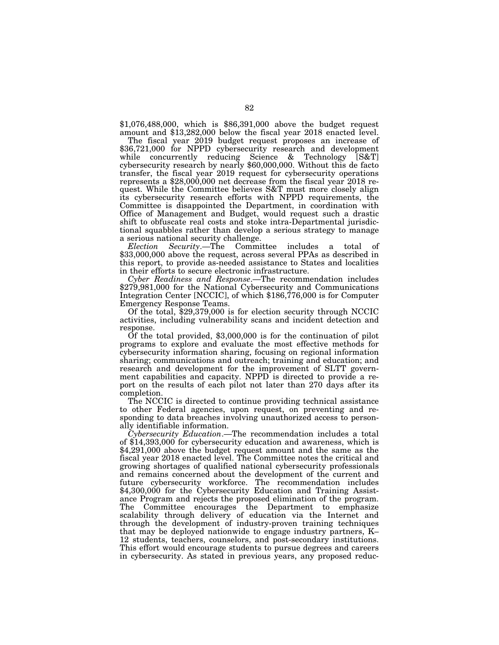\$1,076,488,000, which is \$86,391,000 above the budget request amount and \$13,282,000 below the fiscal year 2018 enacted level.

\$36,721,000 for NPPD cybersecurity research and development while concurrently reducing Science & Technology [S&T] cybersecurity research by nearly \$60,000,000. Without this de facto transfer, the fiscal year 2019 request for cybersecurity operations represents a \$28,000,000 net decrease from the fiscal year 2018 request. While the Committee believes S&T must more closely align its cybersecurity research efforts with NPPD requirements, the Committee is disappointed the Department, in coordination with Office of Management and Budget, would request such a drastic shift to obfuscate real costs and stoke intra-Departmental jurisdictional squabbles rather than develop a serious strategy to manage a serious national security challenge.

*Election Security*.—The Committee includes a total of \$33,000,000 above the request, across several PPAs as described in this report, to provide as-needed assistance to States and localities in their efforts to secure electronic infrastructure.

*Cyber Readiness and Response*.—The recommendation includes \$279,981,000 for the National Cybersecurity and Communications Integration Center [NCCIC], of which \$186,776,000 is for Computer Emergency Response Teams. Of the total, \$29,379,000 is for election security through NCCIC

activities, including vulnerability scans and incident detection and

response. Of the total provided, \$3,000,000 is for the continuation of pilot programs to explore and evaluate the most effective methods for cybersecurity information sharing, focusing on regional information sharing; communications and outreach; training and education; and research and development for the improvement of SLTT government capabilities and capacity. NPPD is directed to provide a report on the results of each pilot not later than 270 days after its completion.

The NCCIC is directed to continue providing technical assistance to other Federal agencies, upon request, on preventing and responding to data breaches involving unauthorized access to personally identifiable information.

*Cybersecurity Education*.—The recommendation includes a total of \$14,393,000 for cybersecurity education and awareness, which is \$4,291,000 above the budget request amount and the same as the fiscal year 2018 enacted level. The Committee notes the critical and growing shortages of qualified national cybersecurity professionals and remains concerned about the development of the current and future cybersecurity workforce. The recommendation includes \$4,300,000 for the Cybersecurity Education and Training Assistance Program and rejects the proposed elimination of the program. The Committee encourages the Department to emphasize scalability through delivery of education via the Internet and through the development of industry-proven training techniques that may be deployed nationwide to engage industry partners, K– 12 students, teachers, counselors, and post-secondary institutions. This effort would encourage students to pursue degrees and careers in cybersecurity. As stated in previous years, any proposed reduc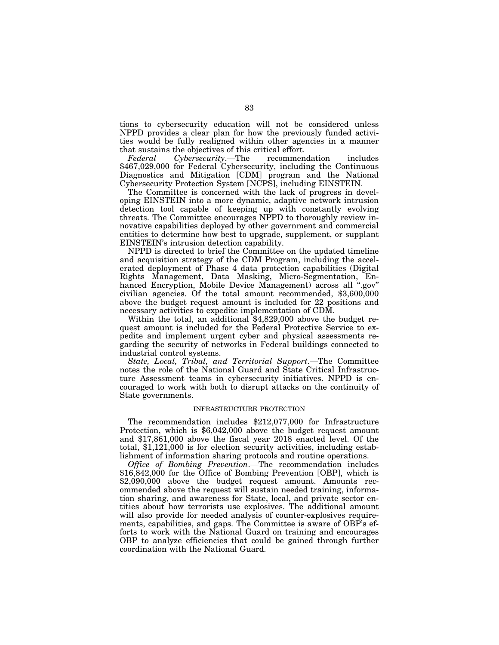tions to cybersecurity education will not be considered unless NPPD provides a clear plan for how the previously funded activities would be fully realigned within other agencies in a manner that sustains the objectives of this critical effort.

*Federal Cybersecurity*.—The recommendation includes \$467,029,000 for Federal Cybersecurity, including the Continuous Diagnostics and Mitigation [CDM] program and the National Cybersecurity Protection System [NCPS], including EINSTEIN.

The Committee is concerned with the lack of progress in developing EINSTEIN into a more dynamic, adaptive network intrusion detection tool capable of keeping up with constantly evolving threats. The Committee encourages NPPD to thoroughly review innovative capabilities deployed by other government and commercial entities to determine how best to upgrade, supplement, or supplant EINSTEIN's intrusion detection capability.

NPPD is directed to brief the Committee on the updated timeline and acquisition strategy of the CDM Program, including the accelerated deployment of Phase 4 data protection capabilities (Digital Rights Management, Data Masking, Micro-Segmentation, Enhanced Encryption, Mobile Device Management) across all ''.gov'' civilian agencies. Of the total amount recommended, \$3,600,000 above the budget request amount is included for 22 positions and necessary activities to expedite implementation of CDM.

Within the total, an additional \$4,829,000 above the budget request amount is included for the Federal Protective Service to expedite and implement urgent cyber and physical assessments regarding the security of networks in Federal buildings connected to industrial control systems.

*State, Local, Tribal, and Territorial Support*.—The Committee notes the role of the National Guard and State Critical Infrastructure Assessment teams in cybersecurity initiatives. NPPD is encouraged to work with both to disrupt attacks on the continuity of State governments.

## INFRASTRUCTURE PROTECTION

The recommendation includes \$212,077,000 for Infrastructure Protection, which is \$6,042,000 above the budget request amount and \$17,861,000 above the fiscal year 2018 enacted level. Of the total, \$1,121,000 is for election security activities, including establishment of information sharing protocols and routine operations.

*Office of Bombing Prevention*.—The recommendation includes \$16,842,000 for the Office of Bombing Prevention [OBP], which is \$2,090,000 above the budget request amount. Amounts recommended above the request will sustain needed training, information sharing, and awareness for State, local, and private sector entities about how terrorists use explosives. The additional amount will also provide for needed analysis of counter-explosives requirements, capabilities, and gaps. The Committee is aware of OBP's efforts to work with the National Guard on training and encourages OBP to analyze efficiencies that could be gained through further coordination with the National Guard.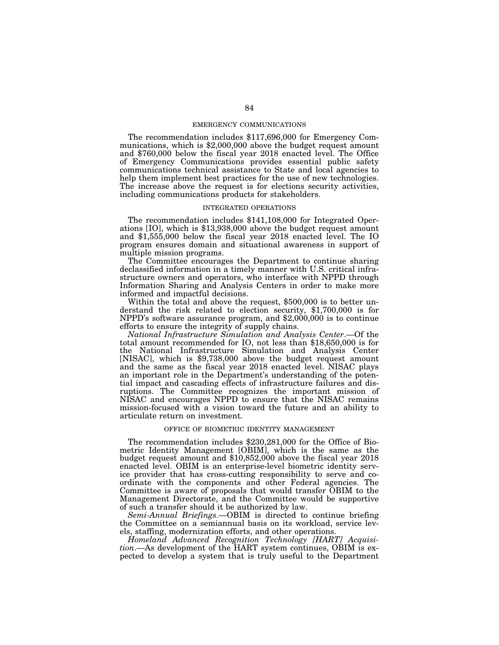#### EMERGENCY COMMUNICATIONS

The recommendation includes \$117,696,000 for Emergency Communications, which is \$2,000,000 above the budget request amount and \$760,000 below the fiscal year 2018 enacted level. The Office of Emergency Communications provides essential public safety communications technical assistance to State and local agencies to help them implement best practices for the use of new technologies. The increase above the request is for elections security activities, including communications products for stakeholders.

#### INTEGRATED OPERATIONS

The recommendation includes \$141,108,000 for Integrated Operations [IO], which is \$13,938,000 above the budget request amount and \$1,555,000 below the fiscal year 2018 enacted level. The IO program ensures domain and situational awareness in support of multiple mission programs.

The Committee encourages the Department to continue sharing declassified information in a timely manner with U.S. critical infrastructure owners and operators, who interface with NPPD through Information Sharing and Analysis Centers in order to make more informed and impactful decisions.

Within the total and above the request, \$500,000 is to better understand the risk related to election security, \$1,700,000 is for NPPD's software assurance program, and \$2,000,000 is to continue efforts to ensure the integrity of supply chains.

*National Infrastructure Simulation and Analysis Center*.—Of the total amount recommended for IO, not less than \$18,650,000 is for the National Infrastructure Simulation and Analysis Center [NISAC], which is \$9,738,000 above the budget request amount and the same as the fiscal year 2018 enacted level. NISAC plays an important role in the Department's understanding of the potential impact and cascading effects of infrastructure failures and disruptions. The Committee recognizes the important mission of NISAC and encourages NPPD to ensure that the NISAC remains mission-focused with a vision toward the future and an ability to articulate return on investment.

#### OFFICE OF BIOMETRIC IDENTITY MANAGEMENT

The recommendation includes \$230,281,000 for the Office of Biometric Identity Management [OBIM], which is the same as the budget request amount and \$10,852,000 above the fiscal year 2018 enacted level. OBIM is an enterprise-level biometric identity service provider that has cross-cutting responsibility to serve and coordinate with the components and other Federal agencies. The Committee is aware of proposals that would transfer OBIM to the Management Directorate, and the Committee would be supportive of such a transfer should it be authorized by law.

*Semi-Annual Briefings*.—OBIM is directed to continue briefing the Committee on a semiannual basis on its workload, service levels, staffing, modernization efforts, and other operations.

*Homeland Advanced Recognition Technology [HART] Acquisition*.—As development of the HART system continues, OBIM is expected to develop a system that is truly useful to the Department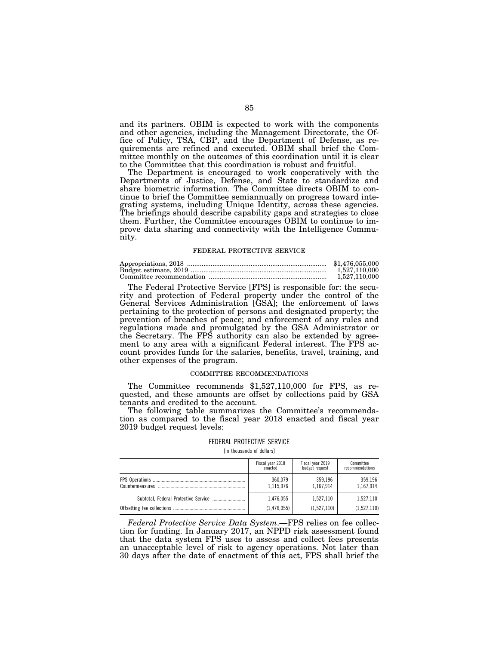and its partners. OBIM is expected to work with the components and other agencies, including the Management Directorate, the Office of Policy, TSA, CBP, and the Department of Defense, as requirements are refined and executed. OBIM shall brief the Committee monthly on the outcomes of this coordination until it is clear to the Committee that this coordination is robust and fruitful.

The Department is encouraged to work cooperatively with the Departments of Justice, Defense, and State to standardize and share biometric information. The Committee directs OBIM to continue to brief the Committee semiannually on progress toward integrating systems, including Unique Identity, across these agencies. The briefings should describe capability gaps and strategies to close them. Further, the Committee encourages OBIM to continue to improve data sharing and connectivity with the Intelligence Community.

#### FEDERAL PROTECTIVE SERVICE

| \$1.476,055,000 |
|-----------------|
| 1.527.110.000   |
| 1.527.110.000   |

The Federal Protective Service [FPS] is responsible for: the security and protection of Federal property under the control of the General Services Administration [GSA]; the enforcement of laws pertaining to the protection of persons and designated property; the prevention of breaches of peace; and enforcement of any rules and regulations made and promulgated by the GSA Administrator or the Secretary. The FPS authority can also be extended by agreement to any area with a significant Federal interest. The FPS account provides funds for the salaries, benefits, travel, training, and other expenses of the program.

#### COMMITTEE RECOMMENDATIONS

The Committee recommends \$1,527,110,000 for FPS, as requested, and these amounts are offset by collections paid by GSA tenants and credited to the account.

The following table summarizes the Committee's recommendation as compared to the fiscal year 2018 enacted and fiscal year 2019 budget request levels:

#### FEDERAL PROTECTIVE SERVICE

[In thousands of dollars]

|                 | Fiscal year 2018<br>enacted | Fiscal year 2019<br>budget request | Committee<br>recommendations |
|-----------------|-----------------------------|------------------------------------|------------------------------|
| Countermeasures | 360,079<br>1,115,976        | 359.196<br>1,167,914               | 359.196<br>1,167,914         |
|                 | 1.476.055                   | 1.527.110                          | 1.527.110                    |
|                 | (1,476,055)                 | (1,527,110)                        | (1,527,110)                  |

*Federal Protective Service Data System*.—FPS relies on fee collection for funding. In January 2017, an NPPD risk assessment found that the data system FPS uses to assess and collect fees presents an unacceptable level of risk to agency operations. Not later than 30 days after the date of enactment of this act, FPS shall brief the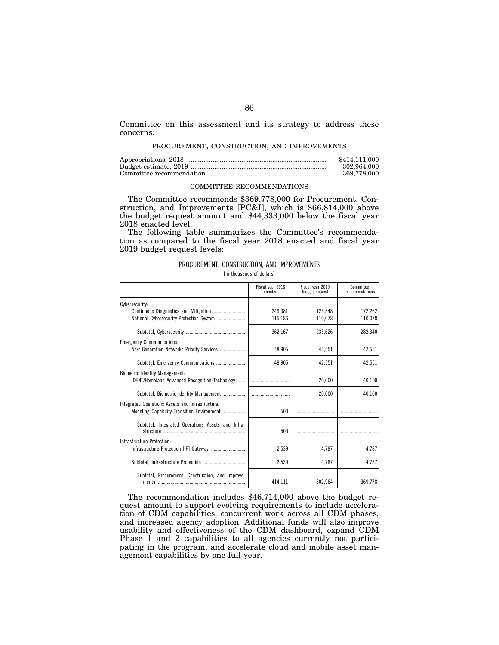Committee on this assessment and its strategy to address these concerns.

#### PROCUREMENT, CONSTRUCTION, AND IMPROVEMENTS

| \$414,111,000 |
|---------------|
| 302.964.000   |
| 369,778,000   |

#### COMMITTEE RECOMMENDATIONS

The Committee recommends \$369,778,000 for Procurement, Construction, and Improvements [PC&I], which is \$66,814,000 above the budget request amount and \$44,333,000 below the fiscal year 2018 enacted level.

The following table summarizes the Committee's recommendation as compared to the fiscal year 2018 enacted and fiscal year 2019 budget request levels:

#### PROCUREMENT, CONSTRUCTION, AND IMPROVEMENTS

[in thousands of dollars]

|                                                                                         | Fiscal year 2018<br>enacted | Fiscal vear 2019<br>budget request | Committee<br>recommendations |
|-----------------------------------------------------------------------------------------|-----------------------------|------------------------------------|------------------------------|
| Cybersecurity:                                                                          |                             |                                    |                              |
|                                                                                         | 246.981                     | 125.548                            | 172,262                      |
|                                                                                         | 115,186                     | 110,078                            | 110,078                      |
|                                                                                         | 362,167                     | 235,626                            | 282,340                      |
| <b>Emergency Communications:</b>                                                        |                             |                                    |                              |
| Next Generation Networks Priority Services                                              | 48.905                      | 42.551                             | 42,551                       |
|                                                                                         | 48.905                      | 42.551                             | 42,551                       |
| <b>Biometric Identity Management:</b><br>IDENT/Homeland Advanced Recognition Technology |                             | 20,000                             | 40,100                       |
|                                                                                         |                             |                                    |                              |
| Subtotal, Biometric Identity Management                                                 |                             | 20.000                             | 40.100                       |
| Integrated Operations Assets and Infrastructure:                                        |                             |                                    |                              |
| Modeling Capability Transition Environment                                              | 500                         |                                    |                              |
| Subtotal, Integrated Operations Assets and Infra-                                       |                             |                                    |                              |
|                                                                                         | 500                         |                                    |                              |
| Infrastructure Protection:                                                              |                             |                                    |                              |
|                                                                                         | 2,539                       | 4.787                              | 4,787                        |
|                                                                                         | 2.539                       | 4.787                              | 4.787                        |
| Subtotal, Procurement, Construction, and Improve-                                       |                             |                                    |                              |
|                                                                                         | 414,111                     | 302,964                            | 369,778                      |

The recommendation includes \$46,714,000 above the budget request amount to support evolving requirements to include acceleration of CDM capabilities, concurrent work across all CDM phases, and increased agency adoption. Additional funds will also improve usability and effectiveness of the CDM dashboard, expand CDM Phase 1 and 2 capabilities to all agencies currently not participating in the program, and accelerate cloud and mobile asset management capabilities by one full year.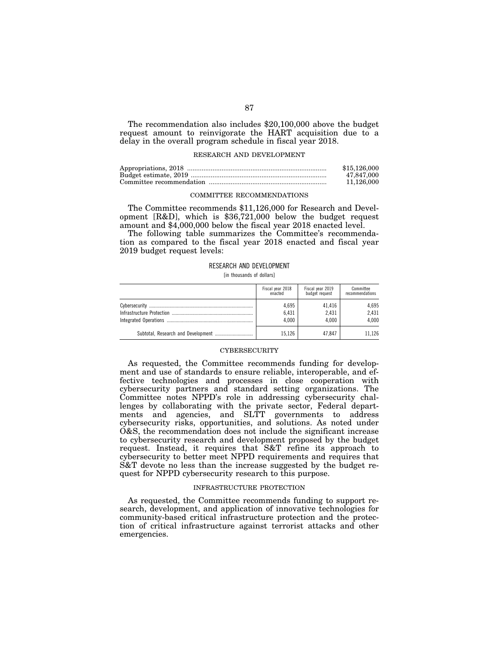The recommendation also includes \$20,100,000 above the budget request amount to reinvigorate the HART acquisition due to a delay in the overall program schedule in fiscal year 2018.

#### RESEARCH AND DEVELOPMENT

| \$15,126,000 |
|--------------|
| 47.847.000   |
| 11.126.000   |

#### COMMITTEE RECOMMENDATIONS

The Committee recommends \$11,126,000 for Research and Development [R&D], which is \$36,721,000 below the budget request amount and \$4,000,000 below the fiscal year 2018 enacted level.

The following table summarizes the Committee's recommendation as compared to the fiscal year 2018 enacted and fiscal year 2019 budget request levels:

#### RESEARCH AND DEVELOPMENT

[in thousands of dollars]

|                                    | Fiscal year 2018 | Fiscal year 2019 | Committee       |
|------------------------------------|------------------|------------------|-----------------|
|                                    | enacted          | budget request   | recommendations |
|                                    | 4.695            | 41.416           | 4.695           |
|                                    | 6.431            | 2.431            | 2.431           |
|                                    | 4.000            | 4.000            | 4.000           |
| Subtotal, Research and Development | 15.126           | 47.847           | 11.126          |

#### **CYBERSECURITY**

As requested, the Committee recommends funding for development and use of standards to ensure reliable, interoperable, and effective technologies and processes in close cooperation with cybersecurity partners and standard setting organizations. The Committee notes NPPD's role in addressing cybersecurity challenges by collaborating with the private sector, Federal departments and agencies, and SLTT governments to address cybersecurity risks, opportunities, and solutions. As noted under O&S, the recommendation does not include the significant increase to cybersecurity research and development proposed by the budget request. Instead, it requires that S&T refine its approach to cybersecurity to better meet NPPD requirements and requires that S&T devote no less than the increase suggested by the budget request for NPPD cybersecurity research to this purpose.

#### INFRASTRUCTURE PROTECTION

As requested, the Committee recommends funding to support research, development, and application of innovative technologies for community-based critical infrastructure protection and the protection of critical infrastructure against terrorist attacks and other emergencies.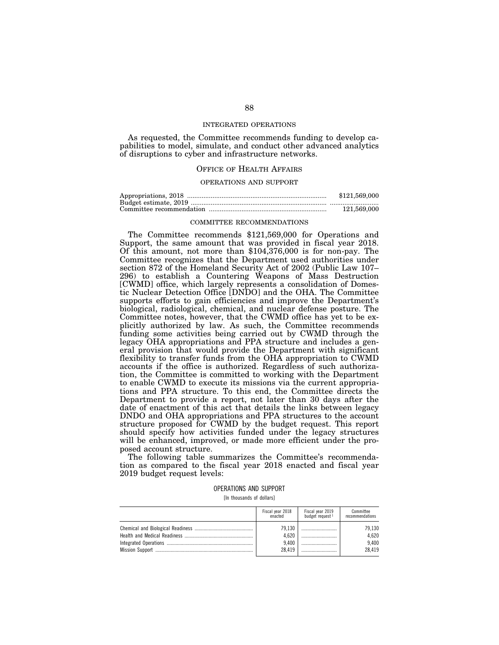#### INTEGRATED OPERATIONS

As requested, the Committee recommends funding to develop capabilities to model, simulate, and conduct other advanced analytics of disruptions to cyber and infrastructure networks.

## OFFICE OF HEALTH AFFAIRS

# OPERATIONS AND SUPPORT

| \$121,569,000 |
|---------------|
|               |
| 121.569.000   |

#### COMMITTEE RECOMMENDATIONS

The Committee recommends \$121,569,000 for Operations and Support, the same amount that was provided in fiscal year 2018. Of this amount, not more than \$104,376,000 is for non-pay. The Committee recognizes that the Department used authorities under section 872 of the Homeland Security Act of 2002 (Public Law 107– 296) to establish a Countering Weapons of Mass Destruction [CWMD] office, which largely represents a consolidation of Domestic Nuclear Detection Office [DNDO] and the OHA. The Committee supports efforts to gain efficiencies and improve the Department's biological, radiological, chemical, and nuclear defense posture. The Committee notes, however, that the CWMD office has yet to be explicitly authorized by law. As such, the Committee recommends funding some activities being carried out by CWMD through the legacy OHA appropriations and PPA structure and includes a general provision that would provide the Department with significant flexibility to transfer funds from the OHA appropriation to CWMD accounts if the office is authorized. Regardless of such authorization, the Committee is committed to working with the Department to enable CWMD to execute its missions via the current appropriations and PPA structure. To this end, the Committee directs the Department to provide a report, not later than 30 days after the date of enactment of this act that details the links between legacy DNDO and OHA appropriations and PPA structures to the account structure proposed for CWMD by the budget request. This report should specify how activities funded under the legacy structures will be enhanced, improved, or made more efficient under the proposed account structure.

The following table summarizes the Committee's recommendation as compared to the fiscal year 2018 enacted and fiscal year 2019 budget request levels:

#### OPERATIONS AND SUPPORT [In thousands of dollars]

Fiscal year 2018 enacted Fiscal year 2019 budget request 1 Committee recommendations Chemical and Biological Readiness .............................................. 79,130 ............................ 79,130 Health and Medical Readiness ...................................................... 4,620 ............................ 4,620 Integrated Operations ..... Mission Support ............................................................................. 28,419 ............................ 28,419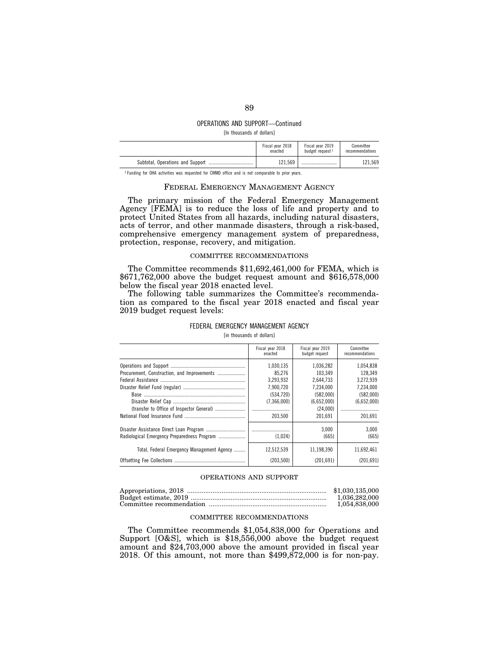# OPERATIONS AND SUPPORT—Continued

[In thousands of dollars]

|                                                                                               | Fiscal year 2018<br>enacted | Fiscal year 2019<br>budget request 1 | Committee<br>recommendations |
|-----------------------------------------------------------------------------------------------|-----------------------------|--------------------------------------|------------------------------|
|                                                                                               | 121.569                     |                                      | 121.569                      |
| Funding for OHA activities was requested for CWMD office and is not comparable to prior vears |                             |                                      |                              |

FEDERAL EMERGENCY MANAGEMENT AGENCY

The primary mission of the Federal Emergency Management Agency [FEMA] is to reduce the loss of life and property and to protect United States from all hazards, including natural disasters, acts of terror, and other manmade disasters, through a risk-based, comprehensive emergency management system of preparedness, protection, response, recovery, and mitigation.

## COMMITTEE RECOMMENDATIONS

The Committee recommends \$11,692,461,000 for FEMA, which is \$671,762,000 above the budget request amount and \$616,578,000 below the fiscal year 2018 enacted level.

The following table summarizes the Committee's recommendation as compared to the fiscal year 2018 enacted and fiscal year 2019 budget request levels:

|                                                                                           | Fiscal year 2018<br>enacted                                                          | Fiscal year 2019<br>budget request                                                                | Committee<br>recommendations                                                          |
|-------------------------------------------------------------------------------------------|--------------------------------------------------------------------------------------|---------------------------------------------------------------------------------------------------|---------------------------------------------------------------------------------------|
|                                                                                           | 1,030,135<br>85.276<br>3,293,932<br>7,900,720<br>(534.720)<br>(7,366,000)<br>203.500 | 1.036.282<br>103.349<br>2.644.733<br>7.234.000<br>(582.000)<br>(6,652,000)<br>(24.000)<br>201.691 | 1.054.838<br>128.349<br>3.272.939<br>7.234.000<br>(582,000)<br>(6,652,000)<br>201.691 |
| Radiological Emergency Preparedness Program<br>Total, Federal Emergency Management Agency | (1.024)<br>12,512,539                                                                | 3.000<br>(665)<br>11,198,390                                                                      | 3.000<br>(665)<br>11.692.461                                                          |
|                                                                                           | (203.500)                                                                            | (201.691)                                                                                         | (201.691)                                                                             |

## FEDERAL EMERGENCY MANAGEMENT AGENCY [in thousands of dollars]

#### OPERATIONS AND SUPPORT

| \$1.030.135.000 |
|-----------------|
| 1.036.282.000   |
| 1.054.838.000   |

## COMMITTEE RECOMMENDATIONS

The Committee recommends \$1,054,838,000 for Operations and Support [O&S], which is \$18,556,000 above the budget request amount and \$24,703,000 above the amount provided in fiscal year 2018. Of this amount, not more than  $$499,\!872,000$  is for non-pay.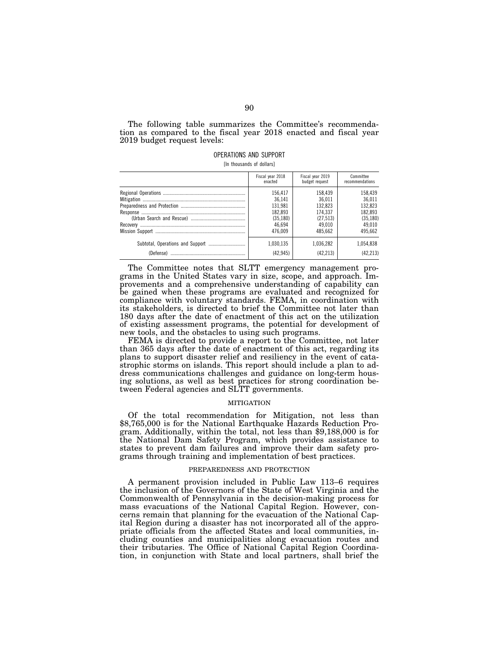The following table summarizes the Committee's recommendation as compared to the fiscal year 2018 enacted and fiscal year 2019 budget request levels:

# OPERATIONS AND SUPPORT

[In thousands of dollars]

| Fiscal year 2018 | Fiscal year 2019 | Committee       |
|------------------|------------------|-----------------|
| enacted          | budget request   | recommendations |
| 156.417          | 158.439          | 158.439         |
| 36.141           | 36.011           | 36.011          |
| 131.981          | 132.823          | 132.823         |
| 182.893          | 174.337          | 182,893         |
| (35.180)         | (27.513)         | (35, 180)       |
| 46.694           | 49.010           | 49.010          |
| 476.009          | 485.662          | 495.662         |
| 1.030.135        | 1.036.282        | 1.054.838       |
| (42.945)         | (42.213)         | (42.213)        |

The Committee notes that SLTT emergency management programs in the United States vary in size, scope, and approach. Improvements and a comprehensive understanding of capability can be gained when these programs are evaluated and recognized for compliance with voluntary standards. FEMA, in coordination with its stakeholders, is directed to brief the Committee not later than 180 days after the date of enactment of this act on the utilization of existing assessment programs, the potential for development of new tools, and the obstacles to using such programs.

FEMA is directed to provide a report to the Committee, not later than 365 days after the date of enactment of this act, regarding its plans to support disaster relief and resiliency in the event of catastrophic storms on islands. This report should include a plan to address communications challenges and guidance on long-term housing solutions, as well as best practices for strong coordination between Federal agencies and SLTT governments.

### MITIGATION

Of the total recommendation for Mitigation, not less than \$8,765,000 is for the National Earthquake Hazards Reduction Program. Additionally, within the total, not less than \$9,188,000 is for the National Dam Safety Program, which provides assistance to states to prevent dam failures and improve their dam safety programs through training and implementation of best practices.

## PREPAREDNESS AND PROTECTION

A permanent provision included in Public Law 113–6 requires the inclusion of the Governors of the State of West Virginia and the Commonwealth of Pennsylvania in the decision-making process for mass evacuations of the National Capital Region. However, concerns remain that planning for the evacuation of the National Capital Region during a disaster has not incorporated all of the appropriate officials from the affected States and local communities, including counties and municipalities along evacuation routes and their tributaries. The Office of National Capital Region Coordination, in conjunction with State and local partners, shall brief the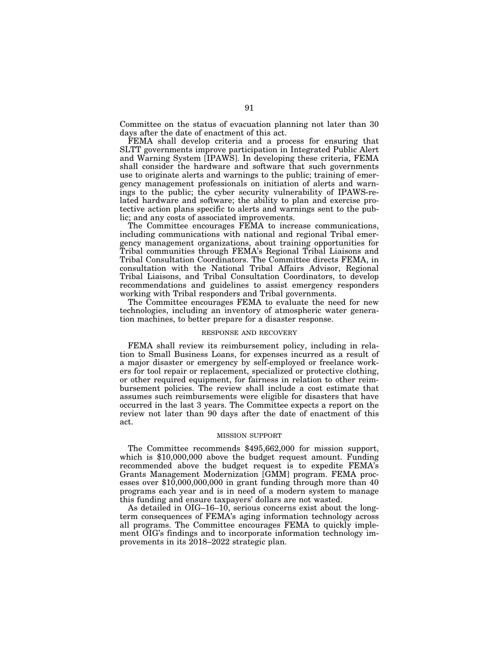Committee on the status of evacuation planning not later than 30 days after the date of enactment of this act.

FEMA shall develop criteria and a process for ensuring that SLTT governments improve participation in Integrated Public Alert and Warning System [IPAWS]. In developing these criteria, FEMA shall consider the hardware and software that such governments use to originate alerts and warnings to the public; training of emergency management professionals on initiation of alerts and warnings to the public; the cyber security vulnerability of IPAWS-related hardware and software; the ability to plan and exercise protective action plans specific to alerts and warnings sent to the public; and any costs of associated improvements.

The Committee encourages FEMA to increase communications, including communications with national and regional Tribal emergency management organizations, about training opportunities for Tribal communities through FEMA's Regional Tribal Liaisons and Tribal Consultation Coordinators. The Committee directs FEMA, in consultation with the National Tribal Affairs Advisor, Regional Tribal Liaisons, and Tribal Consultation Coordinators, to develop recommendations and guidelines to assist emergency responders working with Tribal responders and Tribal governments.

The Committee encourages FEMA to evaluate the need for new technologies, including an inventory of atmospheric water generation machines, to better prepare for a disaster response.

#### RESPONSE AND RECOVERY

FEMA shall review its reimbursement policy, including in relation to Small Business Loans, for expenses incurred as a result of a major disaster or emergency by self-employed or freelance workers for tool repair or replacement, specialized or protective clothing, or other required equipment, for fairness in relation to other reimbursement policies. The review shall include a cost estimate that assumes such reimbursements were eligible for disasters that have occurred in the last 3 years. The Committee expects a report on the review not later than 90 days after the date of enactment of this act.

#### MISSION SUPPORT

The Committee recommends \$495,662,000 for mission support, which is \$10,000,000 above the budget request amount. Funding recommended above the budget request is to expedite FEMA's Grants Management Modernization [GMM] program. FEMA processes over \$10,000,000,000 in grant funding through more than 40 programs each year and is in need of a modern system to manage this funding and ensure taxpayers' dollars are not wasted.

As detailed in OIG–16–10, serious concerns exist about the longterm consequences of FEMA's aging information technology across all programs. The Committee encourages FEMA to quickly implement OIG's findings and to incorporate information technology improvements in its 2018–2022 strategic plan.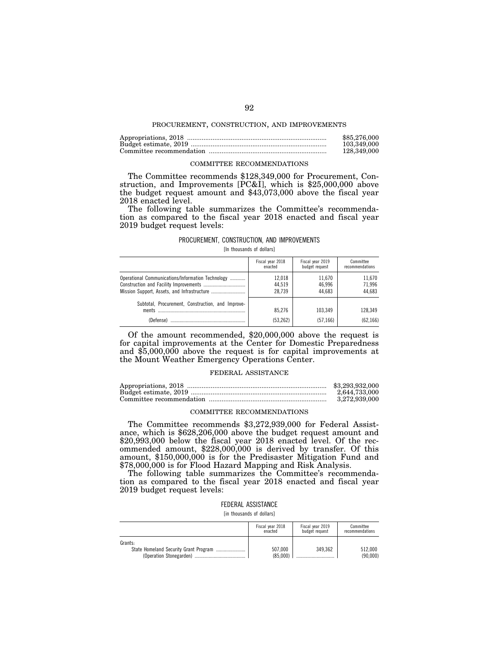#### PROCUREMENT, CONSTRUCTION, AND IMPROVEMENTS

| \$85,276,000 |
|--------------|
| 103.349.000  |
| 128.349.000  |

#### COMMITTEE RECOMMENDATIONS

The Committee recommends \$128,349,000 for Procurement, Construction, and Improvements [PC&I], which is \$25,000,000 above the budget request amount and \$43,073,000 above the fiscal year 2018 enacted level.

The following table summarizes the Committee's recommendation as compared to the fiscal year 2018 enacted and fiscal year 2019 budget request levels:

#### PROCUREMENT, CONSTRUCTION, AND IMPROVEMENTS

[In thousands of dollars]

|                                                                         | Fiscal year 2018   | Fiscal year 2019    | Committee            |
|-------------------------------------------------------------------------|--------------------|---------------------|----------------------|
|                                                                         | enacted            | budget request      | recommendations      |
| Operational Communications/Information Technology                       | 12.018             | 11.670              | 11,670               |
|                                                                         | 44.519             | 46.996              | 71.996               |
|                                                                         | 28.739             | 44.683              | 44.683               |
| Subtotal, Procurement, Construction, and Improve-<br>ments<br>(Defense) | 85.276<br>(53.262) | 103.349<br>(57.166) | 128,349<br>(62, 166) |

Of the amount recommended, \$20,000,000 above the request is for capital improvements at the Center for Domestic Preparedness and \$5,000,000 above the request is for capital improvements at the Mount Weather Emergency Operations Center.

### FEDERAL ASSISTANCE

| \$3,293,932,000 |
|-----------------|
| 2.644.733.000   |
| 3.272.939.000   |

## COMMITTEE RECOMMENDATIONS

The Committee recommends \$3,272,939,000 for Federal Assistance, which is \$628,206,000 above the budget request amount and \$20,993,000 below the fiscal year 2018 enacted level. Of the recommended amount, \$228,000,000 is derived by transfer. Of this amount, \$150,000,000 is for the Predisaster Mitigation Fund and \$78,000,000 is for Flood Hazard Mapping and Risk Analysis.

The following table summarizes the Committee's recommendation as compared to the fiscal year 2018 enacted and fiscal year 2019 budget request levels:

#### FEDERAL ASSISTANCE

[in thousands of dollars]

|         | Fiscal year 2018<br>enacted | Fiscal year 2019<br>budget request | Committee<br>recommendations |
|---------|-----------------------------|------------------------------------|------------------------------|
| Grants: |                             |                                    |                              |
|         | 507.000                     | 349.362                            | 512.000                      |
|         | (85.000)                    |                                    | (90.000)                     |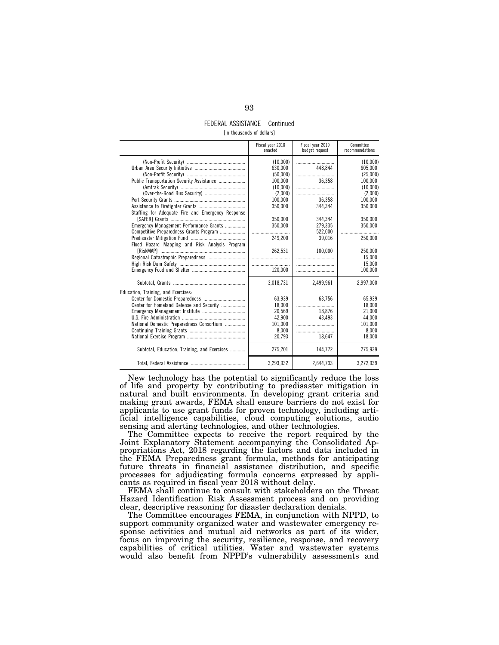## FEDERAL ASSISTANCE—Continued [in thousands of dollars]

|                                                   | Fiscal year 2018<br>enacted | Fiscal vear 2019<br>budget request | Committee<br>recommendations |
|---------------------------------------------------|-----------------------------|------------------------------------|------------------------------|
|                                                   | (10.000)                    |                                    | (10.000)                     |
|                                                   | 630.000                     | 448.844                            | 605.000                      |
| Public Transportation Security Assistance         | (50.000)<br>100.000         | <br>36,358                         | (25.000)<br>100.000          |
|                                                   | (10,000)                    |                                    | (10,000)                     |
|                                                   | (2.000)                     |                                    | (2.000)                      |
|                                                   | 100,000                     | 36.358                             | 100,000                      |
|                                                   | 350,000                     | 344,344                            | 350,000                      |
| Staffing for Adequate Fire and Emergency Response |                             |                                    |                              |
|                                                   | 350.000                     | 344.344                            | 350,000                      |
| Emergency Management Performance Grants           | 350,000                     | 279,335                            | 350,000                      |
| Competitive Preparedness Grants Program           |                             | 522,000                            |                              |
|                                                   | 249,200                     | 39,016                             | 250,000                      |
| Flood Hazard Mapping and Risk Analysis Program    |                             |                                    |                              |
|                                                   | 262.531                     | 100.000                            | 250.000                      |
|                                                   |                             |                                    | 15.000                       |
|                                                   |                             |                                    | 15.000                       |
|                                                   | 120,000                     |                                    | 100,000                      |
|                                                   | 3.018.731                   | 2.499.961                          | 2.997.000                    |
| Education, Training, and Exercises:               |                             |                                    |                              |
|                                                   | 63,939                      | 63,756                             | 65.939                       |
| Center for Homeland Defense and Security          | 18,000                      |                                    | 18,000                       |
|                                                   | 20,569                      | 18,876                             | 21,000                       |
|                                                   | 42,900                      | 43.493                             | 44,000                       |
| National Domestic Preparedness Consortium         | 101.000                     |                                    | 101.000                      |
|                                                   | 8.000                       |                                    | 8.000                        |
|                                                   | 20,793                      | 18,647                             | 18,000                       |
| Subtotal, Education, Training, and Exercises      | 275,201                     | 144,772                            | 275,939                      |
|                                                   | 3,293,932                   | 2,644,733                          | 3,272,939                    |

New technology has the potential to significantly reduce the loss of life and property by contributing to predisaster mitigation in natural and built environments. In developing grant criteria and making grant awards, FEMA shall ensure barriers do not exist for applicants to use grant funds for proven technology, including artificial intelligence capabilities, cloud computing solutions, audio sensing and alerting technologies, and other technologies.

The Committee expects to receive the report required by the Joint Explanatory Statement accompanying the Consolidated Appropriations Act, 2018 regarding the factors and data included in the FEMA Preparedness grant formula, methods for anticipating future threats in financial assistance distribution, and specific processes for adjudicating formula concerns expressed by applicants as required in fiscal year 2018 without delay.

FEMA shall continue to consult with stakeholders on the Threat Hazard Identification Risk Assessment process and on providing clear, descriptive reasoning for disaster declaration denials.

The Committee encourages FEMA, in conjunction with NPPD, to support community organized water and wastewater emergency response activities and mutual aid networks as part of its wider, focus on improving the security, resilience, response, and recovery capabilities of critical utilities. Water and wastewater systems would also benefit from NPPD's vulnerability assessments and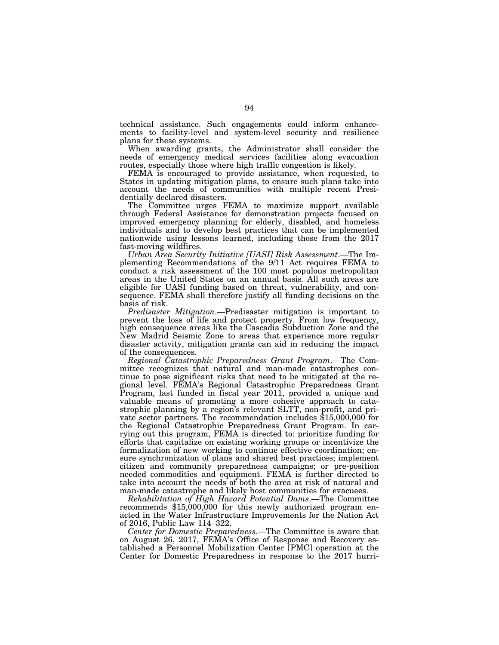technical assistance. Such engagements could inform enhancements to facility-level and system-level security and resilience plans for these systems.

When awarding grants, the Administrator shall consider the needs of emergency medical services facilities along evacuation routes, especially those where high traffic congestion is likely.

FEMA is encouraged to provide assistance, when requested, to States in updating mitigation plans, to ensure such plans take into account the needs of communities with multiple recent Presidentially declared disasters.

The Committee urges FEMA to maximize support available through Federal Assistance for demonstration projects focused on improved emergency planning for elderly, disabled, and homeless individuals and to develop best practices that can be implemented nationwide using lessons learned, including those from the 2017 fast-moving wildfires.

*Urban Area Security Initiative [UASI] Risk Assessment*.—The Implementing Recommendations of the 9/11 Act requires FEMA to conduct a risk assessment of the 100 most populous metropolitan areas in the United States on an annual basis. All such areas are eligible for UASI funding based on threat, vulnerability, and consequence. FEMA shall therefore justify all funding decisions on the basis of risk.

*Predisaster Mitigation*.—Predisaster mitigation is important to prevent the loss of life and protect property. From low frequency, high consequence areas like the Cascadia Subduction Zone and the New Madrid Seismic Zone to areas that experience more regular disaster activity, mitigation grants can aid in reducing the impact of the consequences.

*Regional Catastrophic Preparedness Grant Program*.—The Committee recognizes that natural and man-made catastrophes continue to pose significant risks that need to be mitigated at the regional level. FEMA's Regional Catastrophic Preparedness Grant Program, last funded in fiscal year 2011, provided a unique and valuable means of promoting a more cohesive approach to catastrophic planning by a region's relevant SLTT, non-profit, and private sector partners. The recommendation includes \$15,000,000 for the Regional Catastrophic Preparedness Grant Program. In carrying out this program, FEMA is directed to: prioritize funding for efforts that capitalize on existing working groups or incentivize the formalization of new working to continue effective coordination; ensure synchronization of plans and shared best practices; implement citizen and community preparedness campaigns; or pre-position needed commodities and equipment. FEMA is further directed to take into account the needs of both the area at risk of natural and man-made catastrophe and likely host communities for evacuees.

*Rehabilitation of High Hazard Potential Dams*.—The Committee recommends \$15,000,000 for this newly authorized program enacted in the Water Infrastructure Improvements for the Nation Act of 2016, Public Law 114–322.

*Center for Domestic Preparedness.—*The Committee is aware that on August 26, 2017, FEMA's Office of Response and Recovery established a Personnel Mobilization Center [PMC] operation at the Center for Domestic Preparedness in response to the 2017 hurri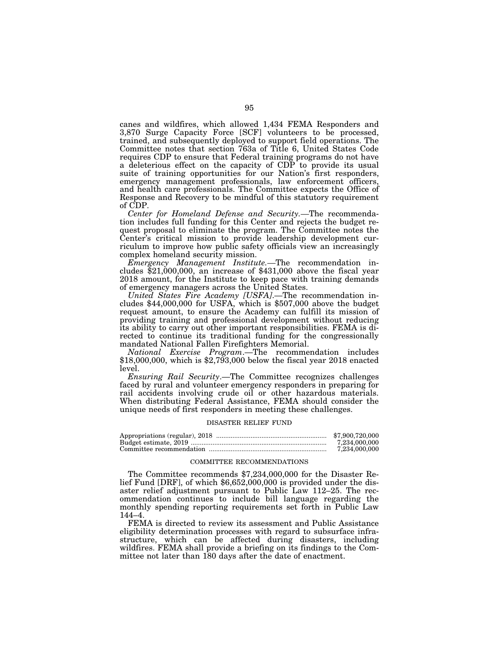canes and wildfires, which allowed 1,434 FEMA Responders and 3,870 Surge Capacity Force [SCF] volunteers to be processed, trained, and subsequently deployed to support field operations. The Committee notes that section 763a of Title 6, United States Code requires CDP to ensure that Federal training programs do not have a deleterious effect on the capacity of CDP to provide its usual suite of training opportunities for our Nation's first responders, emergency management professionals, law enforcement officers, and health care professionals. The Committee expects the Office of Response and Recovery to be mindful of this statutory requirement of CDP.

*Center for Homeland Defense and Security.—*The recommendation includes full funding for this Center and rejects the budget request proposal to eliminate the program. The Committee notes the Center's critical mission to provide leadership development curriculum to improve how public safety officials view an increasingly complex homeland security mission.

*Emergency Management Institute.—*The recommendation includes  $$21,000,000$ , an increase of  $$431,000$  above the fiscal year 2018 amount, for the Institute to keep pace with training demands of emergency managers across the United States.

*United States Fire Academy [USFA]*.—The recommendation includes \$44,000,000 for USFA, which is \$507,000 above the budget request amount, to ensure the Academy can fulfill its mission of providing training and professional development without reducing its ability to carry out other important responsibilities. FEMA is directed to continue its traditional funding for the congressionally mandated National Fallen Firefighters Memorial.

*National Exercise Program*.—The recommendation includes \$18,000,000, which is \$2,793,000 below the fiscal year 2018 enacted level.

*Ensuring Rail Security*.—The Committee recognizes challenges faced by rural and volunteer emergency responders in preparing for rail accidents involving crude oil or other hazardous materials. When distributing Federal Assistance, FEMA should consider the unique needs of first responders in meeting these challenges.

#### DISASTER RELIEF FUND

| \$7,900,720,000 |
|-----------------|
| 7.234.000.000   |
| 7,234,000,000   |

#### COMMITTEE RECOMMENDATIONS

The Committee recommends \$7,234,000,000 for the Disaster Relief Fund [DRF], of which \$6,652,000,000 is provided under the disaster relief adjustment pursuant to Public Law 112–25. The recommendation continues to include bill language regarding the monthly spending reporting requirements set forth in Public Law 144–4.

FEMA is directed to review its assessment and Public Assistance eligibility determination processes with regard to subsurface infrastructure, which can be affected during disasters, including wildfires. FEMA shall provide a briefing on its findings to the Committee not later than 180 days after the date of enactment.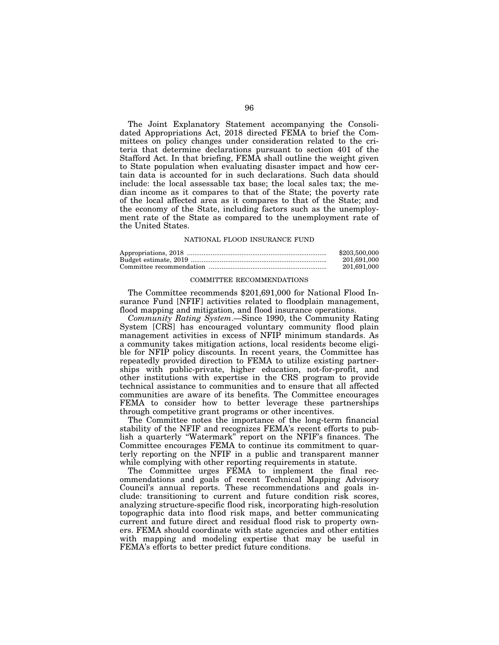The Joint Explanatory Statement accompanying the Consolidated Appropriations Act, 2018 directed FEMA to brief the Committees on policy changes under consideration related to the criteria that determine declarations pursuant to section 401 of the Stafford Act. In that briefing, FEMA shall outline the weight given to State population when evaluating disaster impact and how certain data is accounted for in such declarations. Such data should include: the local assessable tax base; the local sales tax; the median income as it compares to that of the State; the poverty rate of the local affected area as it compares to that of the State; and the economy of the State, including factors such as the unemployment rate of the State as compared to the unemployment rate of the United States.

## NATIONAL FLOOD INSURANCE FUND

| \$203,500,000 |
|---------------|
| 201.691.000   |
| 201,691,000   |

#### COMMITTEE RECOMMENDATIONS

The Committee recommends \$201,691,000 for National Flood Insurance Fund [NFIF] activities related to floodplain management, flood mapping and mitigation, and flood insurance operations.

*Community Rating System*.—Since 1990, the Community Rating System [CRS] has encouraged voluntary community flood plain management activities in excess of NFIP minimum standards. As a community takes mitigation actions, local residents become eligible for NFIP policy discounts. In recent years, the Committee has repeatedly provided direction to FEMA to utilize existing partnerships with public-private, higher education, not-for-profit, and other institutions with expertise in the CRS program to provide technical assistance to communities and to ensure that all affected communities are aware of its benefits. The Committee encourages FEMA to consider how to better leverage these partnerships through competitive grant programs or other incentives.

The Committee notes the importance of the long-term financial stability of the NFIF and recognizes FEMA's recent efforts to publish a quarterly ''Watermark'' report on the NFIF's finances. The Committee encourages FEMA to continue its commitment to quarterly reporting on the NFIF in a public and transparent manner while complying with other reporting requirements in statute.

The Committee urges FEMA to implement the final recommendations and goals of recent Technical Mapping Advisory Council's annual reports. These recommendations and goals include: transitioning to current and future condition risk scores, analyzing structure-specific flood risk, incorporating high-resolution topographic data into flood risk maps, and better communicating current and future direct and residual flood risk to property owners. FEMA should coordinate with state agencies and other entities with mapping and modeling expertise that may be useful in FEMA's efforts to better predict future conditions.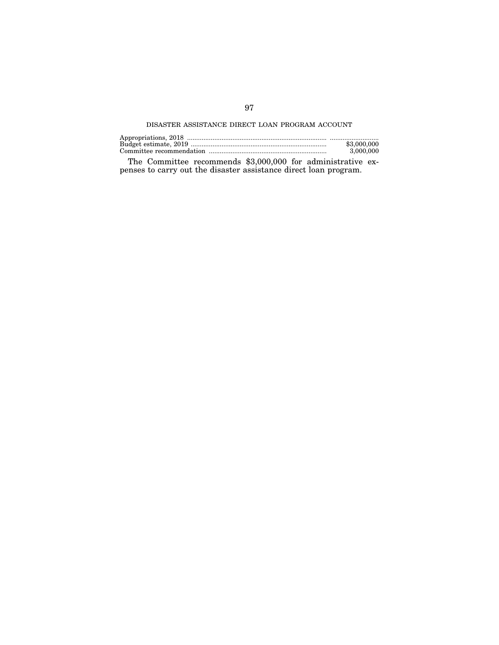# DISASTER ASSISTANCE DIRECT LOAN PROGRAM ACCOUNT

| \$3,000,000 |
|-------------|
| 3,000,000   |

The Committee recommends \$3,000,000 for administrative expenses to carry out the disaster assistance direct loan program.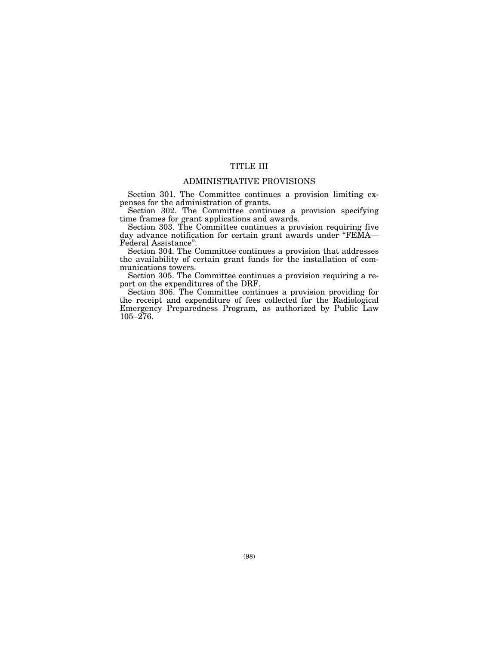# TITLE III

# ADMINISTRATIVE PROVISIONS

Section 301. The Committee continues a provision limiting expenses for the administration of grants.

Section 302. The Committee continues a provision specifying time frames for grant applications and awards.

Section 303. The Committee continues a provision requiring five day advance notification for certain grant awards under "FEMA— Federal Assistance''.

Section 304. The Committee continues a provision that addresses the availability of certain grant funds for the installation of communications towers.

Section 305. The Committee continues a provision requiring a report on the expenditures of the DRF.

Section 306. The Committee continues a provision providing for the receipt and expenditure of fees collected for the Radiological Emergency Preparedness Program, as authorized by Public Law  $105 - 276$ .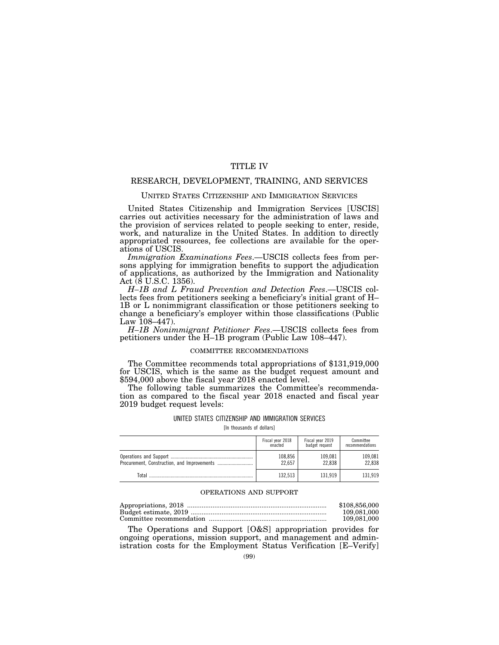# TITLE IV

# RESEARCH, DEVELOPMENT, TRAINING, AND SERVICES

#### UNITED STATES CITIZENSHIP AND IMMIGRATION SERVICES

United States Citizenship and Immigration Services [USCIS] carries out activities necessary for the administration of laws and the provision of services related to people seeking to enter, reside, work, and naturalize in the United States. In addition to directly appropriated resources, fee collections are available for the operations of USCIS.

*Immigration Examinations Fees*.—USCIS collects fees from persons applying for immigration benefits to support the adjudication of applications, as authorized by the Immigration and Nationality Act (8 U.S.C. 1356).

*H–1B and L Fraud Prevention and Detection Fees*.—USCIS collects fees from petitioners seeking a beneficiary's initial grant of H– 1B or L nonimmigrant classification or those petitioners seeking to change a beneficiary's employer within those classifications (Public Law  $108-447$ ).

*H–1B Nonimmigrant Petitioner Fees*.—USCIS collects fees from petitioners under the H–1B program (Public Law 108–447).

### COMMITTEE RECOMMENDATIONS

The Committee recommends total appropriations of \$131,919,000 for USCIS, which is the same as the budget request amount and \$594,000 above the fiscal year 2018 enacted level.

The following table summarizes the Committee's recommendation as compared to the fiscal year 2018 enacted and fiscal year 2019 budget request levels:

# UNITED STATES CITIZENSHIP AND IMMIGRATION SERVICES

[In thousands of dollars]

|       | Fiscal year 2018 | Fiscal year 2019 | Committee       |
|-------|------------------|------------------|-----------------|
|       | enacted          | budget request   | recommendations |
|       | 108,856          | 109.081          | 109.081         |
|       | 22.657           | 22.838           | 22.838          |
| Total | 132.513          | 131.919          | 131.919         |

### OPERATIONS AND SUPPORT

| \$108,856,000 |
|---------------|
| 109.081.000   |
| 109.081.000   |

The Operations and Support [O&S] appropriation provides for ongoing operations, mission support, and management and administration costs for the Employment Status Verification [E–Verify]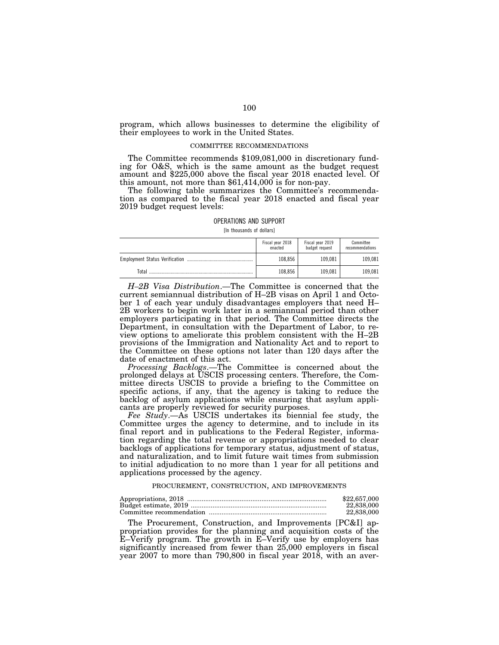program, which allows businesses to determine the eligibility of their employees to work in the United States.

#### COMMITTEE RECOMMENDATIONS

The Committee recommends \$109,081,000 in discretionary funding for O&S, which is the same amount as the budget request amount and \$225,000 above the fiscal year 2018 enacted level. Of this amount, not more than \$61,414,000 is for non-pay.

The following table summarizes the Committee's recommendation as compared to the fiscal year 2018 enacted and fiscal year 2019 budget request levels:

#### OPERATIONS AND SUPPORT

[In thousands of dollars]

|       | Fiscal year 2018<br>enacted | Fiscal year 2019<br>budget request | Committee<br>recommendations |
|-------|-----------------------------|------------------------------------|------------------------------|
|       | 108.856                     | 109.081                            | 109.081                      |
| Total | 108.856                     | 109.081                            | 109.081                      |

*H–2B Visa Distribution*.—The Committee is concerned that the current semiannual distribution of H–2B visas on April 1 and October 1 of each year unduly disadvantages employers that need H– 2B workers to begin work later in a semiannual period than other employers participating in that period. The Committee directs the Department, in consultation with the Department of Labor, to review options to ameliorate this problem consistent with the H–2B provisions of the Immigration and Nationality Act and to report to the Committee on these options not later than 120 days after the date of enactment of this act.

*Processing Backlogs*.—The Committee is concerned about the prolonged delays at USCIS processing centers. Therefore, the Committee directs USCIS to provide a briefing to the Committee on specific actions, if any, that the agency is taking to reduce the backlog of asylum applications while ensuring that asylum applicants are properly reviewed for security purposes.

*Fee Study*.—As USCIS undertakes its biennial fee study, the Committee urges the agency to determine, and to include in its final report and in publications to the Federal Register, information regarding the total revenue or appropriations needed to clear backlogs of applications for temporary status, adjustment of status, and naturalization, and to limit future wait times from submission to initial adjudication to no more than 1 year for all petitions and applications processed by the agency.

#### PROCUREMENT, CONSTRUCTION, AND IMPROVEMENTS

| \$22,657,000 |
|--------------|
| 22,838,000   |
| 22,838,000   |

The Procurement, Construction, and Improvements [PC&I] appropriation provides for the planning and acquisition costs of the E–Verify program. The growth in E–Verify use by employers has significantly increased from fewer than 25,000 employers in fiscal year 2007 to more than 790,800 in fiscal year 2018, with an aver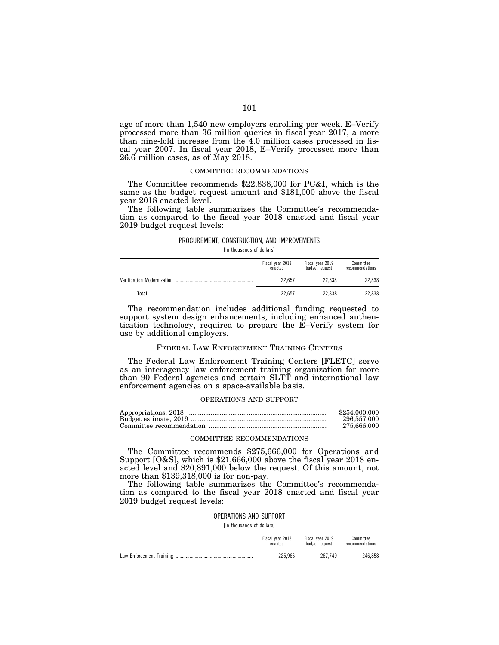age of more than 1,540 new employers enrolling per week. E–Verify processed more than 36 million queries in fiscal year 2017, a more than nine-fold increase from the 4.0 million cases processed in fiscal year 2007. In fiscal year 2018, E–Verify processed more than 26.6 million cases, as of May 2018.

## COMMITTEE RECOMMENDATIONS

The Committee recommends \$22,838,000 for PC&I, which is the same as the budget request amount and \$181,000 above the fiscal year 2018 enacted level.

The following table summarizes the Committee's recommendation as compared to the fiscal year 2018 enacted and fiscal year 2019 budget request levels:

#### PROCUREMENT, CONSTRUCTION, AND IMPROVEMENTS

[In thousands of dollars]

|                            | Fiscal year 2018<br>enacted | Fiscal year 2019<br>budget request | Committee<br>recommendations |
|----------------------------|-----------------------------|------------------------------------|------------------------------|
| Verification Modernization | 22.657                      | 22.838                             | 22.838                       |
| Total                      | 22.657                      | 22.838                             | 22.838                       |

The recommendation includes additional funding requested to support system design enhancements, including enhanced authentication technology, required to prepare the E–Verify system for use by additional employers.

#### FEDERAL LAW ENFORCEMENT TRAINING CENTERS

The Federal Law Enforcement Training Centers [FLETC] serve as an interagency law enforcement training organization for more than 90 Federal agencies and certain SLTT and international law enforcement agencies on a space-available basis.

#### OPERATIONS AND SUPPORT

| \$254,000,000 |
|---------------|
| 296,557,000   |
| 275.666.000   |

#### COMMITTEE RECOMMENDATIONS

The Committee recommends \$275,666,000 for Operations and Support [O&S], which is \$21,666,000 above the fiscal year 2018 enacted level and \$20,891,000 below the request. Of this amount, not more than \$139,318,000 is for non-pay.

The following table summarizes the Committee's recommendation as compared to the fiscal year 2018 enacted and fiscal year 2019 budget request levels:

#### OPERATIONS AND SUPPORT

[In thousands of dollars]

| Fiscal year 2018 | Fiscal year 2019 | Committee       |
|------------------|------------------|-----------------|
| enacted          | budget request   | recommendations |
| 225.966          | 267.749          |                 |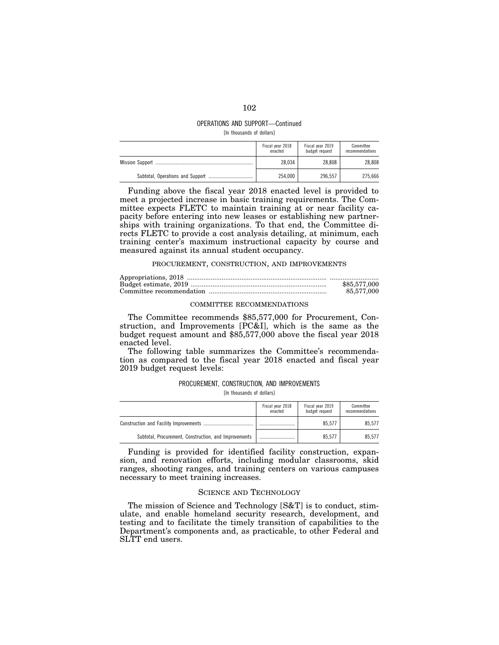#### OPERATIONS AND SUPPORT—Continued [In thousands of dollars]

|                        | Fiscal year 2018<br>enacted | Fiscal year 2019<br>budget request | Committee<br>recommendations |
|------------------------|-----------------------------|------------------------------------|------------------------------|
| <b>Mission Support</b> | 28.034                      | 28.808                             | 28.808                       |
|                        | 254.000                     | 296.557                            | 275.666                      |

Funding above the fiscal year 2018 enacted level is provided to meet a projected increase in basic training requirements. The Committee expects FLETC to maintain training at or near facility capacity before entering into new leases or establishing new partnerships with training organizations. To that end, the Committee directs FLETC to provide a cost analysis detailing, at minimum, each training center's maximum instructional capacity by course and measured against its annual student occupancy.

#### PROCUREMENT, CONSTRUCTION, AND IMPROVEMENTS

| \$85,577,000 |
|--------------|
| 85.577.000   |

# COMMITTEE RECOMMENDATIONS

The Committee recommends \$85,577,000 for Procurement, Construction, and Improvements [PC&I], which is the same as the budget request amount and \$85,577,000 above the fiscal year 2018 enacted level.

The following table summarizes the Committee's recommendation as compared to the fiscal year 2018 enacted and fiscal year 2019 budget request levels:

# PROCUREMENT, CONSTRUCTION, AND IMPROVEMENTS

[In thousands of dollars]

|                                                       | Fiscal year 2018<br>enacted | Fiscal year 2019<br>budget request | Committee<br>recommendations |
|-------------------------------------------------------|-----------------------------|------------------------------------|------------------------------|
|                                                       |                             | 85.577                             | 85.577                       |
| Subtotal, Procurement, Construction, and Improvements |                             | 85.577                             | 85.577                       |

Funding is provided for identified facility construction, expansion, and renovation efforts, including modular classrooms, skid ranges, shooting ranges, and training centers on various campuses necessary to meet training increases.

### SCIENCE AND TECHNOLOGY

The mission of Science and Technology [S&T] is to conduct, stimulate, and enable homeland security research, development, and testing and to facilitate the timely transition of capabilities to the Department's components and, as practicable, to other Federal and SLTT end users.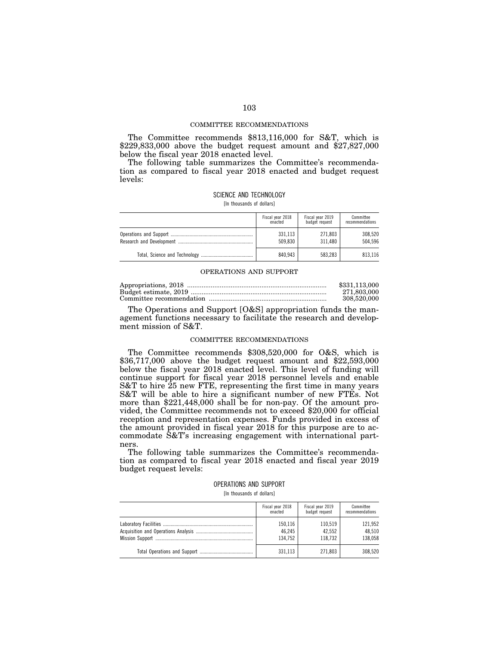#### COMMITTEE RECOMMENDATIONS

The Committee recommends \$813,116,000 for S&T, which is \$229,833,000 above the budget request amount and \$27,827,000 below the fiscal year 2018 enacted level.

The following table summarizes the Committee's recommendation as compared to fiscal year 2018 enacted and budget request levels:

### SCIENCE AND TECHNOLOGY

[In thousands of dollars]

| Fiscal year 2018 | Fiscal year 2019 | Committee       |
|------------------|------------------|-----------------|
| enacted          | budget request   | recommendations |
| 331.113          | 271.803          | 308,520         |
| 509.830          | 311.480          | 504.596         |
| 840.943          | 583.283          |                 |

## OPERATIONS AND SUPPORT

| \$331,113,000 |
|---------------|
| 271.803.000   |
| 308,520,000   |

The Operations and Support [O&S] appropriation funds the management functions necessary to facilitate the research and development mission of S&T.

#### COMMITTEE RECOMMENDATIONS

The Committee recommends \$308,520,000 for O&S, which is \$36,717,000 above the budget request amount and \$22,593,000 below the fiscal year 2018 enacted level. This level of funding will continue support for fiscal year 2018 personnel levels and enable S&T to hire 25 new FTE, representing the first time in many years S&T will be able to hire a significant number of new FTEs. Not more than \$221,448,000 shall be for non-pay. Of the amount provided, the Committee recommends not to exceed \$20,000 for official reception and representation expenses. Funds provided in excess of the amount provided in fiscal year 2018 for this purpose are to accommodate S&T's increasing engagement with international partners.

The following table summarizes the Committee's recommendation as compared to fiscal year 2018 enacted and fiscal year 2019 budget request levels:

# OPERATIONS AND SUPPORT [In thousands of dollars]

| Fiscal year 2018 | Fiscal year 2019 | Committee       |
|------------------|------------------|-----------------|
| enacted          | budget request   | recommendations |
| 150,116          | 110.519          | 121.952         |
| 46,245           | 42.552           | 48.510          |
| 134.752          | 118.732          | 138,058         |
| 331.113          | 271.803          |                 |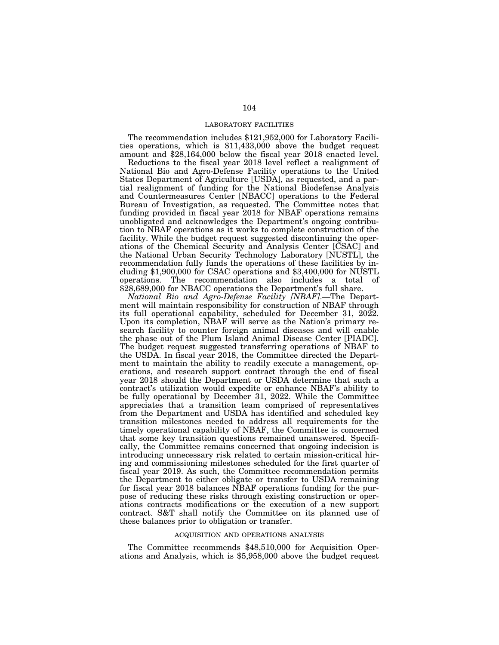### LABORATORY FACILITIES

The recommendation includes \$121,952,000 for Laboratory Facilities operations, which is \$11,433,000 above the budget request amount and \$28,164,000 below the fiscal year 2018 enacted level.

Reductions to the fiscal year 2018 level reflect a realignment of National Bio and Agro-Defense Facility operations to the United States Department of Agriculture [USDA], as requested, and a partial realignment of funding for the National Biodefense Analysis and Countermeasures Center [NBACC] operations to the Federal Bureau of Investigation, as requested. The Committee notes that funding provided in fiscal year 2018 for NBAF operations remains unobligated and acknowledges the Department's ongoing contribution to NBAF operations as it works to complete construction of the facility. While the budget request suggested discontinuing the operations of the Chemical Security and Analysis Center [CSAC] and the National Urban Security Technology Laboratory [NUSTL], the recommendation fully funds the operations of these facilities by including \$1,900,000 for CSAC operations and \$3,400,000 for NUSTL operations. The recommendation also includes a total of \$28,689,000 for NBACC operations the Department's full share.

*National Bio and Agro-Defense Facility [NBAF]*.—The Department will maintain responsibility for construction of NBAF through its full operational capability, scheduled for December 31, 2022. Upon its completion, NBAF will serve as the Nation's primary research facility to counter foreign animal diseases and will enable the phase out of the Plum Island Animal Disease Center [PIADC]. The budget request suggested transferring operations of NBAF to the USDA. In fiscal year 2018, the Committee directed the Department to maintain the ability to readily execute a management, operations, and research support contract through the end of fiscal year 2018 should the Department or USDA determine that such a contract's utilization would expedite or enhance NBAF's ability to be fully operational by December 31, 2022. While the Committee appreciates that a transition team comprised of representatives from the Department and USDA has identified and scheduled key transition milestones needed to address all requirements for the timely operational capability of NBAF, the Committee is concerned that some key transition questions remained unanswered. Specifically, the Committee remains concerned that ongoing indecision is introducing unnecessary risk related to certain mission-critical hiring and commissioning milestones scheduled for the first quarter of fiscal year 2019. As such, the Committee recommendation permits the Department to either obligate or transfer to USDA remaining for fiscal year 2018 balances NBAF operations funding for the purpose of reducing these risks through existing construction or operations contracts modifications or the execution of a new support contract. S&T shall notify the Committee on its planned use of these balances prior to obligation or transfer.

### ACQUISITION AND OPERATIONS ANALYSIS

The Committee recommends \$48,510,000 for Acquisition Operations and Analysis, which is \$5,958,000 above the budget request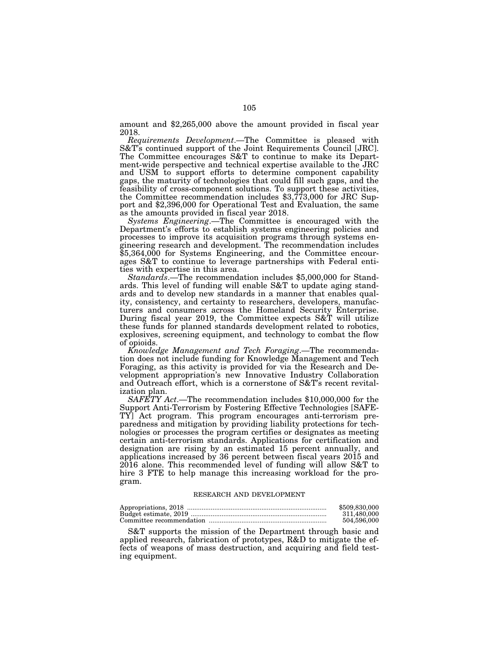amount and \$2,265,000 above the amount provided in fiscal year 2018.

*Requirements Development*.—The Committee is pleased with S&T's continued support of the Joint Requirements Council [JRC]. The Committee encourages S&T to continue to make its Department-wide perspective and technical expertise available to the JRC and USM to support efforts to determine component capability gaps, the maturity of technologies that could fill such gaps, and the feasibility of cross-component solutions. To support these activities, the Committee recommendation includes \$3,773,000 for JRC Support and \$2,396,000 for Operational Test and Evaluation, the same as the amounts provided in fiscal year 2018.

*Systems Engineering*.—The Committee is encouraged with the Department's efforts to establish systems engineering policies and processes to improve its acquisition programs through systems engineering research and development. The recommendation includes \$5,364,000 for Systems Engineering, and the Committee encourages S&T to continue to leverage partnerships with Federal entities with expertise in this area.

*Standards*.—The recommendation includes \$5,000,000 for Standards. This level of funding will enable S&T to update aging standards and to develop new standards in a manner that enables quality, consistency, and certainty to researchers, developers, manufacturers and consumers across the Homeland Security Enterprise. During fiscal year 2019, the Committee expects S&T will utilize these funds for planned standards development related to robotics, explosives, screening equipment, and technology to combat the flow of opioids.

*Knowledge Management and Tech Foraging*.—The recommendation does not include funding for Knowledge Management and Tech Foraging, as this activity is provided for via the Research and Development appropriation's new Innovative Industry Collaboration and Outreach effort, which is a cornerstone of S&T's recent revitalization plan.

*SAFETY Act*.—The recommendation includes \$10,000,000 for the Support Anti-Terrorism by Fostering Effective Technologies [SAFE-TY] Act program. This program encourages anti-terrorism preparedness and mitigation by providing liability protections for technologies or processes the program certifies or designates as meeting certain anti-terrorism standards. Applications for certification and designation are rising by an estimated 15 percent annually, and applications increased by 36 percent between fiscal years 2015 and 2016 alone. This recommended level of funding will allow S&T to hire 3 FTE to help manage this increasing workload for the program.

#### RESEARCH AND DEVELOPMENT

| \$509,830,000 |
|---------------|
| 311.480.000   |
| 504.596.000   |

S&T supports the mission of the Department through basic and applied research, fabrication of prototypes, R&D to mitigate the effects of weapons of mass destruction, and acquiring and field testing equipment.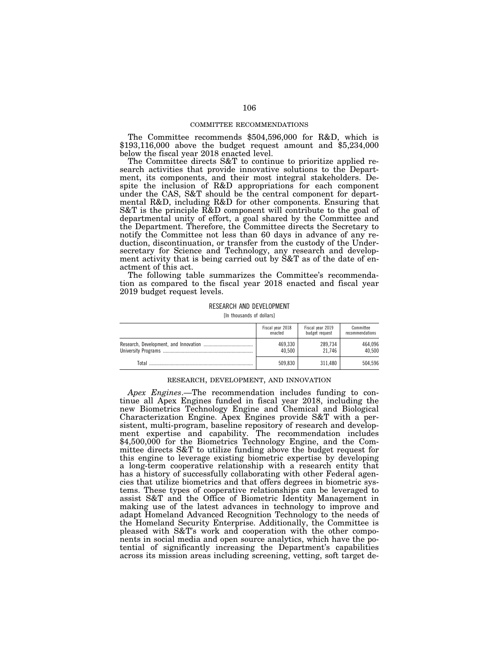#### COMMITTEE RECOMMENDATIONS

The Committee recommends \$504,596,000 for R&D, which is \$193,116,000 above the budget request amount and \$5,234,000 below the fiscal year 2018 enacted level.

The Committee directs S&T to continue to prioritize applied research activities that provide innovative solutions to the Department, its components, and their most integral stakeholders. Despite the inclusion of R&D appropriations for each component under the CAS, S&T should be the central component for departmental R&D, including R&D for other components. Ensuring that S&T is the principle R&D component will contribute to the goal of departmental unity of effort, a goal shared by the Committee and the Department. Therefore, the Committee directs the Secretary to notify the Committee not less than 60 days in advance of any reduction, discontinuation, or transfer from the custody of the Undersecretary for Science and Technology, any research and development activity that is being carried out by S&T as of the date of enactment of this act.

The following table summarizes the Committee's recommendation as compared to the fiscal year 2018 enacted and fiscal year 2019 budget request levels.

## RESEARCH AND DEVELOPMENT

[In thousands of dollars]

|       | Fiscal year 2018 | Fiscal year 2019 | Committee       |
|-------|------------------|------------------|-----------------|
|       | enacted          | budget request   | recommendations |
|       | 469.330          | 289.734          | 464.096         |
|       | 40.500           | 21.746           | 40.500          |
| Total | 509.830          | 311.480          | 504.596         |

#### RESEARCH, DEVELOPMENT, AND INNOVATION

*Apex Engines*.—The recommendation includes funding to continue all Apex Engines funded in fiscal year 2018, including the new Biometrics Technology Engine and Chemical and Biological Characterization Engine. Apex Engines provide S&T with a persistent, multi-program, baseline repository of research and development expertise and capability. The recommendation includes \$4,500,000 for the Biometrics Technology Engine, and the Committee directs S&T to utilize funding above the budget request for this engine to leverage existing biometric expertise by developing a long-term cooperative relationship with a research entity that has a history of successfully collaborating with other Federal agencies that utilize biometrics and that offers degrees in biometric systems. These types of cooperative relationships can be leveraged to assist S&T and the Office of Biometric Identity Management in making use of the latest advances in technology to improve and adapt Homeland Advanced Recognition Technology to the needs of the Homeland Security Enterprise. Additionally, the Committee is pleased with S&T's work and cooperation with the other components in social media and open source analytics, which have the potential of significantly increasing the Department's capabilities across its mission areas including screening, vetting, soft target de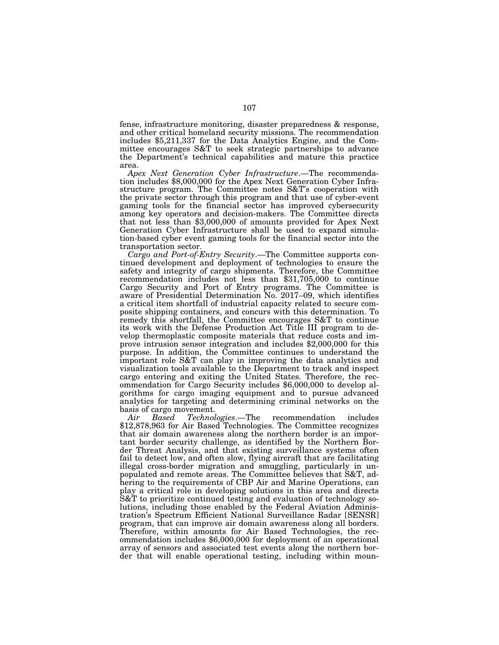fense, infrastructure monitoring, disaster preparedness & response, and other critical homeland security missions. The recommendation includes \$5,211,337 for the Data Analytics Engine, and the Committee encourages S&T to seek strategic partnerships to advance the Department's technical capabilities and mature this practice area.

*Apex Next Generation Cyber Infrastructure*.—The recommendation includes \$8,000,000 for the Apex Next Generation Cyber Infrastructure program. The Committee notes S&T's cooperation with the private sector through this program and that use of cyber-event gaming tools for the financial sector has improved cybersecurity among key operators and decision-makers. The Committee directs that not less than \$3,000,000 of amounts provided for Apex Next Generation Cyber Infrastructure shall be used to expand simulation-based cyber event gaming tools for the financial sector into the transportation sector.

*Cargo and Port-of-Entry Security*.—The Committee supports continued development and deployment of technologies to ensure the safety and integrity of cargo shipments. Therefore, the Committee recommendation includes not less than \$31,705,000 to continue Cargo Security and Port of Entry programs. The Committee is aware of Presidential Determination No. 2017–09, which identifies a critical item shortfall of industrial capacity related to secure composite shipping containers, and concurs with this determination. To remedy this shortfall, the Committee encourages S&T to continue its work with the Defense Production Act Title III program to develop thermoplastic composite materials that reduce costs and improve intrusion sensor integration and includes \$2,000,000 for this purpose. In addition, the Committee continues to understand the important role S&T can play in improving the data analytics and visualization tools available to the Department to track and inspect cargo entering and exiting the United States. Therefore, the recommendation for Cargo Security includes \$6,000,000 to develop algorithms for cargo imaging equipment and to pursue advanced analytics for targeting and determining criminal networks on the

basis of cargo movement.<br>Air Based Technol *Air Based Technologies*.—The recommendation includes \$12,878,963 for Air Based Technologies. The Committee recognizes that air domain awareness along the northern border is an important border security challenge, as identified by the Northern Border Threat Analysis, and that existing surveillance systems often fail to detect low, and often slow, flying aircraft that are facilitating illegal cross-border migration and smuggling, particularly in unpopulated and remote areas. The Committee believes that S&T, adhering to the requirements of CBP Air and Marine Operations, can play a critical role in developing solutions in this area and directs S&T to prioritize continued testing and evaluation of technology solutions, including those enabled by the Federal Aviation Administration's Spectrum Efficient National Surveillance Radar [SENSR] program, that can improve air domain awareness along all borders. Therefore, within amounts for Air Based Technologies, the recommendation includes \$6,000,000 for deployment of an operational array of sensors and associated test events along the northern border that will enable operational testing, including within moun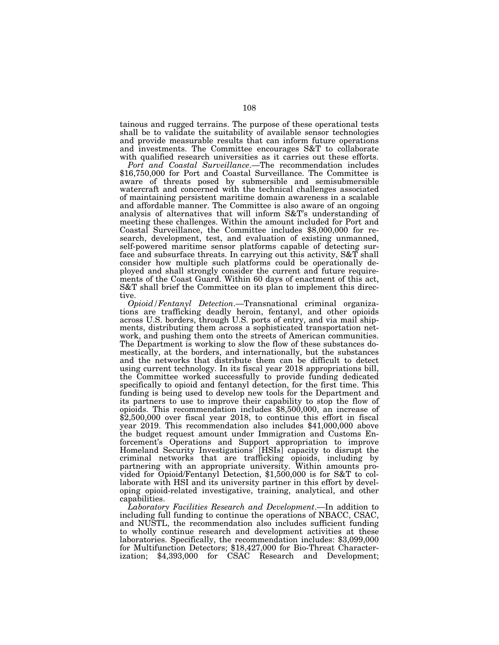tainous and rugged terrains. The purpose of these operational tests shall be to validate the suitability of available sensor technologies and provide measurable results that can inform future operations and investments. The Committee encourages S&T to collaborate with qualified research universities as it carries out these efforts.

*Port and Coastal Surveillance*.—The recommendation includes \$16,750,000 for Port and Coastal Surveillance. The Committee is aware of threats posed by submersible and semisubmersible watercraft and concerned with the technical challenges associated of maintaining persistent maritime domain awareness in a scalable and affordable manner. The Committee is also aware of an ongoing analysis of alternatives that will inform S&T's understanding of meeting these challenges. Within the amount included for Port and Coastal Surveillance, the Committee includes \$8,000,000 for research, development, test, and evaluation of existing unmanned, self-powered maritime sensor platforms capable of detecting surface and subsurface threats. In carrying out this activity, S&T shall consider how multiple such platforms could be operationally deployed and shall strongly consider the current and future requirements of the Coast Guard. Within 60 days of enactment of this act, S&T shall brief the Committee on its plan to implement this directive.

*Opioid/Fentanyl Detection*.—Transnational criminal organizations are trafficking deadly heroin, fentanyl, and other opioids across U.S. borders, through U.S. ports of entry, and via mail shipments, distributing them across a sophisticated transportation network, and pushing them onto the streets of American communities. The Department is working to slow the flow of these substances domestically, at the borders, and internationally, but the substances and the networks that distribute them can be difficult to detect using current technology. In its fiscal year 2018 appropriations bill, the Committee worked successfully to provide funding dedicated specifically to opioid and fentanyl detection, for the first time. This funding is being used to develop new tools for the Department and its partners to use to improve their capability to stop the flow of opioids. This recommendation includes \$8,500,000, an increase of \$2,500,000 over fiscal year 2018, to continue this effort in fiscal year 2019. This recommendation also includes \$41,000,000 above the budget request amount under Immigration and Customs Enforcement's Operations and Support appropriation to improve Homeland Security Investigations' [HSIs] capacity to disrupt the criminal networks that are trafficking opioids, including by partnering with an appropriate university. Within amounts provided for Opioid/Fentanyl Detection, \$1,500,000 is for S&T to collaborate with HSI and its university partner in this effort by developing opioid-related investigative, training, analytical, and other capabilities.

*Laboratory Facilities Research and Development*.—In addition to including full funding to continue the operations of NBACC, CSAC, and NUSTL, the recommendation also includes sufficient funding to wholly continue research and development activities at these laboratories. Specifically, the recommendation includes: \$3,099,000 for Multifunction Detectors; \$18,427,000 for Bio-Threat Characterization; \$4,393,000 for CSAC Research and Development;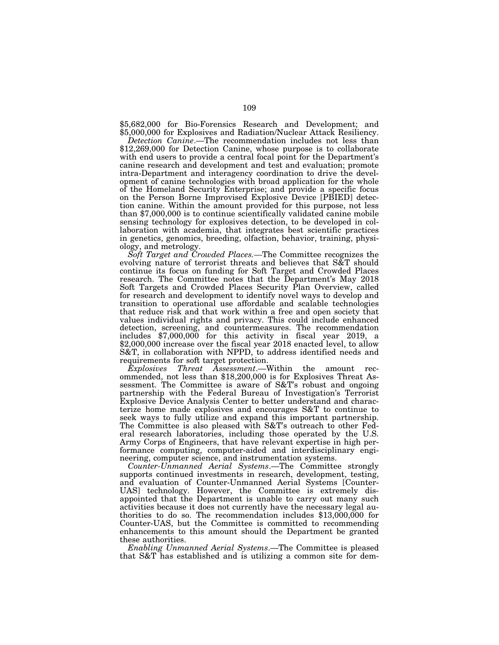\$5,682,000 for Bio-Forensics Research and Development; and \$5,000,000 for Explosives and Radiation/Nuclear Attack Resiliency.

*Detection Canine*.—The recommendation includes not less than \$12,269,000 for Detection Canine, whose purpose is to collaborate with end users to provide a central focal point for the Department's canine research and development and test and evaluation; promote intra-Department and interagency coordination to drive the development of canine technologies with broad application for the whole of the Homeland Security Enterprise; and provide a specific focus on the Person Borne Improvised Explosive Device [PBIED] detection canine. Within the amount provided for this purpose, not less than \$7,000,000 is to continue scientifically validated canine mobile sensing technology for explosives detection, to be developed in collaboration with academia, that integrates best scientific practices in genetics, genomics, breeding, olfaction, behavior, training, physiology, and metrology.

*Soft Target and Crowded Places.—*The Committee recognizes the evolving nature of terrorist threats and believes that S&T should continue its focus on funding for Soft Target and Crowded Places research. The Committee notes that the Department's May 2018 Soft Targets and Crowded Places Security Plan Overview, called for research and development to identify novel ways to develop and transition to operational use affordable and scalable technologies that reduce risk and that work within a free and open society that values individual rights and privacy. This could include enhanced detection, screening, and countermeasures. The recommendation includes \$7,000,000 for this activity in fiscal year 2019, a \$2,000,000 increase over the fiscal year 2018 enacted level, to allow S&T, in collaboration with NPPD, to address identified needs and requirements for soft target protection.

*Explosives Threat Assessment*.—Within the amount recommended, not less than \$18,200,000 is for Explosives Threat Assessment. The Committee is aware of S&T's robust and ongoing partnership with the Federal Bureau of Investigation's Terrorist Explosive Device Analysis Center to better understand and characterize home made explosives and encourages S&T to continue to seek ways to fully utilize and expand this important partnership. The Committee is also pleased with S&T's outreach to other Federal research laboratories, including those operated by the U.S. Army Corps of Engineers, that have relevant expertise in high performance computing, computer-aided and interdisciplinary engineering, computer science, and instrumentation systems.

*Counter-Unmanned Aerial Systems*.—The Committee strongly supports continued investments in research, development, testing, and evaluation of Counter-Unmanned Aerial Systems [Counter-UAS] technology. However, the Committee is extremely disappointed that the Department is unable to carry out many such activities because it does not currently have the necessary legal authorities to do so. The recommendation includes \$13,000,000 for Counter-UAS, but the Committee is committed to recommending enhancements to this amount should the Department be granted these authorities.

*Enabling Unmanned Aerial Systems*.—The Committee is pleased that S&T has established and is utilizing a common site for dem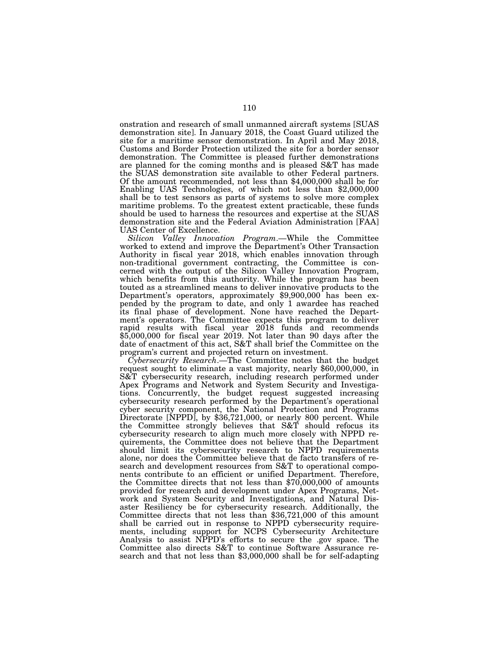onstration and research of small unmanned aircraft systems [SUAS demonstration site]. In January 2018, the Coast Guard utilized the site for a maritime sensor demonstration. In April and May 2018, Customs and Border Protection utilized the site for a border sensor demonstration. The Committee is pleased further demonstrations are planned for the coming months and is pleased S&T has made the SUAS demonstration site available to other Federal partners. Of the amount recommended, not less than \$4,000,000 shall be for Enabling UAS Technologies, of which not less than \$2,000,000 shall be to test sensors as parts of systems to solve more complex maritime problems. To the greatest extent practicable, these funds should be used to harness the resources and expertise at the SUAS demonstration site and the Federal Aviation Administration [FAA] UAS Center of Excellence.

*Silicon Valley Innovation Program*.—While the Committee worked to extend and improve the Department's Other Transaction Authority in fiscal year 2018, which enables innovation through non-traditional government contracting, the Committee is concerned with the output of the Silicon Valley Innovation Program, which benefits from this authority. While the program has been touted as a streamlined means to deliver innovative products to the Department's operators, approximately \$9,900,000 has been expended by the program to date, and only 1 awardee has reached its final phase of development. None have reached the Department's operators. The Committee expects this program to deliver rapid results with fiscal year 2018 funds and recommends \$5,000,000 for fiscal year 2019. Not later than 90 days after the date of enactment of this act, S&T shall brief the Committee on the program's current and projected return on investment.<br>Cybersecurity Research.—The Committee notes that the budget

request sought to eliminate a vast majority, nearly \$60,000,000, in S&T cybersecurity research, including research performed under Apex Programs and Network and System Security and Investigations. Concurrently, the budget request suggested increasing cybersecurity research performed by the Department's operational cyber security component, the National Protection and Programs Directorate [NPPD], by \$36,721,000, or nearly 800 percent. While the Committee strongly believes that S&T should refocus its cybersecurity research to align much more closely with NPPD requirements, the Committee does not believe that the Department should limit its cybersecurity research to NPPD requirements alone, nor does the Committee believe that de facto transfers of research and development resources from S&T to operational components contribute to an efficient or unified Department. Therefore, the Committee directs that not less than \$70,000,000 of amounts provided for research and development under Apex Programs, Network and System Security and Investigations, and Natural Disaster Resiliency be for cybersecurity research. Additionally, the Committee directs that not less than \$36,721,000 of this amount shall be carried out in response to NPPD cybersecurity requirements, including support for NCPS Cybersecurity Architecture Analysis to assist NPPD's efforts to secure the .gov space. The Committee also directs S&T to continue Software Assurance research and that not less than \$3,000,000 shall be for self-adapting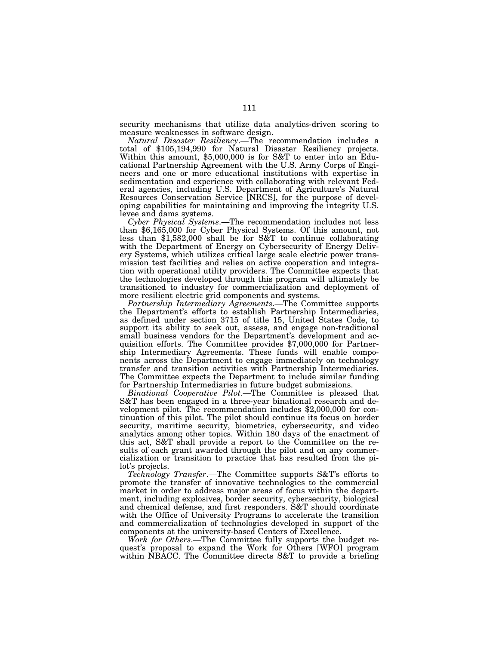security mechanisms that utilize data analytics-driven scoring to measure weaknesses in software design.

*Natural Disaster Resiliency*.—The recommendation includes a total of \$105,194,990 for Natural Disaster Resiliency projects. Within this amount, \$5,000,000 is for S&T to enter into an Educational Partnership Agreement with the U.S. Army Corps of Engineers and one or more educational institutions with expertise in sedimentation and experience with collaborating with relevant Federal agencies, including U.S. Department of Agriculture's Natural Resources Conservation Service [NRCS], for the purpose of developing capabilities for maintaining and improving the integrity U.S. levee and dams systems.

*Cyber Physical Systems*.—The recommendation includes not less than \$6,165,000 for Cyber Physical Systems. Of this amount, not less than \$1,582,000 shall be for S&T to continue collaborating with the Department of Energy on Cybersecurity of Energy Delivery Systems, which utilizes critical large scale electric power transmission test facilities and relies on active cooperation and integration with operational utility providers. The Committee expects that the technologies developed through this program will ultimately be transitioned to industry for commercialization and deployment of more resilient electric grid components and systems.

*Partnership Intermediary Agreements*.—The Committee supports the Department's efforts to establish Partnership Intermediaries, as defined under section 3715 of title 15, United States Code, to support its ability to seek out, assess, and engage non-traditional small business vendors for the Department's development and acquisition efforts. The Committee provides \$7,000,000 for Partnership Intermediary Agreements. These funds will enable components across the Department to engage immediately on technology transfer and transition activities with Partnership Intermediaries. The Committee expects the Department to include similar funding for Partnership Intermediaries in future budget submissions.

*Binational Cooperative Pilot*.—The Committee is pleased that S&T has been engaged in a three-year binational research and development pilot. The recommendation includes \$2,000,000 for continuation of this pilot. The pilot should continue its focus on border security, maritime security, biometrics, cybersecurity, and video analytics among other topics. Within 180 days of the enactment of this act, S&T shall provide a report to the Committee on the results of each grant awarded through the pilot and on any commercialization or transition to practice that has resulted from the pilot's projects.

*Technology Transfer*.—The Committee supports S&T's efforts to promote the transfer of innovative technologies to the commercial market in order to address major areas of focus within the department, including explosives, border security, cybersecurity, biological and chemical defense, and first responders. S&T should coordinate with the Office of University Programs to accelerate the transition and commercialization of technologies developed in support of the components at the university-based Centers of Excellence.

*Work for Others*.—The Committee fully supports the budget request's proposal to expand the Work for Others [WFO] program within NBACC. The Committee directs S&T to provide a briefing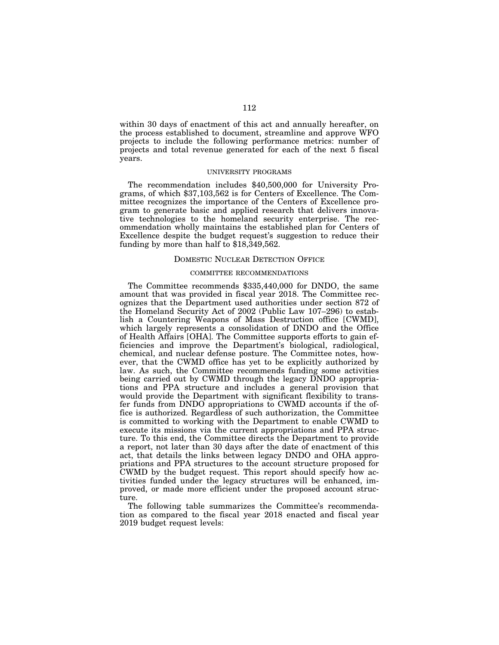within 30 days of enactment of this act and annually hereafter, on the process established to document, streamline and approve WFO projects to include the following performance metrics: number of projects and total revenue generated for each of the next 5 fiscal years.

#### UNIVERSITY PROGRAMS

The recommendation includes \$40,500,000 for University Programs, of which \$37,103,562 is for Centers of Excellence. The Committee recognizes the importance of the Centers of Excellence program to generate basic and applied research that delivers innovative technologies to the homeland security enterprise. The recommendation wholly maintains the established plan for Centers of Excellence despite the budget request's suggestion to reduce their funding by more than half to \$18,349,562.

### DOMESTIC NUCLEAR DETECTION OFFICE

### COMMITTEE RECOMMENDATIONS

The Committee recommends \$335,440,000 for DNDO, the same amount that was provided in fiscal year 2018. The Committee recognizes that the Department used authorities under section 872 of the Homeland Security Act of 2002 (Public Law 107–296) to establish a Countering Weapons of Mass Destruction office [CWMD], which largely represents a consolidation of DNDO and the Office of Health Affairs [OHA]. The Committee supports efforts to gain efficiencies and improve the Department's biological, radiological, chemical, and nuclear defense posture. The Committee notes, however, that the CWMD office has yet to be explicitly authorized by law. As such, the Committee recommends funding some activities being carried out by CWMD through the legacy DNDO appropriations and PPA structure and includes a general provision that would provide the Department with significant flexibility to transfer funds from DNDO appropriations to CWMD accounts if the office is authorized. Regardless of such authorization, the Committee is committed to working with the Department to enable CWMD to execute its missions via the current appropriations and PPA structure. To this end, the Committee directs the Department to provide a report, not later than 30 days after the date of enactment of this act, that details the links between legacy DNDO and OHA appropriations and PPA structures to the account structure proposed for CWMD by the budget request. This report should specify how activities funded under the legacy structures will be enhanced, improved, or made more efficient under the proposed account structure.

The following table summarizes the Committee's recommendation as compared to the fiscal year 2018 enacted and fiscal year 2019 budget request levels: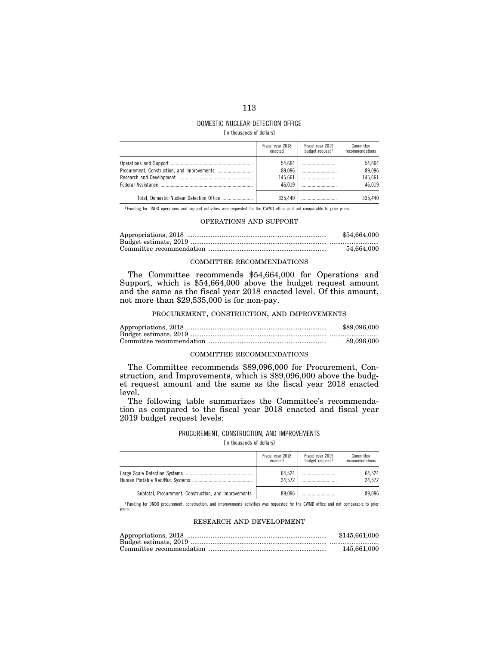# 113

# DOMESTIC NUCLEAR DETECTION OFFICE

[In thousands of dollars]

| Fiscal year 2018<br>enacted           | Fiscal year $2019$<br>budget request $1$ | Committee<br>recommendations          |
|---------------------------------------|------------------------------------------|---------------------------------------|
| 54.664<br>89.096<br>145.661<br>46.019 |                                          | 54.664<br>89.096<br>145.661<br>46.019 |
| 335.440                               |                                          | 335.440                               |

<sup>1</sup> Funding for DNDO operations and support activities was requested for the CWMD office and not comparable to prior years.

### OPERATIONS AND SUPPORT

| \$54,664,000 |
|--------------|
|              |
| 54.664.000   |

### COMMITTEE RECOMMENDATIONS

The Committee recommends \$54,664,000 for Operations and Support, which is \$54,664,000 above the budget request amount and the same as the fiscal year 2018 enacted level. Of this amount, not more than \$29,535,000 is for non-pay.

### PROCUREMENT, CONSTRUCTION, AND IMPROVEMENTS

| \$89,096,000 |
|--------------|
|              |
| 89.096.000   |

### COMMITTEE RECOMMENDATIONS

The Committee recommends \$89,096,000 for Procurement, Construction, and Improvements, which is \$89,096,000 above the budget request amount and the same as the fiscal year 2018 enacted level.

The following table summarizes the Committee's recommendation as compared to the fiscal year 2018 enacted and fiscal year 2019 budget request levels:

### PROCUREMENT, CONSTRUCTION, AND IMPROVEMENTS

[In thousands of dollars]

|                                                       | Fiscal year 2018<br>enacted | Fiscal year $2019$<br>budget request $1$ | Committee<br>recommendations |
|-------------------------------------------------------|-----------------------------|------------------------------------------|------------------------------|
|                                                       | 64.524<br>24.572            |                                          | 64.524<br>24.572             |
| Subtotal, Procurement, Construction, and Improvements | 89.096                      |                                          | 89.096                       |

1 Funding for DNDO procurement, construction, and improvements activities was requested for the CWMD office and not comparable to prior years.

### RESEARCH AND DEVELOPMENT

| \$145,661,000 |
|---------------|
|               |
| 145.661.000   |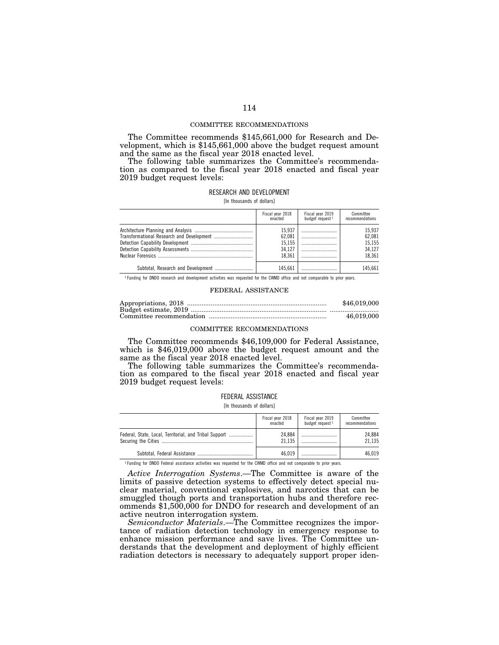### COMMITTEE RECOMMENDATIONS

The Committee recommends \$145,661,000 for Research and Development, which is \$145,661,000 above the budget request amount and the same as the fiscal year 2018 enacted level.

The following table summarizes the Committee's recommendation as compared to the fiscal year 2018 enacted and fiscal year 2019 budget request levels:

# RESEARCH AND DEVELOPMENT

[In thousands of dollars]

| Fiscal year 2018<br>enacted                    | Fiscal year 2019<br>budget request 1 | Committee<br>recommendations                   |
|------------------------------------------------|--------------------------------------|------------------------------------------------|
| 15.937<br>62.081<br>15.155<br>34.127<br>18.361 | <br><br>                             | 15.937<br>62.081<br>15.155<br>34.127<br>18.361 |
| 145.661                                        |                                      | 145.661                                        |

1 Funding for DNDO research and development activities was requested for the CWMD office and not comparable to prior years.

### FEDERAL ASSISTANCE

| \$46,019,000 |
|--------------|
|              |
| 46.019.000   |

#### COMMITTEE RECOMMENDATIONS

The Committee recommends \$46,109,000 for Federal Assistance, which is \$46,019,000 above the budget request amount and the same as the fiscal year 2018 enacted level.

The following table summarizes the Committee's recommendation as compared to the fiscal year 2018 enacted and fiscal year 2019 budget request levels:

# FEDERAL ASSISTANCE

[In thousands of dollars]

|                                                        | Fiscal year 2018<br>enacted | Fiscal year $2019$<br>budget request $1$ | Committee<br>recommendations |
|--------------------------------------------------------|-----------------------------|------------------------------------------|------------------------------|
| Federal, State, Local, Territorial, and Tribal Support | 24.884<br>21.135            |                                          | 24.884<br>21.135             |
|                                                        | 46.019                      |                                          | 46.019                       |

<sup>1</sup> Funding for DNDO Federal assistance activities was requested for the CWMD office and not comparable to prior years.

*Active Interrogation Systems*.—The Committee is aware of the limits of passive detection systems to effectively detect special nuclear material, conventional explosives, and narcotics that can be smuggled though ports and transportation hubs and therefore recommends \$1,500,000 for DNDO for research and development of an active neutron interrogation system.

*Semiconductor Materials*.—The Committee recognizes the importance of radiation detection technology in emergency response to enhance mission performance and save lives. The Committee understands that the development and deployment of highly efficient radiation detectors is necessary to adequately support proper iden-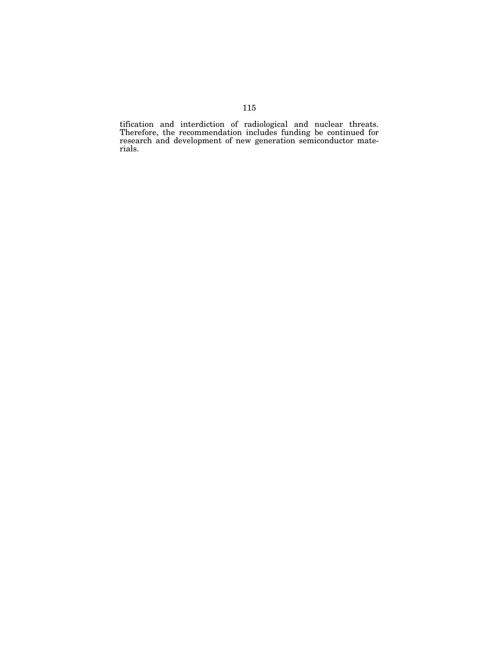tification and interdiction of radiological and nuclear threats. Therefore, the recommendation includes funding be continued for research and development of new generation semiconductor materials.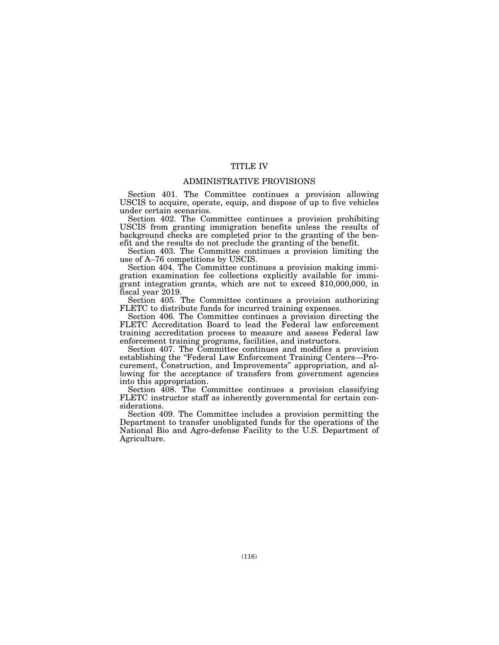# TITLE IV

### ADMINISTRATIVE PROVISIONS

Section 401. The Committee continues a provision allowing USCIS to acquire, operate, equip, and dispose of up to five vehicles under certain scenarios.

Section 402. The Committee continues a provision prohibiting USCIS from granting immigration benefits unless the results of background checks are completed prior to the granting of the benefit and the results do not preclude the granting of the benefit.

Section 403. The Committee continues a provision limiting the use of A–76 competitions by USCIS.

Section 404. The Committee continues a provision making immigration examination fee collections explicitly available for immigrant integration grants, which are not to exceed \$10,000,000, in fiscal year 2019.

Section 405. The Committee continues a provision authorizing FLETC to distribute funds for incurred training expenses.

Section 406. The Committee continues a provision directing the FLETC Accreditation Board to lead the Federal law enforcement training accreditation process to measure and assess Federal law enforcement training programs, facilities, and instructors.

Section 407. The Committee continues and modifies a provision establishing the ''Federal Law Enforcement Training Centers—Procurement, Construction, and Improvements'' appropriation, and allowing for the acceptance of transfers from government agencies into this appropriation.

Section 408. The Committee continues a provision classifying FLETC instructor staff as inherently governmental for certain considerations.

Section 409. The Committee includes a provision permitting the Department to transfer unobligated funds for the operations of the National Bio and Agro-defense Facility to the U.S. Department of Agriculture.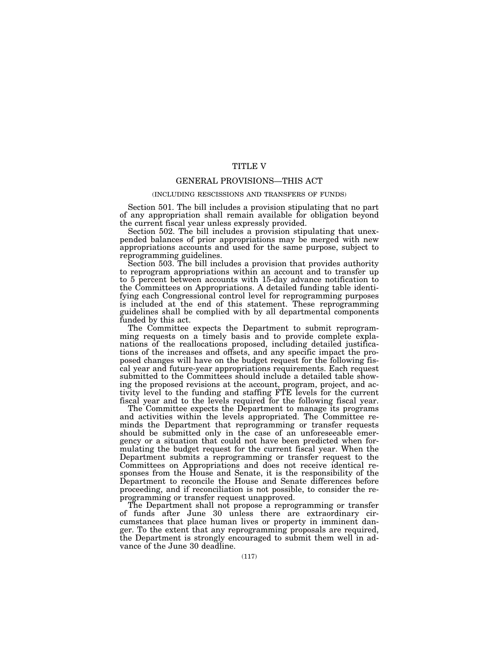# TITLE V

# GENERAL PROVISIONS—THIS ACT

### (INCLUDING RESCISSIONS AND TRANSFERS OF FUNDS)

Section 501. The bill includes a provision stipulating that no part of any appropriation shall remain available for obligation beyond the current fiscal year unless expressly provided.

Section 502. The bill includes a provision stipulating that unexpended balances of prior appropriations may be merged with new appropriations accounts and used for the same purpose, subject to reprogramming guidelines.

Section 503. The bill includes a provision that provides authority to reprogram appropriations within an account and to transfer up to 5 percent between accounts with 15-day advance notification to the Committees on Appropriations. A detailed funding table identifying each Congressional control level for reprogramming purposes is included at the end of this statement. These reprogramming guidelines shall be complied with by all departmental components funded by this act.

The Committee expects the Department to submit reprogramming requests on a timely basis and to provide complete explanations of the reallocations proposed, including detailed justifications of the increases and offsets, and any specific impact the proposed changes will have on the budget request for the following fiscal year and future-year appropriations requirements. Each request submitted to the Committees should include a detailed table showing the proposed revisions at the account, program, project, and activity level to the funding and staffing FTE levels for the current fiscal year and to the levels required for the following fiscal year.

The Committee expects the Department to manage its programs and activities within the levels appropriated. The Committee reminds the Department that reprogramming or transfer requests should be submitted only in the case of an unforeseeable emergency or a situation that could not have been predicted when formulating the budget request for the current fiscal year. When the Department submits a reprogramming or transfer request to the Committees on Appropriations and does not receive identical responses from the House and Senate, it is the responsibility of the Department to reconcile the House and Senate differences before proceeding, and if reconciliation is not possible, to consider the reprogramming or transfer request unapproved.

The Department shall not propose a reprogramming or transfer of funds after June 30 unless there are extraordinary circumstances that place human lives or property in imminent danger. To the extent that any reprogramming proposals are required, the Department is strongly encouraged to submit them well in advance of the June 30 deadline.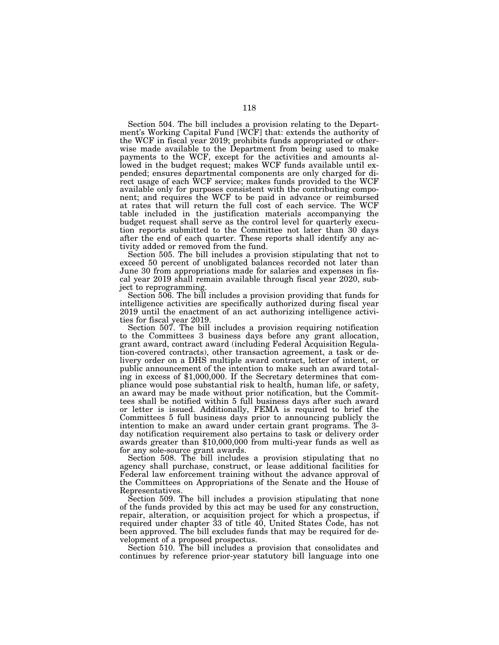Section 504. The bill includes a provision relating to the Department's Working Capital Fund [WCF] that: extends the authority of the WCF in fiscal year 2019; prohibits funds appropriated or otherwise made available to the Department from being used to make payments to the WCF, except for the activities and amounts allowed in the budget request; makes WCF funds available until expended; ensures departmental components are only charged for direct usage of each WCF service; makes funds provided to the WCF available only for purposes consistent with the contributing component; and requires the WCF to be paid in advance or reimbursed at rates that will return the full cost of each service. The WCF table included in the justification materials accompanying the budget request shall serve as the control level for quarterly execution reports submitted to the Committee not later than 30 days after the end of each quarter. These reports shall identify any activity added or removed from the fund.

Section 505. The bill includes a provision stipulating that not to exceed 50 percent of unobligated balances recorded not later than June 30 from appropriations made for salaries and expenses in fiscal year 2019 shall remain available through fiscal year 2020, subject to reprogramming.

Section 506. The bill includes a provision providing that funds for intelligence activities are specifically authorized during fiscal year 2019 until the enactment of an act authorizing intelligence activities for fiscal year 2019.

Section 507. The bill includes a provision requiring notification to the Committees 3 business days before any grant allocation, grant award, contract award (including Federal Acquisition Regulation-covered contracts), other transaction agreement, a task or delivery order on a DHS multiple award contract, letter of intent, or public announcement of the intention to make such an award totaling in excess of \$1,000,000. If the Secretary determines that compliance would pose substantial risk to health, human life, or safety, an award may be made without prior notification, but the Committees shall be notified within 5 full business days after such award or letter is issued. Additionally, FEMA is required to brief the Committees 5 full business days prior to announcing publicly the intention to make an award under certain grant programs. The 3 day notification requirement also pertains to task or delivery order awards greater than \$10,000,000 from multi-year funds as well as for any sole-source grant awards.

Section 508. The bill includes a provision stipulating that no agency shall purchase, construct, or lease additional facilities for Federal law enforcement training without the advance approval of the Committees on Appropriations of the Senate and the House of Representatives.

Section 509. The bill includes a provision stipulating that none of the funds provided by this act may be used for any construction, repair, alteration, or acquisition project for which a prospectus, if required under chapter 33 of title 40, United States Code, has not been approved. The bill excludes funds that may be required for development of a proposed prospectus.

Section 510. The bill includes a provision that consolidates and continues by reference prior-year statutory bill language into one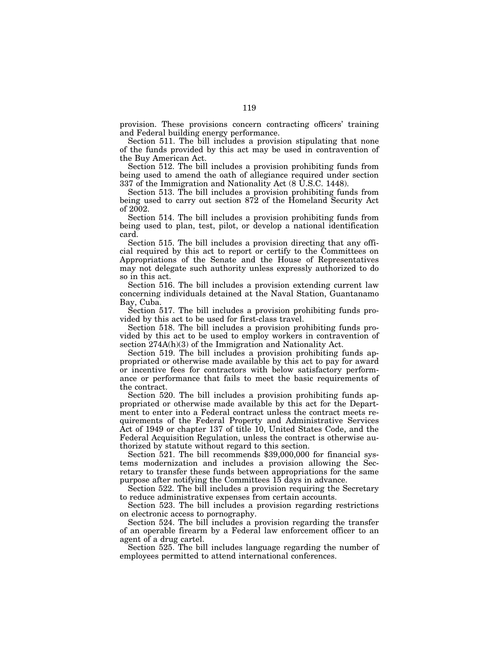provision. These provisions concern contracting officers' training and Federal building energy performance.

Section 511. The bill includes a provision stipulating that none of the funds provided by this act may be used in contravention of the Buy American Act.

Section 512. The bill includes a provision prohibiting funds from being used to amend the oath of allegiance required under section 337 of the Immigration and Nationality Act (8 U.S.C. 1448).

Section 513. The bill includes a provision prohibiting funds from being used to carry out section 872 of the Homeland Security Act of 2002.

Section 514. The bill includes a provision prohibiting funds from being used to plan, test, pilot, or develop a national identification card.

Section 515. The bill includes a provision directing that any official required by this act to report or certify to the Committees on Appropriations of the Senate and the House of Representatives may not delegate such authority unless expressly authorized to do so in this act.

Section 516. The bill includes a provision extending current law concerning individuals detained at the Naval Station, Guantanamo Bay, Cuba.

Section 517. The bill includes a provision prohibiting funds provided by this act to be used for first-class travel.

Section 518. The bill includes a provision prohibiting funds provided by this act to be used to employ workers in contravention of section 274A(h)(3) of the Immigration and Nationality Act.

Section 519. The bill includes a provision prohibiting funds appropriated or otherwise made available by this act to pay for award or incentive fees for contractors with below satisfactory performance or performance that fails to meet the basic requirements of the contract.

Section 520. The bill includes a provision prohibiting funds appropriated or otherwise made available by this act for the Department to enter into a Federal contract unless the contract meets requirements of the Federal Property and Administrative Services Act of 1949 or chapter 137 of title 10, United States Code, and the Federal Acquisition Regulation, unless the contract is otherwise authorized by statute without regard to this section.

Section 521. The bill recommends \$39,000,000 for financial systems modernization and includes a provision allowing the Secretary to transfer these funds between appropriations for the same purpose after notifying the Committees 15 days in advance.

Section 522. The bill includes a provision requiring the Secretary to reduce administrative expenses from certain accounts.

Section 523. The bill includes a provision regarding restrictions on electronic access to pornography.

Section 524. The bill includes a provision regarding the transfer of an operable firearm by a Federal law enforcement officer to an agent of a drug cartel.

Section 525. The bill includes language regarding the number of employees permitted to attend international conferences.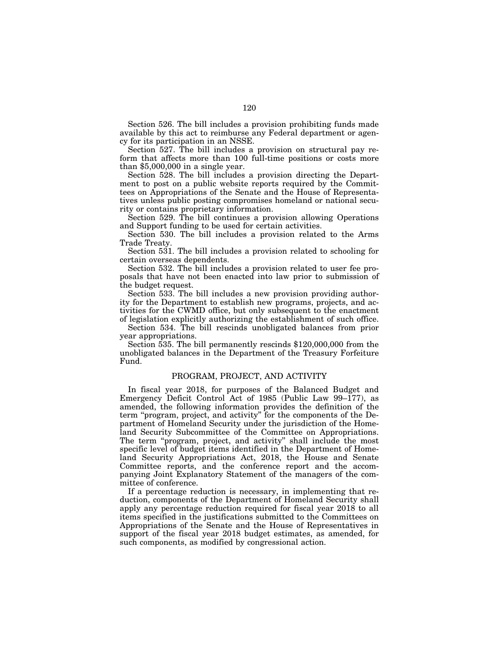Section 526. The bill includes a provision prohibiting funds made available by this act to reimburse any Federal department or agency for its participation in an NSSE.

Section 527. The bill includes a provision on structural pay reform that affects more than 100 full-time positions or costs more than \$5,000,000 in a single year.

Section 528. The bill includes a provision directing the Department to post on a public website reports required by the Committees on Appropriations of the Senate and the House of Representatives unless public posting compromises homeland or national security or contains proprietary information.

Section 529. The bill continues a provision allowing Operations and Support funding to be used for certain activities.

Section 530. The bill includes a provision related to the Arms Trade Treaty.

Section 531. The bill includes a provision related to schooling for certain overseas dependents.

Section 532. The bill includes a provision related to user fee proposals that have not been enacted into law prior to submission of the budget request.

Section 533. The bill includes a new provision providing authority for the Department to establish new programs, projects, and activities for the CWMD office, but only subsequent to the enactment of legislation explicitly authorizing the establishment of such office.

Section 534. The bill rescinds unobligated balances from prior year appropriations.

Section 535. The bill permanently rescinds \$120,000,000 from the unobligated balances in the Department of the Treasury Forfeiture Fund.

# PROGRAM, PROJECT, AND ACTIVITY

In fiscal year 2018, for purposes of the Balanced Budget and Emergency Deficit Control Act of 1985 (Public Law 99–177), as amended, the following information provides the definition of the term ''program, project, and activity'' for the components of the Department of Homeland Security under the jurisdiction of the Homeland Security Subcommittee of the Committee on Appropriations. The term ''program, project, and activity'' shall include the most specific level of budget items identified in the Department of Homeland Security Appropriations Act, 2018, the House and Senate Committee reports, and the conference report and the accompanying Joint Explanatory Statement of the managers of the committee of conference.

If a percentage reduction is necessary, in implementing that reduction, components of the Department of Homeland Security shall apply any percentage reduction required for fiscal year 2018 to all items specified in the justifications submitted to the Committees on Appropriations of the Senate and the House of Representatives in support of the fiscal year 2018 budget estimates, as amended, for such components, as modified by congressional action.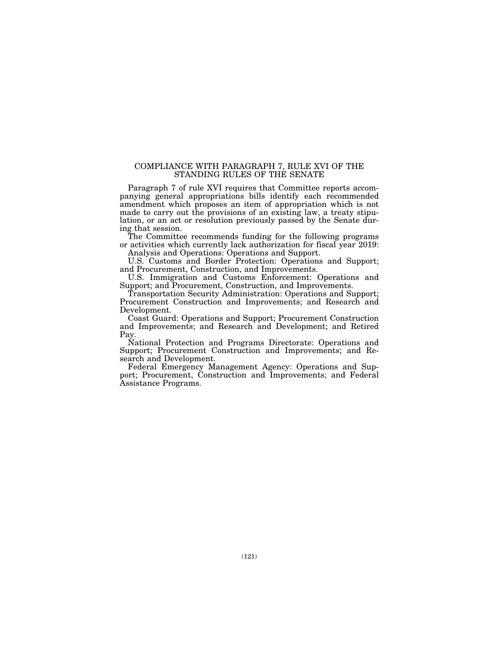# COMPLIANCE WITH PARAGRAPH 7, RULE XVI OF THE STANDING RULES OF THE SENATE

Paragraph 7 of rule XVI requires that Committee reports accompanying general appropriations bills identify each recommended amendment which proposes an item of appropriation which is not made to carry out the provisions of an existing law, a treaty stipulation, or an act or resolution previously passed by the Senate during that session.

The Committee recommends funding for the following programs or activities which currently lack authorization for fiscal year 2019: Analysis and Operations: Operations and Support.

U.S. Customs and Border Protection: Operations and Support; and Procurement, Construction, and Improvements.

U.S. Immigration and Customs Enforcement: Operations and Support; and Procurement, Construction, and Improvements.

Transportation Security Administration: Operations and Support; Procurement Construction and Improvements; and Research and Development.

Coast Guard: Operations and Support; Procurement Construction and Improvements; and Research and Development; and Retired Pay.

National Protection and Programs Directorate: Operations and Support; Procurement Construction and Improvements; and Research and Development.

Federal Emergency Management Agency: Operations and Support; Procurement, Construction and Improvements; and Federal Assistance Programs.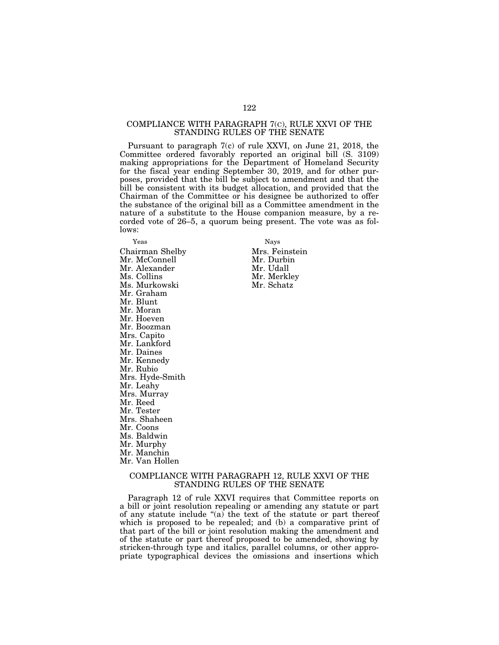## COMPLIANCE WITH PARAGRAPH 7(C), RULE XXVI OF THE STANDING RULES OF THE SENATE

Pursuant to paragraph 7(c) of rule XXVI, on June 21, 2018, the Committee ordered favorably reported an original bill (S. 3109) making appropriations for the Department of Homeland Security for the fiscal year ending September 30, 2019, and for other purposes, provided that the bill be subject to amendment and that the bill be consistent with its budget allocation, and provided that the Chairman of the Committee or his designee be authorized to offer the substance of the original bill as a Committee amendment in the nature of a substitute to the House companion measure, by a recorded vote of 26–5, a quorum being present. The vote was as follows:

Yeas Nays Chairman Shelby Mrs. Feinstein Mr. McConnell Mr. Alexander Mr. Udall Ms. Murkowski Mr. Graham Mr. Blunt Mr. Moran Mr. Hoeven Mr. Boozman Mrs. Capito Mr. Lankford Mr. Daines Mr. Kennedy Mr. Rubio Mrs. Hyde-Smith Mr. Leahy Mrs. Murray Mr. Reed Mr. Tester Mrs. Shaheen Mr. Coons Ms. Baldwin Mr. Murphy Mr. Manchin Mr. Van Hollen

Mr. Merkley<br>Mr. Schatz

# COMPLIANCE WITH PARAGRAPH 12, RULE XXVI OF THE STANDING RULES OF THE SENATE

Paragraph 12 of rule XXVI requires that Committee reports on a bill or joint resolution repealing or amending any statute or part of any statute include ''(a) the text of the statute or part thereof which is proposed to be repealed; and (b) a comparative print of that part of the bill or joint resolution making the amendment and of the statute or part thereof proposed to be amended, showing by stricken-through type and italics, parallel columns, or other appropriate typographical devices the omissions and insertions which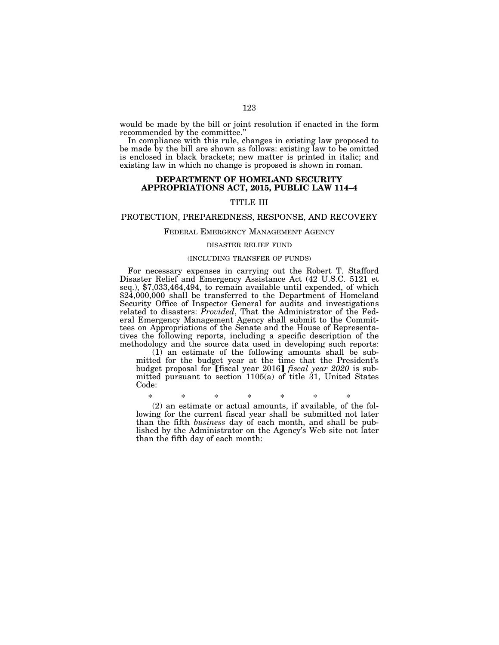would be made by the bill or joint resolution if enacted in the form recommended by the committee.''

In compliance with this rule, changes in existing law proposed to be made by the bill are shown as follows: existing law to be omitted is enclosed in black brackets; new matter is printed in italic; and existing law in which no change is proposed is shown in roman.

## **DEPARTMENT OF HOMELAND SECURITY APPROPRIATIONS ACT, 2015, PUBLIC LAW 114–4**

# TITLE III

### PROTECTION, PREPAREDNESS, RESPONSE, AND RECOVERY

### FEDERAL EMERGENCY MANAGEMENT AGENCY

#### DISASTER RELIEF FUND

### (INCLUDING TRANSFER OF FUNDS)

For necessary expenses in carrying out the Robert T. Stafford Disaster Relief and Emergency Assistance Act (42 U.S.C. 5121 et seq.), \$7,033,464,494, to remain available until expended, of which \$24,000,000 shall be transferred to the Department of Homeland Security Office of Inspector General for audits and investigations related to disasters: *Provided*, That the Administrator of the Federal Emergency Management Agency shall submit to the Committees on Appropriations of the Senate and the House of Representatives the following reports, including a specific description of the methodology and the source data used in developing such reports:

(1) an estimate of the following amounts shall be submitted for the budget year at the time that the President's budget proposal for [fiscal year 2016] *fiscal year 2020* is submitted pursuant to section 1105(a) of title 31, United States Code:

\* \* \* \* \* \* \*

(2) an estimate or actual amounts, if available, of the following for the current fiscal year shall be submitted not later than the fifth *business* day of each month, and shall be published by the Administrator on the Agency's Web site not later than the fifth day of each month: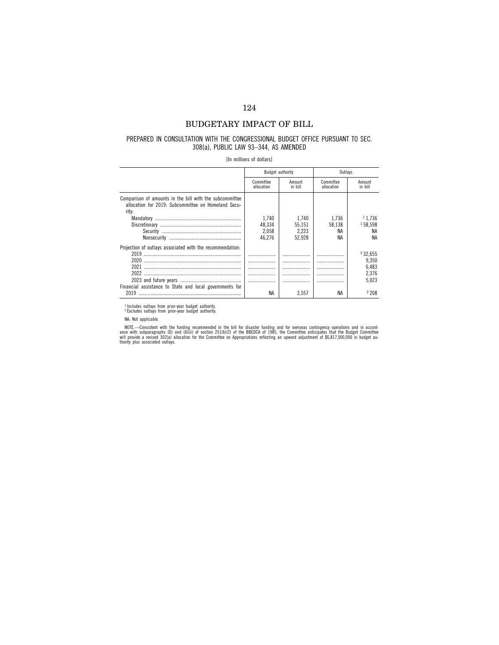# BUDGETARY IMPACT OF BILL

### PREPARED IN CONSULTATION WITH THE CONGRESSIONAL BUDGET OFFICE PURSUANT TO SEC. 308(a), PUBLIC LAW 93–344, AS AMENDED

[In millions of dollars]

|                                                                                                                         |                         | Budget authority  | Outlavs                 |                   |
|-------------------------------------------------------------------------------------------------------------------------|-------------------------|-------------------|-------------------------|-------------------|
|                                                                                                                         | Committee<br>allocation | Amount<br>in bill | Committee<br>allocation | Amount<br>in bill |
| Comparison of amounts in the bill with the subcommittee<br>allocation for 2019: Subcommittee on Homeland Secu-<br>rity: |                         |                   |                         |                   |
|                                                                                                                         | 1.740                   | 1.740             | 1.736                   | 11.736            |
|                                                                                                                         | 48.334                  | 55.151            | 58.138                  | 158.598           |
|                                                                                                                         | 2.058                   | 2.223             | ΝA                      | ΝA                |
|                                                                                                                         | 46.276                  | 52.928            | ΝA                      | ΝA                |
| Projection of outlays associated with the recommendation:                                                               |                         |                   |                         |                   |
|                                                                                                                         |                         |                   |                         | 232.655           |
|                                                                                                                         |                         |                   |                         | 9.350             |
|                                                                                                                         |                         |                   |                         | 6,483             |
|                                                                                                                         | .                       |                   |                         | 2.376             |
|                                                                                                                         |                         |                   |                         |                   |
|                                                                                                                         |                         |                   |                         | 5.023             |
| Financial assistance to State and local governments for                                                                 |                         |                   |                         |                   |
| 2019                                                                                                                    | NA                      | 3.557             | ΝA                      | 2208              |

<sup>1</sup> Includes outlays from prior-year budget authority.<br><sup>2</sup> Excludes outlays from prior-year budget authority.

NA: Not applicable.

NOTE.—Consistent with the funding recommended in the bill for disaster funding and for overseas contingency operations and in accord-<br>ance with subparagraphs (D) and (A)(ii) of section 251(b)(2) of the BBEDCA of 1985, the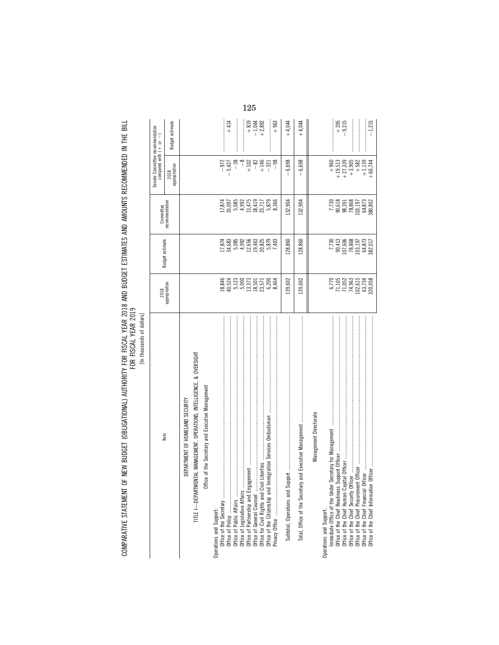| [In thousands of dollars]                                                                                                                                |                                                                          |                                                                                                                                                                                                                                                                                             |                                                                                                                                                      |                                                                                                    |                                |
|----------------------------------------------------------------------------------------------------------------------------------------------------------|--------------------------------------------------------------------------|---------------------------------------------------------------------------------------------------------------------------------------------------------------------------------------------------------------------------------------------------------------------------------------------|------------------------------------------------------------------------------------------------------------------------------------------------------|----------------------------------------------------------------------------------------------------|--------------------------------|
|                                                                                                                                                          | 2018                                                                     |                                                                                                                                                                                                                                                                                             | Committee                                                                                                                                            | Senate Committee recommendation<br>compared with $( + or - )$                                      |                                |
| Item                                                                                                                                                     | appropriation                                                            | <b>Budget estimate</b>                                                                                                                                                                                                                                                                      | recommendation                                                                                                                                       | appropriation<br>2018                                                                              | Budget estimate                |
| DEPARTMENT OF HOMELAND SECURITY                                                                                                                          |                                                                          |                                                                                                                                                                                                                                                                                             |                                                                                                                                                      |                                                                                                    |                                |
| TITLE I-DEPARTMENTAL MANAGEMENT, OPERATIONS, INTELLIGENCE, & OVERSIGHT                                                                                   |                                                                          |                                                                                                                                                                                                                                                                                             |                                                                                                                                                      |                                                                                                    |                                |
| Office of the Secretary and Executive Management                                                                                                         |                                                                          |                                                                                                                                                                                                                                                                                             |                                                                                                                                                      |                                                                                                    |                                |
| Operations and Support:                                                                                                                                  |                                                                          |                                                                                                                                                                                                                                                                                             |                                                                                                                                                      |                                                                                                    |                                |
|                                                                                                                                                          |                                                                          |                                                                                                                                                                                                                                                                                             |                                                                                                                                                      | $-972$<br>$-5,427$                                                                                 |                                |
|                                                                                                                                                          |                                                                          |                                                                                                                                                                                                                                                                                             |                                                                                                                                                      |                                                                                                    | $+414$                         |
|                                                                                                                                                          |                                                                          |                                                                                                                                                                                                                                                                                             |                                                                                                                                                      | $-38$                                                                                              |                                |
|                                                                                                                                                          |                                                                          |                                                                                                                                                                                                                                                                                             |                                                                                                                                                      | $\frac{8}{1}$                                                                                      |                                |
|                                                                                                                                                          |                                                                          |                                                                                                                                                                                                                                                                                             |                                                                                                                                                      |                                                                                                    |                                |
|                                                                                                                                                          |                                                                          |                                                                                                                                                                                                                                                                                             |                                                                                                                                                      | $\frac{28}{10}$<br>$+$ $\frac{14}{10}$<br>$+$ $\frac{1}{10}$                                       | $+819$<br>$-1,044$<br>$+2,892$ |
|                                                                                                                                                          | 846<br>546523<br>9465232571<br>94653234648                               | $\begin{array}{l} 11.814 \\ 12.982 \\ 13.683 \\ 14.683 \\ 15.699 \\ 16.630 \\ 17.630 \\ 18.630 \\ 19.630 \\ 19.630 \\ 19.630 \\ 19.630 \\ 19.630 \\ 19.630 \\ 19.630 \\ 19.630 \\ 19.630 \\ 19.630 \\ 19.630 \\ 19.630 \\ 19.630 \\ 19.630 \\ 19.630 \\ 19.630 \\ 19.630 \\ 19.630 \\ 19.6$ | $\begin{array}{c} 17,874 \\ 35,095 \\ 39,092 \\ 4,411 \\ 5,879 \\ 6,692 \\ 7,711 \\ 8,879 \\ 6,86 \\ 7,711 \\ 8,879 \\ 6,86 \\ 8,366 \\ \end{array}$ | $-98$                                                                                              | $+963$                         |
|                                                                                                                                                          |                                                                          |                                                                                                                                                                                                                                                                                             |                                                                                                                                                      |                                                                                                    |                                |
| $100\text{ ft}$ . The communication consequence is a consequence of the consequence of the consequence of $20\text{ ft}$<br>Subtotal, Operations and Sup | 139,602                                                                  | 128,860                                                                                                                                                                                                                                                                                     | 132,904                                                                                                                                              | $-6,698$                                                                                           | $+4,044$                       |
| Total, Office of the Secretary                                                                                                                           | 139,602                                                                  | 128,860                                                                                                                                                                                                                                                                                     | 132,904                                                                                                                                              | $-6,698$                                                                                           | $+4,044$                       |
| Management Directorate                                                                                                                                   |                                                                          |                                                                                                                                                                                                                                                                                             |                                                                                                                                                      |                                                                                                    |                                |
| Operations and Support:                                                                                                                                  |                                                                          |                                                                                                                                                                                                                                                                                             |                                                                                                                                                      |                                                                                                    |                                |
|                                                                                                                                                          |                                                                          |                                                                                                                                                                                                                                                                                             |                                                                                                                                                      |                                                                                                    | $+205$<br>$-9.215$             |
|                                                                                                                                                          |                                                                          |                                                                                                                                                                                                                                                                                             |                                                                                                                                                      | $\begin{array}{r} +960 \\ +19,513 \\ +17,339 \\ +313 \\ +313 \\ +41 \\ +319 \\ +62 \\ \end{array}$ |                                |
|                                                                                                                                                          |                                                                          |                                                                                                                                                                                                                                                                                             |                                                                                                                                                      |                                                                                                    |                                |
|                                                                                                                                                          |                                                                          |                                                                                                                                                                                                                                                                                             |                                                                                                                                                      |                                                                                                    |                                |
|                                                                                                                                                          | $6,770$<br>71,105<br>71,052<br>74,963<br>102,615<br>63,734<br>63,200,058 | $\begin{array}{r} 7,730 \\ 90,413 \\ 107,606 \\ 78,868 \\ 103,197 \\ 64,873 \\ 64,873 \end{array}$                                                                                                                                                                                          | 7,730<br>90,618<br>98,391<br>98,868<br>103,197<br>04,873<br>64,80,802                                                                                | $+1,139$<br>+60,744                                                                                | $-1,215$                       |

125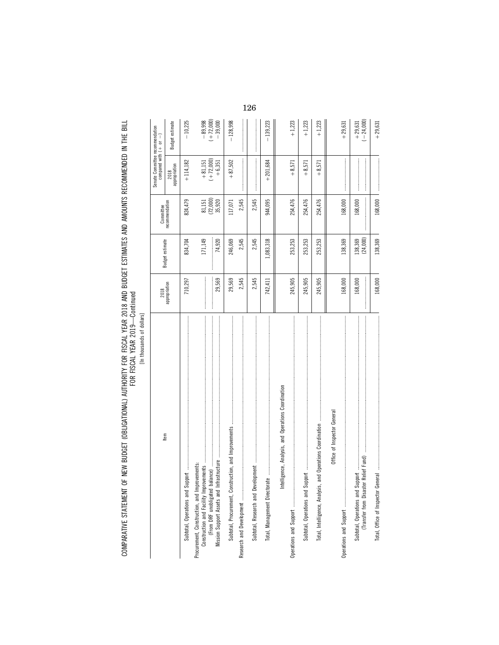| ś |
|---|
| í |
| í |
| í |

| Item                                                                   | 2018          |                        | Committee           | Senate Committee recommendation<br>compared with $( + or$ | $\begin{array}{c} \rule{0pt}{2ex} \rule{0pt}{2ex} \rule{0pt}{2ex} \rule{0pt}{2ex} \rule{0pt}{2ex} \rule{0pt}{2ex} \rule{0pt}{2ex} \rule{0pt}{2ex} \rule{0pt}{2ex} \rule{0pt}{2ex} \rule{0pt}{2ex} \rule{0pt}{2ex} \rule{0pt}{2ex} \rule{0pt}{2ex} \rule{0pt}{2ex} \rule{0pt}{2ex} \rule{0pt}{2ex} \rule{0pt}{2ex} \rule{0pt}{2ex} \rule{0pt}{2ex} \rule{0pt}{2ex} \rule{0pt}{2ex} \rule{0pt}{2ex} \rule{0pt}{$ |
|------------------------------------------------------------------------|---------------|------------------------|---------------------|-----------------------------------------------------------|----------------------------------------------------------------------------------------------------------------------------------------------------------------------------------------------------------------------------------------------------------------------------------------------------------------------------------------------------------------------------------------------------------------|
|                                                                        | appropriation | <b>Budget estimate</b> | recommendation      | appropriation<br>2018                                     | Budget estimate                                                                                                                                                                                                                                                                                                                                                                                                |
| Subtotal, Operations and Sur                                           | 710,297       | 834,704                | 824,479             | $+114,182$                                                | $-10,225$                                                                                                                                                                                                                                                                                                                                                                                                      |
| Procurement, Construction, and Improvements:                           |               | 171,149                | 81, 151<br>(72,000) | $\begin{array}{c} +81,151 \\ (+72,000) \end{array}$       | $-89,998$<br>$(+ 72,000)$                                                                                                                                                                                                                                                                                                                                                                                      |
|                                                                        | 29,569        | 74,920<br>:            | 35,920              | $+6,351$                                                  | $-39,000$                                                                                                                                                                                                                                                                                                                                                                                                      |
| Subtotal, Procurement, Construction, and Improvements                  | 29,569        | 246,069                | 117,071             | $+87,502$                                                 | $-128,998$                                                                                                                                                                                                                                                                                                                                                                                                     |
|                                                                        | 2,545         | 2,545                  | 2,545               |                                                           |                                                                                                                                                                                                                                                                                                                                                                                                                |
|                                                                        | 2,545         | 2,545                  | 2,545               |                                                           |                                                                                                                                                                                                                                                                                                                                                                                                                |
| உ<br>Total, Management Directorat                                      | 742,411       | 1,083,318              | 944,095             | $+201,684$                                                | $-139,223$                                                                                                                                                                                                                                                                                                                                                                                                     |
| Intelligence, Analysis, and Operations Coordination                    |               |                        |                     |                                                           |                                                                                                                                                                                                                                                                                                                                                                                                                |
|                                                                        | 245,905       | 253,253                | 254,476             | $+8,571$                                                  | $+1,223$                                                                                                                                                                                                                                                                                                                                                                                                       |
|                                                                        | 245,905       | 253,253                | 254,476             | $+8,571$                                                  | $+1,223$                                                                                                                                                                                                                                                                                                                                                                                                       |
| Total, Intelligence, Analysis,                                         | 245,905       | 253,253                | 254,476             | $+8,571$                                                  | $+1,223$                                                                                                                                                                                                                                                                                                                                                                                                       |
| Office of Inspector General                                            |               |                        |                     |                                                           |                                                                                                                                                                                                                                                                                                                                                                                                                |
|                                                                        | 168,000       | 138,369                | 168,000             |                                                           | $+29,631$                                                                                                                                                                                                                                                                                                                                                                                                      |
| Relief Fund)<br>(Transfer from Disaster<br>Subtotal, Operations and Su | 168,000       | (24,000)<br>138,369    | 168,000             |                                                           | $(-24,000)$<br>$+29,631$                                                                                                                                                                                                                                                                                                                                                                                       |
|                                                                        | 168,000       | 138,369                | 168,000             |                                                           | $+29,631$                                                                                                                                                                                                                                                                                                                                                                                                      |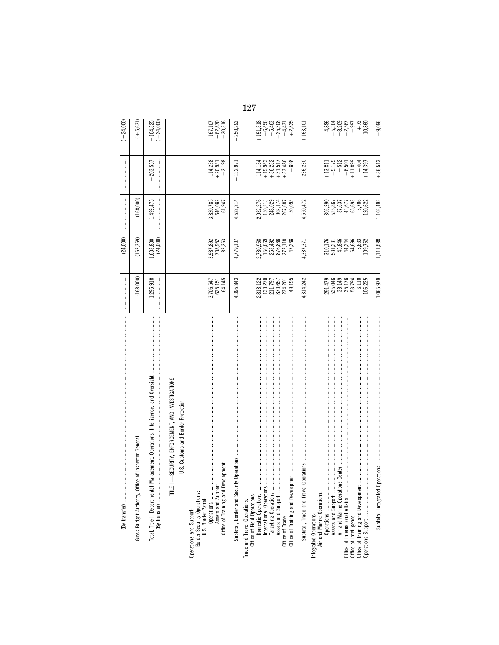| By transfer)                                                                                                                                                                                                                                                                                                                                                                                                                                                                                                                                                                                |                                                                    | (24, 000)                                                           |                                                                      |                                                                                                      | $(-24,000)$                                                            |
|---------------------------------------------------------------------------------------------------------------------------------------------------------------------------------------------------------------------------------------------------------------------------------------------------------------------------------------------------------------------------------------------------------------------------------------------------------------------------------------------------------------------------------------------------------------------------------------------|--------------------------------------------------------------------|---------------------------------------------------------------------|----------------------------------------------------------------------|------------------------------------------------------------------------------------------------------|------------------------------------------------------------------------|
| 医皮肤病 医皮肤发生的 医皮肤发生的 医皮肤发生的 医皮肤发生的 医皮肤皮肤发生 医皮肤皮质的 医皮肤皮质的 医皮肤皮质的 医皮肤皮质 医皮肤皮质 医皮肤皮质的 医皮肤皮质的 医皮肤皮质 医皮肤的<br>ice of Inspector General<br>Gross Budget Authority, Off                                                                                                                                                                                                                                                                                                                                                                                                                               | (168,000)                                                          | (162, 369)                                                          | (168,000)                                                            |                                                                                                      | $(+5,631)$                                                             |
| Management, Operations, Intelligence, and Oversight                                                                                                                                                                                                                                                                                                                                                                                                                                                                                                                                         | 1,295,918                                                          | $1,603,800$<br>$(24,000)$                                           | 1,499,475                                                            | 203,557                                                                                              | $-104,325$<br>$(-24,000)$                                              |
| I-SECURITY, ENFORCEMENT, AND INVESTIGATIONS<br>U.S. Customs and Border Protection<br>TITLE                                                                                                                                                                                                                                                                                                                                                                                                                                                                                                  |                                                                    |                                                                     |                                                                      |                                                                                                      |                                                                        |
| $\begin{minipage}{0.9\textwidth} \begin{tabular}{ c c c } \hline \textbf{r} & \textbf{r} & \textbf{r} & \textbf{r} & \textbf{r} & \textbf{r} & \textbf{r} & \textbf{r} & \textbf{r} & \textbf{r} & \textbf{r} & \textbf{r} & \textbf{r} & \textbf{r} & \textbf{r} & \textbf{r} & \textbf{r} & \textbf{r} & \textbf{r} & \textbf{r} & \textbf{r} & \textbf{r} & \textbf{r} & \textbf{r} & \textbf{r} & \textbf{r} & \textbf{r} &$<br>Office of Training and Development<br>Assets and Support<br>Operations<br>Operations and Support:<br>Border Security Operations:<br>U.S. Border Patrol: | 3,706,547<br>625,151<br>64,145                                     | 3,987,892<br>708,952<br>82,263                                      | 3,820,785<br>646,082<br>61,947                                       | $\begin{array}{r} +114,238 \\ +20,931 \\ -2,198 \end{array}$                                         | $-62,870$<br>$-20,316$<br>$-167,107$                                   |
|                                                                                                                                                                                                                                                                                                                                                                                                                                                                                                                                                                                             | 4,395,843                                                          | 4,779,107                                                           | 4,528,814                                                            | $+132,971$                                                                                           | 250,293                                                                |
| Office of Trade<br>Office of Training and Develop<br>International Operations<br>Assets and Support<br>Targeting Operations<br>Domestic Operations<br>Trade and Travel Operations:<br>Office of Field Operations:                                                                                                                                                                                                                                                                                                                                                                           | 2,818,122<br>130,270<br>211,797<br>870,657<br>824,201<br>49,195    | 2,780,958<br>156,669<br>253,492<br>876,866<br>272,118<br>47,268     | 2,932,276<br>150,213<br>148,023<br>902,174<br>907,687<br>50,093      | $\begin{array}{l} +114,154 \\ +19,943 \\ +36,232 \\ +31,517 \\ +33,486 \end{array}$<br>$+898$        | $+151,318$<br>$-6,456$<br>$-5,463$<br>$+25,308$<br>$-4,431$<br>+ 2,825 |
| Operations<br>Subtotal, Trade and Travel                                                                                                                                                                                                                                                                                                                                                                                                                                                                                                                                                    | 4,314,242                                                          | 4,387,371                                                           | 4,550,472                                                            | $+236,230$                                                                                           | $+163,101$                                                             |
| Air and Marine Operations Center<br>Office of International Affairs<br>Office of Training and Development<br>Air and Marine Operations:<br>Integrated Operations:                                                                                                                                                                                                                                                                                                                                                                                                                           | 291,479<br>535,046<br>38,149<br>35,176<br>53,794<br>6,110<br>6,225 | 310,176<br>531,231<br>45,846<br>44,244<br>64,696<br>5,633<br>09,762 | 65,693<br>5,706<br>.20,622<br>305,290<br>525,867<br>57,637<br>41,677 | $\begin{array}{r} +13,811 \\ -9,179 \\ -512 \\ +6,501 \\ +11,899 \end{array}$<br>$-404$<br>$+14,397$ | $+73$<br>$+10,860$                                                     |
| perations<br>Subtotal, Integrated O                                                                                                                                                                                                                                                                                                                                                                                                                                                                                                                                                         | 1,065,979                                                          | 1,111,588                                                           | 1,102,492                                                            | $+36,513$                                                                                            | 9,096<br>$\overline{1}$                                                |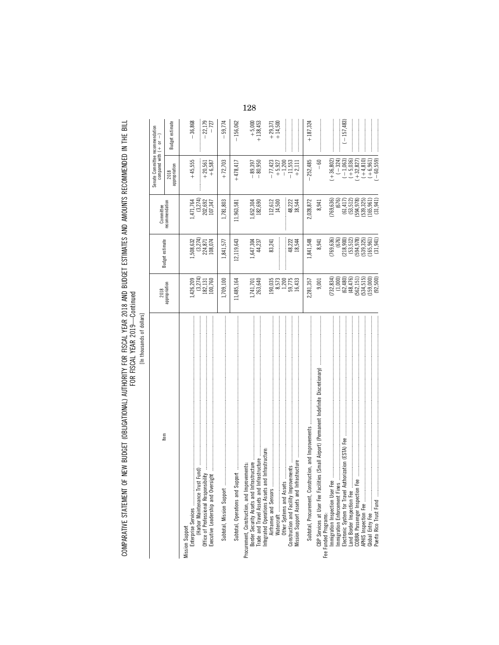[In thousands of dollars] [In thousands of dollars]

|                                                                                                                  | 2018                                                                                                                                                     |                                                                                                                                                      |                                                                                                               | Senate Committee recommendation<br>compared with $(+ \t or \t -)$ |                        |
|------------------------------------------------------------------------------------------------------------------|----------------------------------------------------------------------------------------------------------------------------------------------------------|------------------------------------------------------------------------------------------------------------------------------------------------------|---------------------------------------------------------------------------------------------------------------|-------------------------------------------------------------------|------------------------|
| Item                                                                                                             | appropriation                                                                                                                                            | Budget estimate                                                                                                                                      | Committee<br>recommendation                                                                                   | appropriation<br>2018                                             | Budget estimate        |
| (Harbor Maintenance Trust Fund)<br>Enterprise Services<br><b>Mission Support</b>                                 |                                                                                                                                                          |                                                                                                                                                      |                                                                                                               | $+45,555$                                                         | $-36,868$              |
|                                                                                                                  | $1,426,209$<br>$(3,274)$<br>$182,131$<br>$100,760$                                                                                                       | $1,508,632$<br>(3,274)<br>224,871<br>108,074                                                                                                         | $1,471,764$<br>(3,274)<br>202,692<br>107,347                                                                  | $+20,561$<br>$+6,587$                                             | 22, 179<br>- 727       |
| Subtotal, Mission Support                                                                                        | 1,709,100                                                                                                                                                | 1,841,577                                                                                                                                            | 1,781,803                                                                                                     | $+72,703$                                                         | 59,774                 |
| Subtotal, Operations and Support                                                                                 | 11,485,164                                                                                                                                               | 12,119,643                                                                                                                                           | 11,963,581                                                                                                    | $+478,417$                                                        | $-156,062$             |
|                                                                                                                  | 1,741,701<br>263,640                                                                                                                                     | 1,647,304<br>44,237                                                                                                                                  | 1,652,304<br>182,690                                                                                          | $-89,397$<br>$-80,950$                                            | $+ 5,000$<br>+ 138,453 |
| Integrated Operations Assets and Infrastructure                                                                  | 190,035                                                                                                                                                  | 83,241                                                                                                                                               | 112,612<br>14,500                                                                                             | $-77,423$<br>$+ 5,927$<br>$- 1,200$                               | $+ 29,371$<br>+ 14,500 |
| Mission Support Assets and Inf                                                                                   | 8,573<br>1,200<br>59,775<br>16,433                                                                                                                       | 48,222<br>18,544                                                                                                                                     | 48,222<br>18,544                                                                                              | $-11,553$<br>$+2,111$                                             |                        |
|                                                                                                                  | 2,281,357                                                                                                                                                | 1,841,548                                                                                                                                            | 2,028,872                                                                                                     | $-252,485$                                                        | $+187,324$             |
| CBP Services at User Fee Facilities (Small Airport) (Permanent Indefinite Discretionary)<br>Fee Funded Programs: | 9,001                                                                                                                                                    | 8,941                                                                                                                                                | 8,941                                                                                                         | $-60$                                                             |                        |
|                                                                                                                  | (732, 834)                                                                                                                                               | (769, 636)                                                                                                                                           | (676)<br>(769, 636)                                                                                           | $(+36,802)$                                                       |                        |
|                                                                                                                  |                                                                                                                                                          |                                                                                                                                                      |                                                                                                               | $(-324)$<br>$(-1,063)$                                            | $(-157, 483)$          |
| Land Border Inspection Fee                                                                                       |                                                                                                                                                          |                                                                                                                                                      |                                                                                                               | $(+ 5, 036)$<br>$+32,827$                                         |                        |
|                                                                                                                  |                                                                                                                                                          |                                                                                                                                                      |                                                                                                               |                                                                   |                        |
|                                                                                                                  | $\begin{array}{c} (1,0000)\\ (62,4\,80)\\ (62,4\,7\,6)\\ (48,4\,7\,51)\\ (562,1\,51)\\ (534,5\,15)\\ (1\,59,000)\\ (1\,59,000)\\ (92,5\,00) \end{array}$ | $\begin{array}{c} (6\,76)\\ (2\,18,9\,00)\\ (53,5\,12)\\ (5\,94,9\,78)\\ (5\,94,9\,78)\\ (1\,65,9\,61)\\ (1\,65,9\,61)\\ (3\,1,9\,4\,1) \end{array}$ | $\begin{array}{c} (61,417)\\ (53,512)\\ (594,978)\\ (594,978)\\ (165,961)\\ (165,961)\\ (31,941) \end{array}$ | $(+4,810)$<br>$(+6,961)$<br>$(-60,559)$                           |                        |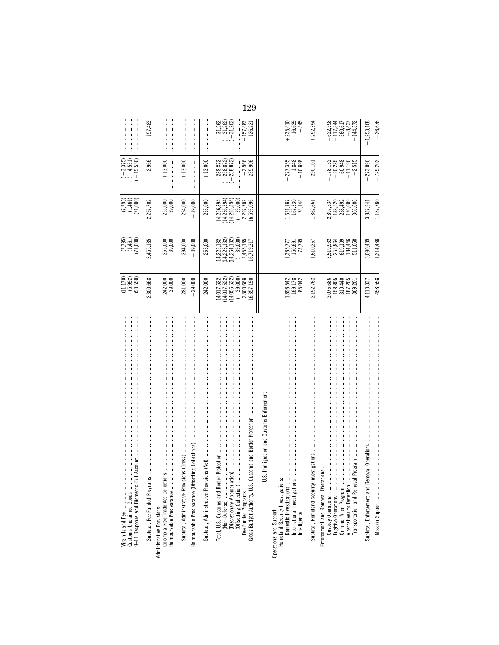| Exit Account<br>Customs Unclaimed Goods<br>9-11 Response and Biometric                                                                                 | $(11,170)$<br>$(5,992)$<br>$(90,550)$                                                        | $(7,795)$<br>$(1,461)$<br>$(71,000)$                                                 | $(7,795)$<br>$(1,461)$<br>$(71,000)$                                                 | $(-3, 375)$<br>$(-4, 531)$<br>$(-19, 550)$                                                |                                                                                          |
|--------------------------------------------------------------------------------------------------------------------------------------------------------|----------------------------------------------------------------------------------------------|--------------------------------------------------------------------------------------|--------------------------------------------------------------------------------------|-------------------------------------------------------------------------------------------|------------------------------------------------------------------------------------------|
| Subtotal, Fee Funded Programs                                                                                                                          | 2,300,668                                                                                    | 2,455,185                                                                            | 2,297,702                                                                            | $-2,966$                                                                                  | $-157,483$                                                                               |
| 的复数形式 医皮肤发育 医皮肤发育 医皮肤发育 医皮肤发育 医皮肤发育 医皮肤发育 医皮肤发育 医皮肤发育 医皮肤发育 医皮肤发育 医皮肤发育 医皮肤发育 医皮肤发育 医皮肤发育 医皮肤发育<br>Reimbursable Preclearance                           | 242,000<br>39,000                                                                            | 255,000<br>39,000                                                                    | 255,000<br>39,000                                                                    | $+13,000$                                                                                 |                                                                                          |
| Reimbursable Preclearance (Offsetting Collections)<br>Subtotal, Adminstrative Provisions (Gross)                                                       | 281,000<br>39,000                                                                            | 294,000<br>39,000                                                                    | 294,000<br>$-39,000$                                                                 | $+13,000$                                                                                 |                                                                                          |
| Subtotal, Adminstrative Provisions (Net)                                                                                                               | 242,000                                                                                      | 255,000                                                                              | 255,000                                                                              | $+13,000$                                                                                 |                                                                                          |
| Customs and Border Protection<br>iation)<br>Discretionary Appropri<br>(Offsetting Collection)<br>Fee Funded Programs<br>Gross Budget Authority, U.S. ( | $(14, 017, 522)$<br>$(14, 056, 522)$<br>$(-39,000)$<br>2,300,668<br>16,357,190<br>14,017,522 | 14,225,132<br>(14,225,132)<br>(14,264,132)<br>$(-39,000)$<br>2,455,185<br>16,719,317 | 14,256,394<br>(14,256,394)<br>(14,295,394)<br>$(-39,000)$<br>2,297,702<br>16,593,096 | $\begin{array}{r} +238,872 \\ +238,872) \\ (+238,872) \end{array}$<br>$-2,966$<br>235,906 | $\begin{array}{r} +31,262 \\ +31,262) \\ (+31,262) \end{array}$<br>$-157,483$<br>126,221 |
| U.S. Immigration and Customs Enforcement                                                                                                               |                                                                                              |                                                                                      |                                                                                      |                                                                                           |                                                                                          |
| International Investigations<br>Operations and Support:<br>Homeland Security Investigations:<br>Intelligence<br>Domestic Investigations                | $\begin{array}{c} 1,898,542 \\ 169,178 \\ 85,042 \end{array}$                                | 1,385,777<br>150,691<br>73,799                                                       | $\begin{array}{c} 1,621,187 \\ 167,330 \\ 74,144 \end{array}$                        | $-277,355$<br>$-1,848$<br>$-10,898$                                                       | $+ 235,410$<br>+ 16,639<br>$+345$                                                        |
| Investigations<br>Subtotal, Homeland Security                                                                                                          | 2,152,762                                                                                    | 1,610,267                                                                            | 1,862,661                                                                            | 290,101                                                                                   | $+252,394$                                                                               |
| Enforcement and Removal Operations.<br>Custody Operations<br>Criminal Alien Program.<br>Alternatives to Detention                                      | 3,075,686<br>158,805<br>319,440<br>187,205<br>369,201                                        | 3,519,932<br>255,864<br>619,109<br>184,446<br>511,058                                | 2,897,534<br>138,520<br>138,492<br>176,009<br>366,686                                | $-178,152$<br>$-20,285$<br>$-60,948$<br>$-11,196$<br>$-2,515$                             | $-622,398$<br>$-117,344$<br>$-360,617$<br>$-8,437$<br>144,372                            |
| Removal Operations<br>Mission Support<br>Subtotal, Enforcement and                                                                                     | 4,110,337<br>458,558                                                                         | 5,090,409<br>1,214,436                                                               | 1,187,760<br>3,837,241                                                               | $-273,096$<br>$+729,202$                                                                  | $-26,676$<br>$-1,253,168$                                                                |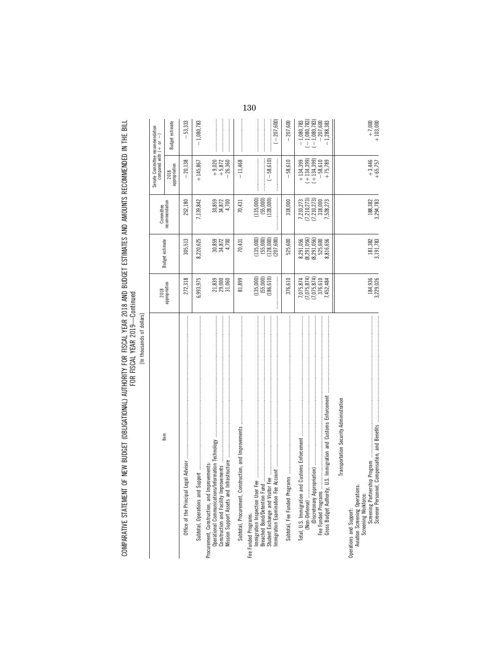| ŧ<br>ş      |
|-------------|
| í           |
| ٢<br>ì<br>٠ |
|             |
|             |

|                                                                                                                                                                   | 2018                                                            |                                                                   | Committee                                                       | Senate Committee recommendation<br>compared with $( + $ or $- )$   |                                                                                                             |
|-------------------------------------------------------------------------------------------------------------------------------------------------------------------|-----------------------------------------------------------------|-------------------------------------------------------------------|-----------------------------------------------------------------|--------------------------------------------------------------------|-------------------------------------------------------------------------------------------------------------|
| Item                                                                                                                                                              | appropriation                                                   | Budget estimate                                                   | recommendation                                                  | 2018<br>appropriation                                              | Budget estimate                                                                                             |
|                                                                                                                                                                   | 272,318                                                         | 305,513                                                           | 252,180                                                         | $-20,138$                                                          | 53,333                                                                                                      |
|                                                                                                                                                                   | 6,993,975                                                       | 8,220,625                                                         | 7,139,842                                                       | $+145,867$                                                         | $-1,080,783$                                                                                                |
| Operational Communications/Information Technology<br>Mission Support Assets and Infrastructure<br>Procurement, Construction, and Improvements:                    | $\frac{21839}{23,000}$                                          | $30,859$<br>$34,872$<br>$4,700$                                   | $30,859$<br>$34,872$<br>$4,700$                                 | $+9,020$<br>+ 5,872<br>$-26,360$                                   |                                                                                                             |
|                                                                                                                                                                   | 81,899                                                          | 70,431                                                            | 70,431                                                          | $-11,468$                                                          |                                                                                                             |
| Immigration Inspection User Fee<br>Breached Bond/Detention Fund<br>Student Exchange and Visitor Fee<br>mmigration Examination Fee Account<br>Fee Funded Programs: | $(135,000)$<br>$(55,000)$<br>$(186,610)$                        | $(135,000)$<br>$(55,000)$<br>$(128,000)$<br>$(207,600)$           | (135,000)<br>$(55,000)$<br>$(128,000)$                          | $(-58, 610)$                                                       | $(-207,600)$                                                                                                |
|                                                                                                                                                                   | 376,610                                                         | 525,600                                                           | 318,000                                                         | 58,610                                                             | 207,600                                                                                                     |
| S. Immigration and Customs Enforcement<br>Gross Budget Authority, U.<br>Fee Funded Programs                                                                       | 7,075,874<br>(7,075,874)<br>(7,075,874)<br>376,610<br>7,452,484 | (8, 291, 056)<br>8,291,056<br>(8,291,056)<br>525,600<br>8,816,656 | 7,210,273<br>(7,210,273)<br>(7,210,273)<br>318,000<br>7,528,273 | $+134,399$<br>$+134,399$<br>$(+134,399)$<br>$-58,610$<br>$+75,789$ | $\begin{array}{l} (-1,080,783) \\ (-1,080,783) \\ (-1,080,783) \\ \end{array}$<br>$-1,080,783$<br>.,288,383 |
| Transportation Security Administration                                                                                                                            |                                                                 |                                                                   |                                                                 |                                                                    |                                                                                                             |
| Operations and Support:<br>Aviation Screening Operations:<br>Screening Workforce:<br>Screening Partnersh<br>Screener Personnel                                    | 184,936<br>3,229,026                                            | $\begin{array}{c} 181,382 \\ 3,191,783 \end{array}$               | 188,382<br>3,294,783                                            | $+3,446$<br>+65,757                                                | $+7,000$<br>+ 103,000                                                                                       |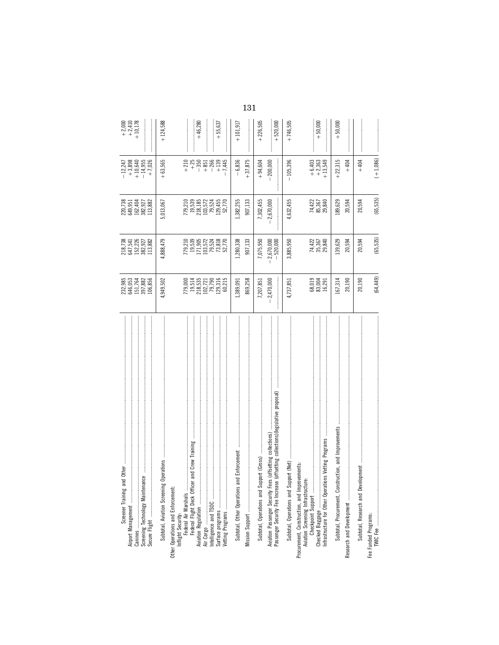| Screener Training and Other | 232,985<br>646,053<br>151,764<br>397,882<br>106,856           | 218,738<br>647,541<br>152,226<br>182,927<br>382,982                   | 220,738<br>649,951<br>162,404<br>382,927<br>113,882          | $\begin{array}{r} -12,247 \\ +3,898 \\ +10,640 \\ +14,955 \\ +14,955 \\ \end{array}$ | $+2,000+2,410+10,178$                                                                                                                                                                                                                                                                                                                                                                                                      |     |
|-----------------------------|---------------------------------------------------------------|-----------------------------------------------------------------------|--------------------------------------------------------------|--------------------------------------------------------------------------------------|----------------------------------------------------------------------------------------------------------------------------------------------------------------------------------------------------------------------------------------------------------------------------------------------------------------------------------------------------------------------------------------------------------------------------|-----|
|                             |                                                               |                                                                       |                                                              |                                                                                      |                                                                                                                                                                                                                                                                                                                                                                                                                            |     |
|                             | 4,949,502                                                     | 4,888,479                                                             | 5,013,067                                                    | $+63,565$                                                                            | $+124,588$                                                                                                                                                                                                                                                                                                                                                                                                                 |     |
|                             |                                                               |                                                                       |                                                              | $+210$                                                                               |                                                                                                                                                                                                                                                                                                                                                                                                                            |     |
|                             | 779,000<br>19,514<br>218,535<br>102,721<br>129,316<br>129,316 |                                                                       |                                                              | $+ 25$<br>$- 350$                                                                    | $+46,280$                                                                                                                                                                                                                                                                                                                                                                                                                  |     |
|                             |                                                               |                                                                       |                                                              | $+851$                                                                               |                                                                                                                                                                                                                                                                                                                                                                                                                            |     |
|                             | 60,215                                                        | 779,210<br>19,539<br>171,905<br>103,572<br>79,818<br>73,818<br>52,770 | 779,210<br>19,533<br>218,185<br>103,572<br>129,455<br>52,770 | $-266$<br>7,445<br>$+139$                                                            | $+55,637$                                                                                                                                                                                                                                                                                                                                                                                                                  |     |
|                             | 1,389,091                                                     | 1,280,338                                                             | 1,382,255                                                    | $-6,836$                                                                             | $+101,917$                                                                                                                                                                                                                                                                                                                                                                                                                 |     |
|                             | 869,258                                                       | 907,133                                                               | 907,133                                                      | $+37,875$                                                                            |                                                                                                                                                                                                                                                                                                                                                                                                                            | 131 |
|                             | 7,207,851                                                     | 7,075,950                                                             | 7,302,455                                                    | $+94,604$                                                                            | $+226,505$                                                                                                                                                                                                                                                                                                                                                                                                                 |     |
|                             | 2,470,000                                                     | $-2,670,000$<br>$-520,000$                                            | $-2,670,000$                                                 | 200,000                                                                              | $+520,000$                                                                                                                                                                                                                                                                                                                                                                                                                 |     |
|                             | 4,737,851                                                     | 3,885,950                                                             | 4,632,455                                                    | 105,396                                                                              | $+746,505$                                                                                                                                                                                                                                                                                                                                                                                                                 |     |
|                             |                                                               |                                                                       |                                                              |                                                                                      |                                                                                                                                                                                                                                                                                                                                                                                                                            |     |
|                             | 68,019<br>83,004<br>16,291                                    | 74,422<br>35,367<br>29,840                                            | 74,422<br>85,367<br>29,840                                   | $+6,403$<br>$+2,363$<br>$+13,549$                                                    | $+50,000$                                                                                                                                                                                                                                                                                                                                                                                                                  |     |
| and Improvements            | 167,314                                                       | 139,629                                                               | 189,629                                                      | $+22,315$                                                                            | $+50,000$                                                                                                                                                                                                                                                                                                                                                                                                                  |     |
|                             | 20,190                                                        | 20,594                                                                | 20,594                                                       | $+404$                                                                               |                                                                                                                                                                                                                                                                                                                                                                                                                            |     |
|                             | 20,190                                                        | 20,594                                                                | 20,594                                                       | $+404$                                                                               |                                                                                                                                                                                                                                                                                                                                                                                                                            |     |
|                             | (64, 449)                                                     | (65, 535)                                                             | (65, 535)                                                    | $(+1,086)$                                                                           | $\begin{minipage}{0.9\linewidth} \begin{tabular}{l} \hline \textbf{1} & \textbf{2} & \textbf{3} & \textbf{4} & \textbf{5} & \textbf{6} & \textbf{6} & \textbf{7} & \textbf{8} & \textbf{9} & \textbf{10} & \textbf{10} & \textbf{10} & \textbf{10} & \textbf{10} & \textbf{10} & \textbf{10} & \textbf{10} & \textbf{10} & \textbf{10} & \textbf{10} & \textbf{10} & \textbf{10} & \textbf{10} & \textbf{10} & \textbf{10$ |     |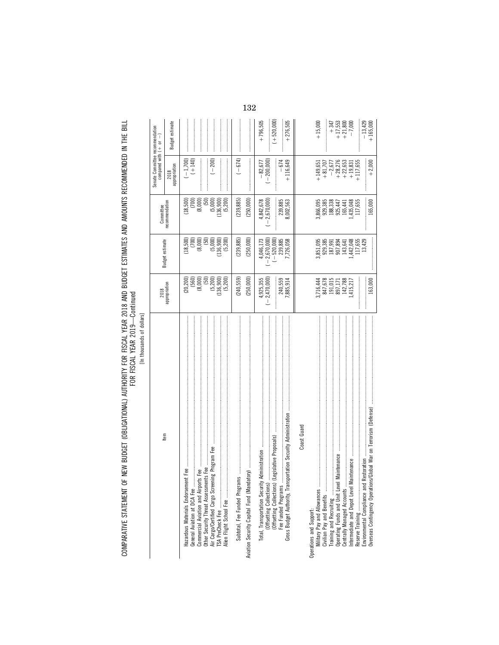COMPARATIVE STATEMENT OF NEW BUDGET (OBLIGATIONAL) AUTHORITY FOR FISCAL YEAR 2018 AND BUDGET ESTIMATES AND AMOUNTS RECOMMENDED IN THE BILL<br>FOR YEAR YEAR

[In thousands of dollars]

| Item                                                                                                                                                                                                                                                                                                                                                                                                                                                                                                                                                                             | 2018                                                                  | Budget estimate                                                       | Committee                                                                     | Senate Committee recommendation<br>compared with $( + or - )$                                    |                                                                     |
|----------------------------------------------------------------------------------------------------------------------------------------------------------------------------------------------------------------------------------------------------------------------------------------------------------------------------------------------------------------------------------------------------------------------------------------------------------------------------------------------------------------------------------------------------------------------------------|-----------------------------------------------------------------------|-----------------------------------------------------------------------|-------------------------------------------------------------------------------|--------------------------------------------------------------------------------------------------|---------------------------------------------------------------------|
|                                                                                                                                                                                                                                                                                                                                                                                                                                                                                                                                                                                  | appropriation                                                         |                                                                       | recommendation                                                                | appropriation<br>2018                                                                            | Budget estimate                                                     |
|                                                                                                                                                                                                                                                                                                                                                                                                                                                                                                                                                                                  | $(20,200)$<br>$(560)$<br>$(8,000)$<br>(50)                            | $(18,500)$<br>$(700)$<br>$(8,000)$<br>(50)                            | (8,000)<br>$(18,500)$<br>$(700)$<br>(50)                                      | $(-1,700)$<br>$(+140)$                                                                           |                                                                     |
| Alien Flight School Fee                                                                                                                                                                                                                                                                                                                                                                                                                                                                                                                                                          | $(5,200)$<br>$(136,900)$<br>(5, 200)                                  | $(5,000)$<br>(136,900)<br>(5, 200)                                    | (5,000)<br>(136, 900)<br>(5,200)                                              | $(-200)$                                                                                         |                                                                     |
| $\label{def:1} \begin{minipage}{0.9\linewidth} \begin{minipage}{0.9\linewidth} \begin{minipage}{0.9\linewidth} \begin{minipage}{0.9\linewidth} \end{minipage} \begin{minipage}{0.9\linewidth} \begin{minipage}{0.9\linewidth} \end{minipage} \begin{minipage}{0.9\linewidth} \begin{minipage}{0.9\linewidth} \end{minipage} \begin{minipage}{0.9\linewidth} \begin{minipage}{0.9\linewidth} \end{minipage} \begin{minipage}{0.9\linewidth} \end{minipage} \begin{minipage}{0.9\linewidth} \end{minipage} \begin{minipage}{0.9\linewidth} \begin$<br>Subtotal, Fee Funded Program | (240, 559)                                                            | (239, 885)                                                            | (239, 885)                                                                    | $(-674)$                                                                                         |                                                                     |
|                                                                                                                                                                                                                                                                                                                                                                                                                                                                                                                                                                                  | (250,000)                                                             | (250,000)                                                             | (250,000)                                                                     |                                                                                                  |                                                                     |
| (Legislative Proposals)<br>ree Funded Programs<br>Total, Transportation Security A<br>(Offsetting Collections)<br>(Offsetting Collections) (L                                                                                                                                                                                                                                                                                                                                                                                                                                    | $4,925,355$<br>$(-2,470,000)$<br>240,559<br>7,885,914                 | $4,046,173$<br>$(-2,670,000)$<br>$(-520,000)$<br>239,885<br>7,726,058 | $4,842,678$<br>$(-2,670,000)$<br>239,885<br>8,002,563                         | $-200,000$<br>$+116,649$<br>$-82,677$<br>$-674$                                                  | $(+520,000)$<br>$+276,505$<br>$+796,505$                            |
| Coast Guard                                                                                                                                                                                                                                                                                                                                                                                                                                                                                                                                                                      |                                                                       |                                                                       |                                                                               |                                                                                                  |                                                                     |
|                                                                                                                                                                                                                                                                                                                                                                                                                                                                                                                                                                                  |                                                                       |                                                                       |                                                                               | $+149,651$                                                                                       | $+15,000$                                                           |
| Maintenance                                                                                                                                                                                                                                                                                                                                                                                                                                                                                                                                                                      | 3,716,444<br>847,678<br>897,171<br>191,015,788<br>142,788<br>1415,217 | 3,851,095<br>929,385<br>929,391<br>187,991<br>1,442,048<br>1,442,048  | 3,866,095<br>929,333<br>188,333<br>185,447<br>165,048<br>11435,048<br>117,655 | $\begin{array}{r} -2,677 \\ +28,276 \\ +22,653 \\ +19,831 \\ +117,655 \end{array}$<br>$+ 81,707$ | $\begin{matrix} +347 \\ +17,553 \\ +21,800 \\ +21,000 \end{matrix}$ |
| <b>Operating Funds and Unit Level</b><br>Centrally Managed Accounts                                                                                                                                                                                                                                                                                                                                                                                                                                                                                                              |                                                                       |                                                                       |                                                                               |                                                                                                  |                                                                     |
|                                                                                                                                                                                                                                                                                                                                                                                                                                                                                                                                                                                  |                                                                       |                                                                       |                                                                               |                                                                                                  |                                                                     |
| .<br>1990年10月10日,10月10日,10月10日,10月10日,10月10日,10月10日,10月10日,10月10日,10月10日,10月10日,10月10日,10月10日,10月10日,10月10日,10月10日,1<br>Restoration<br>Environmental Compliance and                                                                                                                                                                                                                                                                                                                                                                                                              |                                                                       | 13,429<br>117,655                                                     |                                                                               |                                                                                                  |                                                                     |
| Overseas Contingency Operations/Global War on Terrorism (Defense)                                                                                                                                                                                                                                                                                                                                                                                                                                                                                                                | 163,000                                                               |                                                                       | 165,000                                                                       | $+2,000$                                                                                         | $-13,429$<br>+ 165,000                                              |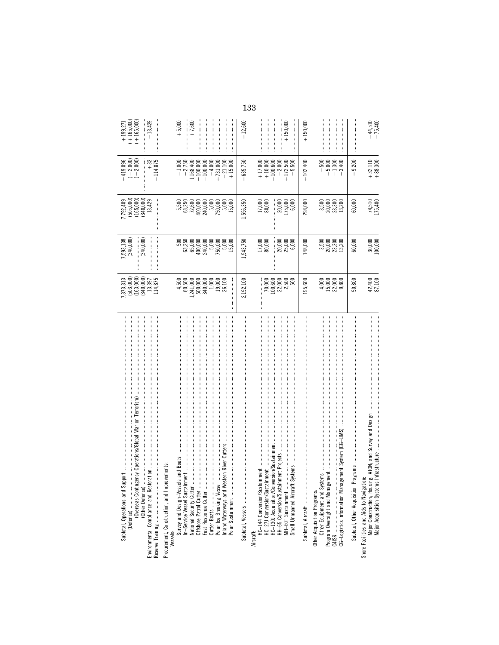| .<br>(Derseas Contingency Operations/Global War on Terrorism)<br>- (Overseas Contingency Operations/Global War on Terrorism)<br>Subtotal, Operations and Support<br>Procurement, Construction, and Improvements:<br>ration<br>(Other Defense)<br>Environmental Compliance and Resto | $7,373,313$<br>$(503,000)$<br>$(163,000)$<br>$(163,000)$<br>$(340,000)$<br>$13,397$<br>114,875                           | 7,593,138<br>(340,000)<br>(340,000)                                                                                                                                                                                                                                                             | $7,792,409$<br>$(505,000)$<br>$(165,000)$<br>$(340,000)$<br>$13,429$                                                            | $+419,096$<br>$(+2,000)$<br>$(+2,000)$<br>$-114,875$<br>$+32$                                                                                                                                                                                                                                                 | $\begin{array}{c} +199,271 \\ +165,000) \\ (+165,000) \end{array}$<br>$+13,429$ |
|-------------------------------------------------------------------------------------------------------------------------------------------------------------------------------------------------------------------------------------------------------------------------------------|--------------------------------------------------------------------------------------------------------------------------|-------------------------------------------------------------------------------------------------------------------------------------------------------------------------------------------------------------------------------------------------------------------------------------------------|---------------------------------------------------------------------------------------------------------------------------------|---------------------------------------------------------------------------------------------------------------------------------------------------------------------------------------------------------------------------------------------------------------------------------------------------------------|---------------------------------------------------------------------------------|
| Inland Waterways and Western River Cutters<br>Polar Ice Breaking Vessel<br>Polar Sustainment                                                                                                                                                                                        | $\begin{array}{c} 4,500 \\ 60,500 \\ 60,500 \\ 2,41,000 \\ 500,000 \\ 1,000 \\ 1,000 \\ \end{array}$<br>19,000<br>26,100 | $\begin{array}{c} 500 \\ 500 \\ 63,250 \\ 65,000 \\ 400 \\ 750 \\ 750 \\ 800 \\ 15,000 \\ 15,000 \\ 15,000 \\ 15,000 \\ 15,000 \\ 15,000 \\ 15,000 \\ 15,000 \\ 15,000 \\ 15,000 \\ 15,000 \\ 15,000 \\ 15,000 \\ 15,000 \\ 15,000 \\ 15,000 \\ 15,000 \\ 15,000 \\ 15,000 \\ 15,000 \\ 15,000$ | $\begin{array}{l} 5,500 \\ 5,250 \\ 63,250 \\ 72,600 \\ 1400 \\ 240 \\ 500 \\ 500 \\ 15,000 \\ 15,000 \\ 15,000 \\ \end{array}$ | $\begin{array}{r} +1,000 \\ +2,750 \\ 1,168,400 \end{array}$<br>$-100,000$<br>$-100,000$<br>$+4,000$<br>$+731,000$<br>$-21,100$<br>$+15,000$                                                                                                                                                                  | $+ 5,000$<br>$+7,600$                                                           |
|                                                                                                                                                                                                                                                                                     | 2,192,100                                                                                                                | 1,543,750                                                                                                                                                                                                                                                                                       | 1,556,350                                                                                                                       | $-635,750$                                                                                                                                                                                                                                                                                                    | $+12,600$                                                                       |
| HC-130J Acquisition/Conversion/Sustainment<br>HH-65 Conversion/Sustainment Projects<br>HC-144 Conversion/Sustainment<br>HC-271 Conversion/Sustainment<br>Small Unmanned Aircraft<br>MH-60T Sustainment<br>Aircraft:                                                                 |                                                                                                                          | $\frac{17,000}{80,000}$<br>20,000<br>25,000<br>6,000                                                                                                                                                                                                                                            | $17,000$<br>80,000<br>$\frac{20,000}{175,000}$                                                                                  | $\begin{array}{c} +17,000 \\ +10,000 \\ +100,600 \\ +172,500 \\ +172,500 \\ +174,500 \\ +174,500 \\ +174,500 \\ +174,500 \\ +174,500 \\ +174,500 \\ +174,500 \\ +174,500 \\ +174,500 \\ +174,500 \\ +174,500 \\ +174,500 \\ +174,500 \\ +174,500 \\ +174,500 \\ +174,500 \\ +174,500 \\ +174,500 \\ +174,500$ | $+150,000$                                                                      |
|                                                                                                                                                                                                                                                                                     | .95,600                                                                                                                  | 148,000                                                                                                                                                                                                                                                                                         | 298,000                                                                                                                         | $+102,400$                                                                                                                                                                                                                                                                                                    | $+150,000$                                                                      |
|                                                                                                                                                                                                                                                                                     |                                                                                                                          | 3,500<br>20,000<br>20,300<br>13,200                                                                                                                                                                                                                                                             | $\begin{array}{c} 3.500 \\ 7.5000 \\ 2.3300 \\ 2.3321 \\ \end{array}$                                                           | $-500$<br>$-5,000$<br>$+5,100$<br>$+1,300$                                                                                                                                                                                                                                                                    |                                                                                 |
| Subtotal, Other Acquisition Programs                                                                                                                                                                                                                                                | 50,800                                                                                                                   | 60,000                                                                                                                                                                                                                                                                                          | 60,000                                                                                                                          | $+9,200$                                                                                                                                                                                                                                                                                                      |                                                                                 |
| ng; ATON; and Survey and Design<br>Infrastructure<br>Shore Facilities and Aids to Navigation:<br>Major Construction; Housin<br>Major Acquisition Systems                                                                                                                            | 42,400<br>87,100                                                                                                         | $30,000$<br>$100,000$                                                                                                                                                                                                                                                                           | 74,510<br>175,400                                                                                                               | $+32,110$<br>+ 88,300                                                                                                                                                                                                                                                                                         | $+44,510$<br>+75,400                                                            |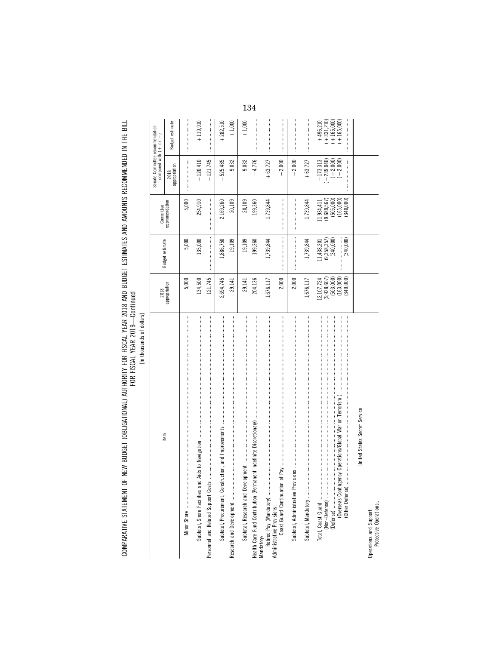[In thousands of dollars] [In thousands of dollars]

| Item                                                               | 2018                                                      |                                            | Committee                                                     | Senate Committee recommendation<br>compared with $(+)$ or | $\begin{array}{c} \rule{0pt}{2.5ex} \rule{0pt}{2.5ex} \rule{0pt}{2.5ex} \rule{0pt}{2.5ex} \rule{0pt}{2.5ex} \rule{0pt}{2.5ex} \rule{0pt}{2.5ex} \rule{0pt}{2.5ex} \rule{0pt}{2.5ex} \rule{0pt}{2.5ex} \rule{0pt}{2.5ex} \rule{0pt}{2.5ex} \rule{0pt}{2.5ex} \rule{0pt}{2.5ex} \rule{0pt}{2.5ex} \rule{0pt}{2.5ex} \rule{0pt}{2.5ex} \rule{0pt}{2.5ex} \rule{0pt}{2.5ex} \rule{0$ |
|--------------------------------------------------------------------|-----------------------------------------------------------|--------------------------------------------|---------------------------------------------------------------|-----------------------------------------------------------|----------------------------------------------------------------------------------------------------------------------------------------------------------------------------------------------------------------------------------------------------------------------------------------------------------------------------------------------------------------------------------|
|                                                                    | appropriation                                             | Budget estimate                            | recommendation                                                | appropriation<br>2018                                     | Budget estimate                                                                                                                                                                                                                                                                                                                                                                  |
|                                                                    | 5,000                                                     | 5,000                                      | 5,000                                                         |                                                           |                                                                                                                                                                                                                                                                                                                                                                                  |
|                                                                    | 134,500                                                   | 135,000                                    | 254,910                                                       | $+120,410$                                                | $+119,910$                                                                                                                                                                                                                                                                                                                                                                       |
| Personnel and Related Support Costs                                | 121,745                                                   |                                            |                                                               | $-121,745$                                                |                                                                                                                                                                                                                                                                                                                                                                                  |
| Subtotal, Procurement, Construction, and Improvements              | 2,694,745                                                 | 1,886,750                                  | 2,169,260                                                     | $-525,485$                                                | $+282,510$                                                                                                                                                                                                                                                                                                                                                                       |
|                                                                    | 29,141                                                    | 19,109                                     | 20,109                                                        | $-9,032$                                                  | $+1,000$                                                                                                                                                                                                                                                                                                                                                                         |
| Subtotal, Research and Development                                 | 29,141                                                    | 19,109                                     | 20,109                                                        | $-9,032$                                                  | $+1,000$                                                                                                                                                                                                                                                                                                                                                                         |
| Health Care Fund Contribution (Permanent Indefinite Discretionary) | 204,136                                                   | 199,360                                    | 199,360                                                       | $-4,776$                                                  |                                                                                                                                                                                                                                                                                                                                                                                  |
|                                                                    | 1,676,117                                                 | 1,739,844                                  | 1,739,844                                                     | $+63,727$                                                 |                                                                                                                                                                                                                                                                                                                                                                                  |
|                                                                    | 2,000                                                     |                                            |                                                               | $-2,000$                                                  |                                                                                                                                                                                                                                                                                                                                                                                  |
| Subtotal, Administrative Pro                                       | 2,000                                                     |                                            |                                                               | $-2,000$                                                  |                                                                                                                                                                                                                                                                                                                                                                                  |
|                                                                    | 1,676,117                                                 | 1,739,844                                  | 1,739,844                                                     | $+63,727$                                                 |                                                                                                                                                                                                                                                                                                                                                                                  |
|                                                                    | $(9,928,607)$<br>$(503,000)$<br>$(163,000)$<br>12,107,724 | $(9,358,357)$<br>$(340,000)$<br>11,438,201 | $(9, 689, 567)$<br>$(505, 000)$<br>$(165, 000)$<br>11,934,411 | $-239,040$<br>$(+2,000)$<br>$(+2,000)$<br>$-173,313$      | $(+ 331, 210)$<br>$(+ 165, 000)$<br>$+165,000$<br>$+496,210$                                                                                                                                                                                                                                                                                                                     |
| United States Secret Service                                       | (340,000)                                                 | (340,000)                                  | (340,000)                                                     |                                                           |                                                                                                                                                                                                                                                                                                                                                                                  |
| Operations and Support:<br>Protective Operations                   |                                                           |                                            |                                                               |                                                           |                                                                                                                                                                                                                                                                                                                                                                                  |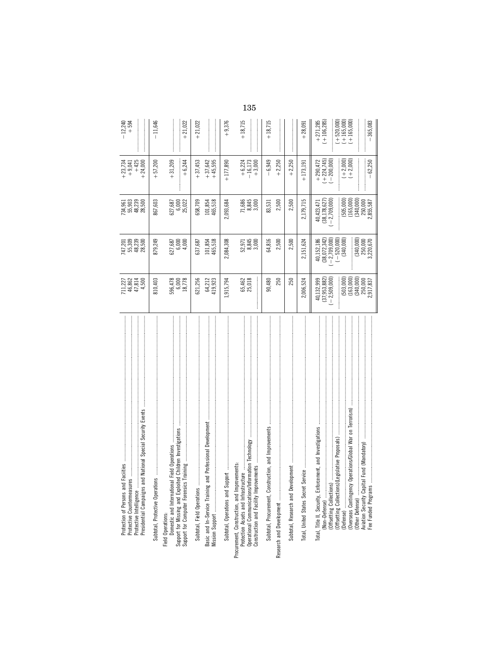| and National Special Security Events<br>Protection of Persons and Facilties<br>Protective Countermeasures<br>Protective Intelligence<br>Presidential Campaigns                                                                                                                                                                | 711,227<br>46,862<br>47,814<br>4,500                                                                                      | 747,201<br>55,309<br>48,239<br>28,500                                                                          | 734,961<br>55,903<br>58,500<br>28,500                                                                     | $+425$<br>$+24,000$<br>$+23,734$<br>+ 9,041                                                               | $-12,240$<br>$+594$                                                                       |
|-------------------------------------------------------------------------------------------------------------------------------------------------------------------------------------------------------------------------------------------------------------------------------------------------------------------------------|---------------------------------------------------------------------------------------------------------------------------|----------------------------------------------------------------------------------------------------------------|-----------------------------------------------------------------------------------------------------------|-----------------------------------------------------------------------------------------------------------|-------------------------------------------------------------------------------------------|
| Subtotal, Protective Operations                                                                                                                                                                                                                                                                                               | 810,403                                                                                                                   | 879,249                                                                                                        | 867,603                                                                                                   | $+57,200$                                                                                                 | $-11,646$                                                                                 |
| j<br>Field Operations:<br>Domestic and Internation                                                                                                                                                                                                                                                                            | 596,478<br>6,000<br>18,778                                                                                                | $6,000$<br>4,000<br>627,687                                                                                    | 6,000<br>25,022<br>527,687                                                                                | $+31,209$<br>$+6,244$                                                                                     | $-21,022$                                                                                 |
| and Professional Development<br>Basic and In-Service Training<br>Subtotal, Field Operations                                                                                                                                                                                                                                   | 621,256<br>64,212<br>419,923                                                                                              | 101,854<br>465,518<br>637,687                                                                                  | 658,709<br>465,518<br>101,854                                                                             | $+37,642$<br>$+37,453$<br>$+45,595$                                                                       | $+21,022$                                                                                 |
| Subtotal, Operations and Support                                                                                                                                                                                                                                                                                              | 1,915,794                                                                                                                 | 2,084,308                                                                                                      | 2,093,684                                                                                                 | $+177,890$                                                                                                | $+9,376$                                                                                  |
| Operational Communications/Information Technology<br>Procurement, Construction, and Improvements:<br>Construction and Facility Improvements<br>Protection Assets and Infrastructure                                                                                                                                           | 65,462<br>25,018                                                                                                          | $52,971$<br>$8,845$<br>$3,000$                                                                                 | 71,686<br>8,845<br>3,000                                                                                  | $+6,224$<br>$+16,173$<br>$+3,000$                                                                         | $+18,715$                                                                                 |
| Subtotal, Procurement, Construction, and Improvements<br>Research and Development                                                                                                                                                                                                                                             | 250<br>90,480                                                                                                             | 64,816<br>2,500                                                                                                | 2,500<br>83,531                                                                                           | 6,949<br>$+2,250$                                                                                         | $+18,715$                                                                                 |
|                                                                                                                                                                                                                                                                                                                               | 250                                                                                                                       | 2,500                                                                                                          | 2,500                                                                                                     | $+2,250$                                                                                                  |                                                                                           |
| Service<br>Total, United States Secret                                                                                                                                                                                                                                                                                        | 006,524                                                                                                                   | 2,151,624                                                                                                      | 2,179,715                                                                                                 | $+173,191$                                                                                                | $+28,091$                                                                                 |
| Operations/Global War on Terrorism)<br>rcement, and Investigations<br>)(Legislative Proposals)<br>tal Fund (Mandatory)<br>Total, Title II, Security, Enfo<br>(Non-Defense)<br>(Offsetting Collections<br>(Offsetting Collections<br>(Overseas Contingency<br>(Other Defense)<br>Aviation Security Capi<br>Fee Funded Programs | (503,000)<br>$(37, 953, 882)$<br>$(-2, 509, 000)$<br>$(163,000)$<br>$(340,000)$<br>$250,000$<br>$2,917,837$<br>40,132,999 | (340,000)<br>40,152,186<br>(38,072,342)<br>$-2,709,000$<br>$(-520,000)$<br>$(340,000)$<br>250,000<br>3,220,670 | 40,423,471<br>(38,178,627)<br>(505,000)<br>(165,000)<br>$-2,709,000$<br>(340,000)<br>250,000<br>2,855,587 | $(+ 2,000)$<br>$\begin{array}{c} +290,472 \\ (+224,745) \\ (-200,000)\end{array}$<br>$(+2,000)$<br>62,250 | $(+ 520,000)$<br>$(+ 165,000)$<br>$(+ 165,000)$<br>$(+106, 285)$<br>$+271,285$<br>365,083 |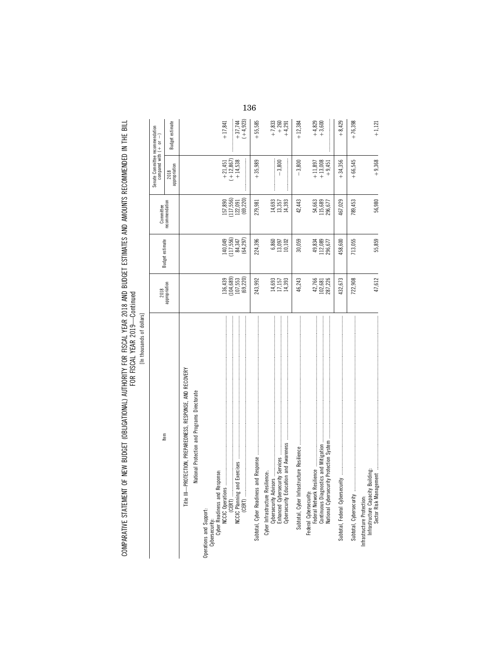| ş |
|---|
|   |
| ١ |
| í |
|   |

|                                                                           |                                         |                                | Committee                                                 | Senate Committee recommendation<br>compared with $( + $ or $- )$ |                                |
|---------------------------------------------------------------------------|-----------------------------------------|--------------------------------|-----------------------------------------------------------|------------------------------------------------------------------|--------------------------------|
| ltem                                                                      | 2018<br>appropriation                   | Budget estimate                | recommendation                                            | appropriation<br>2018                                            | Budget estimate                |
| Title III-PROTECTION, PREPAREDNESS, RESPONSE, AND RECOVERY                |                                         |                                |                                                           |                                                                  |                                |
| National Protection and Programs Directorate                              |                                         |                                |                                                           |                                                                  |                                |
|                                                                           |                                         |                                |                                                           |                                                                  |                                |
|                                                                           | 136,439                                 | 140,049<br>(117,556)<br>84,347 | 157,890                                                   | $\begin{array}{r} +21,451 \\ +12,867) \\ +14,538 \end{array}$    | $+17,841$                      |
|                                                                           | $(104, 689)$<br>$107, 553$<br>(69, 220) | (64, 297)                      | $(117,556)$<br>$122,091$<br>(69, 220)                     |                                                                  | $(+4,923)$<br>$+37,744$        |
| Subtotal, Cyber Readiness a                                               | 243,992                                 | 224,396                        | 279,981                                                   | $+35,989$                                                        | $+55,585$                      |
| Cybersecurity Education and Awareness<br>Cyber Infrastructure Resilience. | 14,693<br>17,157<br>14,393              | 6,860<br>13,097<br>10,102      | $\begin{array}{c} 14,693 \\ 13,357 \\ 14,393 \end{array}$ | $-3,800$                                                         | $+7,833$<br>$+260$<br>$+4,291$ |
|                                                                           | 46,243                                  | 30,059                         | 42,443                                                    | $-3,800$                                                         | $+12,384$                      |
|                                                                           | 42,766<br>102,681<br>287,226            | 49,834<br>112,089<br>296,677   | 115,689<br>296,677<br>54,663                              | $\begin{matrix} +11,897 \\ +13,008 \\ +9,451 \end{matrix}$       | $+4,829$<br>+ 3,600            |
|                                                                           | 432,673                                 | 458,600                        | 467,029                                                   | $+34,356$                                                        | $+8,429$                       |
| Subtotal, Cybersecurity                                                   | 722,908                                 | 713,055                        | 789,453                                                   | $+66,545$                                                        | $+76,398$                      |
| Infrastructure Protection:                                                | 47,612                                  | 55,859                         | 56,980                                                    | $+9,368$                                                         | $+1,121$                       |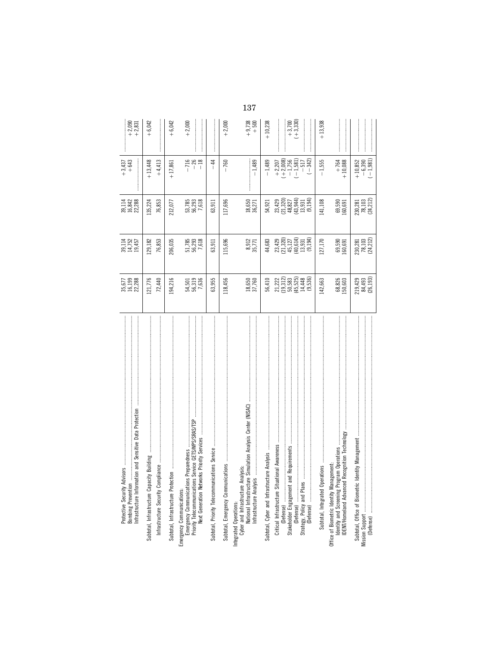| $+2,090$<br>+2,831                                                                                             | $+6,042$                                                                                                                                                                                                                                                                                                                                                                                                                                                                                                                                                                                                                                                                                                                                                           | $+6,042$                            | $+2,000$                                                                           |                                       | $+2,000$                           | 137<br>$+9,738$<br>+500                                                                                                                                     | $+10,238$ | $+3,700$<br>$(+3,330)$<br>$+13,938$                                                                                                                                                                                                                                                                                          |
|----------------------------------------------------------------------------------------------------------------|--------------------------------------------------------------------------------------------------------------------------------------------------------------------------------------------------------------------------------------------------------------------------------------------------------------------------------------------------------------------------------------------------------------------------------------------------------------------------------------------------------------------------------------------------------------------------------------------------------------------------------------------------------------------------------------------------------------------------------------------------------------------|-------------------------------------|------------------------------------------------------------------------------------|---------------------------------------|------------------------------------|-------------------------------------------------------------------------------------------------------------------------------------------------------------|-----------|------------------------------------------------------------------------------------------------------------------------------------------------------------------------------------------------------------------------------------------------------------------------------------------------------------------------------|
| $+3,437$<br>+643                                                                                               | $+13,448$<br>$+4,413$                                                                                                                                                                                                                                                                                                                                                                                                                                                                                                                                                                                                                                                                                                                                              | $+17,861$                           | $-716$<br>$-18$                                                                    | \$<br>$\mathbf{I}$                    | $-760$                             | $-1,489$                                                                                                                                                    | $-1,489$  | $+2,207$<br>$(+2,008)$<br>$-1,756$<br>$-1,581)$<br>$-517$<br>$(-342)$<br>$-1,555$<br>$+10,852$<br>$-6,390$<br>$(-1, 981)$<br>$+764$<br>$+10,088$                                                                                                                                                                             |
| 39,114<br>16,842<br>22,288                                                                                     | 135,224<br>76,853                                                                                                                                                                                                                                                                                                                                                                                                                                                                                                                                                                                                                                                                                                                                                  | 212,077                             | 53,785<br>56,293<br>7,618                                                          | 63,911                                | 117,696                            | 18,650<br>36,271                                                                                                                                            | 54,921    | $\begin{array}{c} 23,429 \\ 23,320 \\ 24,320 \\ 25,44 \\ 26,627 \\ 23,944 \\ 194 \\ 194 \\ 0 \end{array}$<br>$\frac{230,281}{78,103}$<br>$(24,212)$<br>141,108<br>69,590<br>60,691                                                                                                                                           |
| 39,114<br>14,752<br>19,457                                                                                     | 129,182<br>76,853                                                                                                                                                                                                                                                                                                                                                                                                                                                                                                                                                                                                                                                                                                                                                  | 206,035                             | 51,785<br>56,293<br>7,618                                                          | 63,911                                | 115,696                            | 8,912<br>35,771                                                                                                                                             | 44,683    | $\begin{array}{c} 23,429 \\ 23,320 \\ 21,321 \\ 45,127 \\ 49,614 \\ 13,931 \\ 194 \end{array}$<br>$\begin{array}{c} 230,281 \\ 78,103 \\ (24,212) \end{array}$<br>127,170<br>69,590<br>60,691                                                                                                                                |
| 35,677<br>16,199<br>22,288                                                                                     | 121,776<br>72,440                                                                                                                                                                                                                                                                                                                                                                                                                                                                                                                                                                                                                                                                                                                                                  | 194,216                             | 54,501<br>56,319<br>7,636                                                          | 63,955                                | 118,456                            | 18,650<br>37,760                                                                                                                                            | 56,410    | $\begin{array}{c} 21.222 \\ 11.212 \\ 19.583 \\ 50.5448 \\ 64.448 \\ 14.550 \\ \end{array}$<br>219,429<br>84,493<br>(26,193)<br>68,826<br>50,603<br>142,663                                                                                                                                                                  |
| Infrastructure Information and Sensitive Data Protection<br>Protective Security Advisors<br>Bombing Prevention | $\dim g \leftarrow \ldots \leftarrow \ldots \leftarrow \ldots \leftarrow \ldots \leftarrow \ldots \leftarrow \ldots \leftarrow \ldots \leftarrow \ldots \leftarrow \ldots \leftarrow \ldots \leftarrow \ldots \leftarrow \ldots \leftarrow \ldots \leftarrow \ldots \leftarrow \ldots \leftarrow \ldots \leftarrow \ldots \leftarrow \ldots \leftarrow \ldots \leftarrow \ldots \leftarrow \ldots \leftarrow \ldots \leftarrow \ldots \leftarrow \ldots \leftarrow \ldots \leftarrow \ldots \leftarrow \ldots \leftarrow \ldots \leftarrow \ldots \leftarrow \ldots \leftarrow \ldots \leftarrow \ldots \leftarrow \ldots \leftarrow \ldots \leftarrow \ldots \leftarrow \ldots \$<br>Subtotal, Infrastructure Capacity Buil<br>Infrastructure Security Compliance | Subtotal, Infrastructure Protection | Priority Telecommunications Service GETS/WPS/SRAS/TSP<br>Emergency Communications: | Subtotal, Priority Telecommunications | Subtotal, Emergency Communications | lation Analysis Center (NISAC)<br>Integrated Operations:<br>Cyber and Infrastructure Analysis:<br>Mational Infrastructure Simuli<br>Infrastructure Analysis |           | DENT/Homeland Advanced Recognition Technology<br>Management<br>Identity and Screening Program Operations<br>.<br>Stakeholder Engagement and Requirements<br>Stakeholder Engagement and Requirements<br>Office of Biometric Identity Management:<br>Subtotal, Integrated Operations<br>Subtotal, Office of Biometric Identity |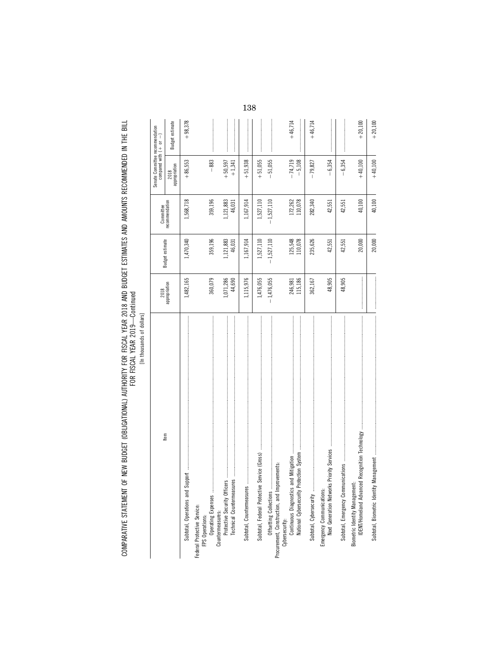[In thousands of dollars] [In thousands of dollars]

|                                                                                            |                       |                     | Committee           | Senate Committee recommendation<br>compared with $(+ \quad or \quad -)$ |                 |
|--------------------------------------------------------------------------------------------|-----------------------|---------------------|---------------------|-------------------------------------------------------------------------|-----------------|
| Item                                                                                       | 2018<br>appropriation | Budget estimate     | ecommendation       | 2018<br>appropriation                                                   | Budget estimate |
|                                                                                            | 1,482,165             | 1,470,340           | 1,568,718           | $+86,553$                                                               | $+98,378$       |
| Federal Protective Service:<br>FPS Operations:                                             |                       |                     |                     |                                                                         |                 |
| Operating Expenses                                                                         | 360,079               | 359,196             | 359,196             | $-883$                                                                  |                 |
| Protective Security Officers<br>Technical Countermeasures<br>Countermeasures:              | 1,071,286<br>44,690   | 1,121,883<br>46,031 | 1,121,883<br>46,031 | $+50,597$<br>$+1,341$                                                   |                 |
|                                                                                            | 1,115,976             | 1,167,914           | 1,167,914           | $+51,938$                                                               |                 |
|                                                                                            | 1,476,055             | 1,527,110           | 1,527,110           | $+51,055$                                                               |                 |
| Procurement, Construction, and Improvements:                                               | $-1,476,055$          | $-1,527,110$        | $-1,527,110$        | $-51,055$                                                               |                 |
| Cybersecurity:                                                                             | 115,186<br>246,981    | 125,548<br>110,078  | 172,262<br>110,078  | $-74,719$<br>$-5,108$                                                   | $+46,714$       |
|                                                                                            | 362,167               | 235,626             | 282,340             | $-79,827$                                                               | $+46,714$       |
| <b>Priority Services</b><br>Next Generation Networks<br>Emergency Communications:          | 48,905                | 42,551              | 42,551              | $-6,354$                                                                |                 |
| Subtotal, Emergency Commun                                                                 | 48,905                | 42,551              | 42,551              | $-6,354$                                                                |                 |
| Recognition Technology<br>Biometric Identity Management:<br><b>IDENT/Homeland Advanced</b> |                       | 20,000              | 40,100              | $+40,100$                                                               | $+20,100$       |
|                                                                                            |                       | 20,000              | 40,100              | $+40,100$                                                               | $+20,100$       |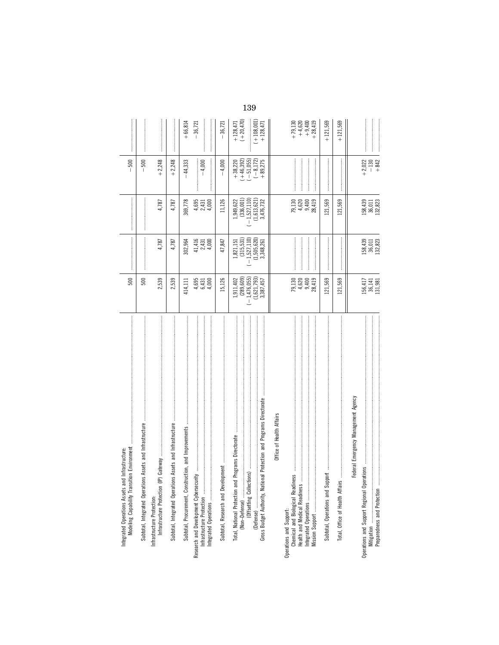| tion Environment<br>Infrastructure<br>Integrated Operations Assets and<br>Modeling Capability Transit                                                                                                                          | 500                                                                   |                                                                           |                                                                           | 500<br>$\mathbf{I}$                                                 |                                                            |
|--------------------------------------------------------------------------------------------------------------------------------------------------------------------------------------------------------------------------------|-----------------------------------------------------------------------|---------------------------------------------------------------------------|---------------------------------------------------------------------------|---------------------------------------------------------------------|------------------------------------------------------------|
| Assets and Infrastructure<br>Subtotal, Integrated Operations                                                                                                                                                                   | 500                                                                   |                                                                           |                                                                           | 500<br>$\overline{1}$                                               |                                                            |
| Gateway<br>Infrastructure Protection:<br>Infrastructure Protection (IP)                                                                                                                                                        | 2,539                                                                 | 4,787                                                                     | 4,787                                                                     | $+2,248$                                                            |                                                            |
| Subtotal, Integrated Operations Assets and Infrastructure                                                                                                                                                                      | 2,539                                                                 | 4,787                                                                     | 4,787                                                                     | $+2,248$                                                            |                                                            |
| Subtotal, Procurement, Construction, and Improvements<br>Integrated Operations                                                                                                                                                 | 4,695<br>4,000<br>6,431<br>414,111                                    | $41,416$<br>$2,431$<br>4,000<br>302,964                                   | 4,695<br>369,778<br>4,000<br>2,431                                        | $-4,000$<br>44,333                                                  | $+66,814$<br>$-36,721$                                     |
| Subtide), Research and Development municipalities are an announcement communication and an area of the contract of the search of the search of the search of the search of the search of the search of the search of the searc | 15,126                                                                | 47,847                                                                    | 11,126                                                                    | 4,000                                                               | 36,721                                                     |
| nal Protection and Programs Directorate<br>Programs Directorate<br>Total, National Protection and                                                                                                                              | $(-1,476,055)$<br>(289, 609)<br>(1,621,793)<br>1,911,402<br>3,387,457 | $(-1,527,110)$<br>(315, 531)<br>$(1,505,620)$<br>$3,348,261$<br>1,821,151 | $(-1, 527, 110)$<br>(336, 001)<br>(1, 613, 621)<br>1,949,622<br>3,476,732 | $(+46,392)$<br>$(-51,055)$<br>$(-8, 172)$<br>$+38,220$<br>$+89,275$ | $(+ 108, 001)$<br>$(+20, 470)$<br>$+128,471$<br>$+128,471$ |
| Office of Health Affairs<br>Operations and Support:<br>Chemical and Biological Readiness<br>Health and Medical Readiness<br>Integrated Operations                                                                              | 79,130<br>4,620<br>9,400<br>28,419                                    |                                                                           | 79, 130<br>4, 620<br>4, 9, 419<br>28, 20                                  |                                                                     | $+28,419$<br>$+ 79,130$<br>$+ 4,620$<br>$+ 9,400$          |
| Subtotal, Operations and Support                                                                                                                                                                                               | 121,569                                                               |                                                                           | .21,569                                                                   |                                                                     | $+121,569$                                                 |
| Total, Office of Health Affairs                                                                                                                                                                                                | 121,569                                                               |                                                                           | 121,569                                                                   |                                                                     | $+121,569$                                                 |
| Federal Emergency Management Agency<br>Operations and Support Regional Operations<br>Preparedness and Protection<br>Mitigation                                                                                                 | 156,417<br>36,141<br>131,981                                          | 158,439<br>36,011<br>132,823                                              | 158,439<br>36,011<br>132,823                                              | $+2,022$<br>$-130$<br>$+842$                                        |                                                            |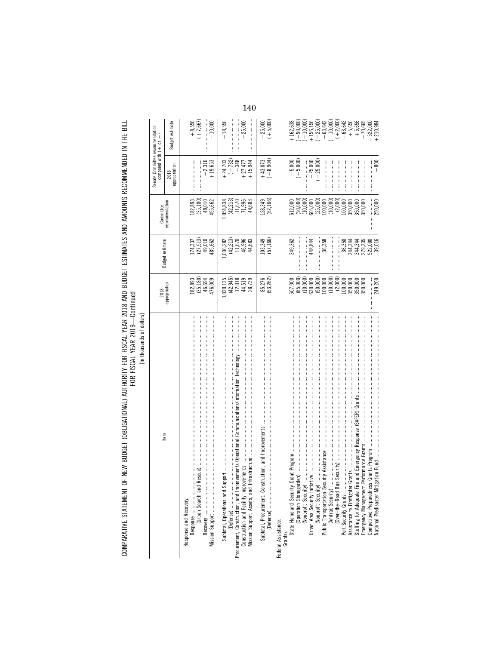COMPARATIVE STATEMENT OF NEW BUDGET (OBLIGATIONAL) AUTHORITY FOR FISCAL YEAR 2018 AND BUDGET ESTIMATES AND AMOUNTS RECOMMENDED IN THE BILL<br>FOR YEAR YEAR

[In thousands of dollars]

| tem                            | 2018                                                                                                                                                                                                                                                                                                        |                                                                         | Committee                                                                                                                                                                                                                                                                                     | Senate Committee recommendation<br>compared with $(+ \t or \t -)$ |                                                                                                                                                                                                                                                                                                                     |
|--------------------------------|-------------------------------------------------------------------------------------------------------------------------------------------------------------------------------------------------------------------------------------------------------------------------------------------------------------|-------------------------------------------------------------------------|-----------------------------------------------------------------------------------------------------------------------------------------------------------------------------------------------------------------------------------------------------------------------------------------------|-------------------------------------------------------------------|---------------------------------------------------------------------------------------------------------------------------------------------------------------------------------------------------------------------------------------------------------------------------------------------------------------------|
|                                | appropriation                                                                                                                                                                                                                                                                                               | Budget estimate                                                         | recommendation                                                                                                                                                                                                                                                                                | 2018<br>appropriation                                             | Budget estimate                                                                                                                                                                                                                                                                                                     |
| Response and Recovery:         |                                                                                                                                                                                                                                                                                                             |                                                                         |                                                                                                                                                                                                                                                                                               |                                                                   |                                                                                                                                                                                                                                                                                                                     |
|                                | $\begin{array}{c} 182,893 \\ (35,180) \\ 46,694 \\ 476,009 \end{array}$                                                                                                                                                                                                                                     | $\begin{array}{c} 174,337 \\ (27,513) \\ 49,010 \\ 485,662 \end{array}$ |                                                                                                                                                                                                                                                                                               |                                                                   |                                                                                                                                                                                                                                                                                                                     |
|                                |                                                                                                                                                                                                                                                                                                             |                                                                         |                                                                                                                                                                                                                                                                                               |                                                                   | $+8,556$<br>( $+7,667$ )                                                                                                                                                                                                                                                                                            |
|                                |                                                                                                                                                                                                                                                                                                             |                                                                         |                                                                                                                                                                                                                                                                                               |                                                                   |                                                                                                                                                                                                                                                                                                                     |
|                                |                                                                                                                                                                                                                                                                                                             |                                                                         | $\begin{array}{c} 182,893 \\ (35,180) \\ 49,010 \\ 495,662 \end{array}$                                                                                                                                                                                                                       | $+2,316$<br>+ 19,653                                              | $+10,000$                                                                                                                                                                                                                                                                                                           |
|                                |                                                                                                                                                                                                                                                                                                             |                                                                         |                                                                                                                                                                                                                                                                                               |                                                                   | $+18,556$                                                                                                                                                                                                                                                                                                           |
|                                | $(42,945)$<br>$(42,945)$<br>$12,018$<br>$44,519$                                                                                                                                                                                                                                                            |                                                                         | $(1,054,838$<br>$(42,213)$<br>$11,670$<br>$71,996$                                                                                                                                                                                                                                            | $+24,703$<br>$(-732)$                                             |                                                                                                                                                                                                                                                                                                                     |
|                                |                                                                                                                                                                                                                                                                                                             |                                                                         |                                                                                                                                                                                                                                                                                               | $-348$                                                            |                                                                                                                                                                                                                                                                                                                     |
|                                |                                                                                                                                                                                                                                                                                                             | $1,036,282$<br>$(42,213)$<br>$11,670$<br>$46,996$<br>$44,683$           |                                                                                                                                                                                                                                                                                               | $+27,477$                                                         | $+25,000$                                                                                                                                                                                                                                                                                                           |
|                                | 28,739                                                                                                                                                                                                                                                                                                      |                                                                         | 44,683                                                                                                                                                                                                                                                                                        | $+15,944$                                                         |                                                                                                                                                                                                                                                                                                                     |
|                                | 85,276                                                                                                                                                                                                                                                                                                      | 103,349<br>(57,166)                                                     | 128,349<br>(62,166)                                                                                                                                                                                                                                                                           |                                                                   |                                                                                                                                                                                                                                                                                                                     |
|                                | (53, 262)                                                                                                                                                                                                                                                                                                   |                                                                         |                                                                                                                                                                                                                                                                                               | $+43,073$<br>$(+8,904)$                                           | $+25,000$<br>$(+5,000)$                                                                                                                                                                                                                                                                                             |
| Federal Assistance:            |                                                                                                                                                                                                                                                                                                             |                                                                         |                                                                                                                                                                                                                                                                                               |                                                                   |                                                                                                                                                                                                                                                                                                                     |
|                                |                                                                                                                                                                                                                                                                                                             |                                                                         |                                                                                                                                                                                                                                                                                               |                                                                   |                                                                                                                                                                                                                                                                                                                     |
|                                |                                                                                                                                                                                                                                                                                                             | 349,362                                                                 |                                                                                                                                                                                                                                                                                               | $+ 5,000$<br>$(+ 5,000)$                                          |                                                                                                                                                                                                                                                                                                                     |
| (Nonprofit Security)           |                                                                                                                                                                                                                                                                                                             |                                                                         |                                                                                                                                                                                                                                                                                               |                                                                   |                                                                                                                                                                                                                                                                                                                     |
| Urban Area Security Initiative |                                                                                                                                                                                                                                                                                                             | 448,844                                                                 |                                                                                                                                                                                                                                                                                               |                                                                   |                                                                                                                                                                                                                                                                                                                     |
| (Nonprofit Security)           |                                                                                                                                                                                                                                                                                                             |                                                                         |                                                                                                                                                                                                                                                                                               | $-25,000$<br>$(-25,000)$                                          |                                                                                                                                                                                                                                                                                                                     |
|                                |                                                                                                                                                                                                                                                                                                             | 36,358                                                                  |                                                                                                                                                                                                                                                                                               |                                                                   |                                                                                                                                                                                                                                                                                                                     |
| (Amtrak Security)              |                                                                                                                                                                                                                                                                                                             | $\frac{1}{2}$                                                           |                                                                                                                                                                                                                                                                                               |                                                                   |                                                                                                                                                                                                                                                                                                                     |
|                                |                                                                                                                                                                                                                                                                                                             |                                                                         |                                                                                                                                                                                                                                                                                               |                                                                   |                                                                                                                                                                                                                                                                                                                     |
|                                |                                                                                                                                                                                                                                                                                                             | 36,358                                                                  |                                                                                                                                                                                                                                                                                               |                                                                   |                                                                                                                                                                                                                                                                                                                     |
|                                |                                                                                                                                                                                                                                                                                                             |                                                                         |                                                                                                                                                                                                                                                                                               |                                                                   |                                                                                                                                                                                                                                                                                                                     |
|                                | $\begin{array}{l} 507,000 \\ 685,0000 \\ (85,0000) \\ (11,0000) \\ (50,000) \\ (100,000) \\ (100,000) \\ (11,000) \\ (11,000) \\ (12,000) \\ (12,000) \\ (13,000) \\ (15,000) \\ (16,000) \\ (18,000) \\ (19,000) \\ (19,000) \\ (19,000) \\ (19,000) \\ (19,000) \\ (19,000) \\ (19,000) \\ (19,000) \\ ($ |                                                                         | $\begin{array}{l} 512,000 \\ 10000 \\ 10000 \\ 10000 \\ 10000 \\ 10000 \\ 10000 \\ 10000 \\ 10000 \\ 10000 \\ 110000 \\ 110000 \\ 110000 \\ 110000 \\ 110000 \\ 110000 \\ 110000 \\ 110000 \\ 110000 \\ 110000 \\ 110000 \\ 110000 \\ 110000 \\ 110000 \\ 110000 \\ 110000 \\ 110000 \\ 1100$ |                                                                   | $\begin{array}{l} +162,638 \\ +90,000 \\ (+10,000) \\ (+15,156,156 \\ (+15,156,000) \\ (+1,25,000) \\ (+1,25,000) \\ (+1,25,000) \\ (+1,25,000) \\ (+1,25,000) \\ (+1,25,000) \\ (+1,25,000) \\ (+1,25,000) \\ (-1,25,000) \\ (-1,25,000) \\ (-1,25,000) \\ (-1,25,000) \\ (-1,25,000) \\ (-1,25,000) \\ (-1,25,00$ |
| Competitive Preparedness (     |                                                                                                                                                                                                                                                                                                             |                                                                         |                                                                                                                                                                                                                                                                                               |                                                                   | $-522,000$                                                                                                                                                                                                                                                                                                          |
| National Predisaster Mitigat   | 249,200                                                                                                                                                                                                                                                                                                     | 344,344<br>344,344<br>279,335<br>522,000<br>39,016                      | 250,000                                                                                                                                                                                                                                                                                       | $+800$                                                            | 210,984                                                                                                                                                                                                                                                                                                             |
|                                |                                                                                                                                                                                                                                                                                                             |                                                                         |                                                                                                                                                                                                                                                                                               |                                                                   |                                                                                                                                                                                                                                                                                                                     |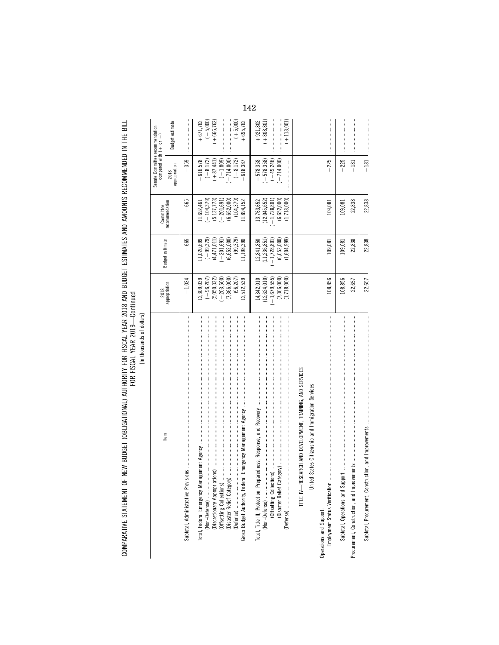[In thousands of dollars] [In thousands of dollars]

|                                                                                                                                                          | 2018                          |                                | Committee                         | Senate Committee recommendation<br>compared with $(+ \quad or \quad -)$ |                             |
|----------------------------------------------------------------------------------------------------------------------------------------------------------|-------------------------------|--------------------------------|-----------------------------------|-------------------------------------------------------------------------|-----------------------------|
| Item                                                                                                                                                     | appropriation                 | Budget estimate                | recommendation                    | appropriation<br>2018                                                   | <b>Budget estimate</b>      |
|                                                                                                                                                          | $-1,024$                      | 665                            | $-665$                            | $+359$                                                                  |                             |
| (Non-Defense)                                                                                                                                            | $(-96, 207)$<br>12,309,039    | $(-99,379)$<br>.1,020,699      | $-104,379$<br>1,692,461           | $(-8,172)$<br>$-616,578$                                                | $(-5,000)$<br>$+671,762$    |
| (Discretionary Appropriations)<br>(Offsetting Collections)                                                                                               | (5,050,332)<br>$-203,500$     | (4, 471, 011)<br>$(-201, 691)$ | (5, 137, 773)<br>$-201,691$       | $(+1,809)$<br>$(+87, 441)$                                              | $+666,762$                  |
| (Disaster Relief Category)                                                                                                                               | (96, 207)<br>(7,366,000)      | (99, 379)<br>(6, 652, 000      | (6, 652, 000)<br>(104, 379)       | $-714,000$<br>$(+8,172)$                                                | $(+5,000)$                  |
|                                                                                                                                                          | 12,512,539                    | 11,198,390                     | 11,894,152                        | $-618,387$                                                              | $+695,762$                  |
| (Non-Defense)                                                                                                                                            | (12, 624, 010)<br>14,342,010  | (11, 236, 851)<br>12,841,850   | (12, 045, 652)<br>13,763,652      | $-578,358$<br>$-578,358$                                                | $(+808, 801)$<br>$+921,802$ |
|                                                                                                                                                          | $(-1,679,555)$<br>(7,366,000) | $-1,728,801$<br>(6, 652, 000)  | (6, 652, 000)<br>$(-1, 728, 801)$ | $(-49, 246)$<br>$(-714,000)$                                            |                             |
|                                                                                                                                                          | (1,718,000)                   | (1,604,999)                    | (1,718,000)                       |                                                                         | $(+113,001)$                |
| TITLE IV-RESEARCH AND DEVELOPMENT, TRAINING, AND SERVICES                                                                                                |                               |                                |                                   |                                                                         |                             |
| United States Citizenship and Immigration Services                                                                                                       |                               |                                |                                   |                                                                         |                             |
| Employment Status Verification.<br>Operations and Support:                                                                                               | 108,856                       | 109,081                        | 109,081                           | $+225$                                                                  |                             |
|                                                                                                                                                          | 108,856                       | 109,081                        | 109,081                           | $+225$                                                                  |                             |
| remains and a communications of the contract of the contract of the contract of the contract of the contract of<br>Procurement, Construction, and Improv | 22,657                        | 22,838                         | 22,838                            | $+181$                                                                  |                             |
|                                                                                                                                                          | 22,657                        | 22,838                         | 22,838                            | $+181$                                                                  |                             |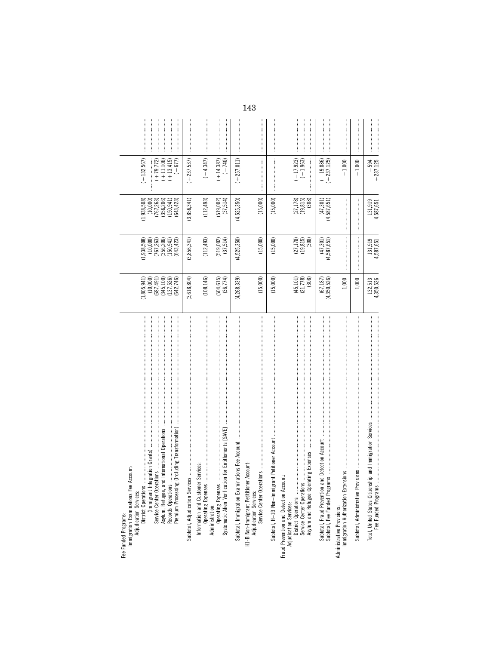| Immigration Examinations Fee<br>Fee Funded Programs:                                             |                                     |                                                          |                                                              |                                                |                                                                                                                                                                                                                                                                                                                                                                                                                            |
|--------------------------------------------------------------------------------------------------|-------------------------------------|----------------------------------------------------------|--------------------------------------------------------------|------------------------------------------------|----------------------------------------------------------------------------------------------------------------------------------------------------------------------------------------------------------------------------------------------------------------------------------------------------------------------------------------------------------------------------------------------------------------------------|
| Account:<br>District Operations<br>Adjudication Services:                                        | (1,805,941)                         | $(1,938,508)$<br>$(10,000)$                              | $(1,938,508)$<br>$(10,000)$                                  | $(+132,567)$                                   |                                                                                                                                                                                                                                                                                                                                                                                                                            |
|                                                                                                  | (10,000)<br>(687, 491)              |                                                          |                                                              |                                                |                                                                                                                                                                                                                                                                                                                                                                                                                            |
| Asylum, Refugee, and International Operations<br>Service Center Operations<br>Records Operations | (345, 100)                          | $(767,263)$<br>$(356,206)$<br>$(150,941)$<br>$(643,423)$ | $(767, 263)$<br>$(356, 206)$<br>$(150, 941)$<br>$(643, 423)$ | $(+13, 415)$<br>$(+ 79, 772)$<br>$(+ 11, 106)$ |                                                                                                                                                                                                                                                                                                                                                                                                                            |
| Premium Processing (Including Transformation)                                                    | $(137,526)$<br>$(642,746)$          |                                                          |                                                              | $(1 + 677)$                                    |                                                                                                                                                                                                                                                                                                                                                                                                                            |
|                                                                                                  | (3, 618, 804)                       | (3,856,341)                                              | (3,856,341)                                                  | $(+237,537)$                                   |                                                                                                                                                                                                                                                                                                                                                                                                                            |
|                                                                                                  | (108, 146)                          | (112, 493)                                               | (112, 493)                                                   | $(+4, 347)$                                    |                                                                                                                                                                                                                                                                                                                                                                                                                            |
|                                                                                                  | $(504, 615)$<br>$(36, 774)$         | $(519,002)$<br>$(37,514)$                                | $(519,002)$<br>$(37,514)$                                    | $(+14,387)$<br>$(+740)$                        |                                                                                                                                                                                                                                                                                                                                                                                                                            |
|                                                                                                  | (4,268,339)                         | (4,525,350)                                              | (4, 525, 350)                                                | $(+257, 011)$                                  |                                                                                                                                                                                                                                                                                                                                                                                                                            |
|                                                                                                  | (15,000)                            | (15,000)                                                 | (15,000)                                                     |                                                |                                                                                                                                                                                                                                                                                                                                                                                                                            |
|                                                                                                  | (15,000)                            | (15,000)                                                 | (15,000)                                                     |                                                |                                                                                                                                                                                                                                                                                                                                                                                                                            |
| Asylum and Refugee Operating Expenses<br>Fraud Prevention and Detection Account:                 | $(45,101)$<br>$(21,778)$<br>$(308)$ | $(27,178)$<br>$(19,815)$<br>$(308)$                      | $(27,178)$<br>$(19,815)$<br>(308)                            | $(-17, 923)$<br>$(-1, 963)$                    |                                                                                                                                                                                                                                                                                                                                                                                                                            |
|                                                                                                  | $(67, 187)$<br>$(4, 350, 526)$      | $(47,301)$<br>$(4,587,651)$                              | $(47,301)$<br>$(4,587,651)$                                  | $(-19,886)$<br>$(+237,125)$                    |                                                                                                                                                                                                                                                                                                                                                                                                                            |
| Administrative Provisions:                                                                       | 1,000                               |                                                          |                                                              | $-1,000$                                       |                                                                                                                                                                                                                                                                                                                                                                                                                            |
|                                                                                                  | 1,000                               |                                                          |                                                              | $-1,000$                                       |                                                                                                                                                                                                                                                                                                                                                                                                                            |
|                                                                                                  | 132,513<br>4,350,526                | 131,919<br>4,587,651                                     | 131,919<br>4,587,651                                         | $-594$<br>+237, 125                            | $\begin{minipage}{0.9\linewidth} \begin{tabular}{l} \hline \textbf{1} & \textbf{2} & \textbf{3} & \textbf{4} & \textbf{5} & \textbf{6} & \textbf{6} & \textbf{7} & \textbf{8} & \textbf{9} & \textbf{10} & \textbf{10} & \textbf{10} & \textbf{10} & \textbf{10} & \textbf{10} & \textbf{10} & \textbf{10} & \textbf{10} & \textbf{10} & \textbf{10} & \textbf{10} & \textbf{10} & \textbf{10} & \textbf{10} & \textbf{10$ |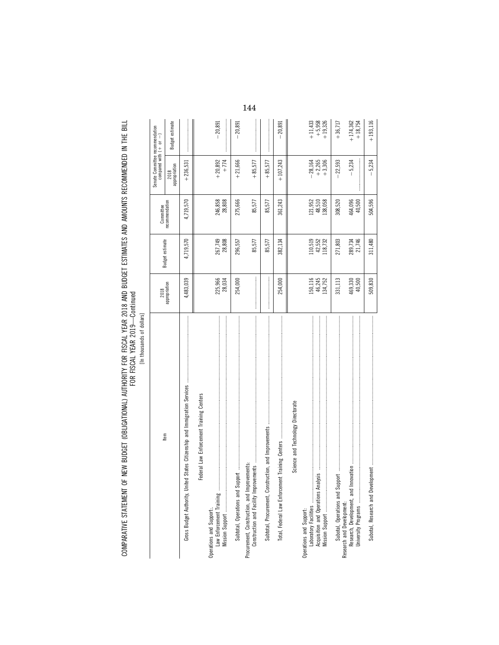| ۱      |
|--------|
|        |
|        |
|        |
|        |
| í<br>b |
|        |
| ؟      |
|        |
|        |
| í      |

|                                                                                                                                                                                                                                                                                                                                                                                                                                                                                                                                                                                                         | 2018                         |                              | Committee                    | Senate Committee recommendation<br>compared with $( + $ or $- )$ |                                    |
|---------------------------------------------------------------------------------------------------------------------------------------------------------------------------------------------------------------------------------------------------------------------------------------------------------------------------------------------------------------------------------------------------------------------------------------------------------------------------------------------------------------------------------------------------------------------------------------------------------|------------------------------|------------------------------|------------------------------|------------------------------------------------------------------|------------------------------------|
| ltem                                                                                                                                                                                                                                                                                                                                                                                                                                                                                                                                                                                                    | appropriation                | Budget estimate              | ecommendation                | appropriation<br>2018                                            | <b>Budget estimate</b>             |
| $\label{def:1} \begin{minipage}{0.9\textwidth} \begin{minipage}{0.9\textwidth} \begin{itemize} \textbf{0.9\textwidth} \begin{itemize} \textbf{0.9\textwidth} \begin{itemize} \textbf{0.9\textwidth} \begin{itemize} \textbf{0.9\textwidth} \begin{itemize} \textbf{0.9\textwidth} \begin{itemize} \textbf{0.9\textwidth} \begin{itemize} \textbf{0.9\textwidth} \begin{itemize} \textbf{0.9\textwidth} \begin{itemize} \textbf{0.9\textwidth} \begin{itemize} \textbf{0.9\textwidth} \begin{itemize} \textbf{0.9\text$<br>States Citizenship and Immigration Services<br>Gross Budget Authority, United | 4,483,039                    | 4,719,570                    | 4,719,570                    | $+236,531$                                                       |                                    |
| Federal Law Enforcement Training Centers                                                                                                                                                                                                                                                                                                                                                                                                                                                                                                                                                                |                              |                              |                              |                                                                  |                                    |
| Law Enforcement Training<br>Operations and Support:                                                                                                                                                                                                                                                                                                                                                                                                                                                                                                                                                     | 225,966<br>28,034            | 267,749<br>28,808            | 246,858<br>28,808            | $+20,892$<br>$+774$                                              | $-20,891$                          |
|                                                                                                                                                                                                                                                                                                                                                                                                                                                                                                                                                                                                         | 254,000                      | 296,557                      | 275,666                      | $+21,666$                                                        | $-20,891$                          |
| Construction and Facility Improvements<br>Procurement, Construction, and Improvements:                                                                                                                                                                                                                                                                                                                                                                                                                                                                                                                  |                              | 85,577                       | 85,577                       | $+85,577$                                                        |                                    |
|                                                                                                                                                                                                                                                                                                                                                                                                                                                                                                                                                                                                         |                              | 85,577                       | 85,577                       | $+85,577$                                                        |                                    |
|                                                                                                                                                                                                                                                                                                                                                                                                                                                                                                                                                                                                         | 254,000                      | 382,134                      | 361,243                      | $+107,243$                                                       | 20,891                             |
| Science and Technology Directorate                                                                                                                                                                                                                                                                                                                                                                                                                                                                                                                                                                      |                              |                              |                              |                                                                  |                                    |
| Acquisition and Operations Analysis<br>Operations and Support:<br>Laboratory Facilities                                                                                                                                                                                                                                                                                                                                                                                                                                                                                                                 | 150,116<br>46,245<br>134,752 | 110,519<br>42,552<br>118,732 | 121,952<br>48,510<br>138,058 | $-28,164$<br>+2,265<br>+3,306                                    | $+11,433$<br>$+5,958$<br>$+19,326$ |
|                                                                                                                                                                                                                                                                                                                                                                                                                                                                                                                                                                                                         | 331,113                      | 271,803                      | 308,520                      | $-22,593$                                                        | $+36,717$                          |
|                                                                                                                                                                                                                                                                                                                                                                                                                                                                                                                                                                                                         | 469,330<br>40,500            | 21,746<br>289,734            | 464,096<br>40,500            | $-5,234$                                                         | $+18,754$<br>$+174,362$            |
|                                                                                                                                                                                                                                                                                                                                                                                                                                                                                                                                                                                                         | 509,830                      | 311,480                      | 504,596                      | $-5,234$                                                         | $+193,116$                         |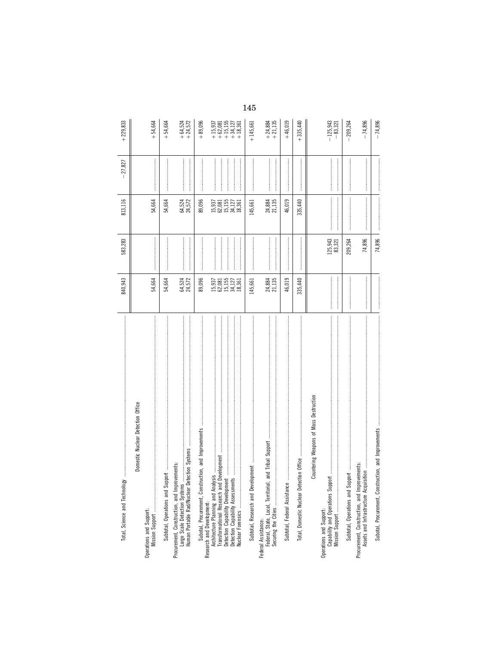|                                                                               | 840,943                              | 583,283           | 813,116                                                                                                                                                                                                                                                                                                                                                                                                                                                                                                                                   | $-27,827$ | $+229,833$                                                                                      |
|-------------------------------------------------------------------------------|--------------------------------------|-------------------|-------------------------------------------------------------------------------------------------------------------------------------------------------------------------------------------------------------------------------------------------------------------------------------------------------------------------------------------------------------------------------------------------------------------------------------------------------------------------------------------------------------------------------------------|-----------|-------------------------------------------------------------------------------------------------|
| Domestic Nuclear Detection Office                                             |                                      |                   |                                                                                                                                                                                                                                                                                                                                                                                                                                                                                                                                           |           |                                                                                                 |
|                                                                               | 54,664                               |                   | 54,664                                                                                                                                                                                                                                                                                                                                                                                                                                                                                                                                    |           | $+54,664$                                                                                       |
|                                                                               | 54,664                               |                   | 54,664                                                                                                                                                                                                                                                                                                                                                                                                                                                                                                                                    |           | $+54,664$                                                                                       |
| Procurement, Construction, and Improvements:<br>Large Scale Detection Systems | 64,524<br>24,572                     |                   | 64,524<br>24,572                                                                                                                                                                                                                                                                                                                                                                                                                                                                                                                          |           | $+64,524$<br>+24,572                                                                            |
|                                                                               | 89,096                               |                   | 89,096                                                                                                                                                                                                                                                                                                                                                                                                                                                                                                                                    |           | $+89,096$                                                                                       |
| Research and Development:                                                     | 15,937<br>62,155<br>15,177<br>18,361 |                   | 15,937<br>62,155<br>15,127<br>18,361                                                                                                                                                                                                                                                                                                                                                                                                                                                                                                      |           | $\begin{array}{r} +15,937 \\ +62,081 \\ +15,155 \\ +15,155 \\ +34,127 \end{array}$<br>$+18,361$ |
|                                                                               | 145,661                              |                   | 145,661                                                                                                                                                                                                                                                                                                                                                                                                                                                                                                                                   |           | $+145,661$                                                                                      |
| Federal Assistance:<br>Federal, State, Local, Territorial, and Tribal Support | 24,884<br>21,135                     |                   | 24,884<br>21,135                                                                                                                                                                                                                                                                                                                                                                                                                                                                                                                          |           | $+24,884$<br>$+21,135$                                                                          |
| Subtotal, Federal Assistance                                                  | 46,019                               |                   | 46,019                                                                                                                                                                                                                                                                                                                                                                                                                                                                                                                                    |           | $+46,019$                                                                                       |
| Total, Domestic Nuclear Det                                                   | 335,440                              |                   | 335,440                                                                                                                                                                                                                                                                                                                                                                                                                                                                                                                                   |           | $+335,440$                                                                                      |
| Countering Weapons of Mass Destruction                                        |                                      |                   |                                                                                                                                                                                                                                                                                                                                                                                                                                                                                                                                           |           |                                                                                                 |
|                                                                               |                                      | 125,943<br>83,321 |                                                                                                                                                                                                                                                                                                                                                                                                                                                                                                                                           |           | $-125,943$<br>$-83,321$                                                                         |
|                                                                               |                                      | 209,264           | $\label{def:1} \begin{minipage}{0.9\linewidth} \begin{minipage}{0.9\linewidth} \begin{minipage}{0.9\linewidth} \begin{minipage}{0.9\linewidth} \end{minipage} \begin{minipage}{0.9\linewidth} \begin{minipage}{0.9\linewidth} \end{minipage} \end{minipage} \begin{minipage}{0.9\linewidth} \begin{minipage}{0.9\linewidth} \begin{minipage}{0.9\linewidth} \end{minipage} \end{minipage} \end{minipage} \begin{minipage}{0.9\linewidth} \begin{minipage}{0.9\linewidth} \end{minipage} \end{minipage} \begin{minipage}{0.9\linewidth} \$ |           | $-209,264$                                                                                      |
| Procurement, Construction, and Improvements:                                  |                                      | 74,896            |                                                                                                                                                                                                                                                                                                                                                                                                                                                                                                                                           |           | $-74,896$                                                                                       |
| Subotal, Procurement, Construction, and Improvements                          |                                      | 74,896            |                                                                                                                                                                                                                                                                                                                                                                                                                                                                                                                                           |           | $-74,896$                                                                                       |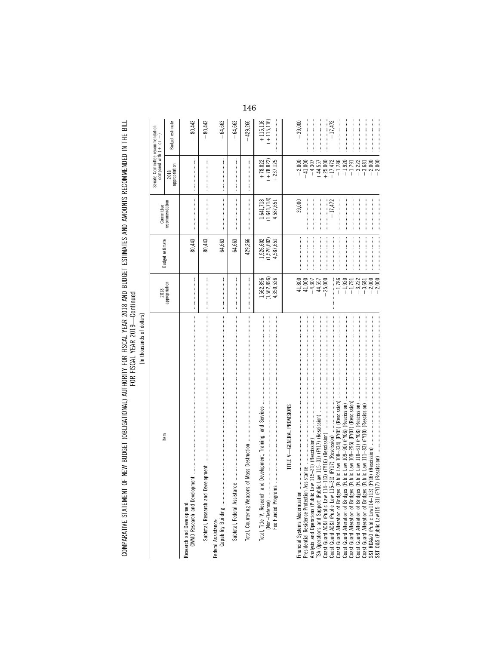COMPARATIVE STATEMENT OF NEW BUDGET (OBLIGATIONAL) AUTHORITY FOR FISCAL YEAR 2018 AND BUDGET ESTIMATES AND AMOUNTS RECOMMENDED IN THE BILL<br>FOR YEAR YEAR

[In thousands of dollars]

|                                                                                                                                                                                                                                         | 2018                                |                                       | Committee                                                                                                                                                                                                                                                                                                                                                                                                                                                                                                                                         | Senate Committee recommendation<br>compared with $(+ \quad or \quad -)$ |                            |
|-----------------------------------------------------------------------------------------------------------------------------------------------------------------------------------------------------------------------------------------|-------------------------------------|---------------------------------------|---------------------------------------------------------------------------------------------------------------------------------------------------------------------------------------------------------------------------------------------------------------------------------------------------------------------------------------------------------------------------------------------------------------------------------------------------------------------------------------------------------------------------------------------------|-------------------------------------------------------------------------|----------------------------|
| Item                                                                                                                                                                                                                                    | appropriation                       | Budget estimate                       | recommendation                                                                                                                                                                                                                                                                                                                                                                                                                                                                                                                                    | 2018<br>appropriation                                                   | Budget estimate            |
|                                                                                                                                                                                                                                         |                                     | 80,443                                |                                                                                                                                                                                                                                                                                                                                                                                                                                                                                                                                                   |                                                                         | 80,443                     |
|                                                                                                                                                                                                                                         |                                     | 80,443                                | $\label{def:conformal} \begin{minipage}{0.9\linewidth} \begin{minipage}{0.9\linewidth} \begin{minipage}{0.9\linewidth} \begin{minipage}{0.9\linewidth} \end{minipage} \begin{minipage}{0.9\linewidth} \begin{minipage}{0.9\linewidth} \end{minipage} \begin{minipage}{0.9\linewidth} \begin{minipage}{0.9\linewidth} \end{minipage} \begin{minipage}{0.9\linewidth} \end{minipage} \begin{minipage}{0.9\linewidth} \begin{minipage}{0.9\linewidth} \end{minipage} \begin{minipage}{0.9\linewidth} \end{minipage} \begin{minipage}{0.9\linewidth}$ |                                                                         | 80,443                     |
|                                                                                                                                                                                                                                         |                                     | 64,663                                | $\label{def:1} \begin{minipage}{0.9\linewidth} \begin{minipage}{0.9\linewidth} \begin{minipage}{0.9\linewidth} \begin{minipage}{0.9\linewidth} \end{minipage} \begin{minipage}{0.9\linewidth} \begin{minipage}{0.9\linewidth} \end{minipage} \end{minipage} \begin{minipage}{0.9\linewidth} \begin{minipage}{0.9\linewidth} \begin{minipage}{0.9\linewidth} \end{minipage} \end{minipage} \begin{minipage}{0.9\linewidth} \begin{minipage}{0.9\linewidth} \end{minipage} \end{minipage} \begin{minipage}{0.9\linewidth} \begin{minipage}{0$       |                                                                         | $-64,663$                  |
| Subtotal, Federal Assistance                                                                                                                                                                                                            |                                     | 64,663                                | $\label{def:1} \begin{minipage}{0.9\linewidth} \begin{minipage}{0.9\linewidth} \begin{minipage}{0.9\linewidth} \begin{minipage}{0.9\linewidth} \end{minipage} \begin{minipage}{0.9\linewidth} \begin{minipage}{0.9\linewidth} \end{minipage} \begin{minipage}{0.9\linewidth} \begin{minipage}{0.9\linewidth} \end{minipage} \begin{minipage}{0.9\linewidth} \begin{minipage}{0.9\linewidth} \end{minipage} \begin{minipage}{0.9\linewidth} \end{minipage} \begin{minipage}{0.9\linewidth} \end{minipage} \begin{minipage}{0.9\linewidth} \begin$  |                                                                         | $-64,663$                  |
| Total, Countering Weapons of                                                                                                                                                                                                            |                                     | 429,266                               |                                                                                                                                                                                                                                                                                                                                                                                                                                                                                                                                                   |                                                                         | $-429,266$                 |
| Total, Title IV, Research and D<br>(Non—Defense)<br>Fee Funded Programs                                                                                                                                                                 | 1,562,896)<br>,562,896<br>4,350,526 | 1,526,602<br>(1,526,602)<br>4,587,651 | (1, 641, 718)<br>1,641,718<br>4,587,651                                                                                                                                                                                                                                                                                                                                                                                                                                                                                                           | $+ 78,822$<br>$(+ 78,822)$<br>$+237,125$                                | $(+115,116)$<br>$+115,116$ |
| TITLE V-GENERAL PROVISIONS                                                                                                                                                                                                              |                                     |                                       |                                                                                                                                                                                                                                                                                                                                                                                                                                                                                                                                                   |                                                                         |                            |
| sistance<br>Presidential Residence Protection Ass<br>Financial Systems Modernization                                                                                                                                                    | 41,800<br>41,000                    |                                       | 39,000                                                                                                                                                                                                                                                                                                                                                                                                                                                                                                                                            | $-2,800$<br>$-41,000$                                                   | $+39,000$                  |
| Analysis and Operations (Public Law 115-31) (Rescission)                                                                                                                                                                                | $-4,307$                            |                                       |                                                                                                                                                                                                                                                                                                                                                                                                                                                                                                                                                   | $+4,307$                                                                |                            |
|                                                                                                                                                                                                                                         | $-44,557$<br>$-25,000$              |                                       |                                                                                                                                                                                                                                                                                                                                                                                                                                                                                                                                                   | $+44,557$<br>$+25,000$                                                  |                            |
|                                                                                                                                                                                                                                         |                                     |                                       | $-17,472$                                                                                                                                                                                                                                                                                                                                                                                                                                                                                                                                         | $-17,472$                                                               | $-17,472$                  |
|                                                                                                                                                                                                                                         | $-1,786$<br>$-1,920$                |                                       |                                                                                                                                                                                                                                                                                                                                                                                                                                                                                                                                                   | $+1,786$<br>+1,920                                                      |                            |
|                                                                                                                                                                                                                                         | $-1,791$                            |                                       |                                                                                                                                                                                                                                                                                                                                                                                                                                                                                                                                                   | $+1,791$                                                                |                            |
|                                                                                                                                                                                                                                         | $-3,222$                            |                                       |                                                                                                                                                                                                                                                                                                                                                                                                                                                                                                                                                   | $+3,222$                                                                |                            |
|                                                                                                                                                                                                                                         | $-3,681$                            |                                       |                                                                                                                                                                                                                                                                                                                                                                                                                                                                                                                                                   | $+3,681$                                                                |                            |
| TSA Operations and Support (Public Law 115–31) (FY17) (Resession)<br>Coast Guard AC&I (Public Law 115–31) (FY17) (Resession)<br>Coast Guard AC&I (Public Law 115–31) (FY16) (Resession)<br>Coast Guard Alteration of Birdges (Public La | $-2,000$<br>2,000                   |                                       |                                                                                                                                                                                                                                                                                                                                                                                                                                                                                                                                                   | $+2,000$<br>$+2,000$                                                    |                            |
|                                                                                                                                                                                                                                         |                                     |                                       |                                                                                                                                                                                                                                                                                                                                                                                                                                                                                                                                                   |                                                                         |                            |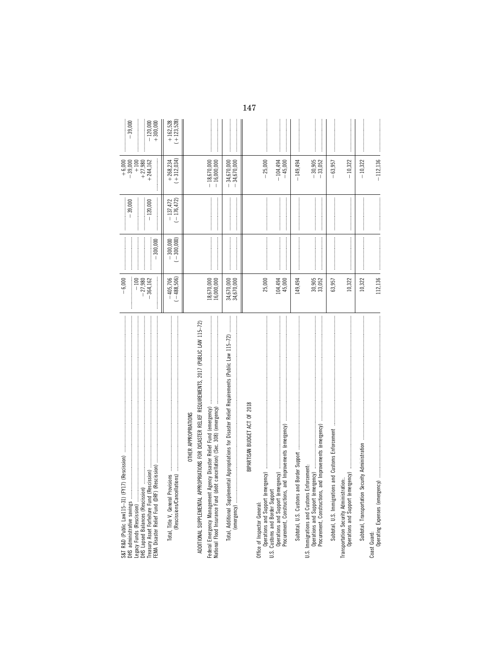| 7) (Rescission)<br>S&T R&D (Public Law115-31) (FY1<br>Legacy Funds (Rescission)<br>DHS Lapsed Balances (Rescission)<br>DHS administrative savings     | $-6,000$<br>$-100$<br>$-27,980$<br>$-364,162$ | $\label{def:1} \begin{minipage}{0.9\linewidth} \begin{minipage}{0.9\linewidth} \begin{minipage}{0.9\linewidth} \begin{minipage}{0.9\linewidth} \end{minipage} \begin{minipage}{0.9\linewidth} \begin{minipage}{0.9\linewidth} \end{minipage} \end{minipage} \begin{minipage}{0.9\linewidth} \begin{minipage}{0.9\linewidth} \begin{minipage}{0.9\linewidth} \end{minipage} \end{minipage} \begin{minipage}{0.9\linewidth} \begin{minipage}{0.9\linewidth} \end{minipage} \end{minipage} \begin{minipage}{0.9\linewidth} \begin{minipage}{0$<br>$-300,000$ | $-39,000$<br>$-120,000$     | $+6,000$<br>$-39,000$<br>$+100$<br>+27,980<br>$+244,162$ | $-39,000$<br>$-120,000$<br>$+300,000$ |
|-------------------------------------------------------------------------------------------------------------------------------------------------------|-----------------------------------------------|-----------------------------------------------------------------------------------------------------------------------------------------------------------------------------------------------------------------------------------------------------------------------------------------------------------------------------------------------------------------------------------------------------------------------------------------------------------------------------------------------------------------------------------------------------------|-----------------------------|----------------------------------------------------------|---------------------------------------|
|                                                                                                                                                       | $(-488,506)$<br>$-405,706$                    | $-300,000$<br>(-300,000)                                                                                                                                                                                                                                                                                                                                                                                                                                                                                                                                  | $(-176, 472)$<br>$-137,472$ | $+268,234$<br>$(+312,034)$                               | $+162,528$<br>$(+123,528)$            |
| OPRIATIONS FOR DISASTER RELIEF REQUIREMENTS, 2017 (PUBLIC LAW 115-72)<br>OTHER APPROPRIATIONS<br>ADDITIONAL SUPPLEMENTAL APPR                         | 18,670,000<br>16,000,000                      |                                                                                                                                                                                                                                                                                                                                                                                                                                                                                                                                                           |                             | $-18,670,000$<br>$-16,000,000$                           |                                       |
| Total, Additional Supplemental Appropriations for Disaster Relief Requirements (Public Law 115-72)                                                    | 34,670,000<br>34,670,000                      |                                                                                                                                                                                                                                                                                                                                                                                                                                                                                                                                                           |                             | 34,670,000<br>34,670,000<br>$\overline{1}$               |                                       |
| BIPARTISAN BUDGET ACT OF 2018                                                                                                                         |                                               |                                                                                                                                                                                                                                                                                                                                                                                                                                                                                                                                                           |                             |                                                          |                                       |
| Office of Inspector General:                                                                                                                          | 25,000                                        |                                                                                                                                                                                                                                                                                                                                                                                                                                                                                                                                                           |                             | $-25,000$<br>$-104,494$                                  |                                       |
| Procurement, Constructions, and Improvements (emergency)                                                                                              | 104,494<br>45,000                             |                                                                                                                                                                                                                                                                                                                                                                                                                                                                                                                                                           |                             | $-45,000$                                                |                                       |
| Subtotal, U.S. Customs and                                                                                                                            | 149,494                                       |                                                                                                                                                                                                                                                                                                                                                                                                                                                                                                                                                           |                             | $-149,494$                                               |                                       |
| U.S. Immigrations and Customs Enforcement:                                                                                                            | 30,905<br>33,052                              |                                                                                                                                                                                                                                                                                                                                                                                                                                                                                                                                                           |                             | $-30,905$<br>$-33,052$                                   |                                       |
| 医皮肤发生 医皮肤发生 医皮肤发生 医皮肤发生 医血清性皮质 医血清性皮质 医血清性皮质 医血清性血清 医血清性血清 医血清性血清 医血清性血清 医血清性血清 医血清性血清 医血清性<br>and Customs Enforcement<br>Subtotal, U.S. Immigrations | 63,957                                        |                                                                                                                                                                                                                                                                                                                                                                                                                                                                                                                                                           |                             | 63,957<br>$\overline{1}$                                 |                                       |
|                                                                                                                                                       | 10,322                                        |                                                                                                                                                                                                                                                                                                                                                                                                                                                                                                                                                           |                             | $-10,322$                                                |                                       |
|                                                                                                                                                       | 10,322                                        |                                                                                                                                                                                                                                                                                                                                                                                                                                                                                                                                                           |                             | $-10,322$                                                |                                       |
| Operating Expenses (emergenc<br>Coast Guard:                                                                                                          | 112,136                                       |                                                                                                                                                                                                                                                                                                                                                                                                                                                                                                                                                           |                             | $-112,136$                                               |                                       |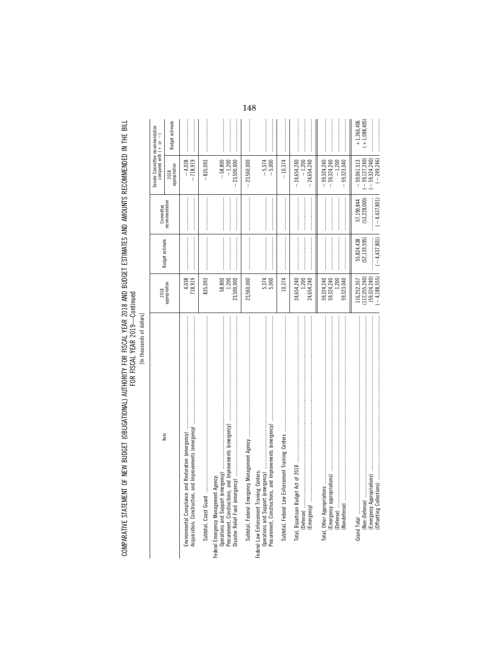COMPARATIVE STATEMENT OF NEW BUDGET (OBLIGATIONAL) AUTHORITY FOR FISCAL YEAR 2018 AND BUDGET ESTIMATES AND AMOUNTS RECOMMENDED IN THE BILL<br>FOR YEAR YEAR

[In thousands of dollars]

|                                                                                                                                                                                | 2018                                                                 |                                                  | Committee                                        | Senate Committee recommendation<br>compared with $(+)$ or                               | $\begin{array}{c} \hline \end{array}$ |
|--------------------------------------------------------------------------------------------------------------------------------------------------------------------------------|----------------------------------------------------------------------|--------------------------------------------------|--------------------------------------------------|-----------------------------------------------------------------------------------------|---------------------------------------|
| Item                                                                                                                                                                           | appropriation                                                        | Budget estimate                                  | recommendation                                   | appropriation<br>2018                                                                   | Budget estimate                       |
| Restoration (emergency)<br>Acquisistion, Construction, and<br>Environmental Compliance and                                                                                     | 4,038<br>718,919                                                     |                                                  |                                                  | $-4,038$<br>$-718,919$                                                                  |                                       |
|                                                                                                                                                                                | 835,093                                                              |                                                  |                                                  | 835,093                                                                                 |                                       |
| Improvements (emergency)<br>Operations and Support (emergency).<br>Federal Emergency Management Agency:<br>Procurement, Constructions, and<br>Disaster Relief Fund (emergency) | 58,800<br>1,200<br>23,500,000                                        |                                                  |                                                  | $-58,800$<br>$-1,200$<br>23,500,000<br>$\overline{\phantom{a}}$                         |                                       |
| Subtotal, Federal Emergency                                                                                                                                                    | 23,560,000                                                           |                                                  |                                                  | $-23,560,000$                                                                           |                                       |
| Improvements (emergency)<br>Operations and Support (emergency)<br>Federal Law Enforcement Training Centers:<br>Procurement, Constructions, and                                 | 5,374                                                                |                                                  |                                                  | $-5,374$<br>5,000<br>I                                                                  |                                       |
|                                                                                                                                                                                | 10,374                                                               |                                                  |                                                  | $-10,374$                                                                               |                                       |
| (Emergency)                                                                                                                                                                    | 24,654,240<br>24,654,240<br>1,200                                    |                                                  |                                                  | $-24,654,240$<br>$-1,200$<br>24,654,240<br>$\overline{1}$                               |                                       |
| (Emergency appropriations)<br>(Nondefense)<br>Total, Other Appropriations.                                                                                                     | 1,200<br>59,324,240<br>59,324,240<br>59,323,040                      |                                                  |                                                  | 59, 324, 240<br>59, 324, 240<br>$-1,200$<br>59,323,040<br>$\overline{\phantom{a}}$<br>т |                                       |
| (Emergency Appropriations)<br>(Offsetting Collections)                                                                                                                         | $(-4, 188, 555)$<br>(112, 355, 240)<br>(59, 324, 240)<br>116,252,357 | $(-4, 437, 801)$<br>(52, 139, 595)<br>55,824,438 | (53, 228, 000)<br>$(-4, 437, 801)$<br>57,190,844 | $(-249, 246)$<br>$(-59, 127, 240)$<br>$-59,324,240$<br>$-59,061,513$                    | $(+1,088,405)$<br>$+1,366,406$        |